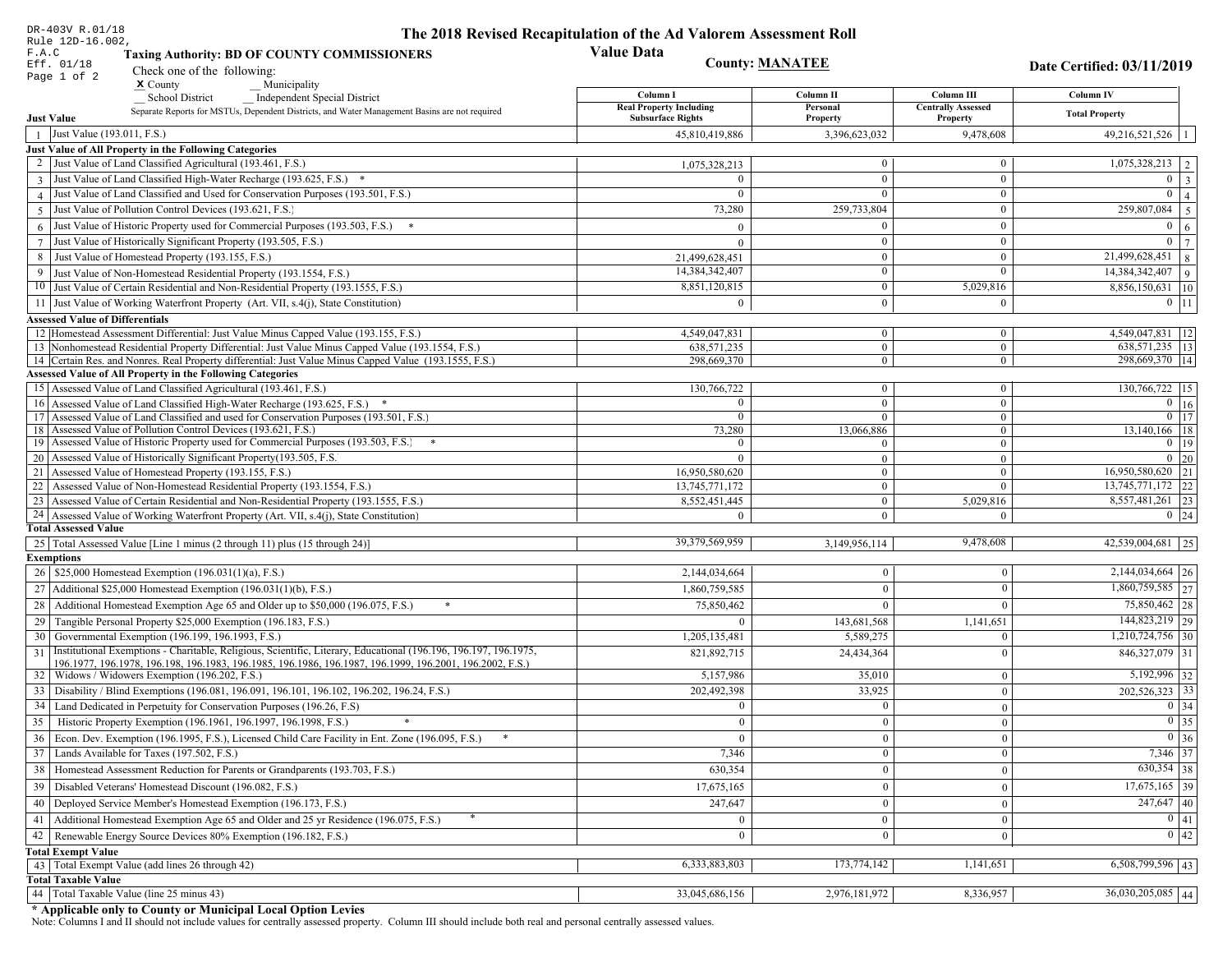| DR-403V R.01/18                                                                                                                                                             | The 2018 Revised Recapitulation of the Ad Valorem Assessment Roll |                        |                                       |                                 |
|-----------------------------------------------------------------------------------------------------------------------------------------------------------------------------|-------------------------------------------------------------------|------------------------|---------------------------------------|---------------------------------|
| Rule 12D-16.002,<br>F.A.C<br><b>Taxing Authority: BD OF COUNTY COMMISSIONERS</b>                                                                                            | <b>Value Data</b>                                                 |                        |                                       |                                 |
| Eff. 01/18<br>Check one of the following:                                                                                                                                   |                                                                   | <b>County: MANATEE</b> |                                       | Date Certified: 03/11/2019      |
| Page 1 of 2<br>$x$ County<br>Municipality                                                                                                                                   |                                                                   |                        |                                       |                                 |
| School District<br><b>Independent Special District</b>                                                                                                                      | Column I                                                          | Column II              | Column III                            | Column IV                       |
| Separate Reports for MSTUs, Dependent Districts, and Water Management Basins are not required<br><b>Just Value</b>                                                          | <b>Real Property Including</b><br><b>Subsurface Rights</b>        | Personal<br>Property   | <b>Centrally Assessed</b><br>Property | <b>Total Property</b>           |
| Just Value (193.011, F.S.)<br>$\overline{1}$                                                                                                                                | 45,810,419,886                                                    | 3,396,623,032          | 9,478,608                             | $49,216,521,526$   1            |
| Just Value of All Property in the Following Categories                                                                                                                      |                                                                   |                        |                                       |                                 |
| 2 Just Value of Land Classified Agricultural (193.461, F.S.)                                                                                                                | 1,075,328,213                                                     | $\overline{0}$         | $\boldsymbol{0}$                      | $1,075,328,213$   2             |
| 3 Just Value of Land Classified High-Water Recharge (193.625, F.S.) *                                                                                                       | $\Omega$                                                          | $\mathbf{0}$           | $\mathbf{0}$                          | $0 \mid 3$                      |
| 4 Just Value of Land Classified and Used for Conservation Purposes (193.501, F.S.)                                                                                          | $\Omega$                                                          | $\Omega$               | $\boldsymbol{0}$                      | $\overline{0}$   4              |
| Just Value of Pollution Control Devices (193.621, F.S.)<br>$\overline{5}$                                                                                                   | 73,280                                                            | 259,733,804            | $\boldsymbol{0}$                      | $\overline{259,807,084}$ 5      |
| $6$ Just Value of Historic Property used for Commercial Purposes (193.503, F.S.) $*$                                                                                        | $\Omega$                                                          | $\theta$               | $\boldsymbol{0}$                      | $0 \mid 6$                      |
| 7 Just Value of Historically Significant Property (193.505, F.S.)                                                                                                           | $\Omega$                                                          | $\mathbf{0}$           | $\boldsymbol{0}$                      | $0 \mid 7$                      |
| 8 Just Value of Homestead Property (193.155, F.S.)                                                                                                                          | 21,499,628,451                                                    | $\bf{0}$               | $\boldsymbol{0}$                      | $\boxed{21,499,628,451}$ 8      |
| 9 Just Value of Non-Homestead Residential Property (193.1554, F.S.)                                                                                                         | 14,384,342,407                                                    | $\overline{0}$         | $\Omega$                              | $14,384,342,407$ 9              |
| 10 Just Value of Certain Residential and Non-Residential Property (193.1555, F.S.)                                                                                          | 8,851,120,815                                                     | $\mathbf{0}$           | 5,029,816                             | 8,856,150,631 10                |
| 11 Just Value of Working Waterfront Property (Art. VII, s.4(j), State Constitution)                                                                                         | $\theta$                                                          | $\theta$               | $\mathbf{0}$                          | $0$ 11                          |
| <b>Assessed Value of Differentials</b>                                                                                                                                      |                                                                   |                        |                                       |                                 |
| 12 Homestead Assessment Differential: Just Value Minus Capped Value (193.155, F.S.)                                                                                         | 4,549,047,831                                                     | $\mathbf{0}$           | $\boldsymbol{0}$                      | 4,549,047,831   12              |
| 13 Nonhomestead Residential Property Differential: Just Value Minus Capped Value (193.1554, F.S.)                                                                           | 638, 571, 235                                                     | $\mathbf{0}$           | $\mathbf{0}$                          | 638,571,235   13                |
| 14 Certain Res. and Nonres. Real Property differential: Just Value Minus Capped Value (193.1555, F.S.)<br><b>Assessed Value of All Property in the Following Categories</b> | 298,669,370                                                       | $\mathbf{0}$           | $\mathbf{0}$                          | 298,669,370   14                |
| 15 Assessed Value of Land Classified Agricultural (193.461, F.S.)                                                                                                           | 130,766,722                                                       | $\mathbf{0}$           | $\mathbf{0}$                          | 130,766,722 15                  |
| 16 Assessed Value of Land Classified High-Water Recharge (193.625, F.S.)                                                                                                    | $\Omega$                                                          | $\overline{0}$         | $\boldsymbol{0}$                      | $\overline{0}$ 16               |
| 17 Assessed Value of Land Classified and used for Conservation Purposes (193.501, F.S.)                                                                                     | $\mathbf{0}$                                                      | $\mathbf{0}$           | $\mathbf{0}$                          | $0$ 17                          |
| 18 Assessed Value of Pollution Control Devices (193.621, F.S.)                                                                                                              | 73,280                                                            | 13,066,886             | $\overline{0}$                        | 13,140,166 18                   |
| 19 Assessed Value of Historic Property used for Commercial Purposes (193.503, F.S.)                                                                                         | $\theta$                                                          | $\theta$               | $\mathbf{0}$                          | $0$   19                        |
| 20 Assessed Value of Historically Significant Property (193.505, F.S.                                                                                                       | $\theta$                                                          | $\overline{0}$         | $\overline{0}$                        | $0 \mid 20$                     |
| 21 Assessed Value of Homestead Property (193.155, F.S.)                                                                                                                     | 16,950,580,620                                                    | $\mathbf{0}$           | $\mathbf{0}$                          | 16,950,580,620 21               |
| 22 Assessed Value of Non-Homestead Residential Property (193.1554, F.S.)                                                                                                    | 13,745,771,172                                                    | $\overline{0}$         | $\mathbf{0}$                          | 13,745,771,172 22               |
| 23 Assessed Value of Certain Residential and Non-Residential Property (193.1555, F.S.)                                                                                      | 8,552,451,445                                                     | $\mathbf{0}$           | 5,029,816<br>$\Omega$                 | 8,557,481,261 23<br>$0 \mid 24$ |
| 24 Assessed Value of Working Waterfront Property (Art. VII, s.4(j), State Constitution<br><b>Total Assessed Value</b>                                                       | $\Omega$                                                          | $\overline{0}$         |                                       |                                 |
| 25   Total Assessed Value [Line 1 minus (2 through 11) plus (15 through 24)]                                                                                                | 39,379,569,959                                                    | 3,149,956,114          | 9,478,608                             | 42,539,004,681 25               |
| <b>Exemptions</b>                                                                                                                                                           |                                                                   |                        |                                       |                                 |
| 26   \$25,000 Homestead Exemption (196.031(1)(a), F.S.)                                                                                                                     | 2,144,034,664                                                     | $\Omega$               | $\Omega$                              | 2,144,034,664 26                |
| 27   Additional \$25,000 Homestead Exemption (196.031(1)(b), F.S.)                                                                                                          | 1,860,759,585                                                     | $\theta$               | $\Omega$                              | 1,860,759,585 27                |
| 28 Additional Homestead Exemption Age 65 and Older up to \$50,000 (196.075, F.S.)                                                                                           | 75,850,462                                                        | $\Omega$               | $\Omega$                              | 75,850,462 28                   |
| 29 Tangible Personal Property \$25,000 Exemption (196.183, F.S.)                                                                                                            | $\mathbf{0}$                                                      | 143,681,568            | 1,141,651                             | 144,823,219 29                  |
| 30 Governmental Exemption (196.199, 196.1993, F.S.)                                                                                                                         | 1,205,135,481                                                     | 5,589,275              | $\Omega$                              | $1,210,724,756$ 30              |
| Institutional Exemptions - Charitable, Religious, Scientific, Literary, Educational (196.196, 196.197, 196.1975,<br>31                                                      | 821,892,715                                                       | 24,434,364             | $\Omega$                              | $846,327,079$ 31                |
| 196.1977, 196.1978, 196.198, 196.1983, 196.1985, 196.1986, 196.1987, 196.1999, 196.2001, 196.2002, F.S.)                                                                    |                                                                   |                        |                                       |                                 |
| 32   Widows / Widowers Exemption (196.202, F.S.)                                                                                                                            | 5,157,986                                                         | 35,010                 | $\mathbf{0}$                          | 5,192,996 32                    |
| 33   Disability / Blind Exemptions (196.081, 196.091, 196.101, 196.102, 196.202, 196.24, F.S.)                                                                              | 202,492,398                                                       | 33,925                 | $\Omega$                              | $202,526,323$ 33                |
| 34 Land Dedicated in Perpetuity for Conservation Purposes (196.26, F.S)                                                                                                     | $\bf{0}$                                                          | $\mathbf{0}$           | $\Omega$                              | $0 \mid 34$                     |
| 35 Historic Property Exemption (196.1961, 196.1997, 196.1998, F.S.)                                                                                                         | $\mathbf{0}$                                                      | $\boldsymbol{0}$       | $\vert 0 \vert$                       | $\boxed{0}$ 35                  |
| 36 Econ. Dev. Exemption (196.1995, F.S.), Licensed Child Care Facility in Ent. Zone (196.095, F.S.)                                                                         | $\overline{0}$                                                    | $\mathbf{0}$           | $\theta$                              | $0\vert 36$                     |
| 37 Lands Available for Taxes (197.502, F.S.)                                                                                                                                | 7,346                                                             | $\overline{0}$         | $\mathbf{0}$                          | 7,346 37                        |
| 38   Homestead Assessment Reduction for Parents or Grandparents (193.703, F.S.)                                                                                             | 630,354                                                           | $\mathbf{0}$           | $\mathbf{0}$                          | $630,354$ 38                    |
| 39   Disabled Veterans' Homestead Discount (196.082, F.S.)                                                                                                                  | 17,675,165                                                        | $\Omega$               | $\mathbf{0}$                          | $\overline{17,675,165}$ 39      |
| 40   Deployed Service Member's Homestead Exemption (196.173, F.S.)                                                                                                          | 247,647                                                           | $\mathbf{0}$           | $\theta$                              | $\overline{247,647}$ 40         |
| 41   Additional Homestead Exemption Age 65 and Older and 25 yr Residence (196.075, F.S.)                                                                                    |                                                                   | $\Omega$               | $\Omega$                              | $\boxed{0}$ $\boxed{41}$        |
| 42 Renewable Energy Source Devices 80% Exemption (196.182, F.S.)                                                                                                            | $\mathbf{0}$                                                      | $\mathbf{0}$           | $\theta$                              | 0 42                            |
| <b>Total Exempt Value</b>                                                                                                                                                   |                                                                   |                        |                                       |                                 |
| 43 Total Exempt Value (add lines 26 through 42)                                                                                                                             | 6,333,883,803                                                     | 173,774,142            | 1,141,651                             | $6,508,799,596$ 43              |
| <b>Total Taxable Value</b>                                                                                                                                                  |                                                                   |                        |                                       | $36,030,205,085$ 44             |
| 44 Total Taxable Value (line 25 minus 43)                                                                                                                                   | 33,045,686,156                                                    | 2,976,181,972          | 8,336,957                             |                                 |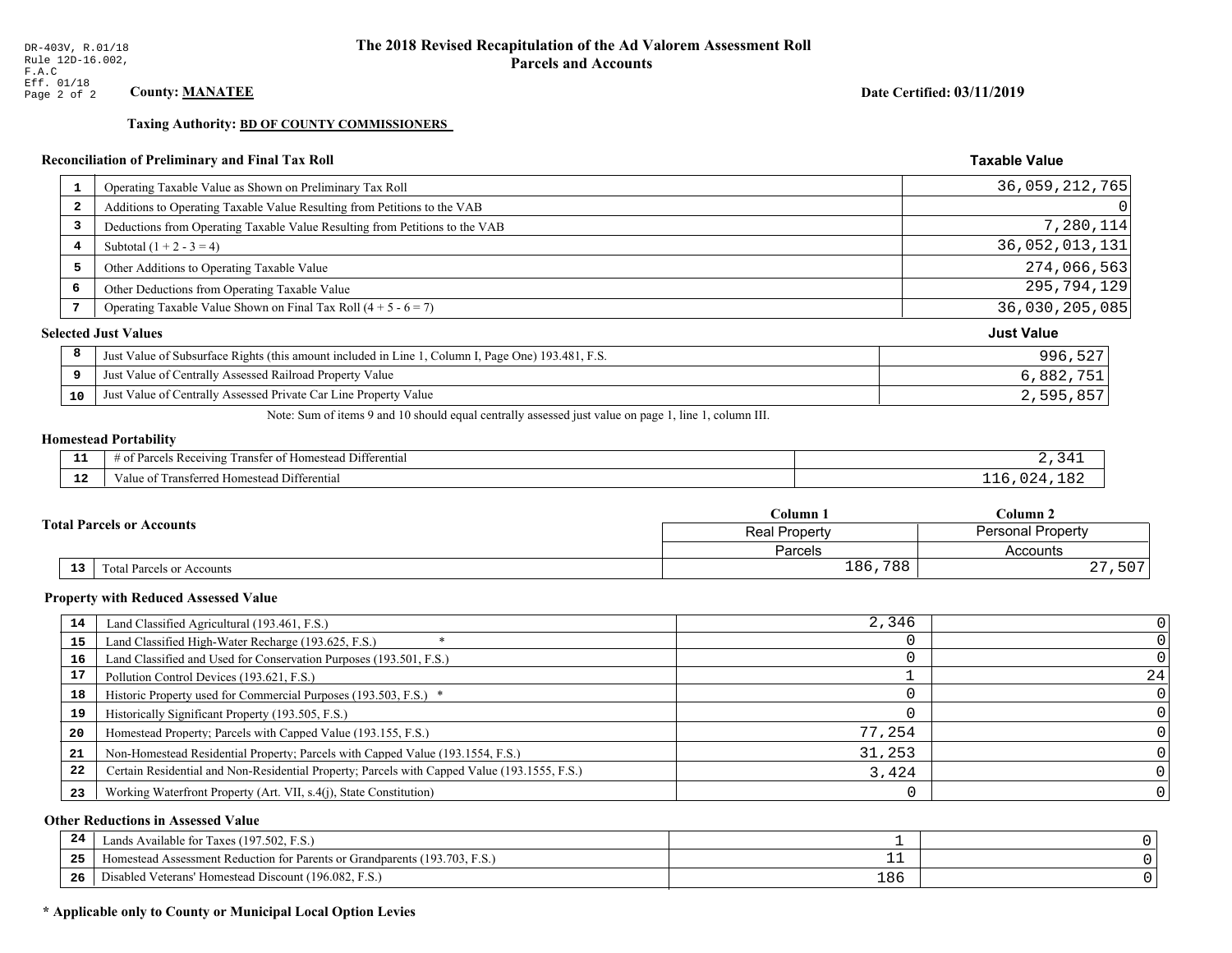**Taxing Authority: BD OF COUNTY COMMISSIONERS** 

## Reconciliation of Preliminary and Final Tax Roll

| $\mathbf{1}$            | Operating Taxable Value as Shown on Preliminary Tax Roll                                           | 36,059,212,765    |
|-------------------------|----------------------------------------------------------------------------------------------------|-------------------|
| $\overline{\mathbf{2}}$ | Additions to Operating Taxable Value Resulting from Petitions to the VAB                           | $\Omega$          |
| 3                       | Deductions from Operating Taxable Value Resulting from Petitions to the VAB                        | 7,280,114         |
| 4                       | Subtotal $(1 + 2 - 3 = 4)$                                                                         | 36,052,013,131    |
| 5                       | Other Additions to Operating Taxable Value                                                         | 274,066,563       |
| 6                       | Other Deductions from Operating Taxable Value                                                      | 295,794,129       |
| 7                       | Operating Taxable Value Shown on Final Tax Roll $(4 + 5 - 6 = 7)$                                  | 36,030,205,085    |
|                         | <b>Selected Just Values</b>                                                                        | <b>Just Value</b> |
| 8                       | Just Value of Subsurface Rights (this amount included in Line 1, Column I, Page One) 193.481, F.S. | 996,527           |
| 9                       | Just Value of Centrally Assessed Railroad Property Value                                           | 6,882,751         |
| 10                      | Just Value of Centrally Assessed Private Car Line Property Value                                   | 2,595,857         |

Note: Sum of items 9 and 10 should equal centrally assessed just value on page 1, line 1, column III.

## **Homestead Portability**

| - -          | <b>THE PART</b><br>.<br>l Differential<br>ranster of<br>us Receiving.<br>* Homestead<br>'arcels<br>. . | $^{\prime}$ / I |
|--------------|--------------------------------------------------------------------------------------------------------|-----------------|
| $\sim$<br>-- | Transferred<br>Differential<br>Value of<br>Homestead i                                                 | $\prime$        |

|    |                                  | Column 1                                         | $C$ olumn 2                |  |
|----|----------------------------------|--------------------------------------------------|----------------------------|--|
|    | <b>Total Parcels or Accounts</b> | <b>Personal Property</b><br><b>Real Property</b> |                            |  |
|    |                                  | Parcels                                          | Accounts                   |  |
| 13 | Fotal Parcels or Accounts        | 186,788                                          | ,507<br>$\cap$<br>$\sim$ 1 |  |

#### **Property with Reduced Assessed Value**

| 14 | Land Classified Agricultural (193.461, F.S.)                                                 | 2,346  |    |
|----|----------------------------------------------------------------------------------------------|--------|----|
| 15 | Land Classified High-Water Recharge (193.625, F.S.)                                          |        |    |
| 16 | Land Classified and Used for Conservation Purposes (193.501, F.S.)                           |        |    |
| 17 | Pollution Control Devices (193.621, F.S.)                                                    |        | 24 |
| 18 | Historic Property used for Commercial Purposes (193.503, F.S.) *                             |        |    |
| 19 | Historically Significant Property (193.505, F.S.)                                            |        |    |
| 20 | Homestead Property; Parcels with Capped Value (193.155, F.S.)                                | 77,254 |    |
| 21 | Non-Homestead Residential Property; Parcels with Capped Value (193.1554, F.S.)               | 31,253 |    |
| 22 | Certain Residential and Non-Residential Property; Parcels with Capped Value (193.1555, F.S.) | 3,424  |    |
| 23 | Working Waterfront Property (Art. VII, s.4(j), State Constitution)                           |        |    |

## **Other Reductions in Assessed Value**

| 24    | (197.502, F.S.)<br>Lands Available for Taxes (                                                                |     |  |
|-------|---------------------------------------------------------------------------------------------------------------|-----|--|
| - - - | (193.703)<br>ad Assessment Reduction for Parents or Grandparents ( <sup>16</sup> )<br>. <sub>i</sub> omestead |     |  |
| -26   | <sup>1</sup> Veterans' Homestead Discount (196.082, F.S.)<br>Disabled                                         | 186 |  |

## \* Applicable only to County or Municipal Local Option Levies

Date Certified: 03/11/2019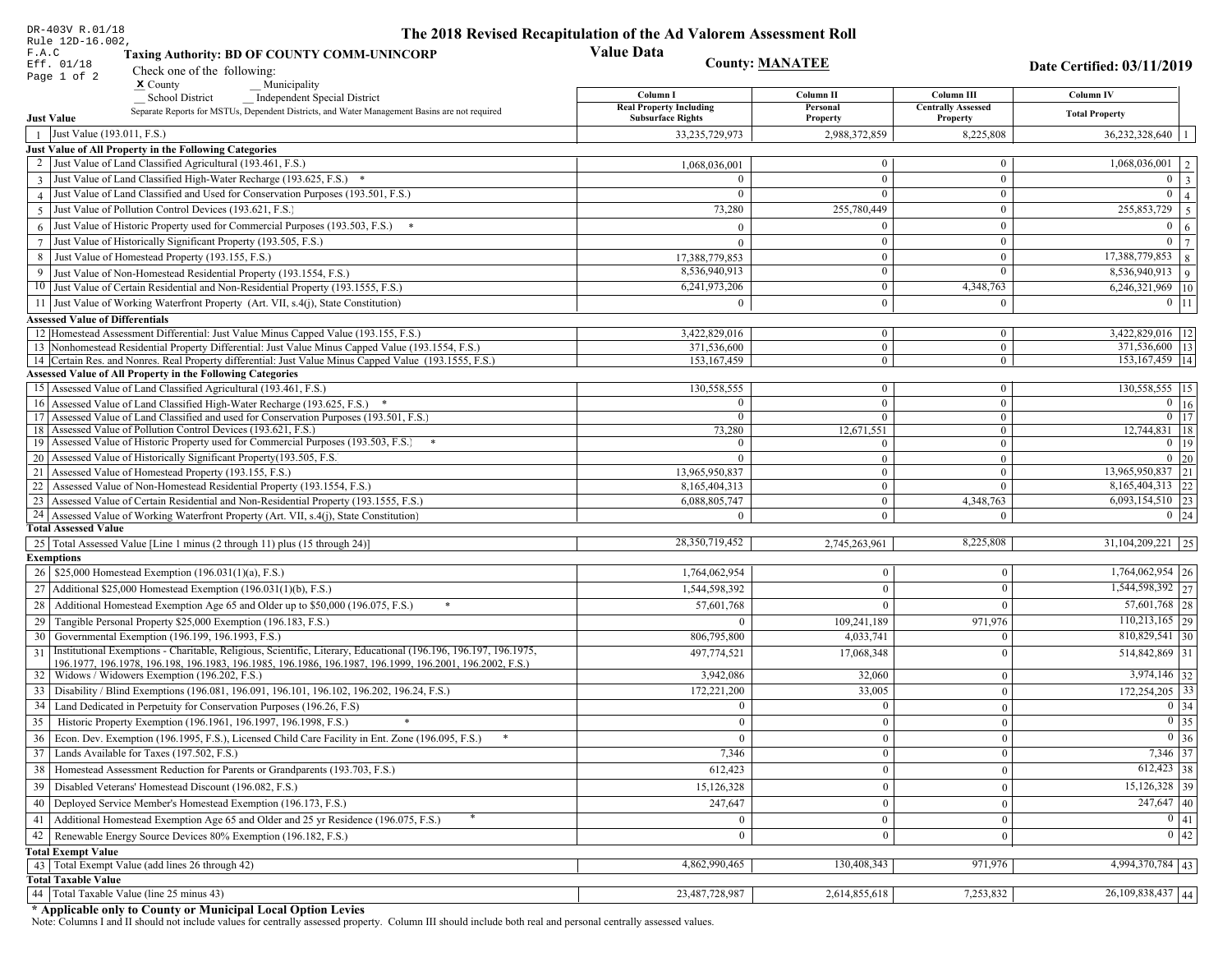| DR-403V R.01/18                                                                                                                                                                                                                    | The 2018 Revised Recapitulation of the Ad Valorem Assessment Roll |                              |                                       |                                  |
|------------------------------------------------------------------------------------------------------------------------------------------------------------------------------------------------------------------------------------|-------------------------------------------------------------------|------------------------------|---------------------------------------|----------------------------------|
| Rule 12D-16.002,<br>F.A.C<br><b>Taxing Authority: BD OF COUNTY COMM-UNINCORP</b>                                                                                                                                                   | <b>Value Data</b>                                                 |                              |                                       |                                  |
| Eff. 01/18<br>Check one of the following:                                                                                                                                                                                          | <b>County: MANATEE</b>                                            |                              |                                       | Date Certified: 03/11/2019       |
| Page 1 of 2<br>$x$ County<br>Municipality                                                                                                                                                                                          |                                                                   |                              |                                       |                                  |
| <b>School District</b><br><b>Independent Special District</b>                                                                                                                                                                      | Column I                                                          | Column II                    | Column III                            | Column IV                        |
| Separate Reports for MSTUs, Dependent Districts, and Water Management Basins are not required<br><b>Just Value</b>                                                                                                                 | <b>Real Property Including</b><br><b>Subsurface Rights</b>        | Personal<br>Property         | <b>Centrally Assessed</b><br>Property | <b>Total Property</b>            |
| Just Value (193.011, F.S.)<br>$\overline{1}$                                                                                                                                                                                       | 33,235,729,973                                                    | 2,988,372,859                | 8,225,808                             | 36,232,328,640                   |
| Just Value of All Property in the Following Categories                                                                                                                                                                             |                                                                   |                              |                                       |                                  |
| 2 Just Value of Land Classified Agricultural (193.461, F.S.)                                                                                                                                                                       | 1,068,036,001                                                     | $\overline{0}$               | $\mathbf{0}$                          | 1,068,036,001                    |
| 3 Just Value of Land Classified High-Water Recharge (193.625, F.S.) *                                                                                                                                                              |                                                                   | $\overline{0}$               | $\theta$                              | $\theta$                         |
| 4 Just Value of Land Classified and Used for Conservation Purposes (193.501, F.S.)                                                                                                                                                 |                                                                   | $\overline{0}$               | $\mathbf{0}$                          | $\Omega$                         |
| Just Value of Pollution Control Devices (193.621, F.S.)<br>$\overline{5}$                                                                                                                                                          | 73,280                                                            | 255,780,449                  | $\mathbf{0}$                          | 255,853,729<br>-5                |
| $6$ Just Value of Historic Property used for Commercial Purposes (193.503, F.S.)                                                                                                                                                   |                                                                   | $\theta$                     | $\mathbf{0}$                          | $\Omega$<br>6                    |
| 7 Just Value of Historically Significant Property (193.505, F.S.)                                                                                                                                                                  | $\Omega$                                                          | $\theta$                     | $\mathbf{0}$                          | $\bf{0}$                         |
| 8 Just Value of Homestead Property (193.155, F.S.)                                                                                                                                                                                 | 17,388,779,853                                                    | $\overline{0}$               | $\mathbf{0}$                          | 17,388,779,853<br>$\overline{8}$ |
| Just Value of Non-Homestead Residential Property (193.1554, F.S.)<br>9                                                                                                                                                             | 8,536,940,913                                                     | $\overline{0}$               | $\theta$                              | 8,536,940,913<br>$\overline{9}$  |
| 10 Just Value of Certain Residential and Non-Residential Property (193.1555, F.S.)                                                                                                                                                 | 6,241,973,206                                                     | 0                            | 4,348,763                             | 6,246,321,969 10                 |
| 11 Just Value of Working Waterfront Property (Art. VII, s.4(j), State Constitution)                                                                                                                                                |                                                                   | $\theta$                     | $\mathbf{0}$                          | $0 \vert 11$                     |
| <b>Assessed Value of Differentials</b>                                                                                                                                                                                             |                                                                   |                              |                                       |                                  |
| 12 Homestead Assessment Differential: Just Value Minus Capped Value (193.155, F.S.)                                                                                                                                                | 3,422,829,016                                                     | $\overline{0}$               | $\mathbf{0}$                          | 3,422,829,016   12               |
| 13 Nonhomestead Residential Property Differential: Just Value Minus Capped Value (193.1554, F.S.)                                                                                                                                  | 371,536,600                                                       | $\overline{0}$               | $\overline{0}$                        | $\overline{371,536,600}$   13    |
| 14 Certain Res. and Nonres. Real Property differential: Just Value Minus Capped Value (193.1555, F.S.)                                                                                                                             | 153.167.459                                                       | $\overline{0}$               | $\overline{0}$                        | 153, 167, 459   14               |
| <b>Assessed Value of All Property in the Following Categories</b>                                                                                                                                                                  |                                                                   |                              |                                       |                                  |
| 15 Assessed Value of Land Classified Agricultural (193.461, F.S.)                                                                                                                                                                  | 130,558,555                                                       | $\overline{0}$               | $\boldsymbol{0}$                      | 130,558,555 15                   |
| 16 Assessed Value of Land Classified High-Water Recharge (193.625, F.S.) *<br>17 Assessed Value of Land Classified and used for Conservation Purposes (193.501, F.S.)                                                              | $\Omega$<br>$\Omega$                                              | $\overline{0}$               | $\mathbf{0}$                          | $\overline{0}$ 16                |
| 18 Assessed Value of Pollution Control Devices (193.621, F.S.)                                                                                                                                                                     | 73,280                                                            | $\overline{0}$<br>12,671,551 | $\overline{0}$<br>$\overline{0}$      | $0 \mid 17$<br>12,744,831   18   |
| 19 Assessed Value of Historic Property used for Commercial Purposes (193.503, F.S.)                                                                                                                                                |                                                                   | $\mathbf{0}$                 | $\overline{0}$                        | $0$   19                         |
| 20 Assessed Value of Historically Significant Property (193.505, F.S.                                                                                                                                                              |                                                                   | $\overline{0}$               | $\overline{0}$                        | $0\quad20$                       |
| 21 Assessed Value of Homestead Property (193.155, F.S.)                                                                                                                                                                            | 13,965,950,837                                                    | $\overline{0}$               | $\theta$                              | 13,965,950,837 21                |
| 22   Assessed Value of Non-Homestead Residential Property (193.1554, F.S.)                                                                                                                                                         | 8,165,404,313                                                     | $\overline{0}$               | $\Omega$                              | 8,165,404,313 22                 |
| 23 Assessed Value of Certain Residential and Non-Residential Property (193.1555, F.S.)                                                                                                                                             | 6,088,805,747                                                     | $\overline{0}$               | 4,348,763                             | $6,093,154,510$ 23               |
| 24 Assessed Value of Working Waterfront Property (Art. VII, s.4(j), State Constitution)                                                                                                                                            |                                                                   | $\overline{0}$               | $\Omega$                              | $0 \mid 24$                      |
| <b>Total Assessed Value</b>                                                                                                                                                                                                        |                                                                   |                              |                                       |                                  |
| 25   Total Assessed Value [Line 1 minus (2 through 11) plus (15 through 24)]                                                                                                                                                       | 28,350,719,452                                                    | 2,745,263,961                | 8,225,808                             | $31,104,209,221$ 25              |
| <b>Exemptions</b>                                                                                                                                                                                                                  |                                                                   |                              |                                       |                                  |
| 26   \$25,000 Homestead Exemption (196.031(1)(a), F.S.)                                                                                                                                                                            | 1,764,062,954                                                     | $\mathbf{0}$                 | $\mathbf{0}$                          | $1,764,062,954$ 26               |
| 27   Additional \$25,000 Homestead Exemption (196.031(1)(b), F.S.)                                                                                                                                                                 | 1,544,598,392                                                     | $\overline{0}$               | $\mathbf{0}$                          | 1,544,598,392 27                 |
| 28 Additional Homestead Exemption Age 65 and Older up to \$50,000 (196.075, F.S.)                                                                                                                                                  | 57,601,768                                                        | $\overline{0}$               | $\Omega$                              | $57,601,768$ 28                  |
| 29 Tangible Personal Property \$25,000 Exemption (196.183, F.S.)                                                                                                                                                                   | $\theta$                                                          | 109,241,189                  | 971,976                               | $110,213,165$ 29                 |
| 30 Governmental Exemption (196.199, 196.1993, F.S.)                                                                                                                                                                                | 806,795,800                                                       | 4,033,741                    | $\Omega$                              | $810,829,541$ 30                 |
| Institutional Exemptions - Charitable, Religious, Scientific, Literary, Educational (196.196, 196.197, 196.1975,<br>31<br>196.1977, 196.1978, 196.198, 196.1983, 196.1985, 196.1986, 196.1987, 196.1999, 196.2001, 196.2002, F.S.) | 497,774,521                                                       | 17,068,348                   | $\Omega$                              | 514,842,869 31                   |
| 32   Widows / Widowers Exemption (196.202, F.S.)                                                                                                                                                                                   | 3,942,086                                                         | 32,060                       | $\bf{0}$                              | $3,974,146$ 32                   |
| 33   Disability / Blind Exemptions (196.081, 196.091, 196.101, 196.102, 196.202, 196.24, F.S.)                                                                                                                                     | 172,221,200                                                       | 33,005                       | $\mathbf{0}$                          | $172,254,205$ 33                 |
| 34 Land Dedicated in Perpetuity for Conservation Purposes (196.26, F.S)                                                                                                                                                            | $\mathbf{0}$                                                      | $\overline{0}$               | $\mathbf{0}$                          | $0 \mid 34$                      |
| 35 Historic Property Exemption (196.1961, 196.1997, 196.1998, F.S.)                                                                                                                                                                | $\mathbf{0}$                                                      | $\vert 0 \vert$              | 0                                     | $\boxed{0}$ 35                   |
| 36 Econ. Dev. Exemption (196.1995, F.S.), Licensed Child Care Facility in Ent. Zone (196.095, F.S.)                                                                                                                                | $\overline{0}$                                                    | $\boldsymbol{0}$             | $\mathbf{0}$                          | $0\vert 36$                      |
| 37 Lands Available for Taxes (197.502, F.S.)                                                                                                                                                                                       | 7,346                                                             | $\overline{0}$               | $\bf{0}$                              | 7,346 37                         |
| 38   Homestead Assessment Reduction for Parents or Grandparents (193.703, F.S.)                                                                                                                                                    | 612,423                                                           | $\mathbf{0}$                 | $\mathbf{0}$                          | $612,423$ 38                     |
| 39   Disabled Veterans' Homestead Discount (196.082, F.S.)                                                                                                                                                                         | 15,126,328                                                        | $\mathbf{0}$                 | $\overline{0}$                        | $15,126,328$ 39                  |
| 40   Deployed Service Member's Homestead Exemption (196.173, F.S.)                                                                                                                                                                 | 247,647                                                           | $\mathbf{0}$                 | $\bf{0}$                              | $\overline{247,647}$ 40          |
| 41   Additional Homestead Exemption Age 65 and Older and 25 yr Residence (196.075, F.S.)                                                                                                                                           |                                                                   | $\overline{0}$               |                                       | $\boxed{0}$ 41                   |
| 42   Renewable Energy Source Devices 80% Exemption (196.182, F.S.)                                                                                                                                                                 | $\mathbf{0}$                                                      |                              | $\mathbf{0}$                          | $\boxed{0}$ 42                   |
|                                                                                                                                                                                                                                    | $\bf{0}$                                                          | $\overline{0}$               | $\bf{0}$                              |                                  |
| <b>Total Exempt Value</b><br>43 Total Exempt Value (add lines 26 through 42)                                                                                                                                                       | 4,862,990,465                                                     | 130,408,343                  | 971,976                               | 4,994,370,784 43                 |
| <b>Total Taxable Value</b>                                                                                                                                                                                                         |                                                                   |                              |                                       |                                  |
| 44 Total Taxable Value (line 25 minus 43)                                                                                                                                                                                          | 23,487,728,987                                                    | 2,614,855,618                | 7,253,832                             | 26,109,838,437 44                |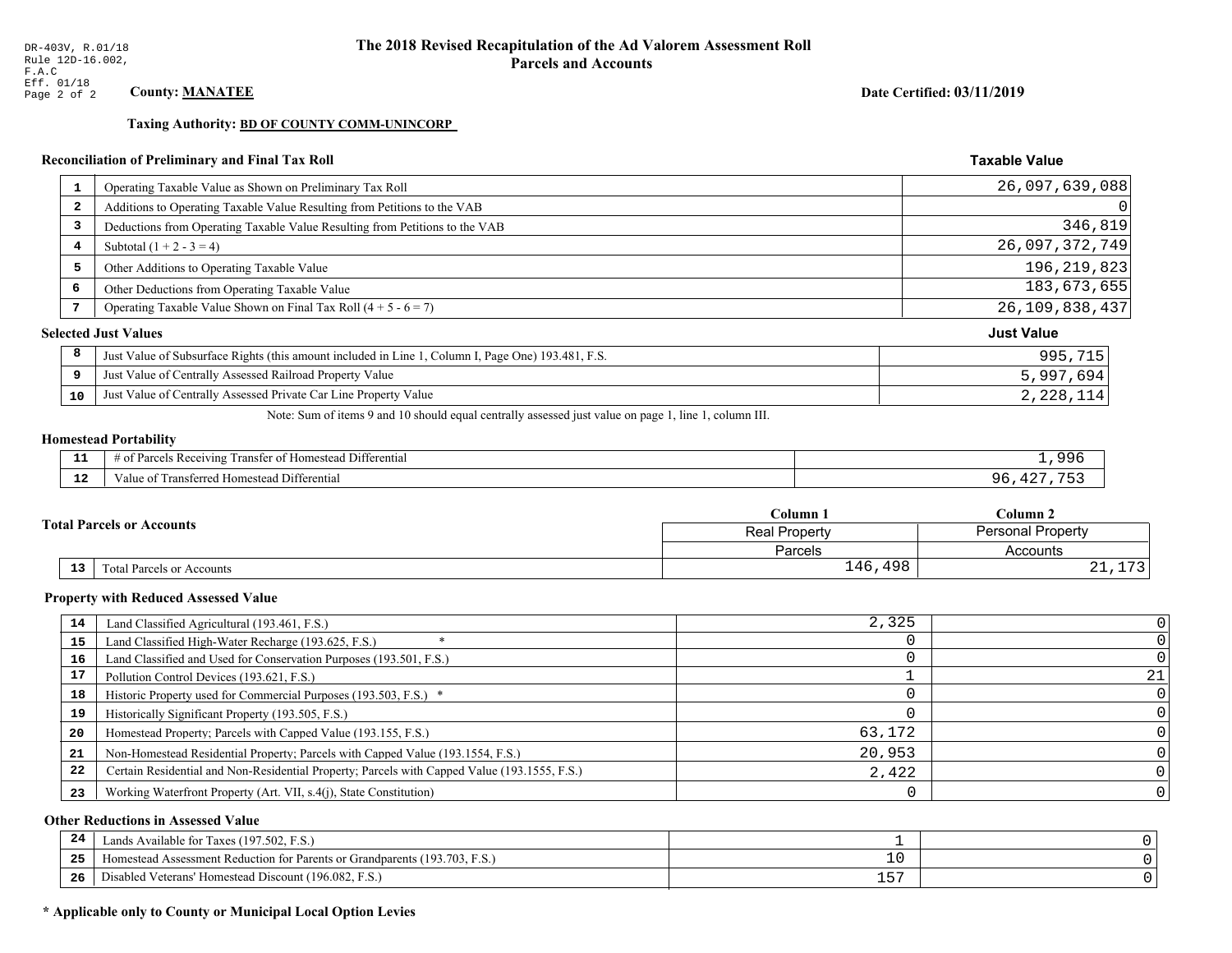**Taxing Authority: BD OF COUNTY COMM-UNINCORP** 

## Reconciliation of Preliminary and Final Tax Roll

| 1                       | Operating Taxable Value as Shown on Preliminary Tax Roll                                           | 26,097,639,088    |
|-------------------------|----------------------------------------------------------------------------------------------------|-------------------|
| $\overline{\mathbf{2}}$ | Additions to Operating Taxable Value Resulting from Petitions to the VAB                           | 0                 |
| 3                       | Deductions from Operating Taxable Value Resulting from Petitions to the VAB                        | 346,819           |
| 4                       | Subtotal $(1 + 2 - 3 = 4)$                                                                         | 26,097,372,749    |
| 5                       | Other Additions to Operating Taxable Value                                                         | 196, 219, 823     |
| 6                       | Other Deductions from Operating Taxable Value                                                      | 183,673,655       |
|                         | Operating Taxable Value Shown on Final Tax Roll $(4 + 5 - 6 = 7)$                                  | 26, 109, 838, 437 |
|                         | <b>Selected Just Values</b>                                                                        | <b>Just Value</b> |
| 8                       | Just Value of Subsurface Rights (this amount included in Line 1, Column I, Page One) 193.481, F.S. | 995,715           |
| 9                       | Just Value of Centrally Assessed Railroad Property Value                                           | 5,997,694         |
| 10                      | Just Value of Centrally Assessed Private Car Line Property Value                                   | 2,228,114         |

Note: Sum of items 9 and 10 should equal centrally assessed just value on page 1, line 1, column III.

## **Homestead Portability**

| - -<br>.     | $\sim$<br>. Differential<br>: Rei<br>eivins<br>ranster<br>$\Delta$<br>,,,,, | QQ  |
|--------------|-----------------------------------------------------------------------------|-----|
| $\sim$<br>-- | Differential<br>' Homestead L<br>ransterred.<br>, anie 1                    | u L |

|    |                                  | Column 1                                  | Column 2            |  |
|----|----------------------------------|-------------------------------------------|---------------------|--|
|    | <b>Total Parcels or Accounts</b> | <b>Personal Property</b><br>Real Property |                     |  |
|    |                                  | Parcels                                   | Accounts            |  |
| 13 | <b>Fotal Parcels or Accounts</b> | .498<br>146                               | $\mathbf{z}$<br>∸ ∸ |  |

#### **Property with Reduced Assessed Value**

| 14 | Land Classified Agricultural (193.461, F.S.)                                                 | 2,325  |    |
|----|----------------------------------------------------------------------------------------------|--------|----|
| 15 | Land Classified High-Water Recharge (193.625, F.S.)                                          |        |    |
| 16 | Land Classified and Used for Conservation Purposes (193.501, F.S.)                           |        |    |
|    | Pollution Control Devices (193.621, F.S.)                                                    |        | 21 |
| 18 | Historic Property used for Commercial Purposes (193.503, F.S.) *                             |        |    |
| 19 | Historically Significant Property (193.505, F.S.)                                            |        |    |
| 20 | Homestead Property; Parcels with Capped Value (193.155, F.S.)                                | 63.172 |    |
| 21 | Non-Homestead Residential Property; Parcels with Capped Value (193.1554, F.S.)               | 20,953 |    |
| 22 | Certain Residential and Non-Residential Property; Parcels with Capped Value (193.1555, F.S.) | 2,422  |    |
| 23 | Working Waterfront Property (Art. VII, s.4(j), State Constitution)                           |        |    |

## **Other Reductions in Assessed Value**

| 24    | (197.502, F.S.)<br>Lands Available for Taxes (                                            |          |  |
|-------|-------------------------------------------------------------------------------------------|----------|--|
| - - - | <sup>1</sup> Assessment Reduction for Parents or Grandparents (193.703, 1)<br>. iomestead | ᅩ        |  |
| -26   | <sup>4</sup> Veterans' Homestead Discount (196.082, F.S.)<br>Disabled                     | r s<br>ᅩ |  |

## \* Applicable only to County or Municipal Local Option Levies

Date Certified: 03/11/2019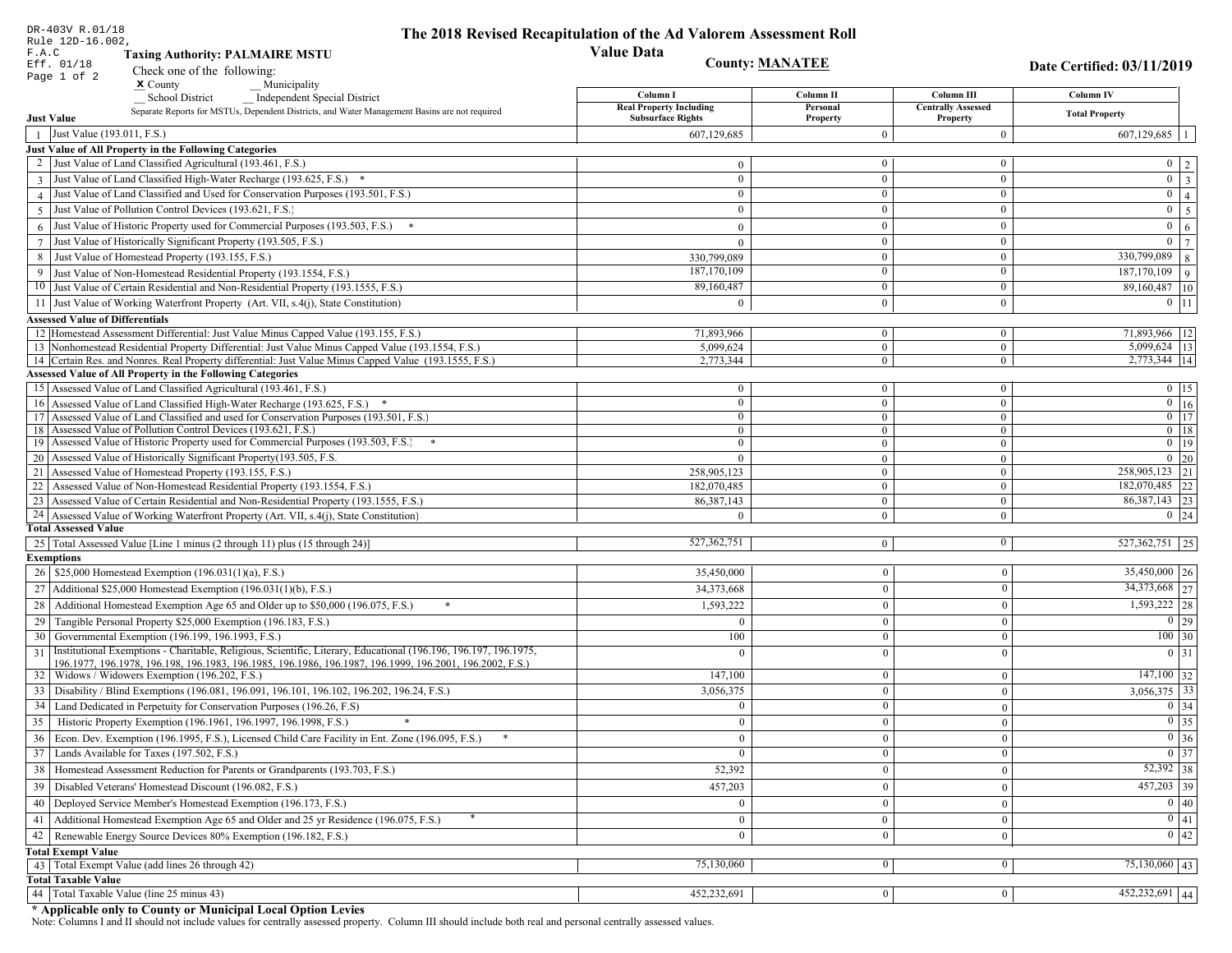|                 | DR-403V R.01/18<br>Rule 12D-16.002,                                                                                                                                                      | The 2018 Revised Recapitulation of the Ad Valorem Assessment Roll |                                |                                       |                                              |
|-----------------|------------------------------------------------------------------------------------------------------------------------------------------------------------------------------------------|-------------------------------------------------------------------|--------------------------------|---------------------------------------|----------------------------------------------|
| F.A.C           | <b>Taxing Authority: PALMAIRE MSTU</b>                                                                                                                                                   | <b>Value Data</b>                                                 |                                |                                       |                                              |
|                 | Eff. 01/18<br>Check one of the following:                                                                                                                                                |                                                                   | <b>County: MANATEE</b>         |                                       | Date Certified: 03/11/2019                   |
|                 | Page 1 of 2<br>$\boldsymbol{\mathsf{x}}$ County<br>Municipality                                                                                                                          |                                                                   |                                |                                       |                                              |
|                 | School District<br><b>Independent Special District</b>                                                                                                                                   | Column I                                                          | Column II                      | Column III                            | <b>Column IV</b>                             |
|                 | Separate Reports for MSTUs, Dependent Districts, and Water Management Basins are not required<br><b>Just Value</b>                                                                       | <b>Real Property Including</b><br><b>Subsurface Rights</b>        | Personal<br>Property           | <b>Centrally Assessed</b><br>Property | <b>Total Property</b>                        |
|                 | Just Value (193.011, F.S.)                                                                                                                                                               | 607,129,685                                                       | $\Omega$                       | $\bf{0}$                              | $607,129,685$   1                            |
|                 | Just Value of All Property in the Following Categories                                                                                                                                   |                                                                   |                                |                                       |                                              |
|                 | 2 Just Value of Land Classified Agricultural (193.461, F.S.)                                                                                                                             | $\theta$                                                          | $\mathbf{0}$                   | $\bf{0}$                              | $0 \mid 2 \mid$                              |
|                 | 3 Just Value of Land Classified High-Water Recharge (193.625, F.S.) *                                                                                                                    | $\theta$                                                          | $\theta$                       | $\mathbf{0}$                          | $0 \mid 3$                                   |
|                 | 4 Just Value of Land Classified and Used for Conservation Purposes (193.501, F.S.)                                                                                                       | $\Omega$                                                          | $\mathbf{0}$                   | $\bf{0}$                              | $0 \mid 4 \mid$                              |
|                 | 5 Just Value of Pollution Control Devices (193.621, F.S.)                                                                                                                                | $\Omega$                                                          | $\Omega$                       | $\overline{0}$                        | $0 \mid 5$                                   |
|                 | $6$ Just Value of Historic Property used for Commercial Purposes (193.503, F.S.)                                                                                                         | $\Omega$                                                          | $\theta$                       | $\mathbf{0}$                          | 6 <sup>1</sup><br>$\mathbf{0}$               |
| $7\phantom{.0}$ | Just Value of Historically Significant Property (193.505, F.S.)                                                                                                                          | $\theta$                                                          | $\overline{0}$                 | $\overline{0}$                        | $\overline{0}$   $\overline{7}$              |
| 8               | Just Value of Homestead Property (193.155, F.S.)                                                                                                                                         | 330,799,089                                                       | $\overline{0}$                 | $\bf{0}$                              | 330,799,089<br>8                             |
| 9               | Just Value of Non-Homestead Residential Property (193.1554, F.S.)                                                                                                                        | 187,170,109                                                       | $\theta$                       | $\mathbf{0}$                          | $\boxed{187,170,109}$ 9                      |
|                 | 10 Just Value of Certain Residential and Non-Residential Property (193.1555, F.S.)                                                                                                       | 89,160,487                                                        | $\overline{0}$                 | $\overline{0}$                        | 89,160,487 10                                |
|                 |                                                                                                                                                                                          |                                                                   | $\Omega$                       | $\mathbf{0}$                          | $0$   11                                     |
|                 | 11 Just Value of Working Waterfront Property (Art. VII, s.4(j), State Constitution)                                                                                                      |                                                                   |                                |                                       |                                              |
|                 | <b>Assessed Value of Differentials</b>                                                                                                                                                   |                                                                   |                                |                                       |                                              |
|                 | 12 Homestead Assessment Differential: Just Value Minus Capped Value (193.155, F.S.)<br>13 Nonhomestead Residential Property Differential: Just Value Minus Capped Value (193.1554, F.S.) | 71,893,966<br>5,099,624                                           | $\overline{0}$<br>$\mathbf{0}$ | $\bf{0}$<br>$\mathbf{0}$              | 71,893,966   12<br>$\overline{5,099,624}$ 13 |
|                 | 14 Certain Res. and Nonres. Real Property differential: Just Value Minus Capped Value (193.1555, F.S.)                                                                                   | 2,773,344                                                         | $\overline{0}$                 | $\overline{0}$                        | 2,773,344 14                                 |
|                 | <b>Assessed Value of All Property in the Following Categories</b>                                                                                                                        |                                                                   |                                |                                       |                                              |
|                 | 15 Assessed Value of Land Classified Agricultural (193.461, F.S.)                                                                                                                        | $\theta$                                                          | $\bf{0}$                       | $\bf{0}$                              | $0$   15                                     |
|                 | 16 Assessed Value of Land Classified High-Water Recharge (193.625, F.S.) *                                                                                                               | $\Omega$                                                          | $\mathbf{0}$                   | $\bf{0}$                              | $\overline{0}$ 16                            |
|                 | 17 Assessed Value of Land Classified and used for Conservation Purposes (193.501, F.S.)                                                                                                  | $\bf{0}$                                                          | $\mathbf{0}$                   | $\bf{0}$                              | $\boxed{0}$ 17                               |
|                 | 18 Assessed Value of Pollution Control Devices (193.621, F.S.)                                                                                                                           | $\mathbf{0}$                                                      | $\mathbf{0}$                   | $\overline{0}$                        | $0$ 18                                       |
|                 | 19 Assessed Value of Historic Property used for Commercial Purposes (193.503, F.S.)                                                                                                      | $\bf{0}$                                                          | $\mathbf{0}$                   | $\bf{0}$                              | $\boxed{0}$ 19                               |
|                 | 20 Assessed Value of Historically Significant Property (193.505, F.S.                                                                                                                    | $\theta$                                                          | $\overline{0}$                 | $\overline{0}$                        | $0 \mid 20$                                  |
|                 | 21 Assessed Value of Homestead Property (193.155, F.S.)                                                                                                                                  | 258,905,123                                                       | $\overline{0}$                 | $\bf{0}$                              | 258,905,123 21                               |
|                 | 22 Assessed Value of Non-Homestead Residential Property (193.1554, F.S.)                                                                                                                 | 182,070,485                                                       | $\overline{0}$                 | $\mathbf{0}$                          | 182,070,485 22                               |
|                 | 23 Assessed Value of Certain Residential and Non-Residential Property (193.1555, F.S.)                                                                                                   | 86, 387, 143                                                      | $\bf{0}$                       | $\bf{0}$                              | 86, 387, 143 23                              |
|                 | 24 Assessed Value of Working Waterfront Property (Art. VII, s.4(j), State Constitution)                                                                                                  | $\Omega$                                                          | $\overline{0}$                 | $\bf{0}$                              | $0 \mid 24$                                  |
|                 | <b>Total Assessed Value</b>                                                                                                                                                              |                                                                   |                                |                                       |                                              |
|                 | 25 Total Assessed Value [Line 1 minus (2 through 11) plus (15 through 24)]                                                                                                               | 527, 362, 751                                                     | $\overline{0}$                 | 0                                     | $\overline{527,362,751}$ 25                  |
|                 | <b>Exemptions</b>                                                                                                                                                                        |                                                                   |                                |                                       |                                              |
|                 | 26   \$25,000 Homestead Exemption (196.031(1)(a), F.S.)                                                                                                                                  | 35,450,000                                                        | $\bf{0}$                       | $\boldsymbol{0}$                      | $35,450,000$   26                            |
|                 | 27   Additional \$25,000 Homestead Exemption $(196.031(1)(b), F.S.)$                                                                                                                     | 34,373,668                                                        | $\mathbf{0}$                   | $\mathbf{0}$                          | 34, 373, 668 27                              |
|                 | 28 Additional Homestead Exemption Age 65 and Older up to \$50,000 (196.075, F.S.)                                                                                                        | 1,593,222                                                         | $\overline{0}$                 | $\mathbf{0}$                          | $1,593,222$ 28                               |
| 29              | Tangible Personal Property \$25,000 Exemption (196.183, F.S.)                                                                                                                            | $\Omega$                                                          | $\mathbf{0}$                   | $\boldsymbol{0}$                      | $\boxed{0}$ 29                               |
| 30              | Governmental Exemption (196.199, 196.1993, F.S.)                                                                                                                                         | 100                                                               | $\overline{0}$                 | $\boldsymbol{0}$                      | $100 \big  30$                               |
| 31              | Institutional Exemptions - Charitable, Religious, Scientific, Literary, Educational (196.196, 196.197, 196.1975,                                                                         |                                                                   | $\Omega$                       | $\mathbf{0}$                          | 0 31                                         |
|                 | 196.1977, 196.1978, 196.198, 196.1983, 196.1985, 196.1986, 196.1987, 196.1999, 196.2001, 196.2002, F.S.)                                                                                 |                                                                   |                                |                                       |                                              |
|                 | 32   Widows / Widowers Exemption (196.202, F.S.)                                                                                                                                         | 147,100                                                           | $\mathbf{0}$                   | $\mathbf{0}$                          | $147,100$ 32                                 |
|                 | 33 Disability / Blind Exemptions (196.081, 196.091, 196.101, 196.102, 196.202, 196.24, F.S.)                                                                                             | 3,056,375                                                         | $\overline{0}$                 | $\mathbf{0}$                          | $3,056,375$ 33                               |
|                 | Land Dedicated in Perpetuity for Conservation Purposes (196.26, F.S)                                                                                                                     | $\Omega$                                                          | $\overline{0}$                 | $\overline{0}$                        | $0 \mid 34$                                  |
|                 | 35 Historic Property Exemption (196.1961, 196.1997, 196.1998, F.S.)                                                                                                                      | $\mathbf{0}$                                                      | 0 <sup>1</sup>                 | $\vert$ 0                             | $\boxed{0}$ 35                               |
|                 | 36 Econ. Dev. Exemption (196.1995, F.S.), Licensed Child Care Facility in Ent. Zone (196.095, F.S.)                                                                                      | $\mathbf{0}$                                                      | $\overline{0}$                 | $\mathbf{0}$                          | $0 \mid 36$                                  |
|                 | 37 Lands Available for Taxes (197.502, F.S.)                                                                                                                                             | $\mathbf{0}$                                                      | $\vert 0 \vert$                | $\mathbf{0}$                          | $\boxed{0}$ 37                               |
|                 | 38   Homestead Assessment Reduction for Parents or Grandparents (193.703, F.S.)                                                                                                          | 52,392                                                            | $\bf{0}$                       | $\mathbf{0}$                          | 52,392 38                                    |
| 39              | Disabled Veterans' Homestead Discount (196.082, F.S.)                                                                                                                                    | 457,203                                                           | $\bf{0}$                       | $\mathbf{0}$                          | $457,203$ 39                                 |
| 40              | Deployed Service Member's Homestead Exemption (196.173, F.S.)                                                                                                                            | $\theta$                                                          | $\mathbf{0}$                   | $\mathbf{0}$                          | $\boxed{0}$ 40                               |
| 41              | Additional Homestead Exemption Age 65 and Older and 25 yr Residence (196.075, F.S.)                                                                                                      | $\overline{0}$                                                    | $\bf{0}$                       | $\boldsymbol{0}$                      | $\boxed{0}$ 41                               |
|                 | 42   Renewable Energy Source Devices 80% Exemption (196.182, F.S.)                                                                                                                       | $\overline{0}$                                                    | $\vert 0 \vert$                | $\mathbf{0}$                          | $0 \mid 42$                                  |
|                 | <b>Total Exempt Value</b>                                                                                                                                                                |                                                                   |                                |                                       |                                              |
|                 | 43 Total Exempt Value (add lines 26 through 42)                                                                                                                                          | 75,130,060                                                        | 0                              | $\boldsymbol{0}$                      | $75,130,060$ 43                              |
|                 | <b>Total Taxable Value</b>                                                                                                                                                               |                                                                   |                                |                                       |                                              |
|                 | 44 Total Taxable Value (line 25 minus 43)                                                                                                                                                | 452,232,691                                                       | 0                              | $\overline{0}$                        | $\overline{452,232,691}$ 44                  |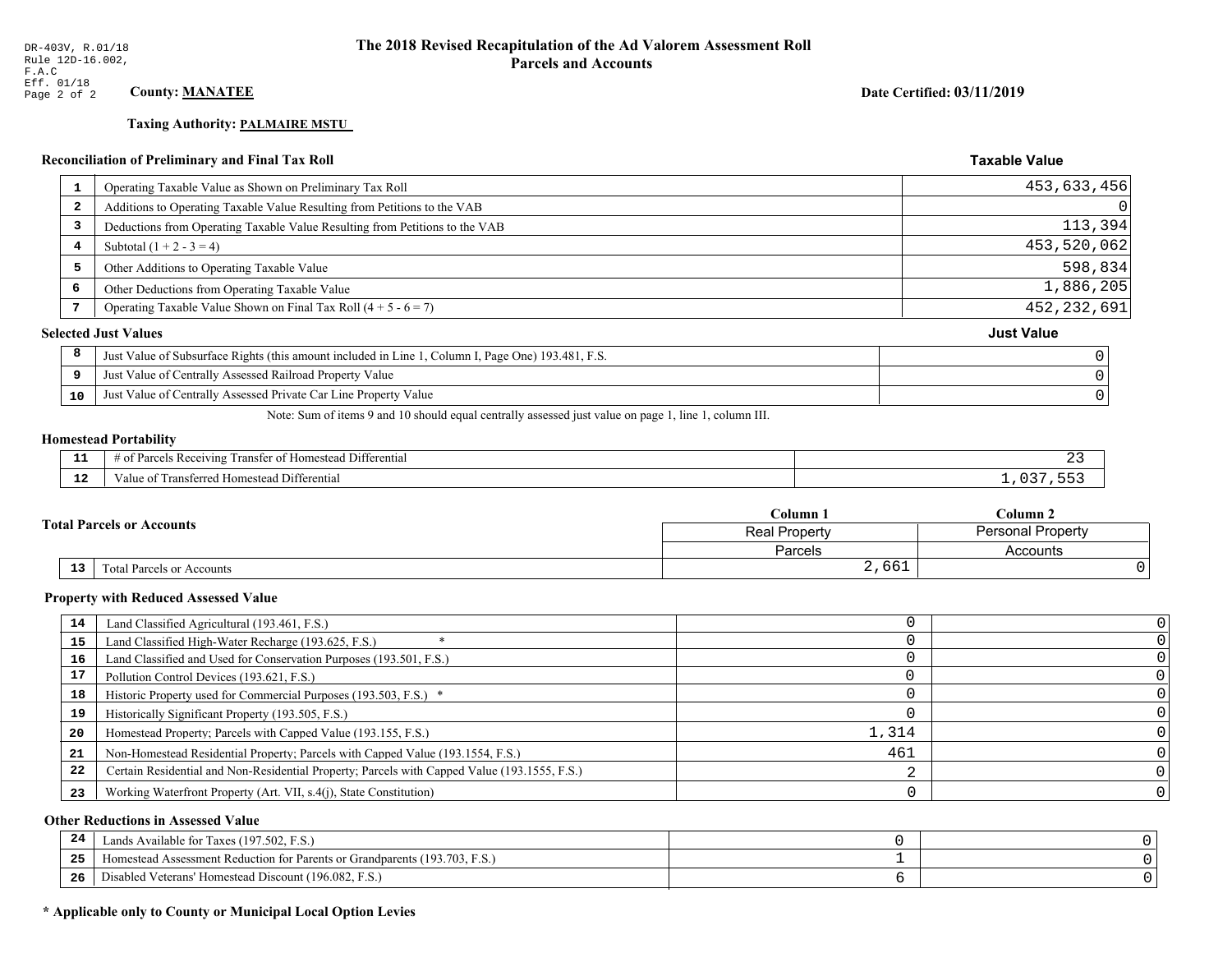# **Taxing Authority: PALMAIRE MSTU**

## Reconciliation of Preliminary and Final Tax Roll

| 1                       | Operating Taxable Value as Shown on Preliminary Tax Roll                                           | 453,633,456       |
|-------------------------|----------------------------------------------------------------------------------------------------|-------------------|
| $\overline{\mathbf{2}}$ | Additions to Operating Taxable Value Resulting from Petitions to the VAB                           |                   |
| 3                       | Deductions from Operating Taxable Value Resulting from Petitions to the VAB                        | 113,394           |
| 4                       | Subtotal $(1 + 2 - 3 = 4)$                                                                         | 453,520,062       |
| 5                       | Other Additions to Operating Taxable Value                                                         | 598,834           |
| 6                       | Other Deductions from Operating Taxable Value                                                      | 1,886,205         |
|                         | Operating Taxable Value Shown on Final Tax Roll $(4 + 5 - 6 = 7)$                                  | 452,232,691       |
|                         | <b>Selected Just Values</b>                                                                        | <b>Just Value</b> |
| 8                       | Just Value of Subsurface Rights (this amount included in Line 1, Column I, Page One) 193.481, F.S. |                   |
| 9                       | Just Value of Centrally Assessed Railroad Property Value                                           |                   |
| 10                      | Just Value of Centrally Assessed Private Car Line Property Value                                   |                   |
|                         |                                                                                                    |                   |

Note: Sum of items 9 and 10 should equal centrally assessed just value on page 1, line 1, column III.

#### **Homestead Portability**

| . . | <b>THE PART</b><br>l Differential<br>$\therefore$ Receiving<br>ranster of<br>: Homestead<br>* Parce<br>-01 |  |
|-----|------------------------------------------------------------------------------------------------------------|--|
| . . | $\sim$<br>Transferred Homestead Differential<br>∕aluc                                                      |  |

|  |                                  | C <b>olumn</b> 1     | Column 2          |  |
|--|----------------------------------|----------------------|-------------------|--|
|  | <b>Total Parcels or Accounts</b> | <b>Real Property</b> | Personal Property |  |
|  |                                  | Parcels              | Accounts          |  |
|  | 13<br>Total Parcels or Accounts  | 2,661                |                   |  |

#### **Property with Reduced Assessed Value**

| 14 | Land Classified Agricultural (193.461, F.S.)                                                 |       |  |
|----|----------------------------------------------------------------------------------------------|-------|--|
| 15 | Land Classified High-Water Recharge (193.625, F.S.)                                          |       |  |
| 16 | Land Classified and Used for Conservation Purposes (193.501, F.S.)                           |       |  |
| 17 | Pollution Control Devices (193.621, F.S.)                                                    |       |  |
| 18 | Historic Property used for Commercial Purposes (193.503, F.S.) *                             |       |  |
| 19 | Historically Significant Property (193.505, F.S.)                                            |       |  |
| 20 | Homestead Property; Parcels with Capped Value (193.155, F.S.)                                | 1,314 |  |
| 21 | Non-Homestead Residential Property; Parcels with Capped Value (193.1554, F.S.)               | 461   |  |
| 22 | Certain Residential and Non-Residential Property; Parcels with Capped Value (193.1555, F.S.) |       |  |
| 23 | Working Waterfront Property (Art. VII, s.4(j), State Constitution)                           |       |  |

## **Other Reductions in Assessed Value**

| 24    | Lands Available for Taxes (197.502, F.S.)                                  |  |
|-------|----------------------------------------------------------------------------|--|
| - - - | Iomestead Assessment Reduction for Parents or Grandparents (193.703, F.S.) |  |
| -26   | Disabled Veterans' Homestead Discount (196.082, F.S.)                      |  |

## \* Applicable only to County or Municipal Local Option Levies

Date Certified: 03/11/2019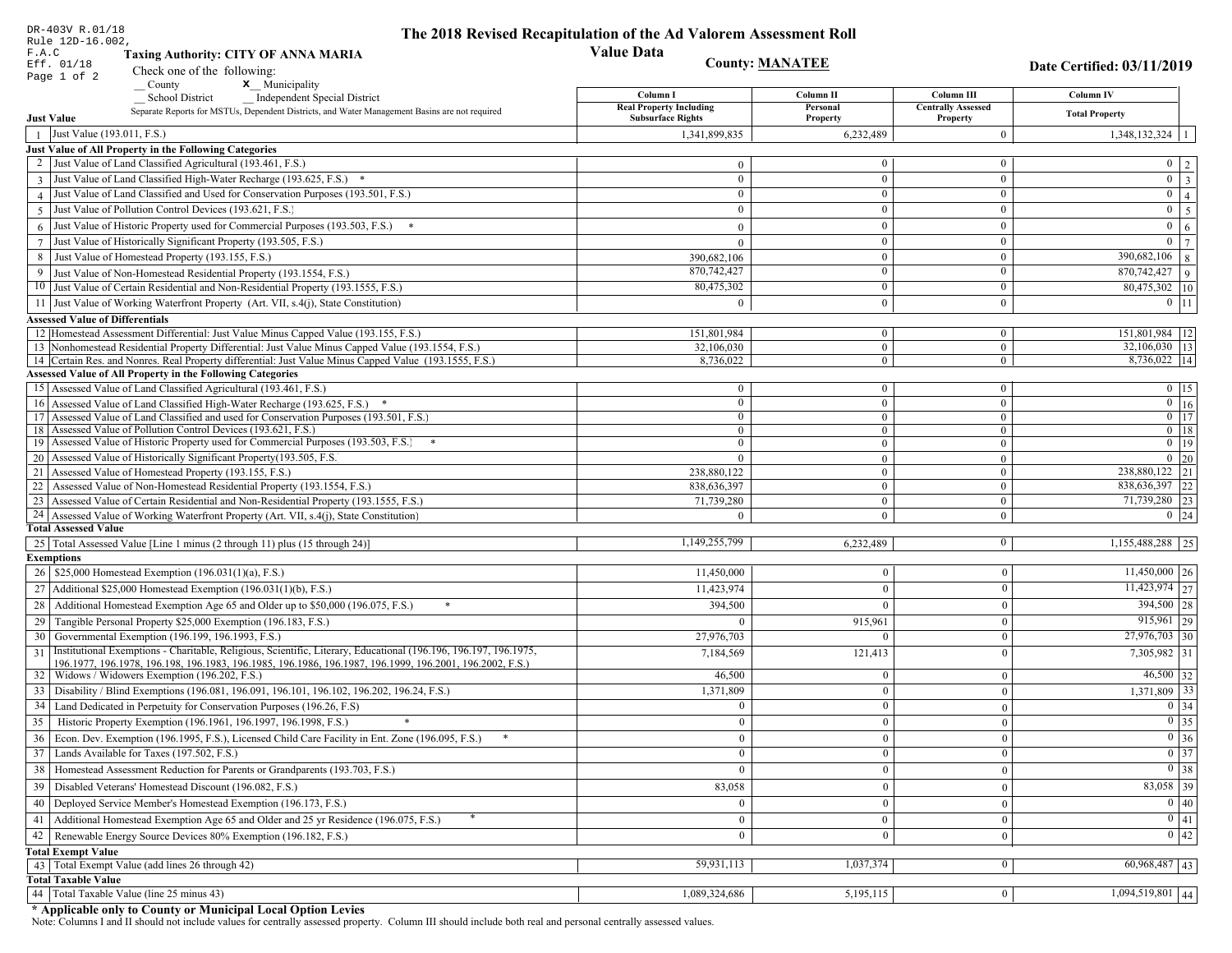| DR-403V R.01/18<br>The 2018 Revised Recapitulation of the Ad Valorem Assessment Roll<br>Rule 12D-16.002,                                                                                 |                                                            |                                  |                                       |                                     |
|------------------------------------------------------------------------------------------------------------------------------------------------------------------------------------------|------------------------------------------------------------|----------------------------------|---------------------------------------|-------------------------------------|
| F.A.C<br><b>Taxing Authority: CITY OF ANNA MARIA</b>                                                                                                                                     | <b>Value Data</b>                                          |                                  |                                       |                                     |
| Eff. 01/18<br>Check one of the following:                                                                                                                                                |                                                            | <b>County: MANATEE</b>           |                                       | Date Certified: 03/11/2019          |
| Page 1 of 2<br>x Municipality<br>County                                                                                                                                                  |                                                            |                                  |                                       |                                     |
| <b>School District</b><br><b>Independent Special District</b>                                                                                                                            | Column I                                                   | Column II                        | Column III                            | Column IV                           |
| Separate Reports for MSTUs, Dependent Districts, and Water Management Basins are not required<br><b>Just Value</b>                                                                       | <b>Real Property Including</b><br><b>Subsurface Rights</b> | Personal<br>Property             | <b>Centrally Assessed</b><br>Property | <b>Total Property</b>               |
| Just Value (193.011, F.S.)                                                                                                                                                               | 1,341,899,835                                              | 6,232,489                        | $\bf{0}$                              | $1,348,132,324$   1                 |
| Just Value of All Property in the Following Categories                                                                                                                                   |                                                            |                                  |                                       |                                     |
| 2 Just Value of Land Classified Agricultural (193.461, F.S.)                                                                                                                             | $\mathbf{0}$                                               | $\mathbf{0}$                     | $\bf{0}$                              | $0 \mid 2 \mid$                     |
| 3 Just Value of Land Classified High-Water Recharge (193.625, F.S.) *                                                                                                                    | $\theta$                                                   | $\overline{0}$                   | $\mathbf{0}$                          | $0 \mid 3$                          |
| 4 Just Value of Land Classified and Used for Conservation Purposes (193.501, F.S.)                                                                                                       | $\theta$                                                   | $\overline{0}$                   | $\bf{0}$                              | 0 <sup>1</sup><br>$\vert 4 \vert$   |
| 5 Just Value of Pollution Control Devices (193.621, F.S.)                                                                                                                                | $\Omega$                                                   | $\Omega$                         | $\overline{0}$                        | $0 \mid 5$                          |
| $6$ Just Value of Historic Property used for Commercial Purposes (193.503, F.S.)                                                                                                         | $\Omega$                                                   | $\theta$                         | $\mathbf{0}$                          | $\mathbf{0}$<br>6 <sup>1</sup>      |
| Just Value of Historically Significant Property (193.505, F.S.)<br>$7\phantom{.0}$                                                                                                       | $\theta$                                                   | $\overline{0}$                   | $\bf{0}$                              | $0 \mid 7$                          |
| Just Value of Homestead Property (193.155, F.S.)<br>8                                                                                                                                    | 390,682,106                                                | $\overline{0}$                   | $\bf{0}$                              | 390,682,106 8                       |
| Just Value of Non-Homestead Residential Property (193.1554, F.S.)<br>9                                                                                                                   | 870,742,427                                                | $\theta$                         | $\mathbf{0}$                          | $\boxed{870,742,427}$ 9             |
| 10 Just Value of Certain Residential and Non-Residential Property (193.1555, F.S.)                                                                                                       | 80,475,302                                                 | $\overline{0}$                   | $\overline{0}$                        | 80,475,302 10                       |
| 11 Just Value of Working Waterfront Property (Art. VII, s.4(j), State Constitution)                                                                                                      | 0                                                          | $\Omega$                         | $\mathbf{0}$                          | $0$   11                            |
|                                                                                                                                                                                          |                                                            |                                  |                                       |                                     |
| <b>Assessed Value of Differentials</b>                                                                                                                                                   |                                                            |                                  |                                       |                                     |
| 12 Homestead Assessment Differential: Just Value Minus Capped Value (193.155, F.S.)<br>13 Nonhomestead Residential Property Differential: Just Value Minus Capped Value (193.1554, F.S.) | 151,801,984<br>32,106,030                                  | $\overline{0}$<br>$\overline{0}$ | $\bf{0}$<br>$\mathbf{0}$              | 151,801,984   12<br>$32,106,030$ 13 |
| 14 Certain Res. and Nonres. Real Property differential: Just Value Minus Capped Value (193.1555, F.S.)                                                                                   | 8,736,022                                                  | $\overline{0}$                   | $\overline{0}$                        | 8,736,022 14                        |
| <b>Assessed Value of All Property in the Following Categories</b>                                                                                                                        |                                                            |                                  |                                       |                                     |
| 15 Assessed Value of Land Classified Agricultural (193.461, F.S.)                                                                                                                        | $\theta$                                                   | $\bf{0}$                         | $\bf{0}$                              | $0$   15                            |
| 16 Assessed Value of Land Classified High-Water Recharge (193.625, F.S.) *                                                                                                               | $\Omega$                                                   | $\overline{0}$                   | $\mathbf{0}$                          | $\overline{0}$ 16                   |
| 17 Assessed Value of Land Classified and used for Conservation Purposes (193.501, F.S.)                                                                                                  | $\mathbf{0}$                                               | $\overline{0}$                   | $\bf{0}$                              | $\boxed{0}$ 17                      |
| 18 Assessed Value of Pollution Control Devices (193.621, F.S.)                                                                                                                           | $\mathbf{0}$                                               | $\overline{0}$                   | $\overline{0}$                        | $0$ 18                              |
| 19 Assessed Value of Historic Property used for Commercial Purposes (193.503, F.S.)                                                                                                      | $\bf{0}$                                                   | $\bf{0}$                         | $\bf{0}$                              | $\boxed{0}$ 19                      |
| 20 Assessed Value of Historically Significant Property (193.505, F.S.                                                                                                                    | $\theta$                                                   | $\overline{0}$                   | $\overline{0}$                        | $0 \mid 20$                         |
| 21 Assessed Value of Homestead Property (193.155, F.S.)                                                                                                                                  | 238,880,122                                                | $\overline{0}$                   | $\bf{0}$                              | 238,880,122 21                      |
| 22 Assessed Value of Non-Homestead Residential Property (193.1554, F.S.)                                                                                                                 | 838,636,397                                                | $\overline{0}$                   | $\mathbf{0}$                          | 838,636,397 22                      |
| 23 Assessed Value of Certain Residential and Non-Residential Property (193.1555, F.S.)                                                                                                   | 71,739,280                                                 | $\overline{0}$                   | $\bf{0}$                              | 71,739,280 23                       |
| 24 Assessed Value of Working Waterfront Property (Art. VII, s.4(j), State Constitution)                                                                                                  | $\Omega$                                                   | $\mathbf{0}$                     | $\bf{0}$                              | $0 \mid 24$                         |
| <b>Total Assessed Value</b>                                                                                                                                                              |                                                            |                                  |                                       |                                     |
| 25 Total Assessed Value [Line 1 minus (2 through 11) plus (15 through 24)]                                                                                                               | 1,149,255,799                                              | 6,232,489                        | 0                                     | $1,155,488,288$ 25                  |
| <b>Exemptions</b>                                                                                                                                                                        |                                                            |                                  |                                       |                                     |
| 26   \$25,000 Homestead Exemption (196.031(1)(a), F.S.)                                                                                                                                  | 11,450,000                                                 | $\bf{0}$                         | $\boldsymbol{0}$                      | $11,450,000$   26                   |
| 27   Additional \$25,000 Homestead Exemption $(196.031(1)(b), F.S.)$                                                                                                                     | 11,423,974                                                 | $\overline{0}$                   | $\mathbf{0}$                          | $11,423,974$ 27                     |
| Additional Homestead Exemption Age 65 and Older up to \$50,000 (196.075, F.S.)<br>28                                                                                                     | 394,500                                                    | $\overline{0}$                   | $\mathbf{0}$                          | 394,500 28                          |
| Tangible Personal Property \$25,000 Exemption (196.183, F.S.)<br>29                                                                                                                      | $\Omega$                                                   | 915,961                          | $\boldsymbol{0}$                      | $915,961$ 29                        |
| Governmental Exemption (196.199, 196.1993, F.S.)<br>30                                                                                                                                   | 27,976,703                                                 | $\theta$                         | $\overline{0}$                        | 27,976,703 30                       |
| Institutional Exemptions - Charitable, Religious, Scientific, Literary, Educational (196.196, 196.197, 196.1975,<br>31                                                                   | 7,184,569                                                  | 121,413                          | $\mathbf{0}$                          | 7,305,982 31                        |
| 196.1977, 196.1978, 196.198, 196.1983, 196.1985, 196.1986, 196.1987, 196.1999, 196.2001, 196.2002, F.S.)                                                                                 |                                                            |                                  |                                       | $46,500$ 32                         |
| 32   Widows / Widowers Exemption (196.202, F.S.)                                                                                                                                         | 46,500                                                     | $\Omega$                         | $\mathbf{0}$                          |                                     |
| 33 Disability / Blind Exemptions (196.081, 196.091, 196.101, 196.102, 196.202, 196.24, F.S.)                                                                                             | 1,371,809                                                  | $\mathbf{0}$                     | $\mathbf{0}$                          | $1,371,809$ 33                      |
| 34<br>Land Dedicated in Perpetuity for Conservation Purposes (196.26, F.S)                                                                                                               | $\Omega$                                                   | $\mathbf{0}$                     | $\overline{0}$                        | 0 34                                |
| 35 Historic Property Exemption (196.1961, 196.1997, 196.1998, F.S.)                                                                                                                      | $\mathbf{0}$                                               | 0 <sup>1</sup>                   | $\vert 0 \vert$                       | $\boxed{0}$ 35                      |
| 36 Econ. Dev. Exemption (196.1995, F.S.), Licensed Child Care Facility in Ent. Zone (196.095, F.S.)                                                                                      | $\overline{0}$                                             | $\vert 0 \vert$                  | $\mathbf{0}$                          | $0 \mid 36$                         |
| 37 Lands Available for Taxes (197.502, F.S.)                                                                                                                                             | $\overline{0}$                                             | $\vert 0 \vert$                  | $\mathbf{0}$                          | $\boxed{0}$ 37                      |
| 38   Homestead Assessment Reduction for Parents or Grandparents (193.703, F.S.)                                                                                                          | $\overline{0}$                                             | $\bf{0}$                         | $\boldsymbol{0}$                      | $0 \mid 38$                         |
| Disabled Veterans' Homestead Discount (196.082, F.S.)<br>39                                                                                                                              | 83,058                                                     | $\mathbf{0}$                     | $\mathbf{0}$                          | 83,058 39                           |
| Deployed Service Member's Homestead Exemption (196.173, F.S.)<br>40                                                                                                                      | $\Omega$                                                   | $\mathbf{0}$                     | $\mathbf{0}$                          | $\boxed{0}$ 40                      |
| Additional Homestead Exemption Age 65 and Older and 25 yr Residence (196.075, F.S.)<br>41                                                                                                | $\overline{0}$                                             | $\bf{0}$                         | $\boldsymbol{0}$                      | 0 41                                |
| Renewable Energy Source Devices 80% Exemption (196.182, F.S.)<br>42                                                                                                                      | $\overline{0}$                                             | $\bf{0}$                         | $\mathbf{0}$                          | $0 \mid 42$                         |
| <b>Total Exempt Value</b>                                                                                                                                                                |                                                            |                                  |                                       |                                     |
| 43 Total Exempt Value (add lines 26 through 42)                                                                                                                                          | 59,931,113                                                 | 1,037,374                        | $\overline{0}$                        | $\boxed{60,968,487}$ 43             |
| <b>Total Taxable Value</b>                                                                                                                                                               |                                                            |                                  |                                       |                                     |
| 44 Total Taxable Value (line 25 minus 43)                                                                                                                                                | 1,089,324,686                                              | 5,195,115                        | $\overline{0}$                        | $1,094,519,801$ 44                  |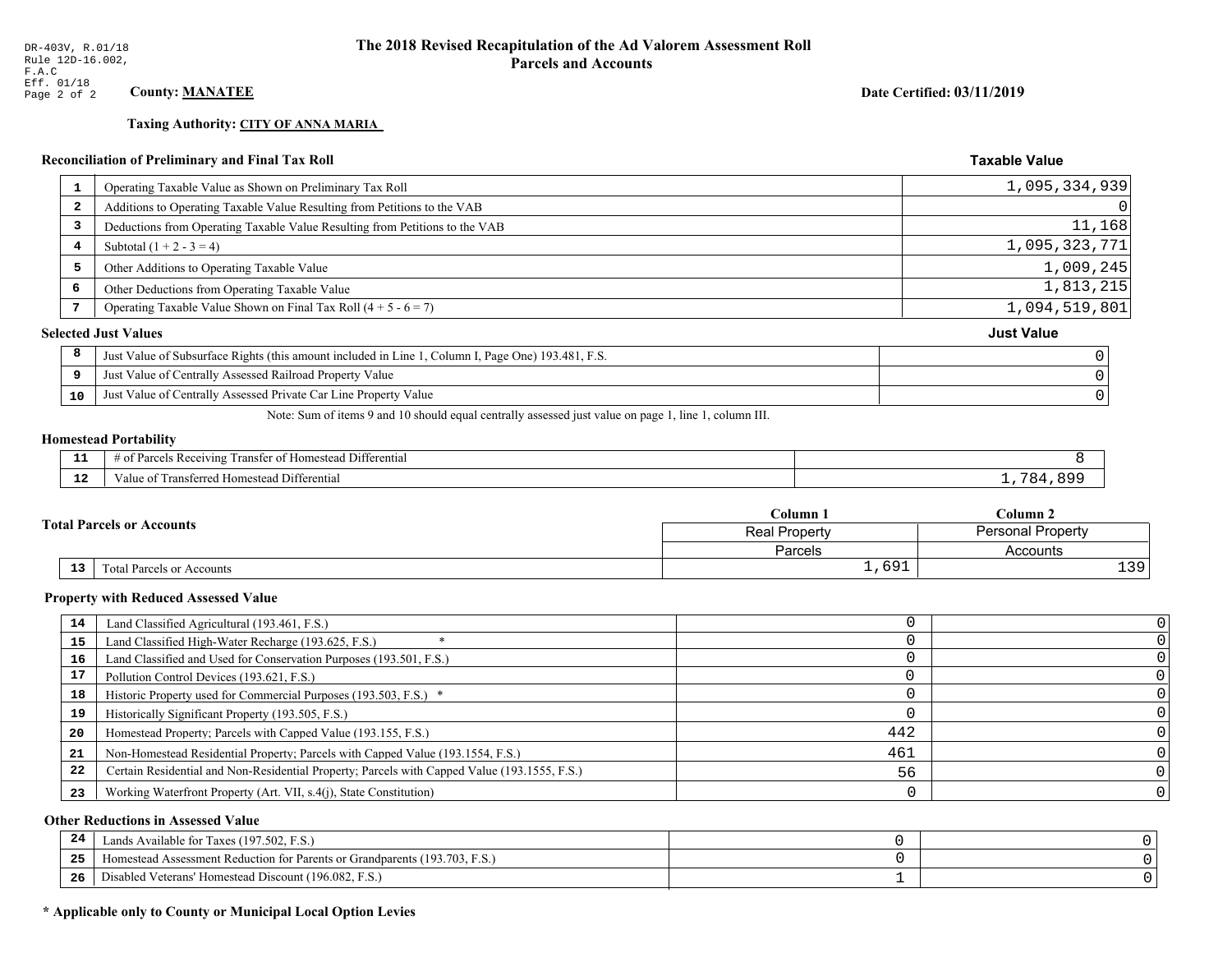## **Taxing Authority: CITY OF ANNA MARIA**

## Reconciliation of Preliminary and Final Tax Roll

| <b>L</b> | Operating Taxable Value as Shown on Preliminary Tax Roll                                           | 1,095,334,939     |
|----------|----------------------------------------------------------------------------------------------------|-------------------|
| 2        | Additions to Operating Taxable Value Resulting from Petitions to the VAB                           |                   |
| 3        | Deductions from Operating Taxable Value Resulting from Petitions to the VAB                        | 11,168            |
| 4        | Subtotal $(1 + 2 - 3 = 4)$                                                                         | 1,095,323,771     |
| 5        | Other Additions to Operating Taxable Value                                                         | 1,009,245         |
| 6        | Other Deductions from Operating Taxable Value                                                      | 1,813,215         |
|          | Operating Taxable Value Shown on Final Tax Roll $(4 + 5 - 6 = 7)$                                  | 1,094,519,801     |
|          | <b>Selected Just Values</b>                                                                        | <b>Just Value</b> |
| 8        | Just Value of Subsurface Rights (this amount included in Line 1, Column I, Page One) 193.481, F.S. |                   |
| 9        | Just Value of Centrally Assessed Railroad Property Value                                           |                   |
| 10       | Just Value of Centrally Assessed Private Car Line Property Value                                   |                   |
|          |                                                                                                    |                   |

Note: Sum of items 9 and 10 should equal centrally assessed just value on page 1, line 1, column III.

## **Homestead Portability**

ł,

| - -<br>. .  | $\sim$ $\sim$<br>Differential<br>Parc.<br>Homestead<br>ranster<br>enving<br>ΩŤ |     |
|-------------|--------------------------------------------------------------------------------|-----|
| - 10<br>-14 | Transferred Homestead Differential<br>V alu<br>വ                               | . . |

|    |                                  | Column 1       | Column <sub>2</sub> |  |
|----|----------------------------------|----------------|---------------------|--|
|    | <b>Total Parcels or Accounts</b> | Real Property  | Personal Property   |  |
|    |                                  | <b>Parcels</b> | Accounts            |  |
| 13 | Total Parcels or Accounts        | 1,691          | 39 <sub>1</sub>     |  |

#### **Property with Reduced Assessed Value**

| 14 | Land Classified Agricultural (193.461, F.S.)                                                 |     |  |
|----|----------------------------------------------------------------------------------------------|-----|--|
| 15 | Land Classified High-Water Recharge (193.625, F.S.)                                          |     |  |
| 16 | Land Classified and Used for Conservation Purposes (193.501, F.S.)                           |     |  |
| 17 | Pollution Control Devices (193.621, F.S.)                                                    |     |  |
| 18 | Historic Property used for Commercial Purposes (193.503, F.S.) *                             |     |  |
| 19 | Historically Significant Property (193.505, F.S.)                                            |     |  |
| 20 | Homestead Property; Parcels with Capped Value (193.155, F.S.)                                | 442 |  |
| 21 | Non-Homestead Residential Property; Parcels with Capped Value (193.1554, F.S.)               | 461 |  |
| 22 | Certain Residential and Non-Residential Property; Parcels with Capped Value (193.1555, F.S.) | 56  |  |
| 23 | Working Waterfront Property (Art. VII, s.4(j), State Constitution)                           |     |  |

## **Other Reductions in Assessed Value**

| 24 | Lands Available for Taxes (197.502, F.S.)                                  |  |
|----|----------------------------------------------------------------------------|--|
| 25 | Homestead Assessment Reduction for Parents or Grandparents (193.703, F.S.) |  |
| 26 | Disabled Veterans' Homestead Discount (196.082, F.S.)                      |  |

## \* Applicable only to County or Municipal Local Option Levies

Date Certified: 03/11/2019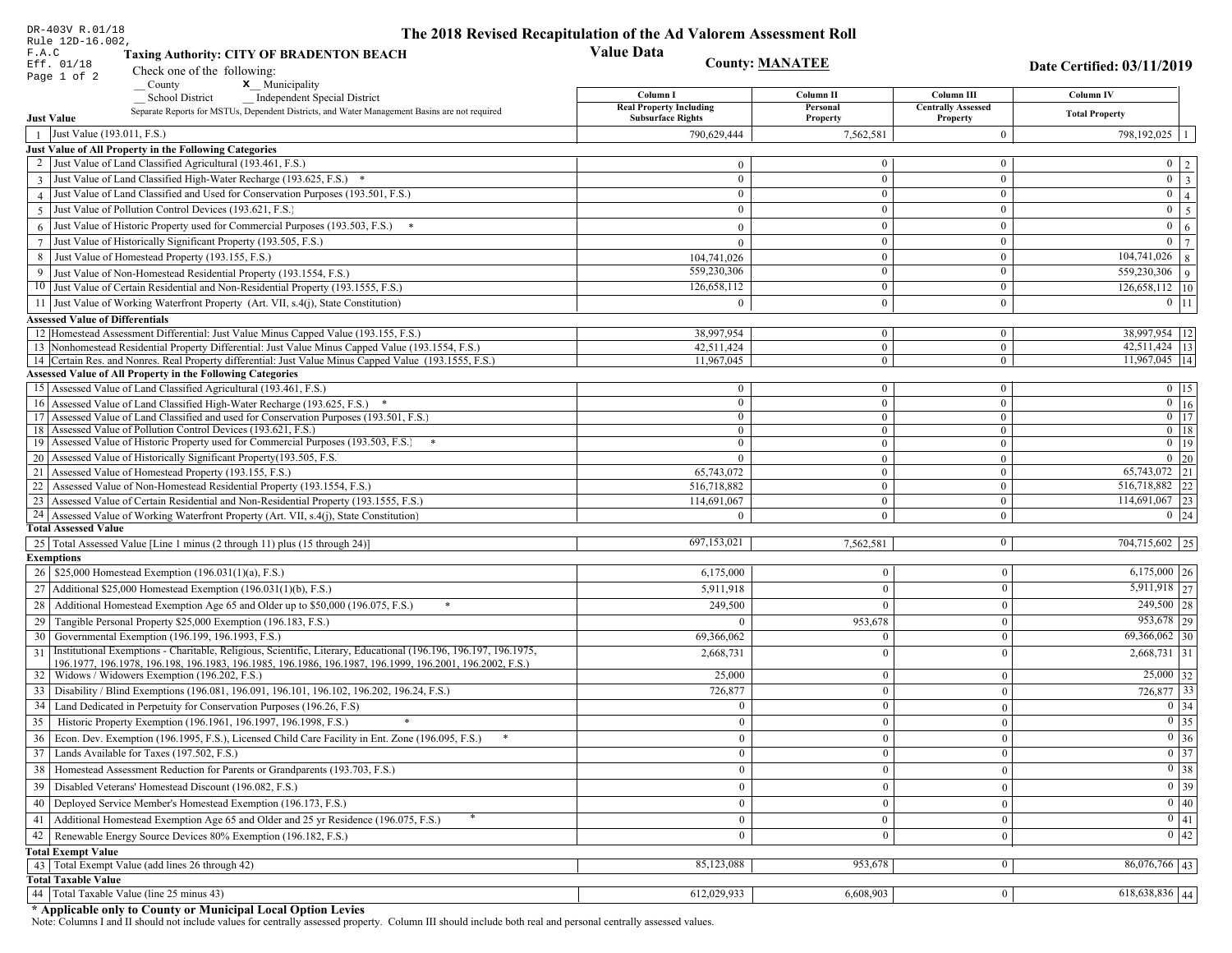| DR-403V R.01/18                        |                                                                                                                                                                                          | The 2018 Revised Recapitulation of the Ad Valorem Assessment Roll |                                  |                                      |                                     |
|----------------------------------------|------------------------------------------------------------------------------------------------------------------------------------------------------------------------------------------|-------------------------------------------------------------------|----------------------------------|--------------------------------------|-------------------------------------|
| Rule 12D-16.002,<br>F.A.C              | <b>Taxing Authority: CITY OF BRADENTON BEACH</b>                                                                                                                                         | <b>Value Data</b>                                                 |                                  |                                      |                                     |
| Eff. 01/18                             |                                                                                                                                                                                          | <b>County: MANATEE</b>                                            |                                  |                                      | Date Certified: 03/11/2019          |
| Page 1 of 2                            | Check one of the following:<br>County<br><b>x</b> Municipality                                                                                                                           |                                                                   |                                  |                                      |                                     |
|                                        | <b>School District</b><br><b>Independent Special District</b>                                                                                                                            | Column I                                                          | Column II                        | Column III                           | Column IV                           |
|                                        | Separate Reports for MSTUs, Dependent Districts, and Water Management Basins are not required                                                                                            | <b>Real Property Including</b>                                    | Personal                         | <b>Centrally Assessed</b>            | <b>Total Property</b>               |
| <b>Just Value</b>                      |                                                                                                                                                                                          | <b>Subsurface Rights</b>                                          | Property                         | Property                             |                                     |
| Just Value (193.011, F.S.)             |                                                                                                                                                                                          | 790.629.444                                                       | 7,562,581                        | $\overline{0}$                       | 798,192,025   1                     |
|                                        | Just Value of All Property in the Following Categories<br>Just Value of Land Classified Agricultural (193.461, F.S.)                                                                     |                                                                   | $\overline{0}$                   | $\bf{0}$                             |                                     |
|                                        |                                                                                                                                                                                          | $\mathbf{0}$                                                      |                                  |                                      | $0 \mid 2$<br>$\boxed{0}$ 3         |
|                                        | 3 Just Value of Land Classified High-Water Recharge (193.625, F.S.) *<br>Just Value of Land Classified and Used for Conservation Purposes (193.501, F.S.)                                | $\mathbf{0}$<br>$\overline{0}$                                    | $\mathbf{0}$<br>$\mathbf{0}$     | $\bf{0}$<br>$\bf{0}$                 | $\overline{0}$   4                  |
|                                        | Just Value of Pollution Control Devices (193.621, F.S.)                                                                                                                                  | $\Omega$                                                          | $\overline{0}$                   | $\boldsymbol{0}$                     | $0 \mid 5$                          |
| 5                                      | Just Value of Historic Property used for Commercial Purposes (193.503, F.S.) *                                                                                                           |                                                                   | $\overline{0}$                   | $\bf{0}$                             | $0 \mid 6$                          |
|                                        |                                                                                                                                                                                          | $\overline{0}$                                                    |                                  |                                      | $\overline{0}$   $\overline{7}$     |
| $7\phantom{.0}$                        | Just Value of Historically Significant Property (193.505, F.S.)<br>Just Value of Homestead Property (193.155, F.S.)                                                                      | $\overline{0}$                                                    | $\overline{0}$<br>$\overline{0}$ | $\boldsymbol{0}$<br>$\boldsymbol{0}$ | $\boxed{104,741,026}$ 8             |
| 8                                      |                                                                                                                                                                                          | 104,741,026<br>559,230,306                                        | $\overline{0}$                   | $\bf{0}$                             |                                     |
| 9                                      | Just Value of Non-Homestead Residential Property (193.1554, F.S.)                                                                                                                        | 126,658,112                                                       | $\overline{0}$                   | $\bf{0}$                             | 559,230,306   9                     |
|                                        | 10 Just Value of Certain Residential and Non-Residential Property (193.1555, F.S.)                                                                                                       | $\theta$                                                          | $\overline{0}$                   | $\mathbf{0}$                         | $126,658,112$ 10                    |
|                                        | 11 Just Value of Working Waterfront Property (Art. VII, s.4(j), State Constitution)                                                                                                      |                                                                   |                                  |                                      | $0$   11                            |
| <b>Assessed Value of Differentials</b> |                                                                                                                                                                                          |                                                                   |                                  |                                      |                                     |
|                                        | 12 Homestead Assessment Differential: Just Value Minus Capped Value (193.155, F.S.)<br>13 Nonhomestead Residential Property Differential: Just Value Minus Capped Value (193.1554, F.S.) | 38.997.954<br>42,511,424                                          | $\overline{0}$<br>$\overline{0}$ | $\boldsymbol{0}$<br>$\boldsymbol{0}$ | 38,997,954   12<br>42,511,424 13    |
|                                        | 14 Certain Res. and Nonres. Real Property differential: Just Value Minus Capped Value (193.1555, F.S.)                                                                                   | 11,967,045                                                        | $\overline{0}$                   | $\boldsymbol{0}$                     | $11,967,045$  14                    |
|                                        | <b>Assessed Value of All Property in the Following Categories</b>                                                                                                                        |                                                                   |                                  |                                      |                                     |
|                                        | 15 Assessed Value of Land Classified Agricultural (193.461, F.S.)                                                                                                                        | $\theta$                                                          | $\mathbf{0}$                     | $\bf{0}$                             | $0 \t15$                            |
|                                        | 16 Assessed Value of Land Classified High-Water Recharge (193.625, F.S.)                                                                                                                 | $\theta$                                                          | $\overline{0}$                   | $\boldsymbol{0}$                     | $\boxed{0}$ $\boxed{16}$            |
|                                        | 17 Assessed Value of Land Classified and used for Conservation Purposes (193.501, F.S.)                                                                                                  | $\theta$                                                          | $\overline{0}$                   | $\bf{0}$                             | $0$ 17                              |
| 18                                     | Assessed Value of Pollution Control Devices (193.621, F.S.)                                                                                                                              | $\Omega$                                                          | $\overline{0}$                   | $\boldsymbol{0}$                     | $\overline{0}$ 18                   |
| 19                                     | Assessed Value of Historic Property used for Commercial Purposes (193.503, F.S.) *                                                                                                       | $\overline{0}$                                                    | $\overline{0}$                   | $\boldsymbol{0}$                     | $\overline{0}$ 19                   |
| 20                                     | Assessed Value of Historically Significant Property (193.505, F.S.                                                                                                                       | $\Omega$                                                          | $\overline{0}$                   | $\overline{0}$                       | $0\quad20$                          |
| 21                                     | Assessed Value of Homestead Property (193.155, F.S.)                                                                                                                                     | 65,743,072                                                        | $\overline{0}$                   | $\boldsymbol{0}$                     | 65,743,072 21                       |
| 22                                     | Assessed Value of Non-Homestead Residential Property (193.1554, F.S.)                                                                                                                    | 516,718,882                                                       | $\overline{0}$                   | $\mathbf{0}$                         | 516,718,882 22                      |
| 23                                     | Assessed Value of Certain Residential and Non-Residential Property (193.1555, F.S.)                                                                                                      | 114,691,067                                                       | $\overline{0}$                   | $\bf{0}$                             | $114,691,067$ 23                    |
|                                        | 24 Assessed Value of Working Waterfront Property (Art. VII, s.4(j), State Constitution)                                                                                                  | $\Omega$                                                          | $\overline{0}$                   | $\boldsymbol{0}$                     | $0 \mid 24$                         |
| <b>Total Assessed Value</b>            |                                                                                                                                                                                          |                                                                   |                                  |                                      |                                     |
|                                        | 25   Total Assessed Value [Line 1 minus (2 through 11) plus (15 through 24)]                                                                                                             | 697,153,021                                                       | 7,562,581                        | $\bf{0}$                             | 704,715,602 25                      |
| <b>Exemptions</b>                      |                                                                                                                                                                                          |                                                                   |                                  |                                      |                                     |
|                                        | 26   \$25,000 Homestead Exemption (196.031(1)(a), F.S.)                                                                                                                                  | 6,175,000                                                         | $\boldsymbol{0}$                 | $\mathbf{0}$                         | $6,175,000$ 26                      |
|                                        | 27   Additional \$25,000 Homestead Exemption $(196.031(1)(b), F.S.)$                                                                                                                     | 5,911,918                                                         | $\boldsymbol{0}$                 | $\Omega$                             | $5,911,918$ <sub>27</sub>           |
| 28                                     | Additional Homestead Exemption Age 65 and Older up to \$50,000 (196.075, F.S.)                                                                                                           | 249,500                                                           | $\bf{0}$                         | $\Omega$                             | $249,500$ 28                        |
|                                        | 29 Tangible Personal Property \$25,000 Exemption (196.183, F.S.)                                                                                                                         |                                                                   | 953,678                          | $\Omega$                             | 953,678 29                          |
|                                        | 30 Governmental Exemption (196.199, 196.1993, F.S.)                                                                                                                                      | 69,366,062                                                        | $\bf{0}$                         | $\mathbf{0}$                         | $69,366,062$ 30                     |
| 31                                     | Institutional Exemptions - Charitable, Religious, Scientific, Literary, Educational (196.196, 196.197, 196.1975,                                                                         | 2,668,731                                                         | $\Omega$                         | $\Omega$                             | $2,668,731$ 31                      |
|                                        | 196.1977, 196.1978, 196.198, 196.1983, 196.1985, 196.1986, 196.1987, 196.1999, 196.2001, 196.2002, F.S.)<br>32   Widows / Widowers Exemption (196.202, F.S.)                             | 25,000                                                            | $\bf{0}$                         | $\mathbf{0}$                         | $25,000$ 32                         |
| 33                                     | Disability / Blind Exemptions (196.081, 196.091, 196.101, 196.102, 196.202, 196.24, F.S.)                                                                                                | 726,877                                                           | $\overline{0}$                   | $\Omega$                             | 726,877 33                          |
|                                        |                                                                                                                                                                                          |                                                                   | $\mathbf{0}$                     |                                      | $0 \mid 34$                         |
|                                        | 34 Land Dedicated in Perpetuity for Conservation Purposes (196.26, F.S)                                                                                                                  | $\Omega$                                                          | $\theta$                         | $\Omega$                             | $\boxed{0}$ 35                      |
| 35                                     | Historic Property Exemption (196.1961, 196.1997, 196.1998, F.S.)<br>$*$                                                                                                                  |                                                                   |                                  |                                      |                                     |
|                                        | 36 Econ. Dev. Exemption (196.1995, F.S.), Licensed Child Care Facility in Ent. Zone (196.095, F.S.)                                                                                      | $\mathbf{0}$                                                      | $\mathbf{0}$                     | $\theta$                             | $\boxed{0}$ 36<br>$\overline{0}$ 37 |
|                                        | 37 Lands Available for Taxes (197.502, F.S.)                                                                                                                                             | $\mathbf{0}$                                                      | $\bf{0}$                         | $\mathbf{0}$                         |                                     |
| 38                                     | Homestead Assessment Reduction for Parents or Grandparents (193.703, F.S.)                                                                                                               | $\mathbf{0}$                                                      | $\overline{0}$                   | $\Omega$                             | $\boxed{0}$ 38                      |
|                                        | 39   Disabled Veterans' Homestead Discount (196.082, F.S.)                                                                                                                               | $\mathbf{0}$                                                      | $\boldsymbol{0}$                 | $\mathbf{0}$                         | $0 \mid 39$                         |
| 40                                     | Deployed Service Member's Homestead Exemption (196.173, F.S.)                                                                                                                            | $\mathbf{0}$                                                      | $\boldsymbol{0}$                 | $\mathbf{0}$                         | 0 40                                |
| 41                                     | Additional Homestead Exemption Age 65 and Older and 25 yr Residence (196.075, F.S.)                                                                                                      | $\overline{0}$                                                    | $\mathbf{0}$                     | $\mathbf{0}$                         | 0 41                                |
| 42                                     | Renewable Energy Source Devices 80% Exemption (196.182, F.S.)                                                                                                                            | $\mathbf{0}$                                                      | $\Omega$                         | $\theta$                             | 0 42                                |
| <b>Total Exempt Value</b>              |                                                                                                                                                                                          |                                                                   |                                  |                                      |                                     |
|                                        | 43 Total Exempt Value (add lines 26 through 42)                                                                                                                                          | 85,123,088                                                        | 953,678                          | $\mathbf{0}$                         | $\frac{86,076,766}{43}$             |
| <b>Total Taxable Value</b>             |                                                                                                                                                                                          |                                                                   |                                  |                                      |                                     |
|                                        | 44 Total Taxable Value (line 25 minus 43)                                                                                                                                                | 612,029,933                                                       | 6,608,903                        | $\mathbf{0}$                         | $618,638,836$   44                  |

DR-403V R.01/18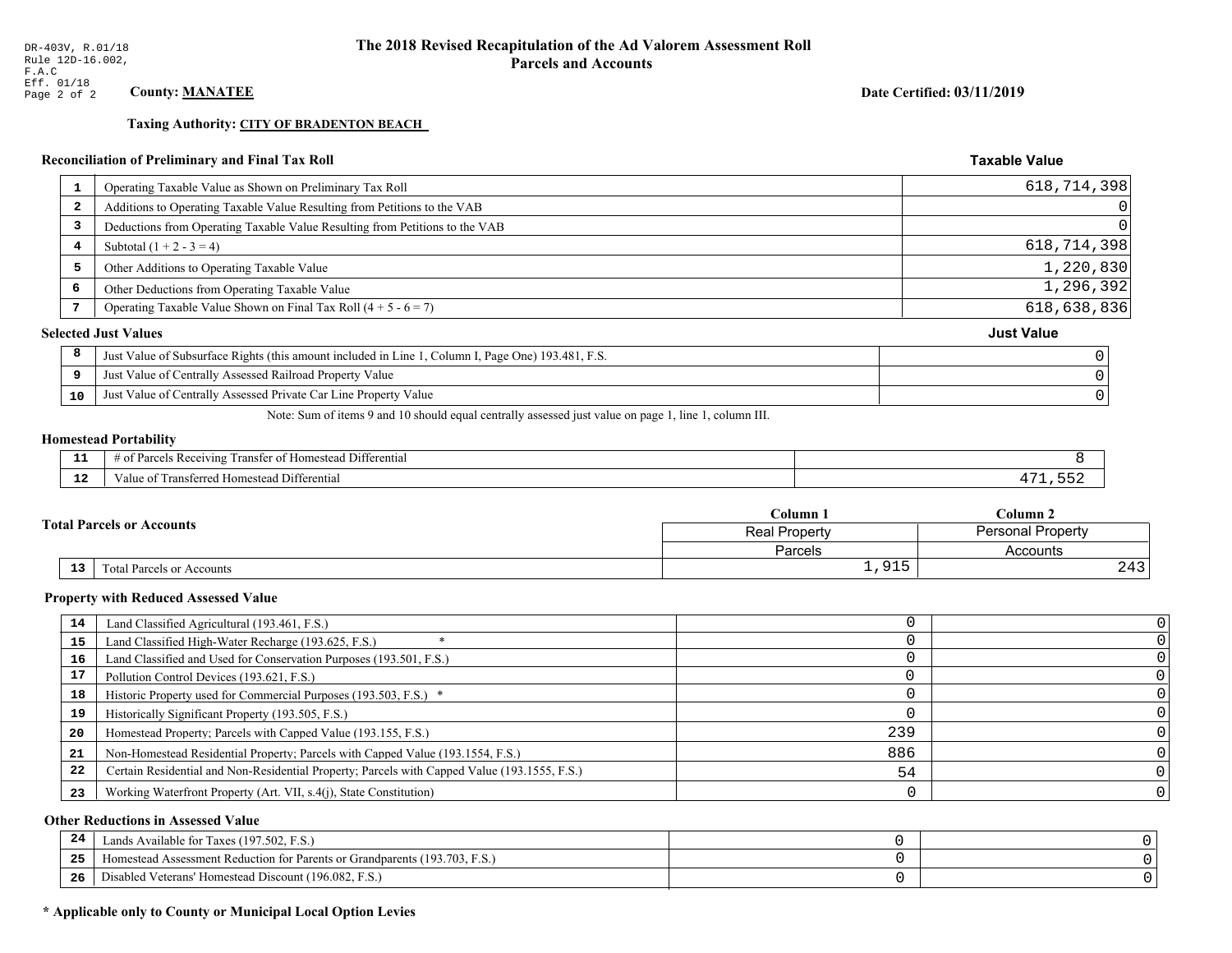**Taxing Authority: CITY OF BRADENTON BEACH** 

## Reconciliation of Preliminary and Final Tax Roll

| Operating Taxable Value as Shown on Preliminary Tax Roll<br>-1                                          | 618,714,398       |
|---------------------------------------------------------------------------------------------------------|-------------------|
| Additions to Operating Taxable Value Resulting from Petitions to the VAB<br>$\overline{\mathbf{2}}$     | 0                 |
| Deductions from Operating Taxable Value Resulting from Petitions to the VAB<br>3                        | $\Omega$          |
| Subtotal $(1 + 2 - 3 = 4)$<br>4                                                                         | 618,714,398       |
| 5<br>Other Additions to Operating Taxable Value                                                         | 1,220,830         |
| 6<br>Other Deductions from Operating Taxable Value                                                      | 1,296,392         |
| Operating Taxable Value Shown on Final Tax Roll $(4 + 5 - 6 = 7)$                                       | 618,638,836       |
| <b>Selected Just Values</b>                                                                             | <b>Just Value</b> |
| 8<br>Just Value of Subsurface Rights (this amount included in Line 1, Column I, Page One) 193.481, F.S. |                   |
| Just Value of Centrally Assessed Railroad Property Value<br>9                                           |                   |
| Just Value of Centrally Assessed Private Car Line Property Value<br>10                                  |                   |
|                                                                                                         |                   |

Note: Sum of items 9 and 10 should equal centrally assessed just value on page 1, line 1, column III.

#### **Homestead Portability**

| - -         | Differential<br>ranster<br>Reception<br>. arce<br>-01<br>n |  |
|-------------|------------------------------------------------------------|--|
| $\sim$<br>. | Differential<br>alue<br><b>Homestead</b><br>.<br>мыш       |  |

|  |                 |                                                   | C <b>olumn</b> 1 | $_{\rm Column~2}$        |  |
|--|-----------------|---------------------------------------------------|------------------|--------------------------|--|
|  |                 | <b>Fotal Parcels or Accounts</b><br>Real Property |                  | <b>Personal Property</b> |  |
|  |                 |                                                   | Parcels          | Accounts                 |  |
|  | 13 <sub>1</sub> | Total Parcels or Accounts                         | 01E              | ົ 1 ິ<br>Z45             |  |

#### **Property with Reduced Assessed Value**

| 14 |                                                                                              |     |  |
|----|----------------------------------------------------------------------------------------------|-----|--|
|    | Land Classified Agricultural (193.461, F.S.)                                                 |     |  |
| 15 | Land Classified High-Water Recharge (193.625, F.S.)                                          |     |  |
| 16 | Land Classified and Used for Conservation Purposes (193.501, F.S.)                           |     |  |
| 17 | Pollution Control Devices (193.621, F.S.)                                                    |     |  |
| 18 | Historic Property used for Commercial Purposes (193.503, F.S.) *                             |     |  |
| 19 | Historically Significant Property (193.505, F.S.)                                            |     |  |
| 20 | Homestead Property; Parcels with Capped Value (193.155, F.S.)                                | 239 |  |
| 21 | Non-Homestead Residential Property; Parcels with Capped Value (193.1554, F.S.)               | 886 |  |
| 22 | Certain Residential and Non-Residential Property; Parcels with Capped Value (193.1555, F.S.) | 54  |  |
| 23 | Working Waterfront Property (Art. VII, s.4(j), State Constitution)                           |     |  |

## **Other Reductions in Assessed Value**

| -44 | Available for Taxes (197.502, F.S.)                                          |  |
|-----|------------------------------------------------------------------------------|--|
| 25  | 'omestead Assessment Reduction for Parents or Grandparents $(193.703, F.S.)$ |  |
| 26  | isabled Veterans' Homestead Discount (196.082, F.S.)                         |  |

## \* Applicable only to County or Municipal Local Option Levies

Date Certified: 03/11/2019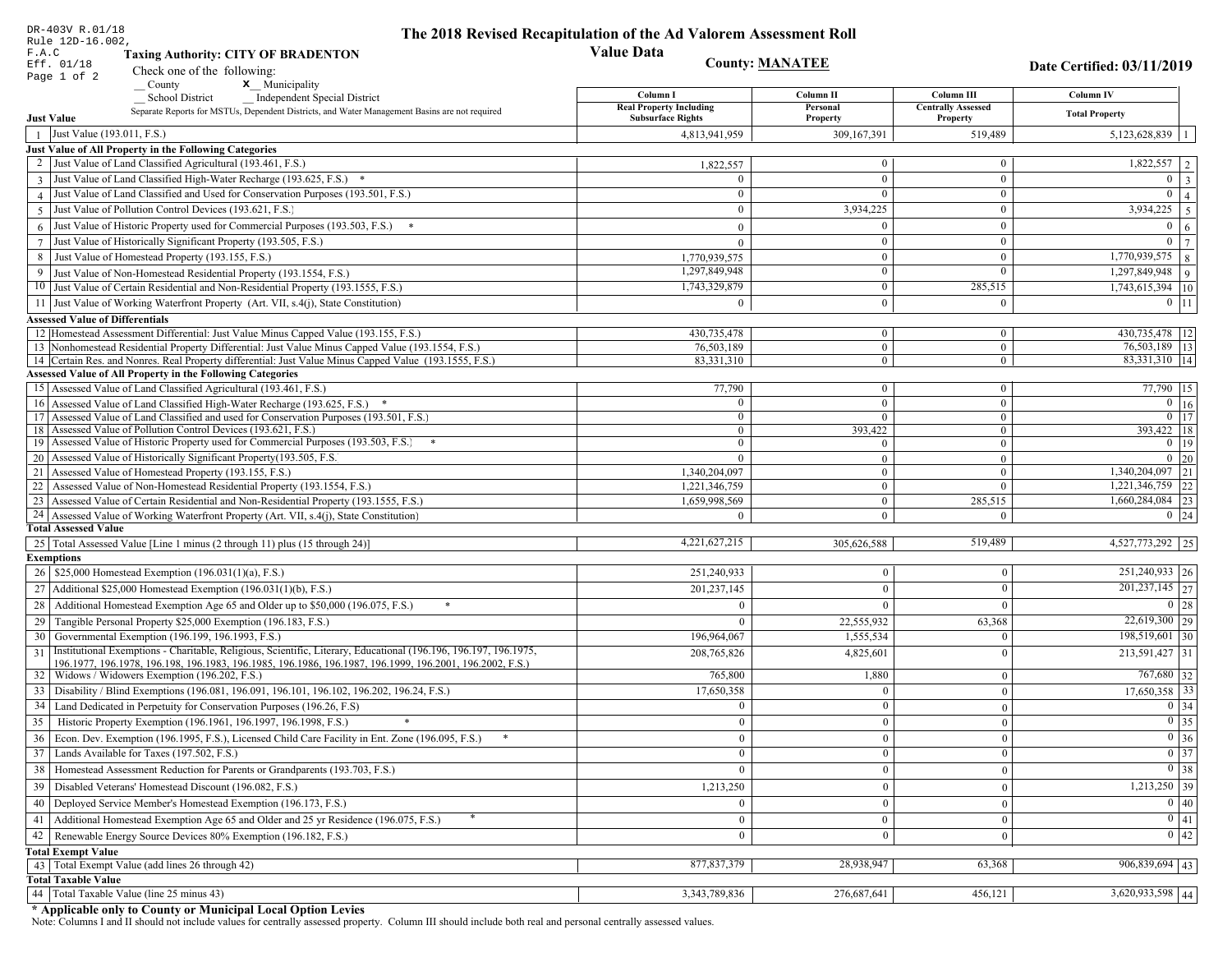| DR-403V R.01/18                            |                                                                                                                                                                             | The 2018 Revised Recapitulation of the Ad Valorem Assessment Roll |                                |                                       |                                                            |
|--------------------------------------------|-----------------------------------------------------------------------------------------------------------------------------------------------------------------------------|-------------------------------------------------------------------|--------------------------------|---------------------------------------|------------------------------------------------------------|
| Rule 12D-16.002,<br>F.A.C                  | <b>Taxing Authority: CITY OF BRADENTON</b>                                                                                                                                  | <b>Value Data</b>                                                 |                                |                                       |                                                            |
| Eff. 01/18                                 | Check one of the following:                                                                                                                                                 | <b>County: MANATEE</b>                                            |                                |                                       | Date Certified: 03/11/2019                                 |
| Page 1 of 2                                | <b>x</b> Municipality<br>County                                                                                                                                             |                                                                   |                                |                                       |                                                            |
|                                            | <b>School District</b><br><b>Independent Special District</b>                                                                                                               | Column I                                                          | Column II                      | Column III                            | <b>Column IV</b>                                           |
| <b>Just Value</b>                          | Separate Reports for MSTUs, Dependent Districts, and Water Management Basins are not required                                                                               | <b>Real Property Including</b><br><b>Subsurface Rights</b>        | Personal<br>Property           | <b>Centrally Assessed</b><br>Property | <b>Total Property</b>                                      |
| Just Value (193.011, F.S.)<br>$\mathbf{1}$ |                                                                                                                                                                             | 4,813,941,959                                                     | 309,167,391                    | 519,489                               | 5,123,628,839                                              |
|                                            | Just Value of All Property in the Following Categories                                                                                                                      |                                                                   |                                |                                       |                                                            |
|                                            | Just Value of Land Classified Agricultural (193.461, F.S.)                                                                                                                  | 1,822,557                                                         | $\overline{0}$                 | $\mathbf{0}$                          | $\overline{1,822,557}$   2                                 |
|                                            | 3 Just Value of Land Classified High-Water Recharge (193.625, F.S.) *                                                                                                       | $\Omega$                                                          | $\overline{0}$                 | $\mathbf{0}$                          | $\overline{0}$   3                                         |
|                                            | 4 Just Value of Land Classified and Used for Conservation Purposes (193.501, F.S.)                                                                                          | $\overline{0}$                                                    | $\mathbf{0}$                   | $\mathbf{0}$                          | $0 \mid 4 \mid$                                            |
|                                            | 5 Just Value of Pollution Control Devices (193.621, F.S.)                                                                                                                   | $\Omega$                                                          | 3,934,225                      | $\boldsymbol{0}$                      | 3,934,225<br>$5\overline{5}$                               |
|                                            |                                                                                                                                                                             |                                                                   | $\theta$                       |                                       | $\overline{0}$                                             |
|                                            | 6 Just Value of Historic Property used for Commercial Purposes (193.503, F.S.) $*$                                                                                          | $\mathbf{0}$                                                      |                                | $\mathbf{0}$                          | $6\overline{6}$                                            |
|                                            | 7 Just Value of Historically Significant Property (193.505, F.S.)                                                                                                           | $\mathbf{0}$                                                      | $\mathbf{0}$                   | $\mathbf{0}$                          | $\overline{0}$<br>$\overline{7}$                           |
| 8                                          | Just Value of Homestead Property (193.155, F.S.)                                                                                                                            | 1,770,939,575                                                     | $\theta$                       | $\Omega$                              | $\boxed{1,770,939,575}$ 8                                  |
|                                            | 9 Just Value of Non-Homestead Residential Property (193.1554, F.S.)                                                                                                         | 1,297,849,948                                                     | $\theta$                       | $\mathbf{0}$                          | $1,297,849,948$ 9                                          |
|                                            | 10 Just Value of Certain Residential and Non-Residential Property (193.1555, F.S.)                                                                                          | 1,743,329,879                                                     | $\bf{0}$                       | 285,515                               | 1,743,615,394 10                                           |
|                                            | 11 Just Value of Working Waterfront Property (Art. VII, s.4(j), State Constitution)                                                                                         | $\theta$                                                          | $\mathbf{0}$                   | $\mathbf{0}$                          | $0$   11                                                   |
| <b>Assessed Value of Differentials</b>     |                                                                                                                                                                             |                                                                   |                                |                                       |                                                            |
|                                            | 12 Homestead Assessment Differential: Just Value Minus Capped Value (193.155, F.S.)                                                                                         | 430,735,478                                                       | $\boldsymbol{0}$               | $\overline{0}$                        | 430,735,478   12                                           |
|                                            | 13 Nonhomestead Residential Property Differential: Just Value Minus Capped Value (193.1554, F.S.)                                                                           | 76,503,189                                                        | $\overline{0}$                 | $\mathbf{0}$                          | 76,503,189 13                                              |
|                                            | 14 Certain Res. and Nonres. Real Property differential: Just Value Minus Capped Value (193.1555, F.S.)<br><b>Assessed Value of All Property in the Following Categories</b> | 83,331,310                                                        | $\overline{0}$                 | $\bf{0}$                              | 83,331,310   14                                            |
|                                            |                                                                                                                                                                             |                                                                   |                                |                                       | 77,790 15                                                  |
|                                            | 15 Assessed Value of Land Classified Agricultural (193.461, F.S.)                                                                                                           | 77,790                                                            | $\mathbf{0}$<br>$\overline{0}$ | $\bf{0}$<br>$\mathbf{0}$              | $\overline{0}$ $\overline{16}$                             |
|                                            | 16 Assessed Value of Land Classified High-Water Recharge (193.625, F.S.) *<br>17 Assessed Value of Land Classified and used for Conservation Purposes (193.501, F.S.)       | $\mathbf{0}$                                                      | $\overline{0}$                 | $\boldsymbol{0}$                      | $\overline{0}$ 17                                          |
|                                            | 18 Assessed Value of Pollution Control Devices (193.621, F.S.)                                                                                                              | $\Omega$                                                          | 393,422                        | $\mathbf{0}$                          | 393,422 18                                                 |
|                                            | 19 Assessed Value of Historic Property used for Commercial Purposes (193.503, F.S.)                                                                                         | $\Omega$                                                          | $\overline{0}$                 | $\boldsymbol{0}$                      | $0 \mid 19$                                                |
|                                            | 20 Assessed Value of Historically Significant Property (193.505, F.S.                                                                                                       | $\Omega$                                                          | $\overline{0}$                 | $\mathbf{0}$                          | $0 \mid 20$                                                |
|                                            | 21 Assessed Value of Homestead Property (193.155, F.S.)                                                                                                                     | 1,340,204,097                                                     | $\mathbf{0}$                   | $\Omega$                              | $\overline{1,340,204,097}$ 21                              |
|                                            | 22 Assessed Value of Non-Homestead Residential Property (193.1554, F.S.)                                                                                                    | 1,221,346,759                                                     | $\mathbf{0}$                   | $\theta$                              | $1,221,346,759$ 22                                         |
|                                            | 23 Assessed Value of Certain Residential and Non-Residential Property (193.1555, F.S.)                                                                                      | 1,659,998,569                                                     | $\mathbf{0}$                   | 285,515                               | 1,660,284,084 23                                           |
|                                            | 24 Assessed Value of Working Waterfront Property (Art. VII, s.4(j), State Constitution)                                                                                     | $\Omega$                                                          | $\overline{0}$                 | $\Omega$                              | $0 \mid 24$                                                |
| <b>Total Assessed Value</b>                |                                                                                                                                                                             |                                                                   |                                |                                       |                                                            |
|                                            | 25   Total Assessed Value [Line 1 minus (2 through 11) plus (15 through 24)]                                                                                                | 4,221,627,215                                                     | 305,626,588                    | 519,489                               | 4,527,773,292 25                                           |
| <b>Exemptions</b>                          |                                                                                                                                                                             |                                                                   |                                |                                       |                                                            |
|                                            | 26   \$25,000 Homestead Exemption (196.031(1)(a), F.S.)                                                                                                                     | 251,240,933                                                       | $\overline{0}$                 | $\mathbf{0}$                          | $251,240,933$ 26                                           |
|                                            | 27   Additional \$25,000 Homestead Exemption $(196.031(1)(b), F.S.)$                                                                                                        | 201, 237, 145                                                     | $\theta$                       | $\Omega$                              | $201,237,145$ 27                                           |
| 28                                         | Additional Homestead Exemption Age 65 and Older up to \$50,000 (196.075, F.S.)                                                                                              | $\Omega$                                                          |                                | $\theta$                              | $0 \mid 28$                                                |
|                                            | 29 Tangible Personal Property \$25,000 Exemption (196.183, F.S.)                                                                                                            |                                                                   | 22,555,932                     | 63,368                                | $\overline{22,619,300}$ 29                                 |
|                                            | 30 Governmental Exemption (196.199, 196.1993, F.S.)                                                                                                                         | 196,964,067                                                       | 1,555,534                      | $\theta$                              | $198,519,601$ 30                                           |
| 31                                         | Institutional Exemptions - Charitable, Religious, Scientific, Literary, Educational (196.196.196.197. 196.1975,                                                             | 208, 765, 826                                                     | 4,825,601                      | $\Omega$                              | $213,591,427$ 31                                           |
|                                            | 196.1977, 196.1978, 196.198, 196.1983, 196.1985, 196.1986, 196.1987, 196.1999, 196.2001, 196.2002, F.S.)                                                                    |                                                                   |                                |                                       |                                                            |
|                                            | 32   Widows / Widowers Exemption (196.202, F.S.)                                                                                                                            | 765,800                                                           | 1,880                          | $\mathbf{0}$                          | $767,680$ 32                                               |
| 33                                         | Disability / Blind Exemptions (196.081, 196.091, 196.101, 196.102, 196.202, 196.24, F.S.)                                                                                   | 17,650,358                                                        |                                | $\theta$                              | $17,650,358$ 33                                            |
|                                            | 34 Land Dedicated in Perpetuity for Conservation Purposes (196.26, F.S)                                                                                                     |                                                                   |                                | $\theta$                              | $0 \mid 34$                                                |
| 35                                         | Historic Property Exemption (196.1961, 196.1997, 196.1998, F.S.)<br>$*$                                                                                                     | $\theta$                                                          | $\Omega$                       | $\mathbf{0}$                          | $\boxed{0}$ 35                                             |
|                                            | 36 Econ. Dev. Exemption (196.1995, F.S.), Licensed Child Care Facility in Ent. Zone (196.095, F.S.)                                                                         | $\mathbf{0}$                                                      | $\mathbf{0}$                   | $\mathbf{0}$                          | $\begin{array}{ c c } \hline 0 & 36 \\ \hline \end{array}$ |
|                                            | 37 Lands Available for Taxes (197.502, F.S.)                                                                                                                                | $\mathbf{0}$                                                      | $\overline{0}$                 | $\mathbf{0}$                          | $\boxed{0}$ 37                                             |
|                                            | 38   Homestead Assessment Reduction for Parents or Grandparents (193.703, F.S.)                                                                                             | $\theta$                                                          | $\Omega$                       | $\mathbf{0}$                          | $\boxed{0}$ 38                                             |
|                                            | 39   Disabled Veterans' Homestead Discount (196.082, F.S.)                                                                                                                  | 1,213,250                                                         | $\overline{0}$                 | $\mathbf{0}$                          | $1,213,250$ 39                                             |
| 40                                         | Deployed Service Member's Homestead Exemption (196.173, F.S.)                                                                                                               | $\mathbf{0}$                                                      | $\bf{0}$                       | $\mathbf{0}$                          | 0 40                                                       |
| 41                                         | Additional Homestead Exemption Age 65 and Older and 25 yr Residence (196.075, F.S.)                                                                                         | $\mathbf{0}$                                                      | $\mathbf{0}$                   | $\mathbf{0}$                          | 0 41                                                       |
|                                            | 42   Renewable Energy Source Devices 80% Exemption (196.182, F.S.)                                                                                                          | $\mathbf{0}$                                                      |                                | $\theta$                              | $\boxed{0}$ 42                                             |
| <b>Total Exempt Value</b>                  |                                                                                                                                                                             |                                                                   |                                |                                       |                                                            |
|                                            | 43 Total Exempt Value (add lines 26 through 42)                                                                                                                             | 877, 837, 379                                                     | 28,938,947                     | 63,368                                | $\overline{906,839,694}$ 43                                |
| <b>Total Taxable Value</b>                 |                                                                                                                                                                             |                                                                   |                                |                                       |                                                            |
|                                            | 44 Total Taxable Value (line 25 minus 43)                                                                                                                                   | 3, 343, 789, 836                                                  | 276,687,641                    | 456,121                               | $3,620,933,598$ 44                                         |
|                                            |                                                                                                                                                                             |                                                                   |                                |                                       |                                                            |

DR-403V R.01/18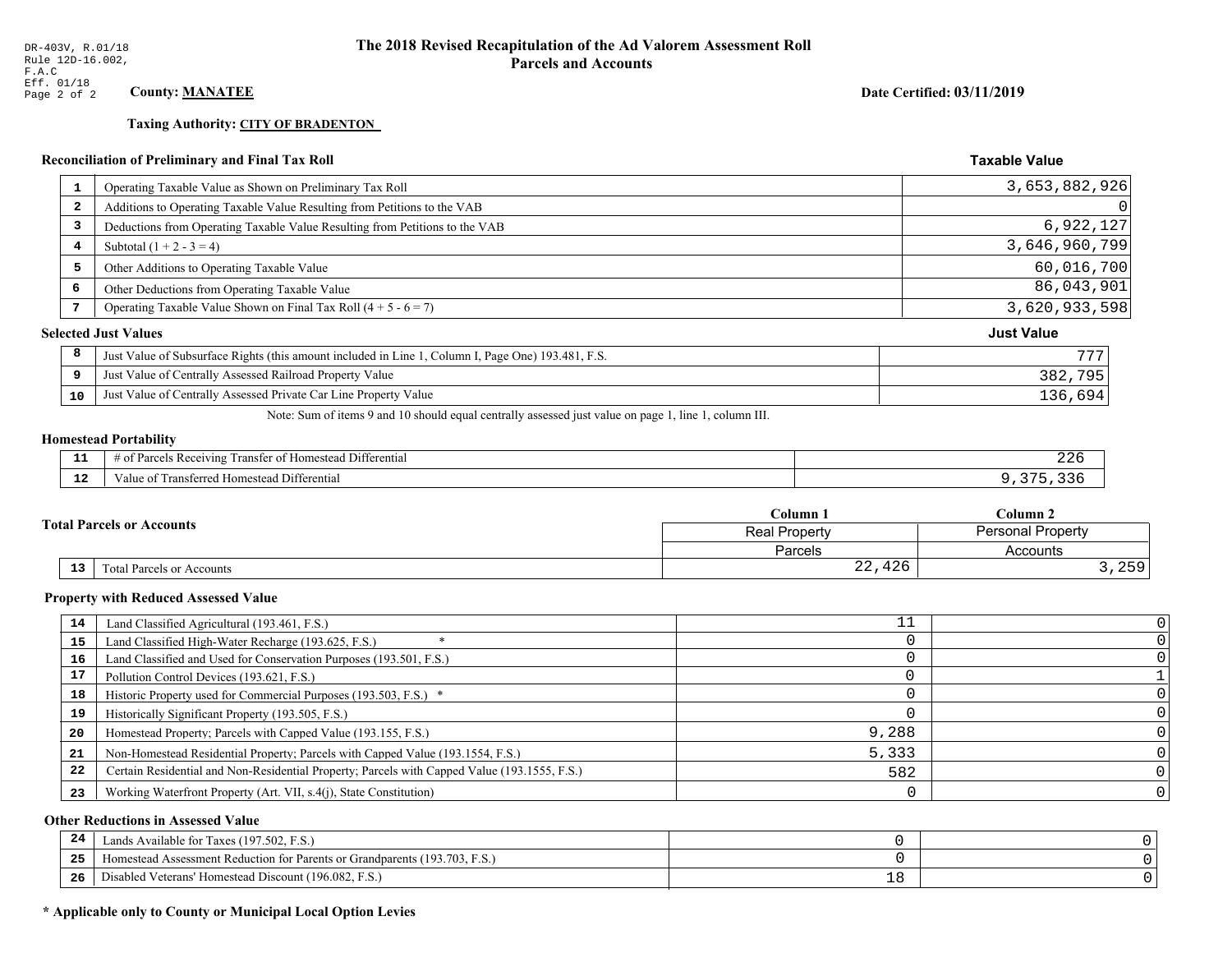**Taxing Authority: CITY OF BRADENTON** 

## **Reconciliation of Preliminary and Final Tax Roll**

| 1                       | Operating Taxable Value as Shown on Preliminary Tax Roll                                           | 3,653,882,926     |
|-------------------------|----------------------------------------------------------------------------------------------------|-------------------|
| $\overline{\mathbf{2}}$ | Additions to Operating Taxable Value Resulting from Petitions to the VAB                           | 0                 |
| 3                       | Deductions from Operating Taxable Value Resulting from Petitions to the VAB                        | 6,922,127         |
| 4                       | Subtotal $(1 + 2 - 3 = 4)$                                                                         | 3,646,960,799     |
| 5                       | Other Additions to Operating Taxable Value                                                         | 60,016,700        |
| 6                       | Other Deductions from Operating Taxable Value                                                      | 86,043,901        |
| 7                       | Operating Taxable Value Shown on Final Tax Roll $(4 + 5 - 6 = 7)$                                  | 3,620,933,598     |
|                         | <b>Selected Just Values</b>                                                                        | <b>Just Value</b> |
| 8                       | Just Value of Subsurface Rights (this amount included in Line 1, Column I, Page One) 193.481, F.S. | 777               |
| 9                       | Just Value of Centrally Assessed Railroad Property Value                                           | 382,795           |
| 10                      | Just Value of Centrally Assessed Private Car Line Property Value                                   | 136,694           |
|                         |                                                                                                    |                   |

Note: Sum of items 9 and 10 should equal centrally assessed just value on page 1, line 1, column III.

## **Homestead Portability**

| --                  | . Differential<br>ranster<br>Parce.<br>Homestead<br>ceiving<br>' OT<br>-01<br>. | 44 U |
|---------------------|---------------------------------------------------------------------------------|------|
| $\sim$ $\sim$<br>-- | Differential<br>l ransferred Homestead '<br>′alu                                |      |

|                                                     | $C$ olumn $\,$ .     | Column 2          |  |
|-----------------------------------------------------|----------------------|-------------------|--|
| <b>Total Parcels or Accounts</b>                    | <b>Real Property</b> | Personal Property |  |
|                                                     | Parcels              | Accounts          |  |
| $\overline{13}$<br><b>Total Parcels or Accounts</b> | 22,426               | 250<br>ر رے ہ     |  |

#### **Property with Reduced Assessed Value**

| 14 | Land Classified Agricultural (193.461, F.S.)                                                 |       |  |
|----|----------------------------------------------------------------------------------------------|-------|--|
| 15 | Land Classified High-Water Recharge (193.625, F.S.)                                          |       |  |
| 16 | Land Classified and Used for Conservation Purposes (193.501, F.S.)                           |       |  |
| 17 | Pollution Control Devices (193.621, F.S.)                                                    |       |  |
| 18 | Historic Property used for Commercial Purposes (193.503, F.S.) *                             |       |  |
| 19 | Historically Significant Property (193.505, F.S.)                                            |       |  |
| 20 | Homestead Property; Parcels with Capped Value (193.155, F.S.)                                | 9,288 |  |
| 21 | Non-Homestead Residential Property; Parcels with Capped Value (193.1554, F.S.)               | 5,333 |  |
| 22 | Certain Residential and Non-Residential Property; Parcels with Capped Value (193.1555, F.S.) | 582   |  |
| 23 | Working Waterfront Property (Art. VII, s.4(j), State Constitution)                           |       |  |

## **Other Reductions in Assessed Value**

| 24    | Lands Available for Taxes (197.502, F.S.)                                  |   |  |
|-------|----------------------------------------------------------------------------|---|--|
| - - - | Iomestead Assessment Reduction for Parents or Grandparents (193.703, F.S.) |   |  |
| -26   | I Veterans' Homestead Discount (196.082, F.S.)<br>Disabled                 | ᅩ |  |

## \* Applicable only to County or Municipal Local Option Levies

Date Certified: 03/11/2019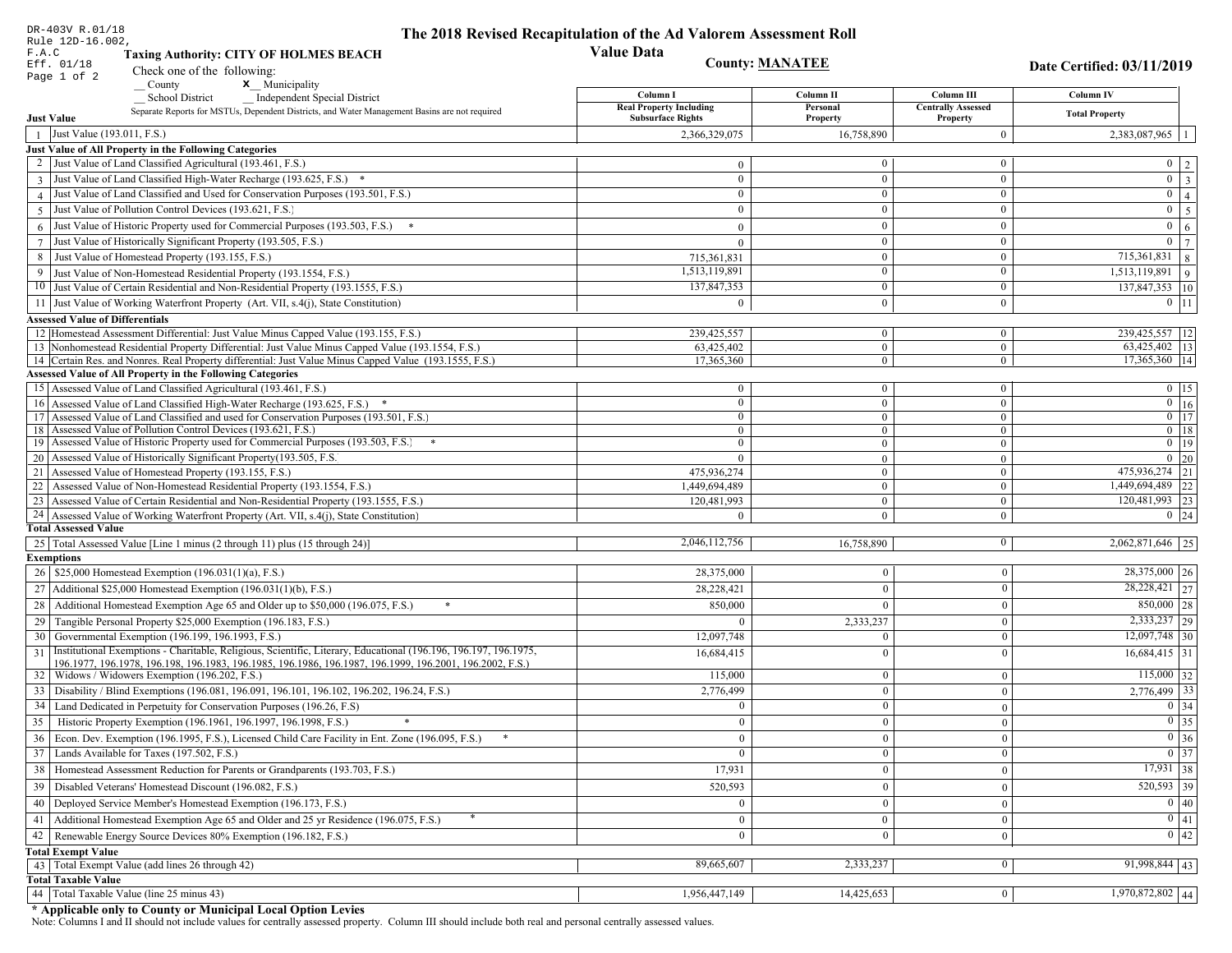| DR-403V R.01/18                            |                                                                                                                                                             | The 2018 Revised Recapitulation of the Ad Valorem Assessment Roll |                                |                              |                                                            |
|--------------------------------------------|-------------------------------------------------------------------------------------------------------------------------------------------------------------|-------------------------------------------------------------------|--------------------------------|------------------------------|------------------------------------------------------------|
| Rule 12D-16.002,<br>F.A.C                  | <b>Taxing Authority: CITY OF HOLMES BEACH</b>                                                                                                               | <b>Value Data</b>                                                 |                                |                              |                                                            |
| Eff. 01/18                                 |                                                                                                                                                             |                                                                   | <b>County: MANATEE</b>         |                              | Date Certified: 03/11/2019                                 |
| Page 1 of 2                                | Check one of the following:<br><b>x</b> Municipality<br>County                                                                                              |                                                                   |                                |                              |                                                            |
|                                            | <b>School District</b><br><b>Independent Special District</b>                                                                                               | Column I                                                          | Column II                      | Column III                   | <b>Column IV</b>                                           |
|                                            | Separate Reports for MSTUs, Dependent Districts, and Water Management Basins are not required                                                               | <b>Real Property Including</b>                                    | Personal                       | <b>Centrally Assessed</b>    | <b>Total Property</b>                                      |
| <b>Just Value</b>                          |                                                                                                                                                             | <b>Subsurface Rights</b>                                          | Property                       | Property                     |                                                            |
| Just Value (193.011, F.S.)<br>$\mathbf{1}$ |                                                                                                                                                             | 2,366,329,075                                                     | 16,758,890                     | $\mathbf{0}$                 | 2,383,087,965<br>$\overline{1}$                            |
|                                            | Just Value of All Property in the Following Categories<br>Just Value of Land Classified Agricultural (193.461, F.S.)                                        |                                                                   | $\mathbf{0}$                   | $\mathbf{0}$                 |                                                            |
|                                            |                                                                                                                                                             | $\theta$<br>$\Omega$                                              | $\overline{0}$                 | $\mathbf{0}$                 | $\begin{array}{c c} 0 & 2 \\ \hline 0 & 3 \end{array}$     |
|                                            | 3 Just Value of Land Classified High-Water Recharge (193.625, F.S.) *<br>4 Just Value of Land Classified and Used for Conservation Purposes (193.501, F.S.) | $\overline{0}$                                                    | $\mathbf{0}$                   | $\mathbf{0}$                 | $0 \mid 4$                                                 |
|                                            | 5 Just Value of Pollution Control Devices (193.621, F.S.)                                                                                                   | $\Omega$                                                          | $\mathbf{0}$                   | $\boldsymbol{0}$             | $\mathbf{0}$<br>$5\overline{)}$                            |
|                                            | 6 Just Value of Historic Property used for Commercial Purposes (193.503, F.S.) $*$                                                                          |                                                                   | $\overline{0}$                 | $\mathbf{0}$                 | $\overline{0}$                                             |
|                                            | 7 Just Value of Historically Significant Property (193.505, F.S.)                                                                                           | $\mathbf{0}$                                                      | $\mathbf{0}$                   | $\mathbf{0}$                 | 6 <sup>1</sup><br>$\overline{0}$ $\overline{7}$            |
|                                            | Just Value of Homestead Property (193.155, F.S.)                                                                                                            | $\overline{0}$                                                    | $\theta$                       | $\mathbf{0}$                 | $\overline{715,361,831}$ 8                                 |
| 8                                          |                                                                                                                                                             | 715,361,831<br>1,513,119,891                                      | $\theta$                       | $\boldsymbol{0}$             | $1,513,119,891$ 9                                          |
|                                            | 9 Just Value of Non-Homestead Residential Property (193.1554, F.S.)<br>10 Just Value of Certain Residential and Non-Residential Property (193.1555, F.S.)   | 137,847,353                                                       | $\bf{0}$                       | $\mathbf{0}$                 | 137,847,353 10                                             |
|                                            | 11 Just Value of Working Waterfront Property (Art. VII, s.4(j), State Constitution)                                                                         | $\theta$                                                          | $\theta$                       | $\mathbf{0}$                 | $0$   11                                                   |
| <b>Assessed Value of Differentials</b>     |                                                                                                                                                             |                                                                   |                                |                              |                                                            |
|                                            | 12 Homestead Assessment Differential: Just Value Minus Capped Value (193.155, F.S.)                                                                         | 239,425,557                                                       | $\overline{0}$                 | $\mathbf{0}$                 | 239,425,557   12                                           |
|                                            | 13 Nonhomestead Residential Property Differential: Just Value Minus Capped Value (193.1554, F.S.)                                                           | 63,425,402                                                        | $\overline{0}$                 | $\mathbf{0}$                 | 63,425,402 13                                              |
|                                            | 14 Certain Res. and Nonres. Real Property differential: Just Value Minus Capped Value (193.1555, F.S.)                                                      | 17,365,360                                                        | $\overline{0}$                 | $\bf{0}$                     | 17,365,360   14                                            |
|                                            | <b>Assessed Value of All Property in the Following Categories</b>                                                                                           |                                                                   |                                |                              |                                                            |
|                                            | 15 Assessed Value of Land Classified Agricultural (193.461, F.S.)                                                                                           | $\mathbf{0}$                                                      | $\mathbf{0}$                   | $\bf{0}$                     | $0$ 15                                                     |
|                                            | 16 Assessed Value of Land Classified High-Water Recharge (193.625, F.S.) *                                                                                  | $\Omega$                                                          | $\overline{0}$                 | $\mathbf{0}$                 | $\boxed{0}$ $\boxed{16}$                                   |
|                                            | 17 Assessed Value of Land Classified and used for Conservation Purposes (193.501, F.S.)                                                                     | $\mathbf{0}$                                                      | $\overline{0}$                 | $\boldsymbol{0}$             | $\overline{0}$ 17                                          |
|                                            | 18 Assessed Value of Pollution Control Devices (193.621, F.S.)<br>19 Assessed Value of Historic Property used for Commercial Purposes (193.503, F.S.)       | $\Omega$<br>$\Omega$                                              | $\overline{0}$                 | $\mathbf{0}$                 | $0$ 18<br>$0$ 19                                           |
|                                            | 20 Assessed Value of Historically Significant Property (193.505, F.S.                                                                                       | $\Omega$                                                          | $\mathbf{0}$<br>$\overline{0}$ | $\boldsymbol{0}$             | $0 \mid 20$                                                |
|                                            | 21 Assessed Value of Homestead Property (193.155, F.S.)                                                                                                     | 475,936,274                                                       | $\mathbf{0}$                   | $\bf{0}$<br>$\boldsymbol{0}$ | 475,936,274 21                                             |
|                                            | 22 Assessed Value of Non-Homestead Residential Property (193.1554, F.S.)                                                                                    | 1,449,694,489                                                     | $\mathbf{0}$                   | $\bf{0}$                     | 1,449,694,489 22                                           |
|                                            | 23 Assessed Value of Certain Residential and Non-Residential Property (193.1555, F.S.)                                                                      | 120,481,993                                                       | $\mathbf{0}$                   | $\bf{0}$                     | 120,481,993 23                                             |
|                                            | 24 Assessed Value of Working Waterfront Property (Art. VII, s.4(j), State Constitution)                                                                     | $\Omega$                                                          | $\overline{0}$                 | $\overline{0}$               | $0 \mid 24$                                                |
| <b>Total Assessed Value</b>                |                                                                                                                                                             |                                                                   |                                |                              |                                                            |
|                                            | 25   Total Assessed Value [Line 1 minus (2 through 11) plus (15 through 24)]                                                                                | 2,046,112,756                                                     | 16,758,890                     | 0                            | 2,062,871,646 25                                           |
| <b>Exemptions</b>                          |                                                                                                                                                             |                                                                   |                                |                              |                                                            |
|                                            | 26   \$25,000 Homestead Exemption (196.031(1)(a), F.S.)                                                                                                     | 28,375,000                                                        | $\overline{0}$                 | $\mathbf{0}$                 | 28,375,000 26                                              |
|                                            | 27   Additional \$25,000 Homestead Exemption $(196.031(1)(b), F.S.)$                                                                                        | 28,228,421                                                        | $\theta$                       | $\mathbf{0}$                 | $28,228,421$ 27                                            |
| 28                                         | Additional Homestead Exemption Age 65 and Older up to \$50,000 (196.075, F.S.)                                                                              | 850,000                                                           |                                | $\mathbf{0}$                 | $850,000$ 28                                               |
|                                            | 29 Tangible Personal Property \$25,000 Exemption (196.183, F.S.)                                                                                            |                                                                   | 2,333,237                      | $\mathbf{0}$                 | 2,333,237 29                                               |
|                                            | 30 Governmental Exemption (196.199, 196.1993, F.S.)                                                                                                         | 12,097,748                                                        | $\overline{0}$                 | $\mathbf{0}$                 | $12,097,748$ 30                                            |
| 31                                         | Institutional Exemptions - Charitable, Religious, Scientific, Literary, Educational (196.196, 196.197, 196.1975,                                            | 16,684,415                                                        | 0                              | $\Omega$                     | $16,684,415$ 31                                            |
|                                            | 196.1977, 196.1978, 196.198, 196.1983, 196.1985, 196.1986, 196.1987, 196.1999, 196.2001, 196.2002, F.S.)                                                    |                                                                   |                                |                              | $115,000$ 32                                               |
|                                            | 32   Widows / Widowers Exemption (196.202, F.S.)                                                                                                            | 115,000                                                           | $\bf{0}$<br>$\Omega$           | $\mathbf{0}$                 |                                                            |
| 33                                         | Disability / Blind Exemptions (196.081, 196.091, 196.101, 196.102, 196.202, 196.24, F.S.)                                                                   | 2,776,499                                                         |                                | $\theta$                     | $2,776,499$ 33                                             |
|                                            | 34 Land Dedicated in Perpetuity for Conservation Purposes (196.26, F.S)                                                                                     |                                                                   |                                | $\theta$                     | $0 \mid 34$                                                |
| 35                                         | Historic Property Exemption (196.1961, 196.1997, 196.1998, F.S.)<br>$*$                                                                                     | $\theta$                                                          | $\Omega$                       | $\mathbf{0}$                 | $\boxed{0}$ 35                                             |
|                                            | 36 Econ. Dev. Exemption (196.1995, F.S.), Licensed Child Care Facility in Ent. Zone (196.095, F.S.)                                                         | $\mathbf{0}$                                                      | $\mathbf{0}$                   | $\mathbf{0}$                 | $\begin{array}{ c c } \hline 0 & 36 \\ \hline \end{array}$ |
|                                            | 37 Lands Available for Taxes (197.502, F.S.)                                                                                                                | $\mathbf{0}$                                                      | $\overline{0}$                 | $\mathbf{0}$                 | $\boxed{0}$ 37                                             |
|                                            | 38   Homestead Assessment Reduction for Parents or Grandparents (193.703, F.S.)                                                                             | 17,931                                                            | $\Omega$                       | $\mathbf{0}$                 | $17,931$ 38                                                |
|                                            | 39   Disabled Veterans' Homestead Discount (196.082, F.S.)                                                                                                  | 520,593                                                           | $\overline{0}$                 | $\mathbf{0}$                 | $520,593$ 39                                               |
| 40                                         | Deployed Service Member's Homestead Exemption (196.173, F.S.)                                                                                               | $\theta$                                                          | $\theta$                       | $\mathbf{0}$                 | $\boxed{0}$ 40                                             |
| 41                                         | Additional Homestead Exemption Age 65 and Older and 25 yr Residence (196.075, F.S.)                                                                         | $\mathbf{0}$                                                      | $\mathbf{0}$                   | $\boldsymbol{0}$             | 0 41                                                       |
|                                            | 42   Renewable Energy Source Devices 80% Exemption (196.182, F.S.)                                                                                          | $\mathbf{0}$                                                      |                                | $\mathbf{0}$                 | $\boxed{0}$ 42                                             |
| <b>Total Exempt Value</b>                  |                                                                                                                                                             |                                                                   |                                |                              |                                                            |
|                                            | 43 Total Exempt Value (add lines 26 through 42)                                                                                                             | 89,665,607                                                        | 2,333,237                      | $\mathbf{0}$                 | $\overline{91,998,844 \mid 43}$                            |
| <b>Total Taxable Value</b>                 |                                                                                                                                                             |                                                                   |                                |                              |                                                            |
|                                            | 44 Total Taxable Value (line 25 minus 43)                                                                                                                   | 1,956,447,149                                                     | 14,425,653                     | $\overline{0}$               | $1,970,872,802$ 44                                         |

DR-403V R.01/18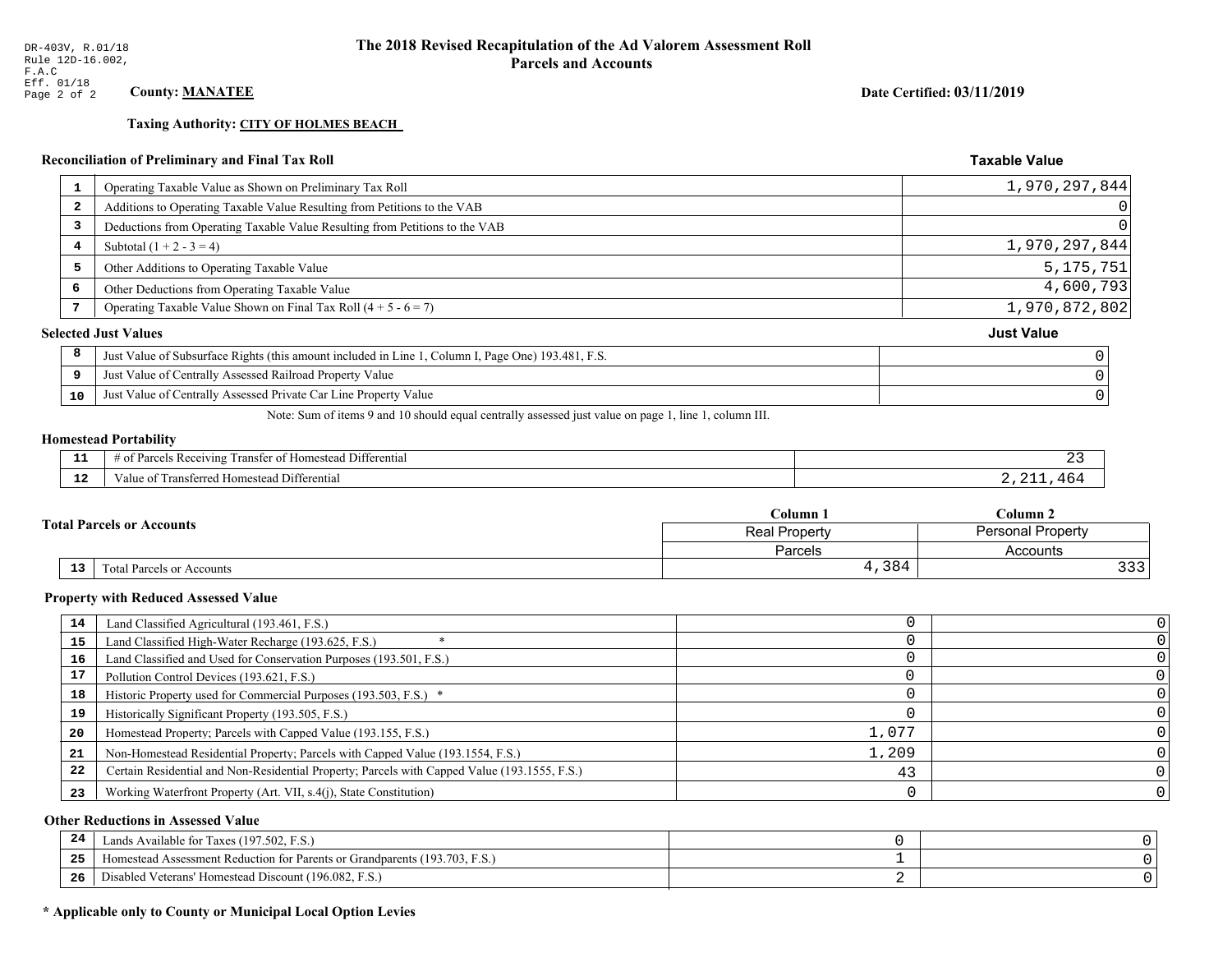**Taxing Authority: CITY OF HOLMES BEACH** 

## Reconciliation of Preliminary and Final Tax Roll

| 1  | Operating Taxable Value as Shown on Preliminary Tax Roll                                           | 1,970,297,844     |
|----|----------------------------------------------------------------------------------------------------|-------------------|
| 2  | Additions to Operating Taxable Value Resulting from Petitions to the VAB                           | $\overline{0}$    |
| 3  | Deductions from Operating Taxable Value Resulting from Petitions to the VAB                        | 0                 |
| 4  | Subtotal $(1 + 2 - 3 = 4)$                                                                         | 1,970,297,844     |
| 5  | Other Additions to Operating Taxable Value                                                         | 5, 175, 751       |
| 6  | Other Deductions from Operating Taxable Value                                                      | 4,600,793         |
|    | Operating Taxable Value Shown on Final Tax Roll $(4 + 5 - 6 = 7)$                                  | 1,970,872,802     |
|    | <b>Selected Just Values</b>                                                                        | <b>Just Value</b> |
| 8  | Just Value of Subsurface Rights (this amount included in Line 1, Column I, Page One) 193.481, F.S. |                   |
| 9  | Just Value of Centrally Assessed Railroad Property Value                                           |                   |
| 10 | Just Value of Centrally Assessed Private Car Line Property Value                                   |                   |
|    |                                                                                                    |                   |

Note: Sum of items 9 and 10 should equal centrally assessed just value on page 1, line 1, column III.

## **Homestead Portability**

l,

| $\sim$        | .<br>Differential<br>ranster<br>Receiving<br>$\sim$<br>. arce:<br>-01<br>$\cdots$<br>,,,,,, |  |
|---------------|---------------------------------------------------------------------------------------------|--|
| $\sim$<br>-44 | l Differential<br>alue<br>l Homestead<br>паняеней                                           |  |

|                                  | Column 1       | $C$ olumn 2              |  |
|----------------------------------|----------------|--------------------------|--|
| <b>Total Parcels or Accounts</b> | Real Property  | <b>Personal Property</b> |  |
|                                  | <b>Parcels</b> | Accounts                 |  |
| 13<br>Total Parcels or Accounts  | 4,384          | っっっ                      |  |

#### **Property with Reduced Assessed Value**

| 14 | Land Classified Agricultural (193.461, F.S.)                                                 |       |  |
|----|----------------------------------------------------------------------------------------------|-------|--|
| 15 | Land Classified High-Water Recharge (193.625, F.S.)                                          |       |  |
| 16 | Land Classified and Used for Conservation Purposes (193.501, F.S.)                           |       |  |
| 17 | Pollution Control Devices (193.621, F.S.)                                                    |       |  |
| 18 | Historic Property used for Commercial Purposes (193.503, F.S.) *                             |       |  |
| 19 | Historically Significant Property (193.505, F.S.)                                            |       |  |
| 20 | Homestead Property; Parcels with Capped Value (193.155, F.S.)                                | 1,077 |  |
| 21 | Non-Homestead Residential Property; Parcels with Capped Value (193.1554, F.S.)               | 1,209 |  |
| 22 | Certain Residential and Non-Residential Property; Parcels with Capped Value (193.1555, F.S.) | 43    |  |
| 23 | Working Waterfront Property (Art. VII, s.4(j), State Constitution)                           |       |  |

## **Other Reductions in Assessed Value**

| -24 | Lands Available for Taxes (197.502, F.S.)                                      |  |
|-----|--------------------------------------------------------------------------------|--|
| .   | (193.703, F)<br>Aomestead Assessment Reduction for Parents or Grandparents (1) |  |
| -26 | d Veterans' Homestead Discount (196.082, F.S.)<br>Disabled                     |  |

## \* Applicable only to County or Municipal Local Option Levies

Date Certified: 03/11/2019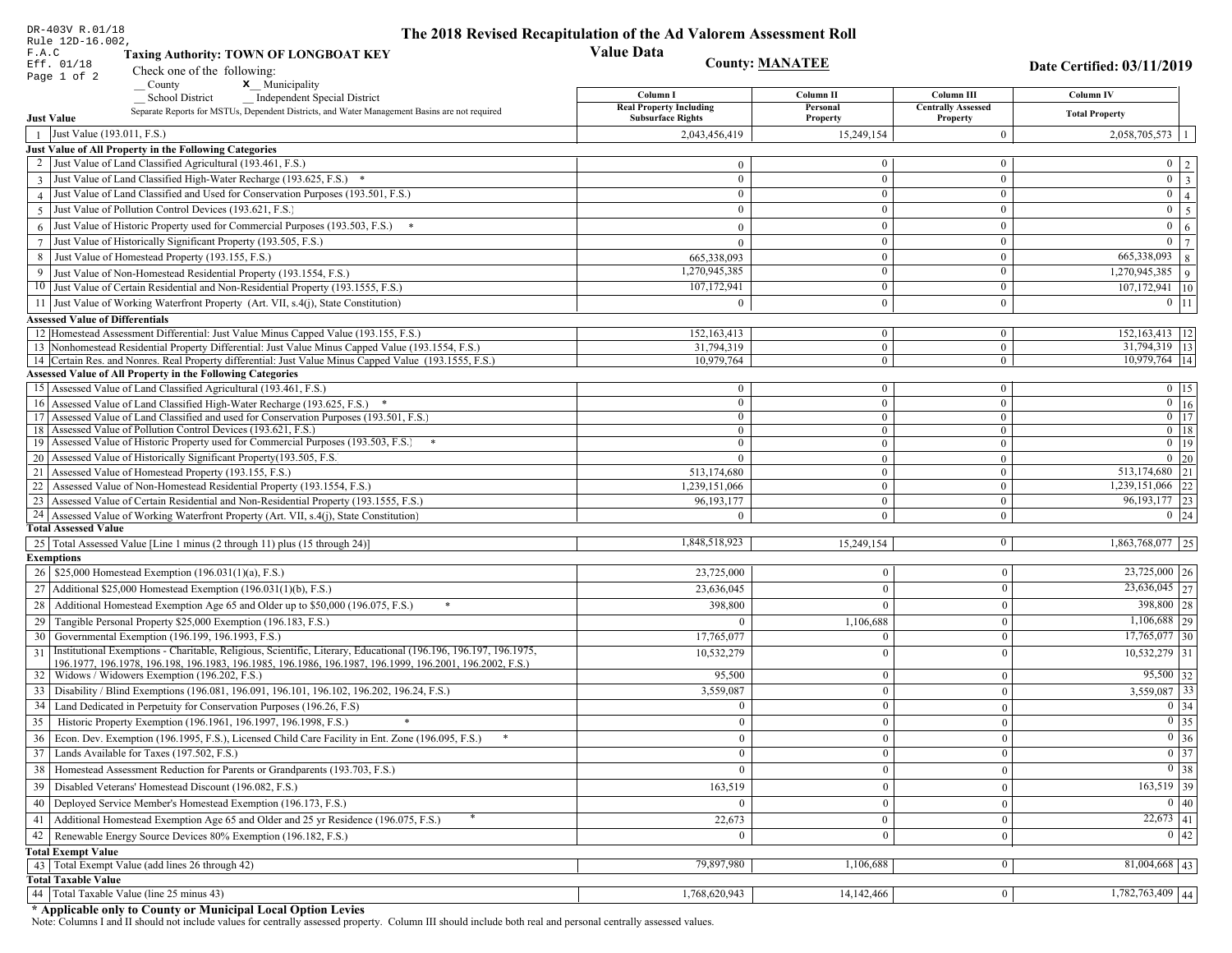| DR-403V R.01/18                                                                                                                                                             | The 2018 Revised Recapitulation of the Ad Valorem Assessment Roll |                                                                |                              |                                                  |
|-----------------------------------------------------------------------------------------------------------------------------------------------------------------------------|-------------------------------------------------------------------|----------------------------------------------------------------|------------------------------|--------------------------------------------------|
| Rule 12D-16.002.<br>F.A.C<br><b>Taxing Authority: TOWN OF LONGBOAT KEY</b>                                                                                                  | <b>Value Data</b>                                                 |                                                                |                              |                                                  |
| Eff. 01/18                                                                                                                                                                  |                                                                   | <b>County: MANATEE</b>                                         |                              | Date Certified: 03/11/2019                       |
| Check one of the following:<br>Page 1 of 2<br><b>x</b> Municipality<br>County                                                                                               |                                                                   |                                                                |                              |                                                  |
| <b>School District</b><br><b>Independent Special District</b>                                                                                                               | Column I                                                          | Column II                                                      | Column III                   | Column IV                                        |
| Separate Reports for MSTUs, Dependent Districts, and Water Management Basins are not required                                                                               | <b>Real Property Including</b><br><b>Subsurface Rights</b>        | Personal                                                       | <b>Centrally Assessed</b>    | <b>Total Property</b>                            |
| <b>Just Value</b>                                                                                                                                                           |                                                                   | Property                                                       | Property                     |                                                  |
| Just Value (193.011, F.S.)                                                                                                                                                  | 2,043,456,419                                                     | 15,249,154                                                     | $\overline{0}$               | $2,058,705,573$   1                              |
| Just Value of All Property in the Following Categories<br>2 Just Value of Land Classified Agricultural (193.461, F.S.)                                                      |                                                                   | $\overline{0}$                                                 | $\bf{0}$                     |                                                  |
|                                                                                                                                                                             |                                                                   | $\mathbf{0}$<br>$\overline{0}$<br>$\mathbf{0}$                 | $\mathbf{0}$                 | $0 \mid 2$<br>$\boxed{0}$ 3                      |
| 3 Just Value of Land Classified High-Water Recharge (193.625, F.S.)<br>4 Just Value of Land Classified and Used for Conservation Purposes (193.501, F.S.)                   |                                                                   | $\overline{0}$<br>$\bf{0}$                                     |                              | $\overline{0}\mid 4$                             |
| 5 Just Value of Pollution Control Devices (193.621, F.S.)                                                                                                                   |                                                                   | $\overline{0}$<br>$\theta$                                     | $\bf{0}$<br>$\boldsymbol{0}$ |                                                  |
|                                                                                                                                                                             |                                                                   |                                                                |                              | $0 \mid 5$                                       |
| $6$ Just Value of Historic Property used for Commercial Purposes (193.503, F.S.)                                                                                            |                                                                   | $\overline{0}$<br>$\theta$                                     | $\mathbf{0}$                 | $0 \mid 6$                                       |
| Just Value of Historically Significant Property (193.505, F.S.)                                                                                                             |                                                                   | $\overline{0}$<br>$\theta$                                     | $\boldsymbol{0}$             | $\overline{0}$   7                               |
| Just Value of Homestead Property (193.155, F.S.)<br>8                                                                                                                       | 665,338,093                                                       | $\overline{0}$                                                 | $\mathbf{0}$                 | 665,338,093<br> 8                                |
| 9 Just Value of Non-Homestead Residential Property (193.1554, F.S.)                                                                                                         | 1,270,945,385                                                     | $\overline{0}$                                                 | $\boldsymbol{0}$             | $1,270,945,385$ 9                                |
| 10 Just Value of Certain Residential and Non-Residential Property (193.1555, F.S.)                                                                                          | 107,172,941                                                       | $\mathbf{0}$                                                   | $\boldsymbol{0}$             | $107,172,941$ 10                                 |
| 11 Just Value of Working Waterfront Property (Art. VII, s.4(j), State Constitution)                                                                                         |                                                                   | $\overline{0}$<br>$\theta$                                     | $\boldsymbol{0}$             | $0$   11                                         |
| <b>Assessed Value of Differentials</b>                                                                                                                                      |                                                                   |                                                                |                              |                                                  |
| 12 Homestead Assessment Differential: Just Value Minus Capped Value (193.155, F.S.)                                                                                         | 152,163,413                                                       | $\mathbf{0}$                                                   | $\bf{0}$                     | 152, 163, 413   12                               |
| 13 Nonhomestead Residential Property Differential: Just Value Minus Capped Value (193.1554, F.S.)                                                                           | 31,794,319                                                        | $\overline{0}$                                                 | $\overline{0}$               | 31,794,319   13                                  |
| 14 Certain Res. and Nonres. Real Property differential: Just Value Minus Capped Value (193.1555, F.S.)<br><b>Assessed Value of All Property in the Following Categories</b> | 10,979,764                                                        | $\overline{0}$                                                 | $\overline{0}$               | 10,979,764   14                                  |
|                                                                                                                                                                             |                                                                   |                                                                |                              | $0 \t15$                                         |
| 15 Assessed Value of Land Classified Agricultural (193.461, F.S.)                                                                                                           |                                                                   | $\mathbf{0}$<br>$\mathbf{0}$<br>$\overline{0}$<br>$\mathbf{0}$ | $\bf{0}$<br>$\overline{0}$   | $\boxed{0}$ $\boxed{16}$                         |
| 16 Assessed Value of Land Classified High-Water Recharge (193.625, F.S.)<br>17 Assessed Value of Land Classified and used for Conservation Purposes (193.501, F.S.)         |                                                                   | $\mathbf{0}$<br>$\mathbf{0}$                                   | $\bf{0}$                     | $0$   17                                         |
| 18 Assessed Value of Pollution Control Devices (193.621, F.S.)                                                                                                              |                                                                   | $\overline{0}$<br>$\mathbf{0}$                                 | $\overline{0}$               | $0 \mid 18$                                      |
| 19 Assessed Value of Historic Property used for Commercial Purposes (193.503, F.S.)                                                                                         |                                                                   | $\overline{0}$<br>$\theta$                                     | $\mathbf{0}$                 | $0$   19                                         |
| 20 Assessed Value of Historically Significant Property (193.505, F.S.)                                                                                                      |                                                                   | $\mathbf{0}$<br>$\Omega$                                       | $\overline{0}$               | $0 \mid 20$                                      |
| 21 Assessed Value of Homestead Property (193.155, F.S.)                                                                                                                     | 513,174,680                                                       | $\overline{0}$                                                 | $\boldsymbol{0}$             | 513,174,680 21                                   |
| 22 Assessed Value of Non-Homestead Residential Property (193.1554, F.S.)                                                                                                    | 1,239,151,066                                                     | $\overline{0}$                                                 | $\boldsymbol{0}$             | 1,239,151,066 22                                 |
| 23 Assessed Value of Certain Residential and Non-Residential Property (193.1555, F.S.)                                                                                      | 96, 193, 177                                                      | $\mathbf{0}$                                                   | $\boldsymbol{0}$             | 96, 193, 177 23                                  |
| 24 Assessed Value of Working Waterfront Property (Art. VII, s.4(j), State Constitution)                                                                                     |                                                                   | $\overline{0}$<br>$\Omega$                                     | $\overline{0}$               | $0 \mid 24$                                      |
| <b>Total Assessed Value</b>                                                                                                                                                 |                                                                   |                                                                |                              |                                                  |
| 25 Total Assessed Value [Line 1 minus (2 through 11) plus (15 through 24)]                                                                                                  | 1,848,518,923                                                     | 15,249,154                                                     | $\bf{0}$                     | 1,863,768,077 25                                 |
| <b>Exemptions</b>                                                                                                                                                           |                                                                   |                                                                |                              |                                                  |
| 26   \$25,000 Homestead Exemption (196.031(1)(a), F.S.)                                                                                                                     | 23,725,000                                                        | $\mathbf{0}$                                                   | $\mathbf{0}$                 | $23,725,000$ 26                                  |
| 27   Additional \$25,000 Homestead Exemption $(196.031(1)(b), F.S.)$                                                                                                        | 23,636,045                                                        | $\theta$                                                       | $\theta$                     | $\overline{23,636,045}$ 27                       |
| Additional Homestead Exemption Age 65 and Older up to \$50,000 (196.075, F.S.)<br>28                                                                                        | 398,800                                                           | $\theta$                                                       | $\mathbf{0}$                 | 398,800 28                                       |
| 29 Tangible Personal Property \$25,000 Exemption (196.183, F.S.)                                                                                                            |                                                                   | 1,106,688                                                      | $\mathbf{0}$                 | $1,106,688$ 29                                   |
| Governmental Exemption (196.199, 196.1993, F.S.)<br>30                                                                                                                      | 17,765,077                                                        | $\overline{0}$                                                 | $\mathbf{0}$                 | $17,765,077$ 30                                  |
| Institutional Exemptions - Charitable, Religious, Scientific, Literary, Educational (196.196, 196.197, 196.1975,<br>31                                                      | 10,532,279                                                        | $\Omega$                                                       | $\theta$                     | $10,532,279$ 31                                  |
| 196.1977, 196.1978, 196.198, 196.1983, 196.1985, 196.1986, 196.1987, 196.1999, 196.2001, 196.2002, F.S.)                                                                    |                                                                   |                                                                |                              |                                                  |
| Widows / Widowers Exemption (196.202, F.S.)<br>32                                                                                                                           | 95,500                                                            | 0                                                              | $\theta$                     | $95,500$ 32                                      |
| Disability / Blind Exemptions (196.081, 196.091, 196.101, 196.102, 196.202, 196.24, F.S.)<br>33                                                                             | 3,559,087                                                         | $\theta$                                                       | $\mathbf{0}$                 | $3,559,087$ 33                                   |
| Land Dedicated in Perpetuity for Conservation Purposes (196.26, F.S)                                                                                                        |                                                                   | $\overline{0}$                                                 | $\Omega$                     | $0 \mid 34$                                      |
| 35 Historic Property Exemption (196.1961, 196.1997, 196.1998, F.S.)                                                                                                         |                                                                   | $\mathbf{0}$                                                   | $\boldsymbol{0}$             | $\boxed{0}$ 35                                   |
| 36 Econ. Dev. Exemption (196.1995, F.S.), Licensed Child Care Facility in Ent. Zone (196.095, F.S.)                                                                         |                                                                   | $\mathbf{0}$<br>$\overline{0}$                                 | $\mathbf{0}$                 | $\boxed{0}$ 36                                   |
| 37 Lands Available for Taxes (197.502, F.S.)                                                                                                                                |                                                                   | $\mathbf{0}$<br>$\bf{0}$                                       | $\mathbf{0}$                 | $\boxed{0}$ 37                                   |
| 38   Homestead Assessment Reduction for Parents or Grandparents (193.703, F.S.)                                                                                             |                                                                   | $\Omega$<br>$\overline{0}$                                     | $\mathbf{0}$                 | $\begin{array}{ c c } \hline 0 & 38 \end{array}$ |
| 39   Disabled Veterans' Homestead Discount (196.082, F.S.)                                                                                                                  | 163,519                                                           | $\theta$                                                       | $\mathbf{0}$                 | $\overline{163,519}$ 39                          |
| 40   Deployed Service Member's Homestead Exemption (196.173, F.S.)                                                                                                          |                                                                   | $\overline{0}$<br>$\Omega$                                     | $\mathbf{0}$                 | $\boxed{0}$ $\boxed{40}$                         |
| Additional Homestead Exemption Age 65 and Older and 25 yr Residence (196.075, F.S.)<br>41                                                                                   | 22,673                                                            | $\mathbf{0}$                                                   | $\mathbf{0}$                 | $22,673$   41                                    |
| 42   Renewable Energy Source Devices 80% Exemption (196.182, F.S.)                                                                                                          |                                                                   | 0                                                              | $\mathbf{0}$                 | 0 42                                             |
|                                                                                                                                                                             |                                                                   |                                                                |                              |                                                  |
| <b>Total Exempt Value</b><br>43 Total Exempt Value (add lines 26 through 42)                                                                                                | 79,897,980                                                        | 1,106,688                                                      | $\mathbf{0}$                 | $81,004,668$   43                                |
| <b>Total Taxable Value</b>                                                                                                                                                  |                                                                   |                                                                |                              |                                                  |
| 44   Total Taxable Value (line 25 minus 43)                                                                                                                                 | 1,768,620,943                                                     | 14, 142, 466                                                   | $\bf{0}$                     | $\overline{1,782,763,409}$ 44                    |
|                                                                                                                                                                             |                                                                   |                                                                |                              |                                                  |

DR-403V R.01/18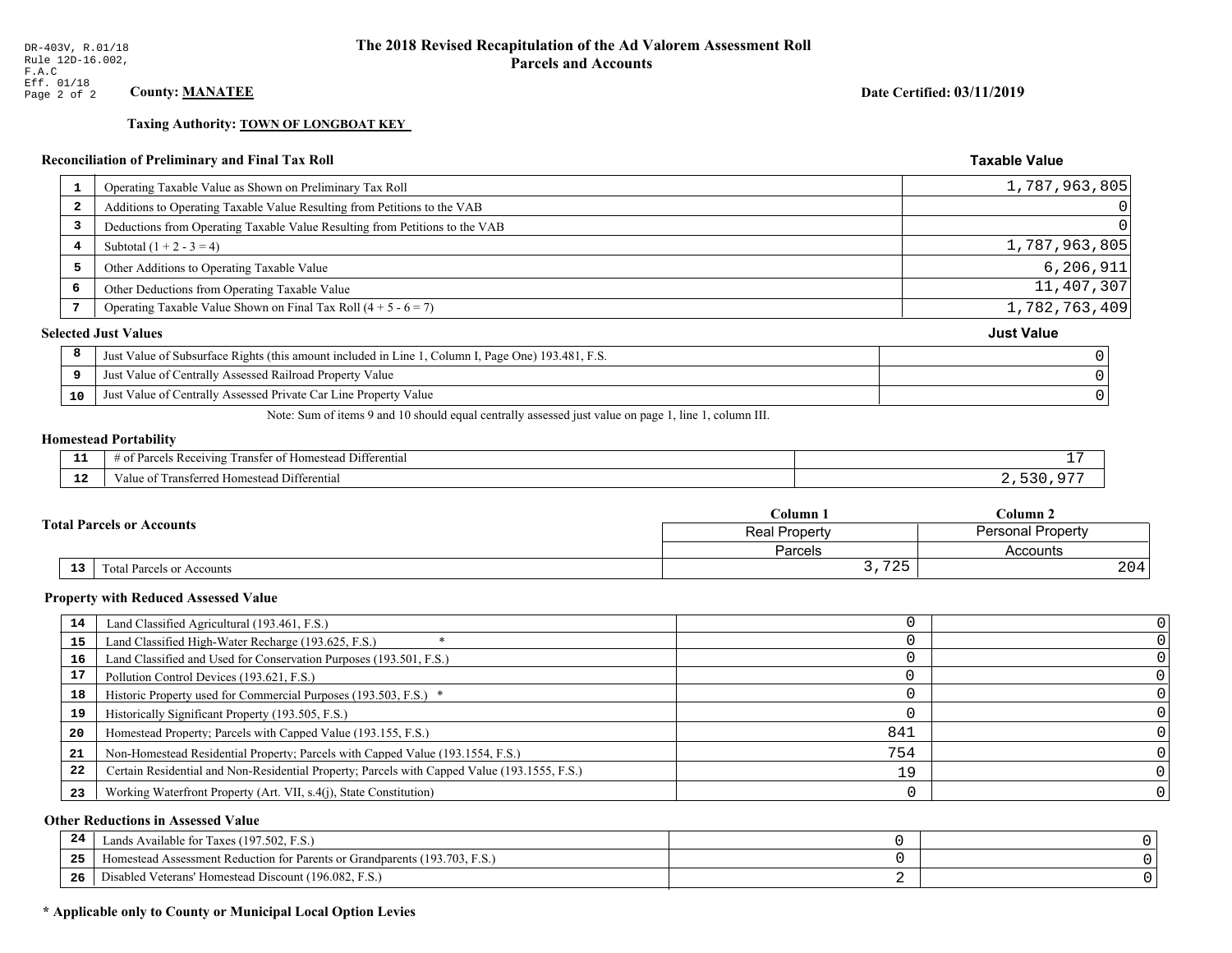**Taxing Authority: TOWN OF LONGBOAT KEY** 

## Reconciliation of Preliminary and Final Tax Roll

| Operating Taxable Value as Shown on Preliminary Tax Roll<br>1                                           | 1,787,963,805     |
|---------------------------------------------------------------------------------------------------------|-------------------|
| Additions to Operating Taxable Value Resulting from Petitions to the VAB<br>-2                          | $\overline{0}$    |
| Deductions from Operating Taxable Value Resulting from Petitions to the VAB<br>3                        | 0                 |
| Subtotal $(1 + 2 - 3 = 4)$<br>4                                                                         | 1,787,963,805     |
| 5<br>Other Additions to Operating Taxable Value                                                         | 6, 206, 911       |
| 6<br>Other Deductions from Operating Taxable Value                                                      | 11,407,307        |
| Operating Taxable Value Shown on Final Tax Roll $(4 + 5 - 6 = 7)$                                       | 1,782,763,409     |
| <b>Selected Just Values</b>                                                                             | <b>Just Value</b> |
| 8<br>Just Value of Subsurface Rights (this amount included in Line 1, Column I, Page One) 193.481, F.S. |                   |
| Just Value of Centrally Assessed Railroad Property Value<br>9                                           |                   |
| Just Value of Centrally Assessed Private Car Line Property Value<br>10                                  |                   |
|                                                                                                         |                   |

Note: Sum of items 9 and 10 should equal centrally assessed just value on page 1, line 1, column III.

#### **Homestead Portability**

| $\sim$<br>--- | <b><i><u>Property</u></i></b><br>ranstei<br>Differential<br>$A$ <sup><math>\alpha</math><math>\beta</math></sup> $I$ $I$ $I$ $I$ $\alpha$<br>$\sim$<br>м.<br>omesteac<br>റ<br>. arce<br>n<br>. . |  |
|---------------|--------------------------------------------------------------------------------------------------------------------------------------------------------------------------------------------------|--|
| $\sim$<br>.   | l Differential<br>'alue<br>. Homestead<br>.<br>31 U LUI                                                                                                                                          |  |

| <b>Total Parcels or Accounts</b> |    |                           | Column 1                                         | $C$ olumn 2 |  |
|----------------------------------|----|---------------------------|--------------------------------------------------|-------------|--|
|                                  |    |                           | <b>Personal Property</b><br><b>Real Property</b> |             |  |
|                                  |    |                           | Parcels                                          | Accounts    |  |
|                                  | 13 | Fotal Parcels or Accounts | $\mathbf{A} \cap \mathbf{C}$<br>ر ہے ،<br>ິ.     | 204         |  |

#### **Property with Reduced Assessed Value**

| 14 | Land Classified Agricultural (193.461, F.S.)                                                 |     |  |
|----|----------------------------------------------------------------------------------------------|-----|--|
| 15 | Land Classified High-Water Recharge (193.625, F.S.)                                          |     |  |
| 16 | Land Classified and Used for Conservation Purposes (193.501, F.S.)                           |     |  |
| 17 | Pollution Control Devices (193.621, F.S.)                                                    |     |  |
| 18 | Historic Property used for Commercial Purposes (193.503, F.S.) *                             |     |  |
| 19 | Historically Significant Property (193.505, F.S.)                                            |     |  |
| 20 | Homestead Property; Parcels with Capped Value (193.155, F.S.)                                | 841 |  |
| 21 | Non-Homestead Residential Property; Parcels with Capped Value (193.1554, F.S.)               | 754 |  |
| 22 | Certain Residential and Non-Residential Property; Parcels with Capped Value (193.1555, F.S.) | 19  |  |
| 23 | Working Waterfront Property (Art. VII, s.4(j), State Constitution)                           |     |  |

## **Other Reductions in Assessed Value**

| 24  | ands Available for Taxes (197.502, F.S.)                                   |  |
|-----|----------------------------------------------------------------------------|--|
| 25  | Homestead Assessment Reduction for Parents or Grandparents (193.703, F.S.) |  |
| -26 | Disabled Veterans' Homestead Discount (196.082, F.S.)                      |  |

## \* Applicable only to County or Municipal Local Option Levies

Date Certified: 03/11/2019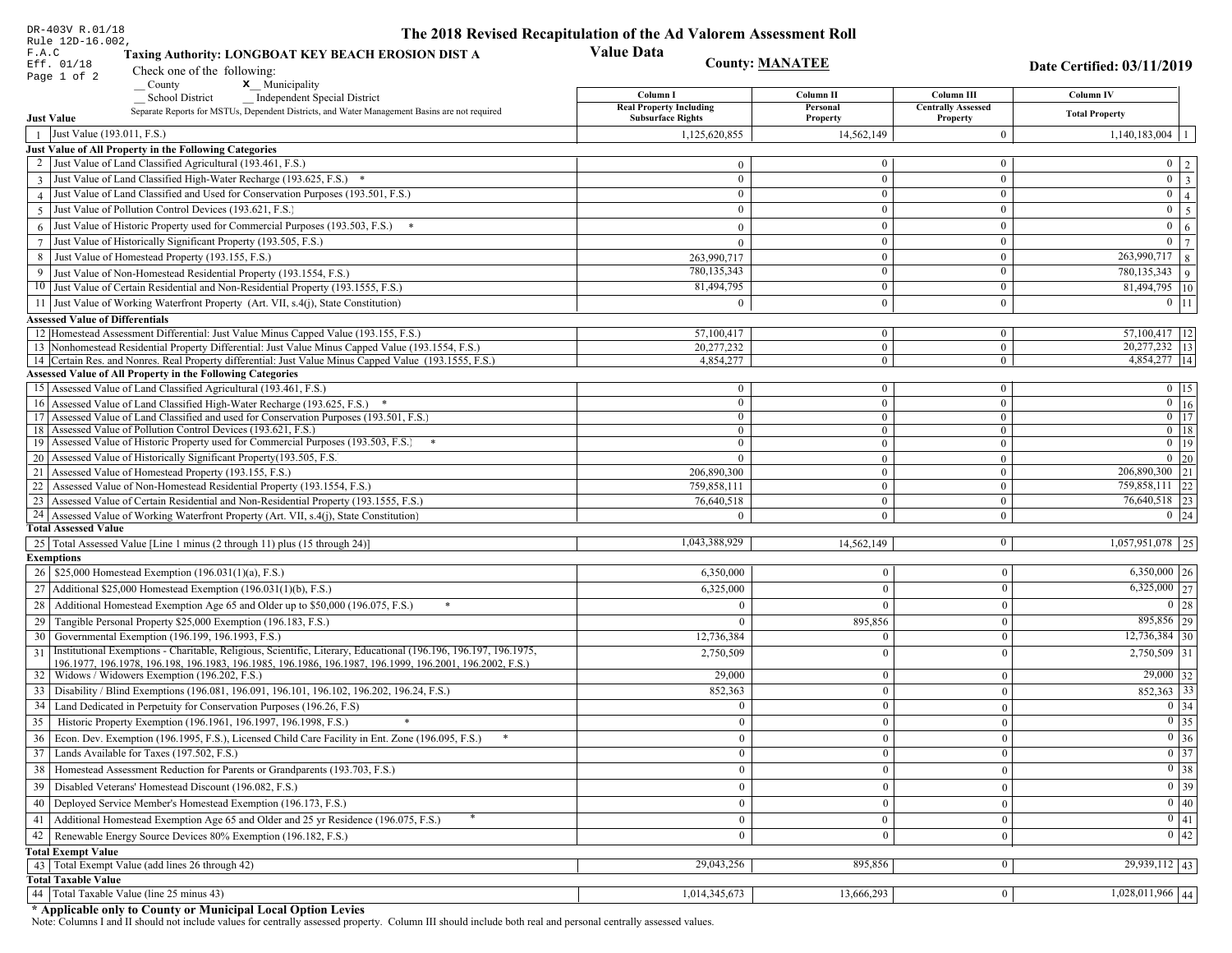| DR-403V R.01/18                                                                                                                                                                                                                 | The 2018 Revised Recapitulation of the Ad Valorem Assessment Roll |                                |                                       |                                                     |
|---------------------------------------------------------------------------------------------------------------------------------------------------------------------------------------------------------------------------------|-------------------------------------------------------------------|--------------------------------|---------------------------------------|-----------------------------------------------------|
| Rule 12D-16.002,<br>F.A.C<br>Taxing Authority: LONGBOAT KEY BEACH EROSION DIST A<br>Eff. 01/18                                                                                                                                  | <b>Value Data</b>                                                 | <b>County: MANATEE</b>         |                                       | Date Certified: 03/11/2019                          |
| Check one of the following:<br>Page 1 of 2<br>$\sqrt{\frac{1}{1}}$ County<br>$x$ Municipality                                                                                                                                   |                                                                   |                                |                                       |                                                     |
| <b>School District</b><br><b>Independent Special District</b>                                                                                                                                                                   | Column I                                                          | Column II                      | Column III                            | Column IV                                           |
| Separate Reports for MSTUs, Dependent Districts, and Water Management Basins are not required<br><b>Just Value</b>                                                                                                              | <b>Real Property Including</b><br><b>Subsurface Rights</b>        | Personal<br>Property           | <b>Centrally Assessed</b><br>Property | <b>Total Property</b>                               |
| Just Value (193.011, F.S.)                                                                                                                                                                                                      | 1,125,620,855                                                     | 14,562,149                     | $\mathbf{0}$                          | $1,140,183,004$   1                                 |
| Just Value of All Property in the Following Categories                                                                                                                                                                          |                                                                   |                                |                                       |                                                     |
| 2 Just Value of Land Classified Agricultural (193.461, F.S.)                                                                                                                                                                    | $\mathbf{0}$                                                      | $\mathbf{0}$                   | $\bf{0}$                              | $0 \mid 2$                                          |
| 3 Just Value of Land Classified High-Water Recharge (193.625, F.S.) *                                                                                                                                                           | $\mathbf{0}$                                                      | $\mathbf{0}$                   | $\mathbf{0}$                          | $0 \mid 3$                                          |
| 4 Just Value of Land Classified and Used for Conservation Purposes (193.501, F.S.)                                                                                                                                              | $\overline{0}$                                                    | $\boldsymbol{0}$               | $\boldsymbol{0}$                      | $\overline{0}$ 4                                    |
| 5 Just Value of Pollution Control Devices (193.621, F.S.)                                                                                                                                                                       | $\mathbf{0}$                                                      | $\mathbf{0}$                   | $\boldsymbol{0}$                      | $\boxed{0}$ 5                                       |
| 6 Just Value of Historic Property used for Commercial Purposes (193.503, F.S.) $*$                                                                                                                                              | $\mathbf{0}$                                                      | $\mathbf{0}$                   | $\mathbf{0}$                          | $0 \mid 6$                                          |
| 7 Just Value of Historically Significant Property (193.505, F.S.)                                                                                                                                                               | $\theta$                                                          | $\overline{0}$                 | $\boldsymbol{0}$                      | $\overline{0}$   $\overline{7}$                     |
| 8 Just Value of Homestead Property (193.155, F.S.)                                                                                                                                                                              | 263,990,717                                                       | $\mathbf{0}$                   | $\bf{0}$                              | $\boxed{263,990,717}$ 8                             |
| 9 Just Value of Non-Homestead Residential Property (193.1554, F.S.)                                                                                                                                                             | 780,135,343                                                       | $\mathbf{0}$                   | $\boldsymbol{0}$                      | 780,135,343 9                                       |
| 10 Just Value of Certain Residential and Non-Residential Property (193.1555, F.S.)                                                                                                                                              | 81,494,795                                                        | $\mathbf{0}$                   | $\boldsymbol{0}$                      | 81,494,795 10                                       |
| 11 Just Value of Working Waterfront Property (Art. VII, s.4(j), State Constitution)                                                                                                                                             | $\theta$                                                          | $\bf{0}$                       | $\mathbf{0}$                          | $0$   11                                            |
| <b>Assessed Value of Differentials</b>                                                                                                                                                                                          |                                                                   |                                |                                       |                                                     |
| 12 Homestead Assessment Differential: Just Value Minus Capped Value (193.155, F.S.)                                                                                                                                             | 57,100,417                                                        | $\mathbf{0}$                   | $\bf{0}$                              | 57,100,417   12                                     |
| 13 Nonhomestead Residential Property Differential: Just Value Minus Capped Value (193.1554, F.S.)                                                                                                                               | 20,277,232                                                        | $\overline{0}$                 | $\mathbf{0}$                          | 20, 277, 232   13                                   |
| 14 Certain Res. and Nonres. Real Property differential: Just Value Minus Capped Value (193.1555, F.S.)                                                                                                                          | 4.854.277                                                         | $\overline{0}$                 | $\mathbf{0}$                          | 4,854,277 14                                        |
| <b>Assessed Value of All Property in the Following Categories</b>                                                                                                                                                               |                                                                   |                                |                                       |                                                     |
| 15 Assessed Value of Land Classified Agricultural (193.461, F.S.)                                                                                                                                                               | $\mathbf{0}$                                                      | $\mathbf{0}$                   | $\mathbf{0}$                          | $0 \mid 15$                                         |
| 16 Assessed Value of Land Classified High-Water Recharge (193.625, F.S.) *<br>17 Assessed Value of Land Classified and used for Conservation Purposes (193.501, F.S.)                                                           | $\mathbf{0}$<br>$\mathbf{0}$                                      | $\mathbf{0}$<br>$\overline{0}$ | $\mathbf{0}$<br>$\mathbf{0}$          | $\boxed{0}$ 16<br>$0$   17                          |
| 18 Assessed Value of Pollution Control Devices (193.621, F.S.)                                                                                                                                                                  | $\mathbf{0}$                                                      | $\mathbf{0}$                   | $\overline{0}$                        | $0 \mid 18$                                         |
| 19 Assessed Value of Historic Property used for Commercial Purposes (193.503, F.S.)<br>$\ast$                                                                                                                                   | $\overline{0}$                                                    | $\mathbf{0}$                   | $\mathbf{0}$                          | $0 \t19$                                            |
| 20 Assessed Value of Historically Significant Property (193.505, F.S.                                                                                                                                                           | $\theta$                                                          | $\overline{0}$                 | $\mathbf{0}$                          | $0 \mid 20$                                         |
| 21 Assessed Value of Homestead Property (193.155, F.S.)                                                                                                                                                                         | 206,890,300                                                       | $\overline{0}$                 | $\mathbf{0}$                          | 206,890,300 21                                      |
| 22 Assessed Value of Non-Homestead Residential Property (193.1554, F.S.)                                                                                                                                                        | 759,858,111                                                       | $\overline{0}$                 | $\boldsymbol{0}$                      | 759,858,111 22                                      |
| 23 Assessed Value of Certain Residential and Non-Residential Property (193.1555, F.S.)                                                                                                                                          | 76,640,518                                                        | $\mathbf{0}$                   | $\mathbf{0}$                          | 76,640,518 23                                       |
| 24 Assessed Value of Working Waterfront Property (Art. VII, s.4(j), State Constitution)                                                                                                                                         |                                                                   | $\overline{0}$                 | $\mathbf{0}$                          | $0 \mid 24$                                         |
| <b>Total Assessed Value</b>                                                                                                                                                                                                     |                                                                   |                                |                                       |                                                     |
| 25   Total Assessed Value [Line 1 minus (2 through 11) plus (15 through 24)]                                                                                                                                                    | 1,043,388,929                                                     | 14,562,149                     | $\bf{0}$                              | $\overline{1,057,951,078}$ 25                       |
| <b>Exemptions</b>                                                                                                                                                                                                               |                                                                   |                                |                                       |                                                     |
| 26   \$25,000 Homestead Exemption (196.031(1)(a), F.S.)                                                                                                                                                                         | 6,350,000                                                         | $\mathbf{0}$                   | $\bf{0}$                              | $6,350,000$ 26                                      |
| 27   Additional \$25,000 Homestead Exemption (196.031(1)(b), F.S.)                                                                                                                                                              | 6,325,000                                                         | $\theta$                       | $\Omega$                              | $6,325,000$ 27                                      |
| 28 Additional Homestead Exemption Age 65 and Older up to \$50,000 (196.075, F.S.)                                                                                                                                               | $\theta$                                                          | $\Omega$                       | $\Omega$                              | 0 28                                                |
| 29 Tangible Personal Property \$25,000 Exemption (196.183, F.S.)                                                                                                                                                                | $\mathbf{0}$                                                      | 895,856                        | $\Omega$                              | $895,856$ 29                                        |
| 30 Governmental Exemption (196.199, 196.1993, F.S.)                                                                                                                                                                             | 12,736,384                                                        | $\theta$                       | $\Omega$                              | $\overline{12,736,384}$ 30                          |
| 31 Institutional Exemptions - Charitable, Religious, Scientific, Literary, Educational (196.196, 196.197, 196.1975,<br>196.1977, 196.1978, 196.198, 196.1983, 196.1985, 196.1986, 196.1987, 196.1999, 196.2001, 196.2002, F.S.) | 2,750,509                                                         | $\Omega$                       | $\Omega$                              | $2,750,509$ 31                                      |
| 32   Widows / Widowers Exemption (196.202, F.S.)                                                                                                                                                                                | 29,000                                                            | $\mathbf{0}$                   | $\mathbf{0}$                          | $29,000$ 32                                         |
| 33 Disability / Blind Exemptions (196.081, 196.091, 196.101, 196.102, 196.202, 196.24, F.S.)                                                                                                                                    | 852,363                                                           | $\theta$                       | $\Omega$                              | $852,363$ 33                                        |
| 34 Land Dedicated in Perpetuity for Conservation Purposes (196.26, F.S)                                                                                                                                                         | $\overline{0}$                                                    | $\theta$                       | $\Omega$                              | $0 \mid 34$                                         |
| 35 Historic Property Exemption (196.1961, 196.1997, 196.1998, F.S.)                                                                                                                                                             | $\mathbf{U}$                                                      | $\mathbf{0}$                   | $\mathbf{0}$                          | $\boxed{0}$ 35                                      |
| 36 Econ. Dev. Exemption (196.1995, F.S.), Licensed Child Care Facility in Ent. Zone (196.095, F.S.)                                                                                                                             | $\mathbf{0}$                                                      | $\mathbf{0}$                   | $\Omega$                              | $0 \mid 36$                                         |
| 37 Lands Available for Taxes (197.502, F.S.)                                                                                                                                                                                    | $\mathbf{0}$                                                      | $\mathbf{0}$                   | $\Omega$                              | $\boxed{0}$ 37                                      |
| 38   Homestead Assessment Reduction for Parents or Grandparents (193.703, F.S.)                                                                                                                                                 | $\mathbf{0}$                                                      | $\mathbf{0}$                   | $\bf{0}$                              | $\boxed{0}$ 38                                      |
| 39   Disabled Veterans' Homestead Discount (196.082, F.S.)                                                                                                                                                                      | $\mathbf{0}$                                                      | $\mathbf{0}$                   | $\Omega$                              | $0 \mid 39$                                         |
|                                                                                                                                                                                                                                 |                                                                   | $\Omega$                       |                                       | $\boxed{0}$ 40                                      |
| Deployed Service Member's Homestead Exemption (196.173, F.S.)<br>40                                                                                                                                                             | $\mathbf{0}$                                                      |                                | $\Omega$                              |                                                     |
| 41   Additional Homestead Exemption Age 65 and Older and 25 yr Residence (196.075, F.S.)                                                                                                                                        | $\mathbf{0}$                                                      | $\Omega$                       | $\bf{0}$                              | $\boxed{0}$ 41                                      |
| 42   Renewable Energy Source Devices 80% Exemption (196.182, F.S.)                                                                                                                                                              | $\mathbf{0}$                                                      | $\mathbf{0}$                   | $\mathbf{0}$                          | $\begin{array}{ c c }\n\hline\n0 & 42\n\end{array}$ |
| <b>Total Exempt Value</b><br>43 Total Exempt Value (add lines 26 through 42)                                                                                                                                                    | 29,043,256                                                        | 895,856                        | $\theta$                              | $\overline{29,939,112 43}$                          |
| <b>Total Taxable Value</b>                                                                                                                                                                                                      |                                                                   |                                |                                       |                                                     |
| 44 Total Taxable Value (line 25 minus 43)                                                                                                                                                                                       | 1,014,345,673                                                     | 13,666,293                     | $\bf{0}$                              | $1,028,011,966$ 44                                  |
|                                                                                                                                                                                                                                 |                                                                   |                                |                                       |                                                     |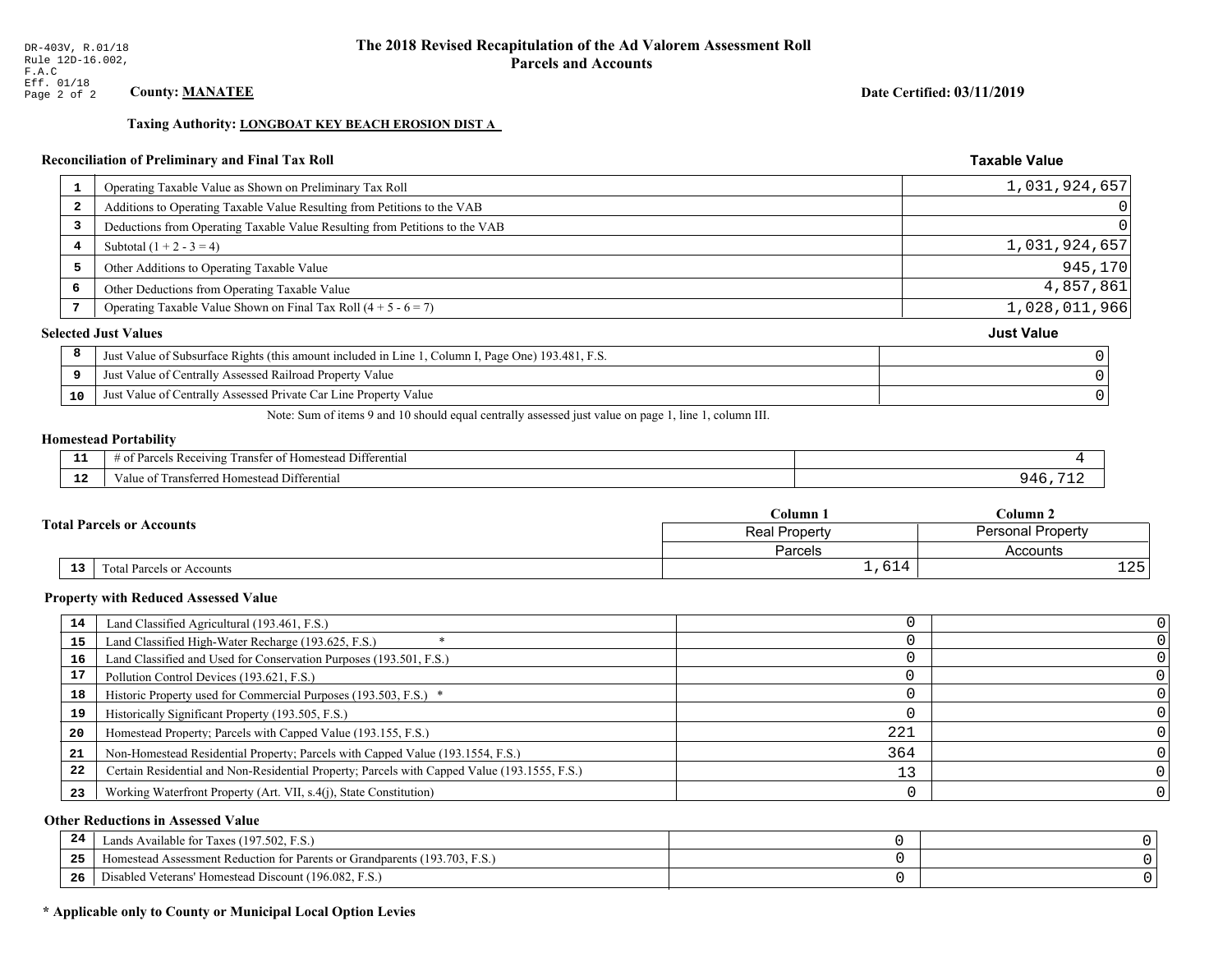## Date Certified: 03/11/2019

**Taxable Value** 

## Taxing Authority: LONGBOAT KEY BEACH EROSION DIST A

## Reconciliation of Preliminary and Final Tax Roll

| $\mathbf{1}$ | Operating Taxable Value as Shown on Preliminary Tax Roll                                           | 1,031,924,657     |
|--------------|----------------------------------------------------------------------------------------------------|-------------------|
| 2            | Additions to Operating Taxable Value Resulting from Petitions to the VAB                           | 0                 |
| 3            | Deductions from Operating Taxable Value Resulting from Petitions to the VAB                        | 0                 |
| 4            | Subtotal $(1 + 2 - 3 = 4)$                                                                         | 1,031,924,657     |
| 5            | Other Additions to Operating Taxable Value                                                         | 945,170           |
| 6            | Other Deductions from Operating Taxable Value                                                      | 4,857,861         |
|              | Operating Taxable Value Shown on Final Tax Roll $(4 + 5 - 6 = 7)$                                  | 1,028,011,966     |
|              | <b>Selected Just Values</b>                                                                        | <b>Just Value</b> |
| 8            | Just Value of Subsurface Rights (this amount included in Line 1, Column I, Page One) 193.481, F.S. |                   |
| 9            | Just Value of Centrally Assessed Railroad Property Value                                           |                   |
| 10           | Just Value of Centrally Assessed Private Car Line Property Value                                   |                   |

Note: Sum of items 9 and 10 should equal centrally assessed just value on page 1, line 1, column III.

## **Homestead Portability**

|               | $\sim$ $\sim$ $\sim$<br>l Differential<br>s Receiving<br>r of Homestead<br>ranster<br>'arce |  |
|---------------|---------------------------------------------------------------------------------------------|--|
| $\sim$<br>. . | Transferred Homestead Differential<br>Value of                                              |  |

|                                                     | $C$ olumn $\Box$                          | Column 2  |  |
|-----------------------------------------------------|-------------------------------------------|-----------|--|
| <b>Total Parcels or Accounts</b>                    | Personal Property<br><b>Real Property</b> |           |  |
|                                                     | Parcels                                   | Accounts  |  |
| $\overline{13}$<br><b>Total Parcels or Accounts</b> | 1,614                                     | つに<br>ᆂᅀᇰ |  |

#### **Property with Reduced Assessed Value**

| 14 | Land Classified Agricultural (193.461, F.S.)                                                 |     |   |
|----|----------------------------------------------------------------------------------------------|-----|---|
| 15 | Land Classified High-Water Recharge (193.625, F.S.)                                          |     |   |
| 16 | Land Classified and Used for Conservation Purposes (193.501, F.S.)                           |     |   |
|    | Pollution Control Devices (193.621, F.S.)                                                    |     |   |
| 18 | Historic Property used for Commercial Purposes (193.503, F.S.) *                             |     |   |
| 19 | Historically Significant Property (193.505, F.S.)                                            |     |   |
| 20 | Homestead Property; Parcels with Capped Value (193.155, F.S.)                                | 221 |   |
| 21 | Non-Homestead Residential Property; Parcels with Capped Value (193.1554, F.S.)               | 364 |   |
| 22 | Certain Residential and Non-Residential Property; Parcels with Capped Value (193.1555, F.S.) |     |   |
| 23 | Working Waterfront Property (Art. VII, s.4(j), State Constitution)                           |     | 0 |

## **Other Reductions in Assessed Value**

| 24  | Lands Available for Taxes (197.502, F.S.)                                        |  |
|-----|----------------------------------------------------------------------------------|--|
| .   | (193.703, F.S.<br>Aomestead Assessment Reduction for Parents or Grandparents (1) |  |
| -26 | d Veterans' Homestead Discount (196.082, F.S.)<br>Disabled                       |  |

## \* Applicable only to County or Municipal Local Option Levies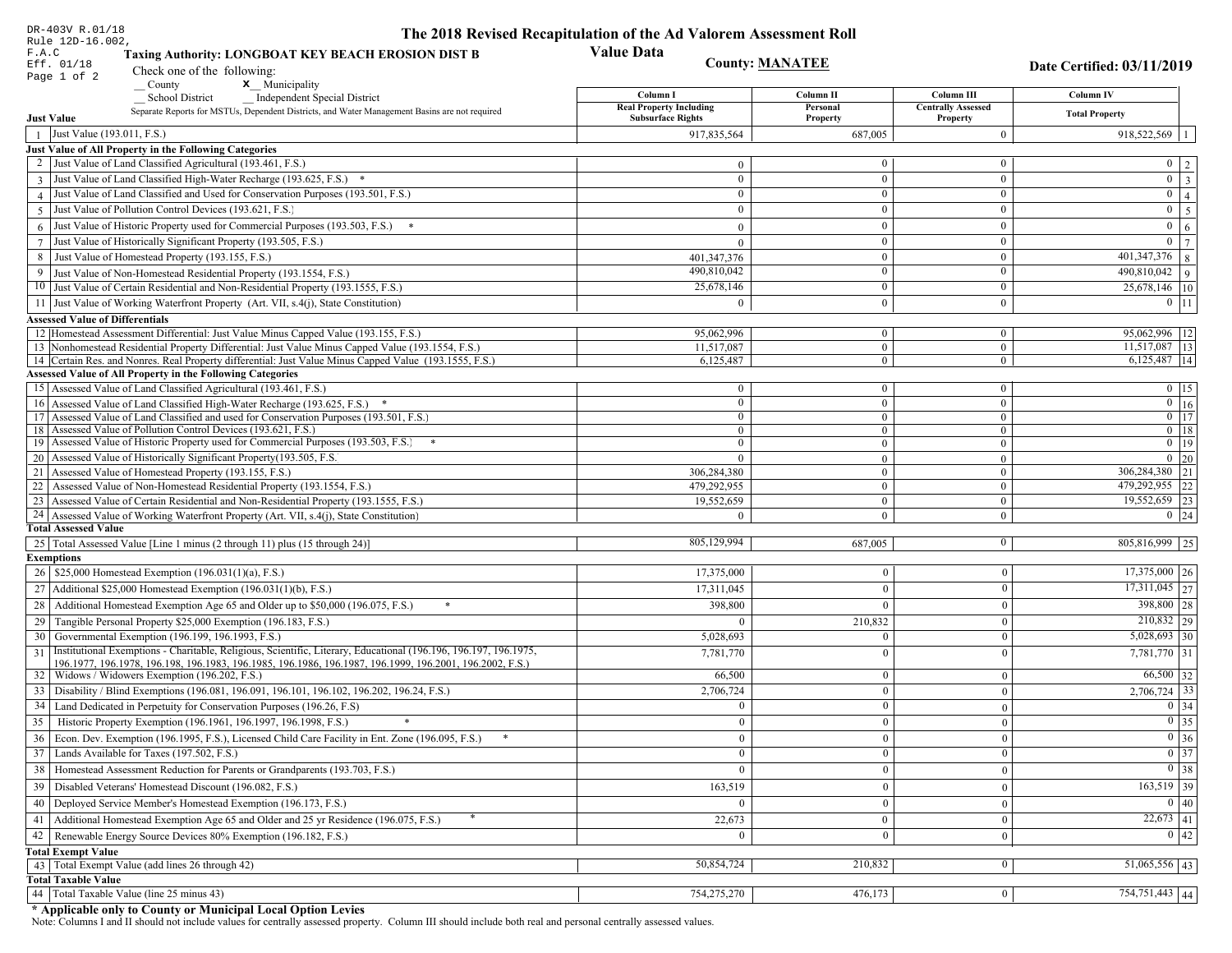| DR-403V R.01/18                                                                                                                                                         | The 2018 Revised Recapitulation of the Ad Valorem Assessment Roll |                        |                                       |                                                     |
|-------------------------------------------------------------------------------------------------------------------------------------------------------------------------|-------------------------------------------------------------------|------------------------|---------------------------------------|-----------------------------------------------------|
| Rule 12D-16.002,<br>F.A.C<br>Taxing Authority: LONGBOAT KEY BEACH EROSION DIST B                                                                                        | <b>Value Data</b>                                                 |                        |                                       |                                                     |
| Eff. 01/18<br>Check one of the following:                                                                                                                               |                                                                   | <b>County: MANATEE</b> |                                       | Date Certified: 03/11/2019                          |
| Page 1 of 2<br>County<br>x Municipality                                                                                                                                 |                                                                   |                        |                                       |                                                     |
| <b>School District</b><br><b>Independent Special District</b>                                                                                                           | Column I                                                          | Column II              | Column III                            | Column IV                                           |
| Separate Reports for MSTUs, Dependent Districts, and Water Management Basins are not required<br><b>Just Value</b>                                                      | <b>Real Property Including</b><br><b>Subsurface Rights</b>        | Personal<br>Property   | <b>Centrally Assessed</b><br>Property | <b>Total Property</b>                               |
| Just Value (193.011, F.S.)<br>$\overline{1}$                                                                                                                            | 917,835,564                                                       | 687,005                | $\boldsymbol{0}$                      | $918,522,569$   1                                   |
| Just Value of All Property in the Following Categories                                                                                                                  |                                                                   |                        |                                       |                                                     |
| 2 Just Value of Land Classified Agricultural (193.461, F.S.)                                                                                                            | $\mathbf{0}$                                                      | $\bf{0}$               | $\boldsymbol{0}$                      | $0 \mid 2$                                          |
| 3 Just Value of Land Classified High-Water Recharge (193.625, F.S.) *                                                                                                   | $\mathbf{0}$                                                      | $\boldsymbol{0}$       | $\boldsymbol{0}$                      | $0 \mid 3$                                          |
| 4 Just Value of Land Classified and Used for Conservation Purposes (193.501, F.S.)                                                                                      | $\overline{0}$                                                    | $\boldsymbol{0}$       | $\boldsymbol{0}$                      | $\overline{0}$ 4                                    |
| Just Value of Pollution Control Devices (193.621, F.S.)<br>$\overline{5}$                                                                                               | $\mathbf{0}$                                                      | $\mathbf{0}$           | $\boldsymbol{0}$                      | $\overline{0}$ 5                                    |
| $6$ Just Value of Historic Property used for Commercial Purposes (193.503, F.S.) $*$                                                                                    | $\Omega$                                                          | $\Omega$               | $\boldsymbol{0}$                      | $0 \mid 6$                                          |
| 7 Just Value of Historically Significant Property (193.505, F.S.)                                                                                                       | $\mathbf{0}$                                                      | $\mathbf{0}$           | $\boldsymbol{0}$                      | $0 \mid 7 \mid$                                     |
| 8 Just Value of Homestead Property (193.155, F.S.)                                                                                                                      | 401,347,376                                                       | $\mathbf{0}$           | $\boldsymbol{0}$                      | $401,347,376$ 8                                     |
| 9 Just Value of Non-Homestead Residential Property (193.1554, F.S.)                                                                                                     | 490,810,042                                                       | $\overline{0}$         | $\mathbf{0}$                          | $\overline{490,810,042}$   9                        |
| 10 Just Value of Certain Residential and Non-Residential Property (193.1555, F.S.)                                                                                      | 25,678,146                                                        | $\mathbf{0}$           | $\boldsymbol{0}$                      | 25,678,146 10                                       |
| 11 Just Value of Working Waterfront Property (Art. VII, s.4(j), State Constitution)                                                                                     | $\Omega$                                                          | $\theta$               | $\mathbf{0}$                          | $0 \vert 11$                                        |
| <b>Assessed Value of Differentials</b>                                                                                                                                  |                                                                   |                        |                                       |                                                     |
| 12 Homestead Assessment Differential: Just Value Minus Capped Value (193.155, F.S.)                                                                                     | 95,062,996                                                        | $\overline{0}$         | $\boldsymbol{0}$                      | 95,062,996   12                                     |
| 13 Nonhomestead Residential Property Differential: Just Value Minus Capped Value (193.1554, F.S.)                                                                       | 11,517,087                                                        | $\mathbf{0}$           | $\mathbf{0}$                          | $11,517,087$   13                                   |
| 14 Certain Res. and Nonres. Real Property differential: Just Value Minus Capped Value (193.1555, F.S.)                                                                  | 6,125,487                                                         | $\mathbf{0}$           | $\mathbf{0}$                          | $6,125,487$   14                                    |
| <b>Assessed Value of All Property in the Following Categories</b>                                                                                                       |                                                                   |                        |                                       |                                                     |
| 15 Assessed Value of Land Classified Agricultural (193.461, F.S.)                                                                                                       | $\mathbf{0}$                                                      | $\mathbf{0}$           | $\mathbf{0}$                          | $0 \mid 15$                                         |
| 16 Assessed Value of Land Classified High-Water Recharge (193.625, F.S.)                                                                                                | $\overline{0}$                                                    | $\mathbf{0}$           | $\mathbf{0}$                          | $\overline{0}$ 16                                   |
| 17 Assessed Value of Land Classified and used for Conservation Purposes (193.501, F.S.)                                                                                 | $\overline{0}$                                                    | $\mathbf{0}$           | $\mathbf{0}$                          | $0 \mid 17$                                         |
| 18 Assessed Value of Pollution Control Devices (193.621, F.S.)                                                                                                          | $\mathbf{0}$                                                      | $\mathbf{0}$           | $\overline{0}$                        | $0$ 18                                              |
| 19 Assessed Value of Historic Property used for Commercial Purposes (193.503, F.S.)                                                                                     | $\overline{0}$                                                    | $\mathbf{0}$           | $\mathbf{0}$                          | $0 \t19$                                            |
| 20 Assessed Value of Historically Significant Property (193.505, F.S.                                                                                                   | $\theta$                                                          | $\overline{0}$         | $\overline{0}$                        | $0\quad20$                                          |
| 21 Assessed Value of Homestead Property (193.155, F.S.)                                                                                                                 | 306,284,380                                                       | $\overline{0}$         | $\mathbf{0}$                          | $\overline{306,284,380}$ 21                         |
| 22 Assessed Value of Non-Homestead Residential Property (193.1554, F.S.)                                                                                                | 479,292,955                                                       | $\overline{0}$         | $\overline{0}$                        | 479,292,955 22<br>19,552,659 23                     |
| 23 Assessed Value of Certain Residential and Non-Residential Property (193.1555, F.S.)                                                                                  | 19,552,659                                                        | $\mathbf{0}$           | $\mathbf{0}$                          |                                                     |
| 24 Assessed Value of Working Waterfront Property (Art. VII, s.4(j), State Constitution<br><b>Total Assessed Value</b>                                                   | $\Omega$                                                          | $\overline{0}$         | $\mathbf{0}$                          | $0 \mid 24$                                         |
| 25   Total Assessed Value [Line 1 minus (2 through 11) plus (15 through 24)]                                                                                            | 805,129,994                                                       | 687,005                | $\bf{0}$                              | 805,816,999 25                                      |
| <b>Exemptions</b>                                                                                                                                                       |                                                                   |                        |                                       |                                                     |
| 26   \$25,000 Homestead Exemption (196.031(1)(a), F.S.)                                                                                                                 | 17,375,000                                                        | $\mathbf{0}$           | $\overline{0}$                        | $17,375,000$ 26                                     |
| 27   Additional \$25,000 Homestead Exemption (196.031(1)(b), F.S.)                                                                                                      | 17,311,045                                                        | $\theta$               | $\theta$                              | $\overline{17,311,045}$ 27                          |
|                                                                                                                                                                         |                                                                   | $\Omega$               | $\Omega$                              | 398,800 28                                          |
| 28 Additional Homestead Exemption Age 65 and Older up to \$50,000 (196.075, F.S.)                                                                                       | 398,800                                                           |                        |                                       |                                                     |
| 29 Tangible Personal Property \$25,000 Exemption (196.183, F.S.)                                                                                                        | $\theta$                                                          | 210,832                | $\Omega$                              | $210,832$ 29<br>$5,028,693$ 30                      |
| 30 Governmental Exemption (196.199, 196.1993, F.S.)<br>Institutional Exemptions - Charitable, Religious, Scientific, Literary, Educational (196.196, 196.197, 196.1975, | 5,028,693                                                         | $\Omega$               | $\Omega$                              |                                                     |
| 31<br>196.1977, 196.1978, 196.198, 196.1983, 196.1985, 196.1986, 196.1987, 196.1999, 196.2001, 196.2002, F.S.)                                                          | 7,781,770                                                         | $\Omega$               | $\Omega$                              | 7,781,770 31                                        |
| 32   Widows / Widowers Exemption (196.202, F.S.)                                                                                                                        | 66,500                                                            | $\Omega$               | $\mathbf{0}$                          | $66,500$ 32                                         |
| 33   Disability / Blind Exemptions (196.081, 196.091, 196.101, 196.102, 196.202, 196.24, F.S.)                                                                          | 2,706,724                                                         | $\Omega$               | $\Omega$                              | $2,706,724$ 33                                      |
| 34   Land Dedicated in Perpetuity for Conservation Purposes (196.26, F.S)                                                                                               | $\mathbf{0}$                                                      | $\Omega$               | $\Omega$                              | $0 \mid 34$                                         |
| 35 Historic Property Exemption (196.1961, 196.1997, 196.1998, F.S.)                                                                                                     | $\overline{0}$                                                    | $\bf{0}$               | $\vert 0 \vert$                       | $\boxed{0}$ 35                                      |
| 36 Econ. Dev. Exemption (196.1995, F.S.), Licensed Child Care Facility in Ent. Zone (196.095, F.S.)                                                                     | $\overline{0}$                                                    | $\mathbf{0}$           | $\theta$                              | $0\vert 36$                                         |
| 37 Lands Available for Taxes (197.502, F.S.)                                                                                                                            | $\mathbf{0}$                                                      | $\overline{0}$         | $\bf{0}$                              | $\boxed{0}$ 37                                      |
| 38   Homestead Assessment Reduction for Parents or Grandparents (193.703, F.S.)                                                                                         | $\mathbf{0}$                                                      | $\mathbf{0}$           | $\Omega$                              | $0 \mid 38$                                         |
| 39   Disabled Veterans' Homestead Discount (196.082, F.S.)                                                                                                              |                                                                   | $\Omega$               |                                       | $\sqrt{163,519}$ 39                                 |
|                                                                                                                                                                         | 163,519                                                           |                        | $\Omega$                              |                                                     |
| 40   Deployed Service Member's Homestead Exemption (196.173, F.S.)                                                                                                      | $\theta$                                                          | $\mathbf{0}$           | $\theta$                              | 0 40                                                |
| 41   Additional Homestead Exemption Age 65 and Older and 25 yr Residence (196.075, F.S.)                                                                                | 22,673                                                            | $\Omega$               | $\overline{0}$                        | $\overline{22,673}$ 41                              |
| 42 Renewable Energy Source Devices 80% Exemption (196.182, F.S.)                                                                                                        | $\mathbf{0}$                                                      | $\Omega$               | $\theta$                              | $\begin{array}{ c c }\n\hline\n0 & 42\n\end{array}$ |
| <b>Total Exempt Value</b>                                                                                                                                               |                                                                   |                        |                                       |                                                     |
| 43 Total Exempt Value (add lines 26 through 42)                                                                                                                         | 50,854,724                                                        | 210,832                | $\Omega$                              | $\overline{51,065,556}$ 43                          |
| <b>Total Taxable Value</b>                                                                                                                                              |                                                                   |                        |                                       |                                                     |
| 44 Total Taxable Value (line 25 minus 43)                                                                                                                               | 754,275,270                                                       | 476,173                | $\bf{0}$                              | 754,751,443 44                                      |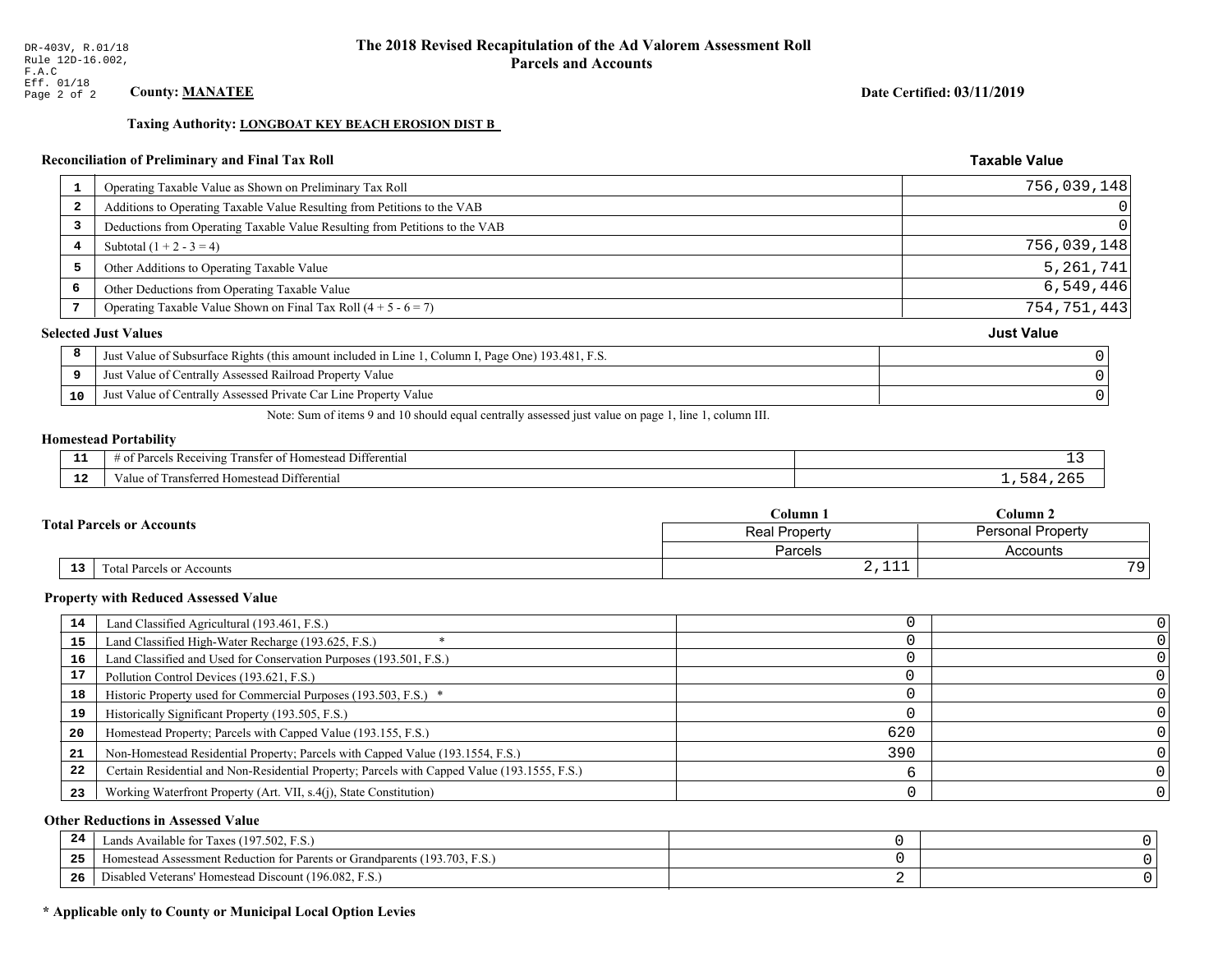## Date Certified: 03/11/2019

**Taxable Value** 

## Taxing Authority: LONGBOAT KEY BEACH EROSION DIST B

## Reconciliation of Preliminary and Final Tax Roll

| Operating Taxable Value as Shown on Preliminary Tax Roll<br>Additions to Operating Taxable Value Resulting from Petitions to the VAB<br>Deductions from Operating Taxable Value Resulting from Petitions to the VAB | 756,039,148       |
|---------------------------------------------------------------------------------------------------------------------------------------------------------------------------------------------------------------------|-------------------|
|                                                                                                                                                                                                                     |                   |
|                                                                                                                                                                                                                     |                   |
|                                                                                                                                                                                                                     |                   |
| Subtotal $(1 + 2 - 3 = 4)$                                                                                                                                                                                          | 756,039,148       |
| Other Additions to Operating Taxable Value                                                                                                                                                                          | 5,261,741         |
| Other Deductions from Operating Taxable Value                                                                                                                                                                       | 6,549,446         |
| Operating Taxable Value Shown on Final Tax Roll $(4 + 5 - 6 = 7)$                                                                                                                                                   | 754, 751, 443     |
| <b>Selected Just Values</b>                                                                                                                                                                                         | <b>Just Value</b> |
| Just Value of Subsurface Rights (this amount included in Line 1, Column I, Page One) 193.481, F.S.                                                                                                                  |                   |
| Just Value of Centrally Assessed Railroad Property Value                                                                                                                                                            |                   |
| Just Value of Centrally Assessed Private Car Line Property Value                                                                                                                                                    |                   |
|                                                                                                                                                                                                                     |                   |

Note: Sum of items 9 and 10 should equal centrally assessed just value on page 1, line 1, column III.

#### **Homestead Portability**

l,

| - 3          | $\sim$ $\sim$<br>l Differential<br>als Receiving.<br>ranster<br>ำ∩†<br>i Homestead<br>arce <sup>r</sup><br>ിവ<br>. . | <u>—</u>              |
|--------------|----------------------------------------------------------------------------------------------------------------------|-----------------------|
| - - -<br>-44 | ransferred<br>l Homestead Differential<br>alue                                                                       | 684<br>2 <sub>h</sub> |

|                                        | Column 1                                  | $C$ olumn 2 |
|----------------------------------------|-------------------------------------------|-------------|
| <b>Fotal Parcels or Accounts</b>       | <b>Personal Property</b><br>Real Property |             |
|                                        | Parcels                                   | Accounts    |
| 13<br><b>Total Parcels or Accounts</b> | $-1$<br>$4 + + +$                         | 70          |

#### **Property with Reduced Assessed Value**

| 14 | Land Classified Agricultural (193.461, F.S.)                                                 |     |  |
|----|----------------------------------------------------------------------------------------------|-----|--|
| 15 | Land Classified High-Water Recharge (193.625, F.S.)                                          |     |  |
| 16 | Land Classified and Used for Conservation Purposes (193.501, F.S.)                           |     |  |
| 17 | Pollution Control Devices (193.621, F.S.)                                                    |     |  |
| 18 | Historic Property used for Commercial Purposes (193.503, F.S.) *                             |     |  |
| 19 | Historically Significant Property (193.505, F.S.)                                            |     |  |
| 20 | Homestead Property; Parcels with Capped Value (193.155, F.S.)                                | 620 |  |
| 21 | Non-Homestead Residential Property; Parcels with Capped Value (193.1554, F.S.)               | 390 |  |
| 22 | Certain Residential and Non-Residential Property; Parcels with Capped Value (193.1555, F.S.) |     |  |
| 23 | Working Waterfront Property (Art. VII, s.4(j), State Constitution)                           |     |  |

## **Other Reductions in Assessed Value**

| 24    | Lands Available for Taxes (197.502, F.S.)                                  |  |
|-------|----------------------------------------------------------------------------|--|
| - - - | Iomestead Assessment Reduction for Parents or Grandparents (193.703, F.S.) |  |
| -26   | Disabled Veterans' Homestead Discount (196.082, F.S.)                      |  |

## \* Applicable only to County or Municipal Local Option Levies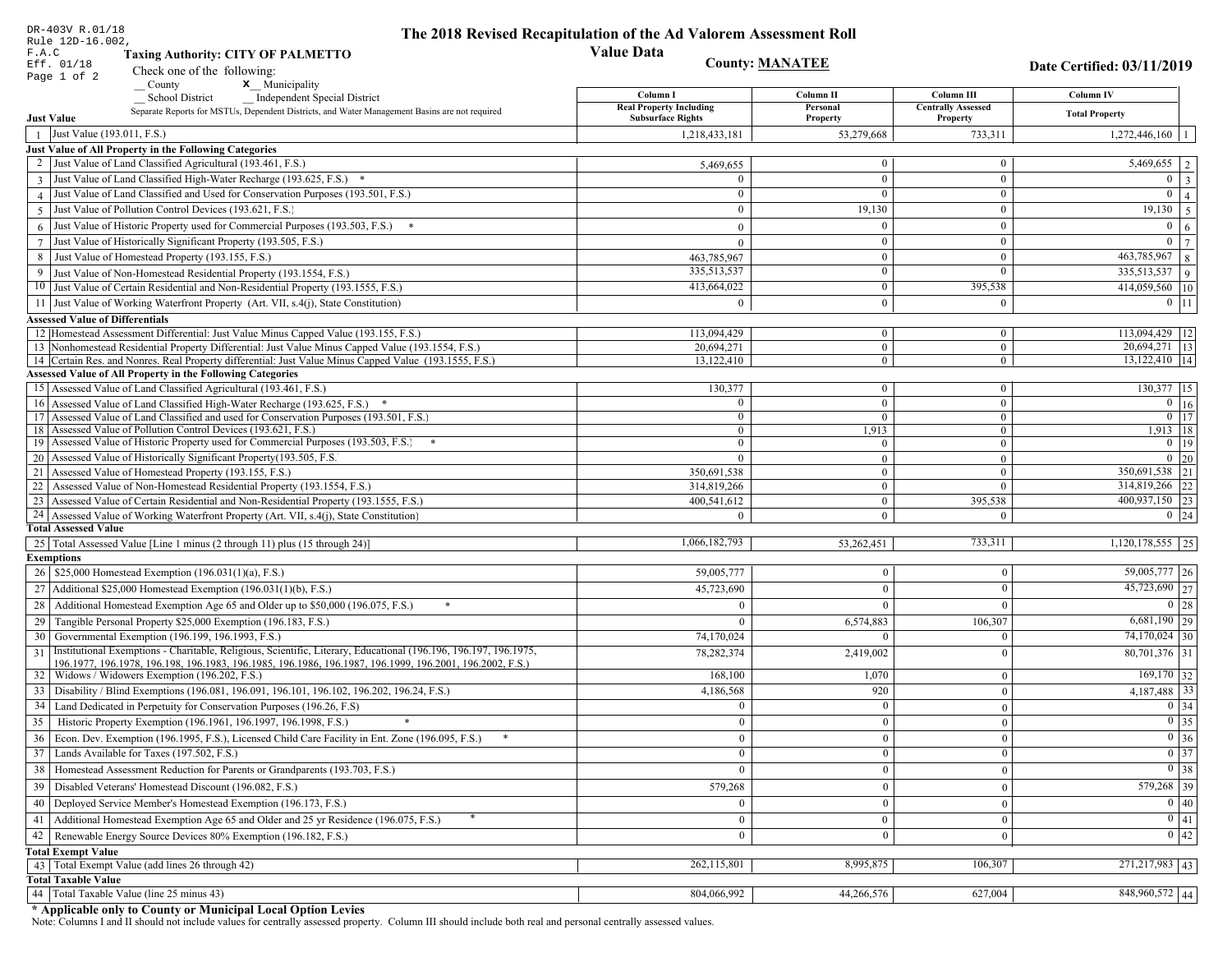| DR-403V R.01/18                                                                                                                                                                                             | The 2018 Revised Recapitulation of the Ad Valorem Assessment Roll |                                  |                                       |                                    |
|-------------------------------------------------------------------------------------------------------------------------------------------------------------------------------------------------------------|-------------------------------------------------------------------|----------------------------------|---------------------------------------|------------------------------------|
| Rule 12D-16.002,<br>F.A.C<br><b>Taxing Authority: CITY OF PALMETTO</b>                                                                                                                                      | <b>Value Data</b>                                                 |                                  |                                       |                                    |
| Eff. 01/18<br>Check one of the following:                                                                                                                                                                   |                                                                   | <b>County: MANATEE</b>           |                                       | Date Certified: 03/11/2019         |
| Page 1 of 2<br>x Municipality<br>County                                                                                                                                                                     |                                                                   |                                  |                                       |                                    |
| <b>School District</b><br><b>Independent Special District</b>                                                                                                                                               | Column I                                                          | Column II                        | Column III                            | Column IV                          |
| Separate Reports for MSTUs, Dependent Districts, and Water Management Basins are not required<br><b>Just Value</b>                                                                                          | <b>Real Property Including</b><br><b>Subsurface Rights</b>        | Personal<br>Property             | <b>Centrally Assessed</b><br>Property | <b>Total Property</b>              |
| Just Value (193.011, F.S.)                                                                                                                                                                                  | 1,218,433,181                                                     | 53,279,668                       | 733,311                               | 1,272,446,160                      |
| Just Value of All Property in the Following Categories                                                                                                                                                      |                                                                   |                                  |                                       |                                    |
| 2 Just Value of Land Classified Agricultural (193.461, F.S.)                                                                                                                                                | 5,469,655                                                         | $\overline{0}$                   | $\bf{0}$                              | $\overline{5,469,655}$   2         |
| 3 Just Value of Land Classified High-Water Recharge (193.625, F.S.) *                                                                                                                                       |                                                                   | $\theta$                         | $\mathbf{0}$                          | $\overline{0}$<br> 3               |
| 4 Just Value of Land Classified and Used for Conservation Purposes (193.501, F.S.)                                                                                                                          | $\sqrt{ }$                                                        | $\Omega$                         | $\bf{0}$                              | $\mathbf{0}$<br>4 <sup>1</sup>     |
| 5 Just Value of Pollution Control Devices (193.621, F.S.)                                                                                                                                                   | $\Omega$                                                          | 19,130                           | $\overline{0}$                        | $19,130$ 5                         |
| Just Value of Historic Property used for Commercial Purposes (193.503, F.S.)                                                                                                                                |                                                                   |                                  | $\mathbf{0}$                          | $\mathbf{0}$<br>6 <sup>1</sup>     |
| 6                                                                                                                                                                                                           |                                                                   | $\overline{0}$                   | $\overline{0}$                        | $\overline{0}$<br> 7               |
| Just Value of Historically Significant Property (193.505, F.S.)<br>$\overline{7}$<br>Just Value of Homestead Property (193.155, F.S.)                                                                       | $\theta$                                                          | $\bf{0}$                         | $\bf{0}$                              | 463,785,967                        |
| 8                                                                                                                                                                                                           | 463,785,967<br>335,513,537                                        | $\overline{0}$                   | $\mathbf{0}$                          | 8                                  |
| Just Value of Non-Homestead Residential Property (193.1554, F.S.)<br>9                                                                                                                                      |                                                                   | $\overline{0}$                   |                                       | $335,513,537$ 9                    |
| 10 Just Value of Certain Residential and Non-Residential Property (193.1555, F.S.)                                                                                                                          | 413,664,022                                                       |                                  | 395,538                               | 414,059,560   10                   |
| 11 Just Value of Working Waterfront Property (Art. VII, s.4(j), State Constitution)                                                                                                                         | 0                                                                 | $\Omega$                         | $\overline{0}$                        | $0$   11                           |
| <b>Assessed Value of Differentials</b>                                                                                                                                                                      |                                                                   |                                  |                                       |                                    |
| 12 Homestead Assessment Differential: Just Value Minus Capped Value (193.155, F.S.)                                                                                                                         | 113,094,429                                                       | $\overline{0}$                   | $\bf{0}$                              | 113,094,429   12                   |
| 13 Nonhomestead Residential Property Differential: Just Value Minus Capped Value (193.1554, F.S.)<br>14 Certain Res. and Nonres. Real Property differential: Just Value Minus Capped Value (193.1555, F.S.) | 20.694.271<br>13,122,410                                          | $\overline{0}$<br>$\overline{0}$ | $\mathbf{0}$<br>$\overline{0}$        | 20,694,271   13<br>13,122,410   14 |
| <b>Assessed Value of All Property in the Following Categories</b>                                                                                                                                           |                                                                   |                                  |                                       |                                    |
| 15 Assessed Value of Land Classified Agricultural (193.461, F.S.)                                                                                                                                           | 130,377                                                           | $\bf{0}$                         | $\bf{0}$                              | 130,377 15                         |
| 16 Assessed Value of Land Classified High-Water Recharge (193.625, F.S.) *                                                                                                                                  | $\Omega$                                                          | $\overline{0}$                   | $\mathbf{0}$                          | $\overline{0}$ 16                  |
| 17 Assessed Value of Land Classified and used for Conservation Purposes (193.501, F.S.)                                                                                                                     | $\bf{0}$                                                          | $\mathbf{0}$                     | $\bf{0}$                              | $\boxed{0}$ 17                     |
| 18 Assessed Value of Pollution Control Devices (193.621, F.S.)                                                                                                                                              | $\overline{0}$                                                    | 1,913                            | $\overline{0}$                        | 1,913   18                         |
| 19 Assessed Value of Historic Property used for Commercial Purposes (193.503, F.S.)                                                                                                                         | $\mathbf{0}$                                                      | $\mathbf{0}$                     | $\bf{0}$                              | $0$ 19                             |
| 20 Assessed Value of Historically Significant Property (193.505, F.S.                                                                                                                                       | $\theta$                                                          | $\overline{0}$                   | $\overline{0}$                        | $0 \quad 20$                       |
| 21 Assessed Value of Homestead Property (193.155, F.S.)                                                                                                                                                     | 350,691,538                                                       | $\overline{0}$                   | $\bf{0}$                              | 350,691,538 21                     |
| 22 Assessed Value of Non-Homestead Residential Property (193.1554, F.S.)                                                                                                                                    | 314,819,266                                                       | $\overline{0}$                   | $\mathbf{0}$                          | 314,819,266 22                     |
| 23 Assessed Value of Certain Residential and Non-Residential Property (193.1555, F.S.)                                                                                                                      | 400,541,612                                                       | $\bf{0}$                         | 395,538                               | 400,937,150 23                     |
| 24 Assessed Value of Working Waterfront Property (Art. VII, s.4(j), State Constitution)                                                                                                                     |                                                                   | $\overline{0}$                   | $\theta$                              | $0 \mid 24$                        |
| <b>Total Assessed Value</b>                                                                                                                                                                                 |                                                                   |                                  |                                       |                                    |
| 25 Total Assessed Value [Line 1 minus (2 through 11) plus (15 through 24)]                                                                                                                                  | 1,066,182,793                                                     | 53,262,451                       | 733,311                               | $1,120,178,555$   25               |
| <b>Exemptions</b>                                                                                                                                                                                           |                                                                   |                                  |                                       |                                    |
| 26   \$25,000 Homestead Exemption (196.031(1)(a), F.S.)                                                                                                                                                     | 59,005,777                                                        | $\boldsymbol{0}$                 | $\boldsymbol{0}$                      | 59,005,777   26                    |
| 27   Additional \$25,000 Homestead Exemption (196.031(1)(b), F.S.)                                                                                                                                          | 45,723,690                                                        | $\overline{0}$                   | $\mathbf{0}$                          | 45,723,690 27                      |
| Additional Homestead Exemption Age 65 and Older up to \$50,000 (196.075, F.S.)<br>28                                                                                                                        | $\Omega$                                                          | $\overline{0}$                   | $\theta$                              | 0 28                               |
| Tangible Personal Property \$25,000 Exemption (196.183, F.S.)<br>29                                                                                                                                         | $\Omega$                                                          | 6,574,883                        | 106,307                               | $6,681,190$ 29                     |
| Governmental Exemption (196.199, 196.1993, F.S.)<br>30                                                                                                                                                      | 74,170,024                                                        | $\theta$                         | $\theta$                              | $74,170,024$ 30                    |
| Institutional Exemptions - Charitable, Religious, Scientific, Literary, Educational (196.196, 196.197, 196.1975,<br>31                                                                                      | 78,282,374                                                        | 2,419,002                        | $\mathbf{0}$                          | $80,701,376$ 31                    |
| 196.1977, 196.1978, 196.198, 196.1983, 196.1985, 196.1986, 196.1987, 196.1999, 196.2001, 196.2002, F.S.)                                                                                                    |                                                                   |                                  |                                       |                                    |
| 32   Widows / Widowers Exemption (196.202, F.S.)                                                                                                                                                            | 168,100                                                           | 1,070                            | $\mathbf{0}$                          | $169,170$ 32                       |
| 33 Disability / Blind Exemptions (196.081, 196.091, 196.101, 196.102, 196.202, 196.24, F.S.)                                                                                                                | 4,186,568                                                         | 920                              | $\overline{0}$                        | 4,187,488 33                       |
| 34<br>Land Dedicated in Perpetuity for Conservation Purposes (196.26, F.S)                                                                                                                                  | $\Omega$                                                          | $\mathbf{0}$                     | $\overline{0}$                        | 0 34                               |
| 35 Historic Property Exemption (196.1961, 196.1997, 196.1998, F.S.)                                                                                                                                         | $\mathbf{0}$                                                      | 0 <sup>1</sup>                   | $\vert$ 0                             | $\boxed{0}$ 35                     |
| 36 Econ. Dev. Exemption (196.1995, F.S.), Licensed Child Care Facility in Ent. Zone (196.095, F.S.)                                                                                                         | $\overline{0}$                                                    | $\overline{0}$                   | $\mathbf{0}$                          | $0 \mid 36$                        |
| 37 Lands Available for Taxes (197.502, F.S.)                                                                                                                                                                | $\overline{0}$                                                    | $\vert 0 \vert$                  | $\mathbf{0}$                          | $\boxed{0}$ 37                     |
| 38   Homestead Assessment Reduction for Parents or Grandparents (193.703, F.S.)                                                                                                                             | $\overline{0}$                                                    | $\bf{0}$                         | $\mathbf{0}$                          | $0 \overline{\smash)38}$           |
| Disabled Veterans' Homestead Discount (196.082, F.S.)<br>39                                                                                                                                                 | 579,268                                                           | $\mathbf{0}$                     | $\mathbf{0}$                          | 579,268 39                         |
| Deployed Service Member's Homestead Exemption (196.173, F.S.)<br>40                                                                                                                                         | $\overline{0}$                                                    | $\mathbf{0}$                     | $\mathbf{0}$                          | $\boxed{0}$ 40                     |
|                                                                                                                                                                                                             |                                                                   |                                  |                                       |                                    |
| Additional Homestead Exemption Age 65 and Older and 25 yr Residence (196.075, F.S.)<br>41                                                                                                                   | $\overline{0}$                                                    | $\bf{0}$                         | $\boldsymbol{0}$                      | 0 41                               |
| Renewable Energy Source Devices 80% Exemption (196.182, F.S.)<br>42                                                                                                                                         | $\mathbf{0}$                                                      | $\bf{0}$                         | $\mathbf{0}$                          | $0 \mid 42$                        |
| <b>Total Exempt Value</b>                                                                                                                                                                                   |                                                                   |                                  |                                       | $\overline{271,217,983}$ 43        |
| 43 Total Exempt Value (add lines 26 through 42)                                                                                                                                                             | 262,115,801                                                       | 8,995,875                        | 106,307                               |                                    |
| <b>Total Taxable Value</b><br>44 Total Taxable Value (line 25 minus 43)                                                                                                                                     | 804,066,992                                                       | 44,266,576                       |                                       | $848,960,572$ 44                   |
|                                                                                                                                                                                                             |                                                                   |                                  | 627,004                               |                                    |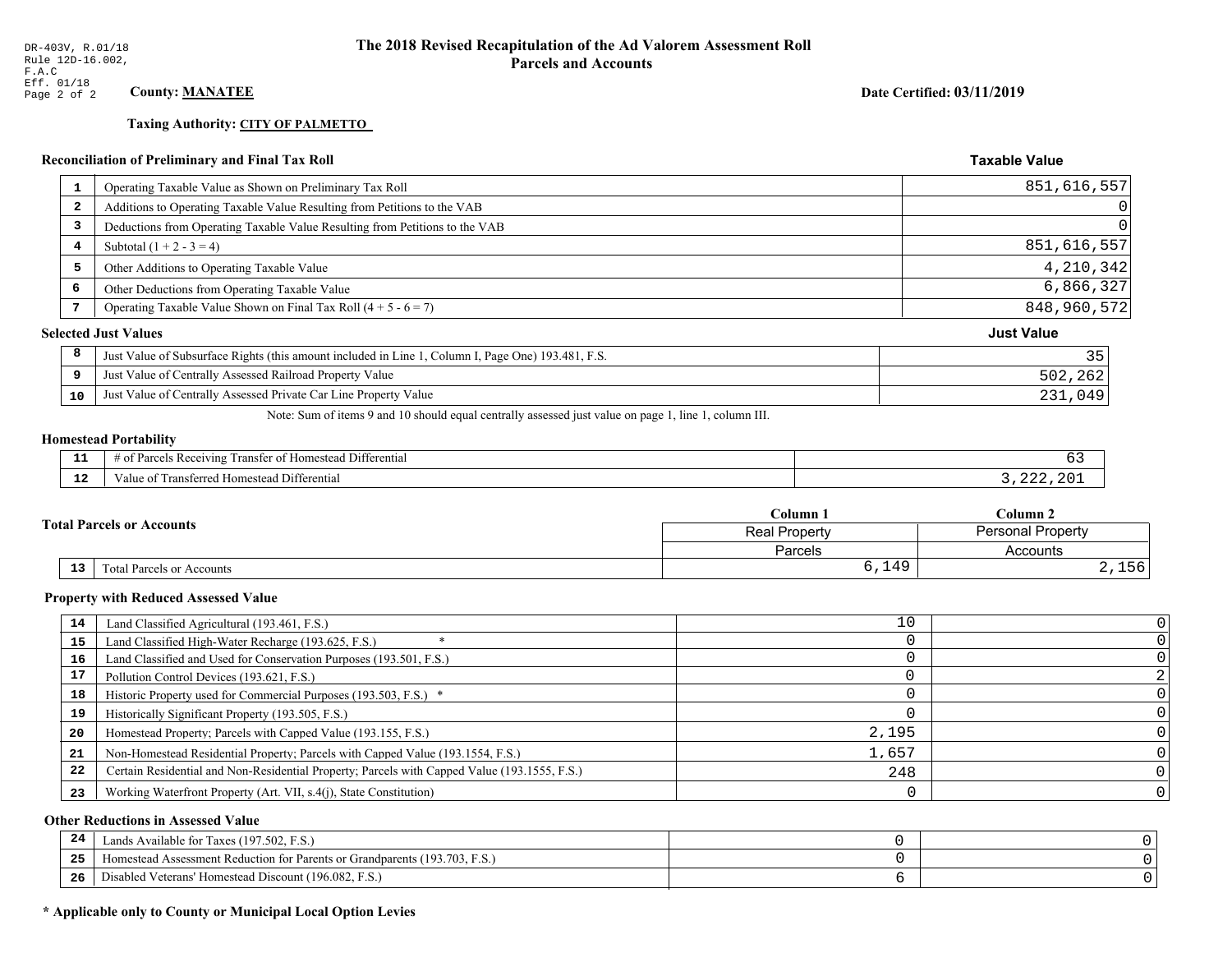# **Taxing Authority: CITY OF PALMETTO**

|    | <b>Reconciliation of Preliminary and Final Tax Roll</b>                                            | <b>Taxable Value</b> |
|----|----------------------------------------------------------------------------------------------------|----------------------|
| 1  | Operating Taxable Value as Shown on Preliminary Tax Roll                                           | 851,616,557          |
| 2  | Additions to Operating Taxable Value Resulting from Petitions to the VAB                           |                      |
| 3  | Deductions from Operating Taxable Value Resulting from Petitions to the VAB                        |                      |
| 4  | Subtotal $(1 + 2 - 3 = 4)$                                                                         | 851,616,557          |
| 5  | Other Additions to Operating Taxable Value                                                         | 4,210,342            |
| 6  | Other Deductions from Operating Taxable Value                                                      | 6,866,327            |
| 7  | Operating Taxable Value Shown on Final Tax Roll $(4 + 5 - 6 = 7)$                                  | 848,960,572          |
|    | <b>Selected Just Values</b>                                                                        | <b>Just Value</b>    |
| 8  | Just Value of Subsurface Rights (this amount included in Line 1, Column I, Page One) 193.481, F.S. | 35                   |
| 9  | Just Value of Centrally Assessed Railroad Property Value                                           | 502,262              |
| 10 | Just Value of Centrally Assessed Private Car Line Property Value                                   | 231,049              |
|    | المسامية المتحدث المنافس المتحدث المتحدث والمتحدث والمتحدث والمتحدث والمتحدث                       |                      |

Note: Sum of items 9 and 10 should equal centrally assessed just value on page 1, line 1, column III.

## **Homestead Portability**

| - -<br>--    | $\sim$ $\sim$<br>l Differential<br>ranster of<br>Parce<br>ceiving<br>: Homestead<br>- OT<br> |     |
|--------------|----------------------------------------------------------------------------------------------|-----|
| $\sim$<br>-- | $-$<br>Differentia<br>I ranster<br>Homestead<br>terred n<br>∕alu⊾                            | ח ר |

| Column                           |                                                  | $C$ olumn $2$ |
|----------------------------------|--------------------------------------------------|---------------|
| <b>Total Parcels or Accounts</b> | <b>Personal Property</b><br><b>Real Property</b> |               |
|                                  | Parcels                                          | Accounts      |
| 13<br>Total Parcels or Accounts  | 6,149                                            | 2,156         |

#### **Property with Reduced Assessed Value**

| 14 | Land Classified Agricultural (193.461, F.S.)                                                 | 10    |  |
|----|----------------------------------------------------------------------------------------------|-------|--|
| 15 | Land Classified High-Water Recharge (193.625, F.S.)                                          |       |  |
| 16 | Land Classified and Used for Conservation Purposes (193.501, F.S.)                           |       |  |
| 17 | Pollution Control Devices (193.621, F.S.)                                                    |       |  |
| 18 | Historic Property used for Commercial Purposes (193.503, F.S.) *                             |       |  |
| 19 | Historically Significant Property (193.505, F.S.)                                            |       |  |
| 20 | Homestead Property; Parcels with Capped Value (193.155, F.S.)                                | 2,195 |  |
| 21 | Non-Homestead Residential Property; Parcels with Capped Value (193.1554, F.S.)               | 1,657 |  |
| 22 | Certain Residential and Non-Residential Property; Parcels with Capped Value (193.1555, F.S.) | 248   |  |
| 23 | Working Waterfront Property (Art. VII, s.4(j), State Constitution)                           |       |  |

## **Other Reductions in Assessed Value**

| -44 | Available for Taxes (197.502, F.S.)                                          |  |
|-----|------------------------------------------------------------------------------|--|
| 25  | 'omestead Assessment Reduction for Parents or Grandparents $(193.703, F.S.)$ |  |
| 26  | isabled Veterans' Homestead Discount (196.082, F.S.)                         |  |

## \* Applicable only to County or Municipal Local Option Levies

Date Certified: 03/11/2019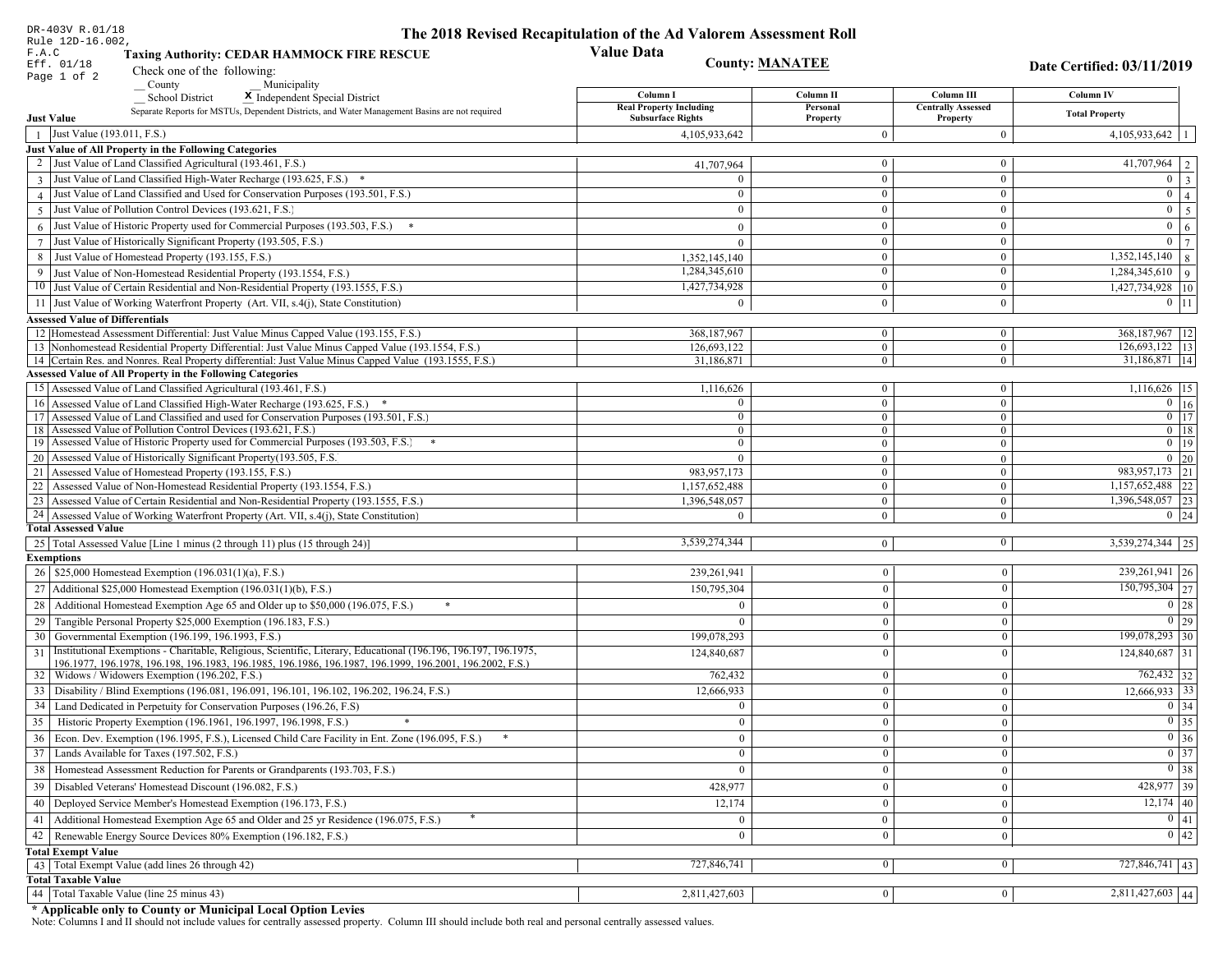| DR-403V R.01/18                                                                                                                                       | The 2018 Revised Recapitulation of the Ad Valorem Assessment Roll |                              |                                       |                                  |
|-------------------------------------------------------------------------------------------------------------------------------------------------------|-------------------------------------------------------------------|------------------------------|---------------------------------------|----------------------------------|
| Rule 12D-16.002,<br>F.A.C<br><b>Taxing Authority: CEDAR HAMMOCK FIRE RESCUE</b>                                                                       | <b>Value Data</b>                                                 |                              |                                       |                                  |
| Eff. 01/18<br>Check one of the following:                                                                                                             |                                                                   | <b>County: MANATEE</b>       |                                       | Date Certified: 03/11/2019       |
| Page 1 of 2<br>County<br>Municipality                                                                                                                 |                                                                   |                              |                                       |                                  |
| <b>School District</b><br>X Independent Special District                                                                                              | Column I                                                          | Column II                    | Column III                            | Column IV                        |
| Separate Reports for MSTUs, Dependent Districts, and Water Management Basins are not required<br><b>Just Value</b>                                    | <b>Real Property Including</b><br><b>Subsurface Rights</b>        | Personal<br>Property         | <b>Centrally Assessed</b><br>Property | <b>Total Property</b>            |
| 1 Just Value (193.011, F.S.)                                                                                                                          | 4,105,933,642                                                     | $\Omega$                     | $\boldsymbol{0}$                      | $4,105,933,642$   1              |
| Just Value of All Property in the Following Categories                                                                                                |                                                                   |                              |                                       |                                  |
| 2 Just Value of Land Classified Agricultural (193.461, F.S.)                                                                                          | 41,707,964                                                        | $\bf{0}$                     | $\mathbf{0}$                          | $\overline{41,707,964}$   2      |
| 3 Just Value of Land Classified High-Water Recharge (193.625, F.S.) *                                                                                 |                                                                   | $\mathbf{0}$                 | $\boldsymbol{0}$                      | $0 \mid 3$                       |
| 4 Just Value of Land Classified and Used for Conservation Purposes (193.501, F.S.)                                                                    | $\theta$                                                          | $\mathbf{0}$                 | $\boldsymbol{0}$                      | $\overline{0}$<br>$\overline{4}$ |
| 5 Just Value of Pollution Control Devices (193.621, F.S.)                                                                                             | $\Omega$                                                          | $\theta$                     | $\boldsymbol{0}$                      | $0 \mid 5$                       |
| $6$ Just Value of Historic Property used for Commercial Purposes (193.503, F.S.)                                                                      | $\Omega$                                                          | $\mathbf{0}$                 | $\boldsymbol{0}$                      | $\mathbf{0}$<br>6                |
| 7 Just Value of Historically Significant Property (193.505, F.S.)                                                                                     | $\Omega$                                                          | $\bf{0}$                     | $\boldsymbol{0}$                      | $0 \mid 7$                       |
| 8 Just Value of Homestead Property (193.155, F.S.)                                                                                                    | 1,352,145,140                                                     | $\bf{0}$                     | $\bf{0}$                              | $1,352,145,140$ 8                |
| 9 Just Value of Non-Homestead Residential Property (193.1554, F.S.)                                                                                   | 1,284,345,610                                                     | $\overline{0}$               | $\mathbf{0}$                          | $1,284,345,610$ 9                |
| 10 Just Value of Certain Residential and Non-Residential Property (193.1555, F.S.)                                                                    | 1,427,734,928                                                     | $\bf{0}$                     | $\bf{0}$                              | 1,427,734,928 10                 |
| 11 Just Value of Working Waterfront Property (Art. VII, s.4(j), State Constitution)                                                                   | $\Omega$                                                          | $\Omega$                     | $\mathbf{0}$                          | $0$ 11                           |
| <b>Assessed Value of Differentials</b>                                                                                                                |                                                                   |                              |                                       |                                  |
| 12 Homestead Assessment Differential: Just Value Minus Capped Value (193.155, F.S.)                                                                   | 368,187,967                                                       | $\mathbf{0}$                 | $\bf{0}$                              | 368, 187, 967   12               |
| 13 Nonhomestead Residential Property Differential: Just Value Minus Capped Value (193.1554, F.S.)                                                     | 126,693,122                                                       | $\overline{0}$               | $\mathbf{0}$                          | 126,693,122   13                 |
| 14 Certain Res. and Nonres. Real Property differential: Just Value Minus Capped Value (193.1555, F.S.)                                                | 31,186,871                                                        | $\mathbf{0}$                 | $\overline{0}$                        | 31,186,871 14                    |
| <b>Assessed Value of All Property in the Following Categories</b>                                                                                     |                                                                   |                              |                                       |                                  |
| 15 Assessed Value of Land Classified Agricultural (193.461, F.S.)                                                                                     | 1,116,626                                                         | $\bf{0}$                     | $\overline{0}$                        | $1,116,626$ 15                   |
| 16 Assessed Value of Land Classified High-Water Recharge (193.625, F.S.)                                                                              | $\Omega$                                                          | $\overline{0}$               | $\mathbf{0}$                          | $\overline{0}$ 16                |
| 17 Assessed Value of Land Classified and used for Conservation Purposes (193.501, F.S.)                                                               | $\overline{0}$                                                    | $\overline{0}$               | $\mathbf{0}$                          | $0$ 17                           |
| 18 Assessed Value of Pollution Control Devices (193.621, F.S.)<br>19 Assessed Value of Historic Property used for Commercial Purposes (193.503, F.S.) | $\overline{0}$<br>$\overline{0}$                                  | $\mathbf{0}$<br>$\mathbf{0}$ | $\overline{0}$<br>$\mathbf{0}$        | $0$ 18<br>$0 \t19$               |
| 20 Assessed Value of Historically Significant Property (193.505, F.S.                                                                                 | $\theta$                                                          | $\overline{0}$               | $\overline{0}$                        | $0\quad20$                       |
| 21 Assessed Value of Homestead Property (193.155, F.S.)                                                                                               | 983, 957, 173                                                     | $\overline{0}$               | $\overline{0}$                        | 983, 957, 173 21                 |
| 22 Assessed Value of Non-Homestead Residential Property (193.1554, F.S.)                                                                              | 1,157,652,488                                                     | $\overline{0}$               | $\overline{0}$                        | 1,157,652,488 22                 |
| 23 Assessed Value of Certain Residential and Non-Residential Property (193.1555, F.S.)                                                                | 1,396,548,057                                                     | $\mathbf{0}$                 | $\overline{0}$                        | 1,396,548,057 23                 |
| 24 Assessed Value of Working Waterfront Property (Art. VII, s.4(j), State Constitution)                                                               | $\Omega$                                                          | $\overline{0}$               | $\mathbf{0}$                          | $0 \mid 24$                      |
| <b>Total Assessed Value</b>                                                                                                                           |                                                                   |                              |                                       |                                  |
| 25   Total Assessed Value [Line 1 minus (2 through 11) plus (15 through 24)]                                                                          | 3,539,274,344                                                     | $\overline{0}$               | $\bf{0}$                              | $3,539,274,344$ 25               |
| <b>Exemptions</b>                                                                                                                                     |                                                                   |                              |                                       |                                  |
| 26   \$25,000 Homestead Exemption (196.031(1)(a), F.S.)                                                                                               | 239,261,941                                                       | $\mathbf{0}$                 | $\overline{0}$                        | 239, 261, 941   26               |
| 27   Additional \$25,000 Homestead Exemption (196.031(1)(b), F.S.)                                                                                    | 150,795,304                                                       | $\mathbf{0}$                 | $\theta$                              | 150,795,304 27                   |
| 28 Additional Homestead Exemption Age 65 and Older up to \$50,000 (196.075, F.S.)                                                                     |                                                                   | $\Omega$                     | $\Omega$                              | 0 28                             |
| 29 Tangible Personal Property \$25,000 Exemption (196.183, F.S.)                                                                                      |                                                                   | $\mathbf{0}$                 | $\Omega$                              | 0 29                             |
| 30 Governmental Exemption (196.199, 196.1993, F.S.)                                                                                                   | 199,078,293                                                       | $\Omega$                     | $\Omega$                              | 199,078,293 30                   |
| Institutional Exemptions - Charitable, Religious, Scientific, Literary, Educational (196.196, 196.197, 196.1975,<br>31                                | 124,840,687                                                       | $\Omega$                     | $\Omega$                              | $124,840,687$ 31                 |
| 196.1977, 196.1978, 196.198, 196.1983, 196.1985, 196.1986, 196.1987, 196.1999, 196.2001, 196.2002, F.S.)                                              |                                                                   |                              |                                       |                                  |
| 32   Widows / Widowers Exemption (196.202, F.S.)                                                                                                      | 762,432                                                           | $\theta$                     | $\mathbf{0}$                          | $762,432$ 32                     |
| 33 Disability / Blind Exemptions (196.081, 196.091, 196.101, 196.102, 196.202, 196.24, F.S.)                                                          | 12,666,933                                                        | $\mathbf{0}$                 | $\Omega$                              | $12,666,933$ 33                  |
| 34 Land Dedicated in Perpetuity for Conservation Purposes (196.26, F.S)                                                                               | $\theta$                                                          | $\Omega$                     | $\Omega$                              | $0 \mid 34$                      |
| 35 Historic Property Exemption (196.1961, 196.1997, 196.1998, F.S.)                                                                                   | $\overline{0}$                                                    | $\bf{0}$                     | $\bf{0}$                              | $\boxed{0}$ 35                   |
| 36 Econ. Dev. Exemption (196.1995, F.S.), Licensed Child Care Facility in Ent. Zone (196.095, F.S.)                                                   | $\overline{0}$                                                    | $\mathbf{0}$                 | $\theta$                              | $0\vert 36$                      |
| 37 Lands Available for Taxes (197.502, F.S.)                                                                                                          | $\mathbf{0}$                                                      | $\bf{0}$                     | $\mathbf{0}$                          | $\boxed{0}$ 37                   |
| 38   Homestead Assessment Reduction for Parents or Grandparents (193.703, F.S.)                                                                       | $\mathbf{0}$                                                      | $\mathbf{0}$                 | $\mathbf{0}$                          | $\boxed{0}$ 38                   |
| 39   Disabled Veterans' Homestead Discount (196.082, F.S.)                                                                                            | 428,977                                                           | $\Omega$                     | $\mathbf{0}$                          | $428,977$ 39                     |
| 40   Deployed Service Member's Homestead Exemption (196.173, F.S.)                                                                                    | 12,174                                                            | $\mathbf{0}$                 | $\theta$                              | $\overline{12,174}$ 40           |
| 41   Additional Homestead Exemption Age 65 and Older and 25 yr Residence (196.075, F.S.)                                                              | $\mathbf{0}$                                                      | $\overline{0}$               | $\overline{0}$                        | 0 41                             |
| 42   Renewable Energy Source Devices 80% Exemption (196.182, F.S.)                                                                                    | $\mathbf{0}$                                                      | $\boldsymbol{0}$             | $\theta$                              | 0 42                             |
| <b>Total Exempt Value</b>                                                                                                                             |                                                                   |                              |                                       |                                  |
| 43 Total Exempt Value (add lines 26 through 42)                                                                                                       | 727,846,741                                                       | $\mathbf{0}$                 | $\Omega$                              | $727,846,741$ 43                 |
| <b>Total Taxable Value</b>                                                                                                                            |                                                                   |                              |                                       |                                  |
| 44 Total Taxable Value (line 25 minus 43)                                                                                                             | 2,811,427,603                                                     | 0                            | $\mathbf{0}$                          | 2,811,427,603 44                 |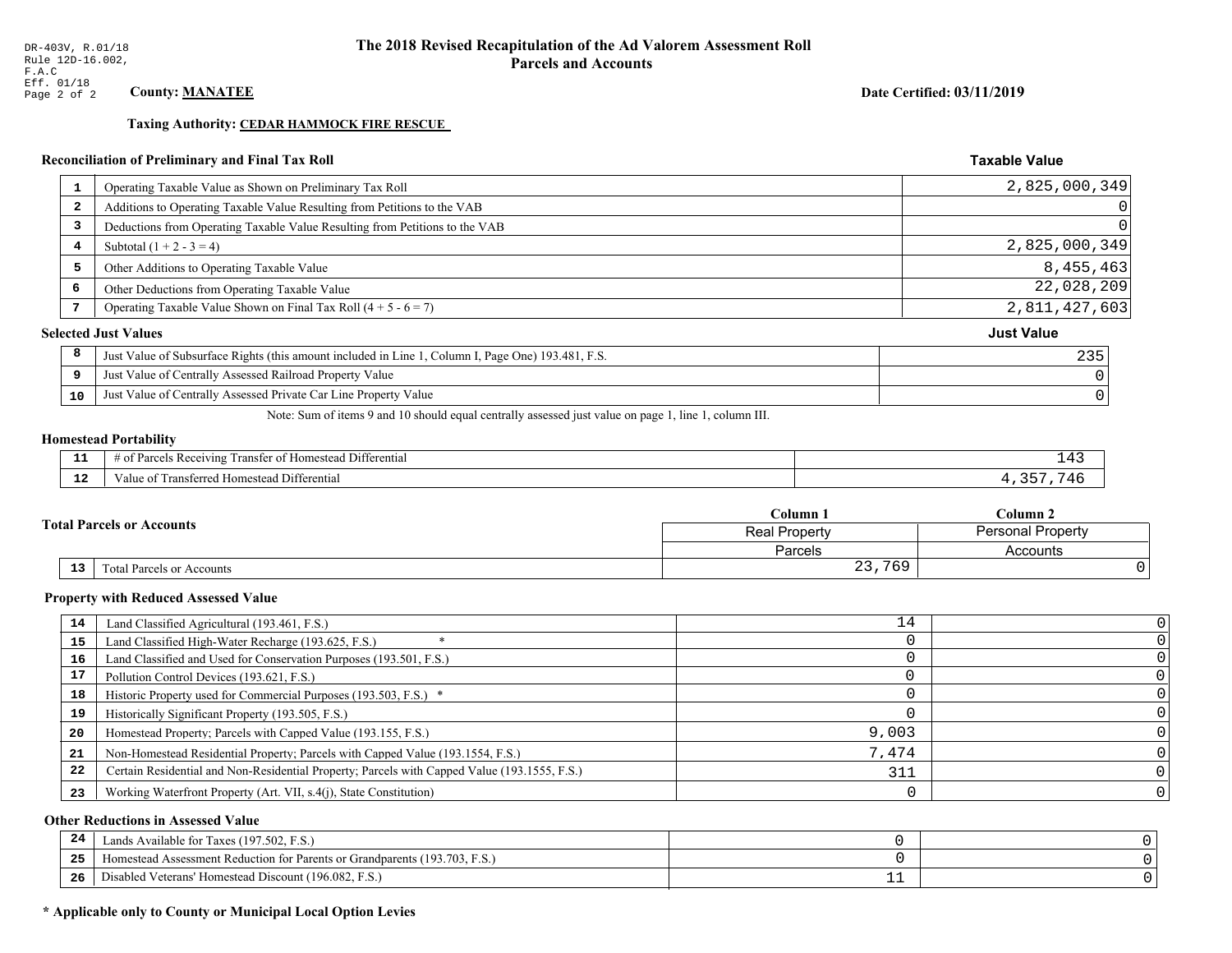**Taxing Authority: CEDAR HAMMOCK FIRE RESCUE** 

## Reconciliation of Preliminary and Final Tax Roll

| 1                       | Operating Taxable Value as Shown on Preliminary Tax Roll                                           | 2,825,000,349     |
|-------------------------|----------------------------------------------------------------------------------------------------|-------------------|
| $\overline{\mathbf{2}}$ | Additions to Operating Taxable Value Resulting from Petitions to the VAB                           |                   |
| 3                       | Deductions from Operating Taxable Value Resulting from Petitions to the VAB                        |                   |
| 4                       | Subtotal $(1 + 2 - 3 = 4)$                                                                         | 2,825,000,349     |
| 5                       | Other Additions to Operating Taxable Value                                                         | 8,455,463         |
| 6                       | Other Deductions from Operating Taxable Value                                                      | 22,028,209        |
| 7                       | Operating Taxable Value Shown on Final Tax Roll $(4 + 5 - 6 = 7)$                                  | 2,811,427,603     |
|                         | <b>Selected Just Values</b>                                                                        | <b>Just Value</b> |
| 8                       | Just Value of Subsurface Rights (this amount included in Line 1, Column I, Page One) 193.481, F.S. | 235               |
| 9                       | Just Value of Centrally Assessed Railroad Property Value                                           |                   |
| 10                      | Just Value of Centrally Assessed Private Car Line Property Value                                   |                   |
|                         |                                                                                                    |                   |

Note: Sum of items 9 and 10 should equal centrally assessed just value on page 1, line 1, column III.

### **Homestead Portability**

| --          | $ -$<br>$\sim$ $-$<br>Differential<br>-Re<br>. ot<br>eiving<br>ranster<br> | <u>+ + +</u> |
|-------------|----------------------------------------------------------------------------|--------------|
| $\sim$<br>. | Transferred Homestead Differential<br>Value oi                             |              |

|    |                                  | Column 1<br>$\mathbb C$ olumn 2<br><b>Personal Property</b><br>Real Property |          |
|----|----------------------------------|------------------------------------------------------------------------------|----------|
|    | <b>Fotal Parcels or Accounts</b> |                                                                              |          |
|    |                                  | <b>Parcels</b>                                                               | Accounts |
| 13 | Total Parcels or Accounts        | 23,769                                                                       |          |

#### **Property with Reduced Assessed Value**

| 14 | Land Classified Agricultural (193.461, F.S.)                                                 | 14    |  |
|----|----------------------------------------------------------------------------------------------|-------|--|
| 15 | Land Classified High-Water Recharge (193.625, F.S.)                                          |       |  |
| 16 | Land Classified and Used for Conservation Purposes (193.501, F.S.)                           |       |  |
| 17 | Pollution Control Devices (193.621, F.S.)                                                    |       |  |
| 18 | Historic Property used for Commercial Purposes (193.503, F.S.) *                             |       |  |
| 19 | Historically Significant Property (193.505, F.S.)                                            |       |  |
| 20 | Homestead Property; Parcels with Capped Value (193.155, F.S.)                                | 9,003 |  |
| 21 | Non-Homestead Residential Property; Parcels with Capped Value (193.1554, F.S.)               | 7,474 |  |
| 22 | Certain Residential and Non-Residential Property; Parcels with Capped Value (193.1555, F.S.) | 311   |  |
| 23 | Working Waterfront Property (Art. VII, s.4(j), State Constitution)                           |       |  |

## **Other Reductions in Assessed Value**

| -24   | Lands Available for Taxes (197.502, F.S.)                                      |  |
|-------|--------------------------------------------------------------------------------|--|
| - - - | (193.703, F)<br>Aomestead Assessment Reduction for Parents or Grandparents (1) |  |
| -26   | d Veterans' Homestead Discount (196.082, F.S.)<br>Disabled                     |  |

## \* Applicable only to County or Municipal Local Option Levies

Date Certified: 03/11/2019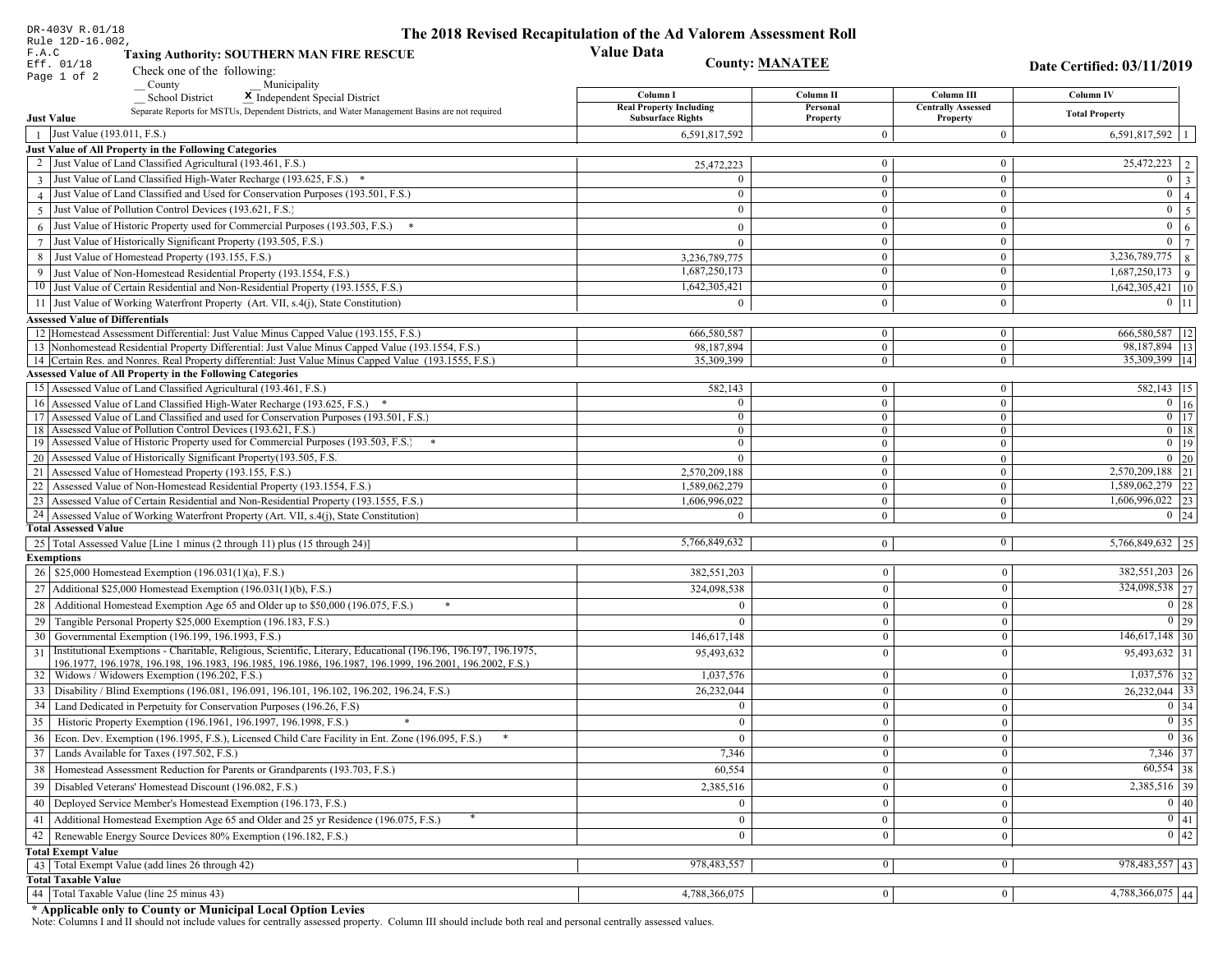| DR-403V R.01/18                                                                                                                                                                                                                    | The 2018 Revised Recapitulation of the Ad Valorem Assessment Roll |                        |                                       |                                  |
|------------------------------------------------------------------------------------------------------------------------------------------------------------------------------------------------------------------------------------|-------------------------------------------------------------------|------------------------|---------------------------------------|----------------------------------|
| Rule 12D-16.002,<br>F.A.C<br><b>Taxing Authority: SOUTHERN MAN FIRE RESCUE</b>                                                                                                                                                     | <b>Value Data</b>                                                 |                        |                                       |                                  |
| Eff. 01/18<br>Check one of the following:                                                                                                                                                                                          |                                                                   | <b>County: MANATEE</b> |                                       | Date Certified: 03/11/2019       |
| Page 1 of 2<br>Municipality<br>County                                                                                                                                                                                              |                                                                   |                        |                                       |                                  |
| <b>School District</b><br>X Independent Special District                                                                                                                                                                           | Column I                                                          | Column II              | Column III                            | Column IV                        |
| Separate Reports for MSTUs, Dependent Districts, and Water Management Basins are not required<br><b>Just Value</b>                                                                                                                 | <b>Real Property Including</b><br><b>Subsurface Rights</b>        | Personal<br>Property   | <b>Centrally Assessed</b><br>Property | <b>Total Property</b>            |
| Just Value (193.011, F.S.)<br>$\overline{1}$                                                                                                                                                                                       | 6,591,817,592                                                     | $\Omega$               | $\theta$                              | $6,591,817,592$   1              |
| Just Value of All Property in the Following Categories                                                                                                                                                                             |                                                                   |                        |                                       |                                  |
| 2 Just Value of Land Classified Agricultural (193.461, F.S.)                                                                                                                                                                       | 25,472,223                                                        | $\bf{0}$               | $\bf{0}$                              | $25,472,223$   2                 |
| 3 Just Value of Land Classified High-Water Recharge (193.625, F.S.) *                                                                                                                                                              |                                                                   | $\overline{0}$         | $\boldsymbol{0}$                      | $0 \quad 3$                      |
| 4 Just Value of Land Classified and Used for Conservation Purposes (193.501, F.S.)                                                                                                                                                 | $\theta$                                                          | $\bf{0}$               | $\boldsymbol{0}$                      | $\overline{0}$<br>$\overline{4}$ |
| 5 Just Value of Pollution Control Devices (193.621, F.S.)                                                                                                                                                                          |                                                                   | $\theta$               | $\bf{0}$                              | $0 \mid 5$                       |
| $6$ Just Value of Historic Property used for Commercial Purposes (193.503, F.S.)                                                                                                                                                   | $\Omega$                                                          | $\mathbf{0}$           | $\boldsymbol{0}$                      | $\mathbf{0}$<br>6                |
| 7 Just Value of Historically Significant Property (193.505, F.S.)                                                                                                                                                                  | $\Omega$                                                          | $\bf{0}$               | $\bf{0}$                              | $0 \mid 7$                       |
| 8 Just Value of Homestead Property (193.155, F.S.)                                                                                                                                                                                 | 3,236,789,775                                                     | $\bf{0}$               | $\bf{0}$                              | $3,236,789,775$ 8                |
| 9 Just Value of Non-Homestead Residential Property (193.1554, F.S.)                                                                                                                                                                | 1,687,250,173                                                     | $\overline{0}$         | $\boldsymbol{0}$                      | $1,687,250,173$ 9                |
| 10 Just Value of Certain Residential and Non-Residential Property (193.1555, F.S.)                                                                                                                                                 | 1,642,305,421                                                     | $\bf{0}$               | $\bf{0}$                              | $1,642,305,421$ 10               |
| 11 Just Value of Working Waterfront Property (Art. VII, s.4(j), State Constitution)                                                                                                                                                | $\theta$                                                          | $\overline{0}$         | $\mathbf{0}$                          | $0$   11                         |
| <b>Assessed Value of Differentials</b>                                                                                                                                                                                             |                                                                   |                        |                                       |                                  |
| 12 Homestead Assessment Differential: Just Value Minus Capped Value (193.155, F.S.)                                                                                                                                                | 666,580,587                                                       | $\mathbf{0}$           | $\bf{0}$                              | 666,580,587   12                 |
| 13 Nonhomestead Residential Property Differential: Just Value Minus Capped Value (193.1554, F.S.)                                                                                                                                  | 98.187.894                                                        | $\overline{0}$         | $\overline{0}$                        | 98,187,894   13                  |
| 14 Certain Res. and Nonres. Real Property differential: Just Value Minus Capped Value (193.1555, F.S.)                                                                                                                             | 35,309,399                                                        | $\overline{0}$         | $\overline{0}$                        | 35,309,399   14                  |
| <b>Assessed Value of All Property in the Following Categories</b>                                                                                                                                                                  |                                                                   |                        |                                       |                                  |
| 15 Assessed Value of Land Classified Agricultural (193.461, F.S.)                                                                                                                                                                  | 582,143                                                           | $\mathbf{0}$           | $\bf{0}$                              | 582,143   15                     |
| 16 Assessed Value of Land Classified High-Water Recharge (193.625, F.S.) *                                                                                                                                                         | $\Omega$                                                          | $\overline{0}$         | $\boldsymbol{0}$                      | $\overline{0}$ 16                |
| 17 Assessed Value of Land Classified and used for Conservation Purposes (193.501, F.S.)                                                                                                                                            | $\mathbf{0}$                                                      | $\overline{0}$         | $\bf{0}$                              | $0$ 17                           |
| 18 Assessed Value of Pollution Control Devices (193.621, F.S.)                                                                                                                                                                     | $\overline{0}$                                                    | $\mathbf{0}$           | $\mathbf{0}$                          | $0 \mid 18$                      |
| 19 Assessed Value of Historic Property used for Commercial Purposes (193.503, F.S.)                                                                                                                                                | $\overline{0}$                                                    | $\mathbf{0}$           | $\bf{0}$                              | $0 \t19$                         |
| 20 Assessed Value of Historically Significant Property (193.505, F.S.                                                                                                                                                              | $\theta$                                                          | $\overline{0}$         | $\mathbf{0}$                          | $0\quad20$                       |
| 21 Assessed Value of Homestead Property (193.155, F.S.)                                                                                                                                                                            | 2,570,209,188                                                     | $\overline{0}$         | $\bf{0}$                              | $\overline{2,570,209,188}$ 21    |
| 22<br>Assessed Value of Non-Homestead Residential Property (193.1554, F.S.)                                                                                                                                                        | 1,589,062,279                                                     | $\overline{0}$         | $\mathbf{0}$                          | 1,589,062,279 22                 |
| 23 Assessed Value of Certain Residential and Non-Residential Property (193.1555, F.S.)                                                                                                                                             | 1,606,996,022                                                     | $\mathbf{0}$           | $\boldsymbol{0}$                      | $1,606,996,022$ 23               |
| 24 Assessed Value of Working Waterfront Property (Art. VII, s.4(j), State Constitution)<br><b>Total Assessed Value</b>                                                                                                             | $\Omega$                                                          | $\overline{0}$         | $\mathbf{0}$                          | $0 \mid 24$                      |
|                                                                                                                                                                                                                                    | 5,766,849,632                                                     | $\overline{0}$         | $\bf{0}$                              | $5,766,849,632$ 25               |
| 25   Total Assessed Value [Line 1 minus (2 through 11) plus (15 through 24)]<br><b>Exemptions</b>                                                                                                                                  |                                                                   |                        |                                       |                                  |
| 26   \$25,000 Homestead Exemption (196.031(1)(a), F.S.)                                                                                                                                                                            | 382,551,203                                                       | $\boldsymbol{0}$       | $\overline{0}$                        | 382,551,203 26                   |
| 27   Additional \$25,000 Homestead Exemption (196.031(1)(b), F.S.)                                                                                                                                                                 | 324,098,538                                                       | $\mathbf{0}$           | $\theta$                              | 324,098,538 27                   |
| $\ast$                                                                                                                                                                                                                             |                                                                   |                        |                                       |                                  |
| 28 Additional Homestead Exemption Age 65 and Older up to \$50,000 (196.075, F.S.)                                                                                                                                                  |                                                                   | $\mathbf{0}$           | $\Omega$                              | 0 28                             |
| Tangible Personal Property \$25,000 Exemption (196.183, F.S.)<br>29                                                                                                                                                                |                                                                   | $\boldsymbol{0}$       | $\Omega$                              | 0 29                             |
| 30 Governmental Exemption (196.199, 196.1993, F.S.)                                                                                                                                                                                | 146,617,148                                                       | $\mathbf{0}$           | $\Omega$                              | $146,617,148$ 30                 |
| Institutional Exemptions - Charitable, Religious, Scientific, Literary, Educational (196.196, 196.197, 196.1975,<br>31<br>196.1977, 196.1978, 196.198, 196.1983, 196.1985, 196.1986, 196.1987, 196.1999, 196.2001, 196.2002, F.S.) | 95,493,632                                                        | $\mathbf{0}$           | $\Omega$                              | $95,493,632$ 31                  |
| 32   Widows / Widowers Exemption (196.202, F.S.)                                                                                                                                                                                   | 1,037,576                                                         | $\mathbf{0}$           | $\mathbf{0}$                          | $1,037,576$ 32                   |
| 33<br>Disability / Blind Exemptions (196.081, 196.091, 196.101, 196.102, 196.202, 196.24, F.S.)                                                                                                                                    | 26,232,044                                                        | $\mathbf{0}$           | $\Omega$                              | $26,232,044$ 33                  |
| 34<br>Land Dedicated in Perpetuity for Conservation Purposes (196.26, F.S)                                                                                                                                                         | $\theta$                                                          | $\mathbf{0}$           | $\Omega$                              | $0 \mid 34$                      |
| 35 Historic Property Exemption (196.1961, 196.1997, 196.1998, F.S.)                                                                                                                                                                | $\mathbf{0}$                                                      | $\overline{0}$         | $\boldsymbol{0}$                      | $\boxed{0}$ 35                   |
| Econ. Dev. Exemption (196.1995, F.S.), Licensed Child Care Facility in Ent. Zone (196.095, F.S.)<br>36                                                                                                                             | $\theta$                                                          | $\mathbf{0}$           | $\theta$                              | $0\vert 36$                      |
| Lands Available for Taxes (197.502, F.S.)<br>37                                                                                                                                                                                    | 7,346                                                             | $\bf{0}$               | $\mathbf{0}$                          | 7,346 37                         |
|                                                                                                                                                                                                                                    |                                                                   |                        |                                       | $60,554$ 38                      |
| 38   Homestead Assessment Reduction for Parents or Grandparents (193.703, F.S.)                                                                                                                                                    | 60,554                                                            | $\bf{0}$               | $\mathbf{0}$                          |                                  |
| Disabled Veterans' Homestead Discount (196.082, F.S.)<br>39                                                                                                                                                                        | 2,385,516                                                         | $\mathbf{0}$           | $\mathbf{0}$                          | $\overline{2,385,516}$ 39        |
| Deployed Service Member's Homestead Exemption (196.173, F.S.)<br>40                                                                                                                                                                | $\overline{0}$                                                    | $\mathbf{0}$           | $\theta$                              | $\boxed{0}$ 40                   |
| Additional Homestead Exemption Age 65 and Older and 25 yr Residence (196.075, F.S.)<br>41                                                                                                                                          | $\mathbf{0}$                                                      | $\overline{0}$         | $\mathbf{0}$                          | $\boxed{0}$ 41                   |
| Renewable Energy Source Devices 80% Exemption (196.182, F.S.)<br>42                                                                                                                                                                | $\mathbf{0}$                                                      | $\boldsymbol{0}$       | $\theta$                              | 0 42                             |
| <b>Total Exempt Value</b>                                                                                                                                                                                                          |                                                                   |                        |                                       |                                  |
| 43 Total Exempt Value (add lines 26 through 42)                                                                                                                                                                                    | 978,483,557                                                       | $\vert 0 \vert$        | $\mathbf{0}$                          | $\frac{978,483,557}{43}$         |
| <b>Total Taxable Value</b>                                                                                                                                                                                                         |                                                                   |                        |                                       |                                  |
| 44 Total Taxable Value (line 25 minus 43)                                                                                                                                                                                          | 4,788,366,075                                                     | 0                      | $\mathbf{0}$                          | 4,788,366,075 44                 |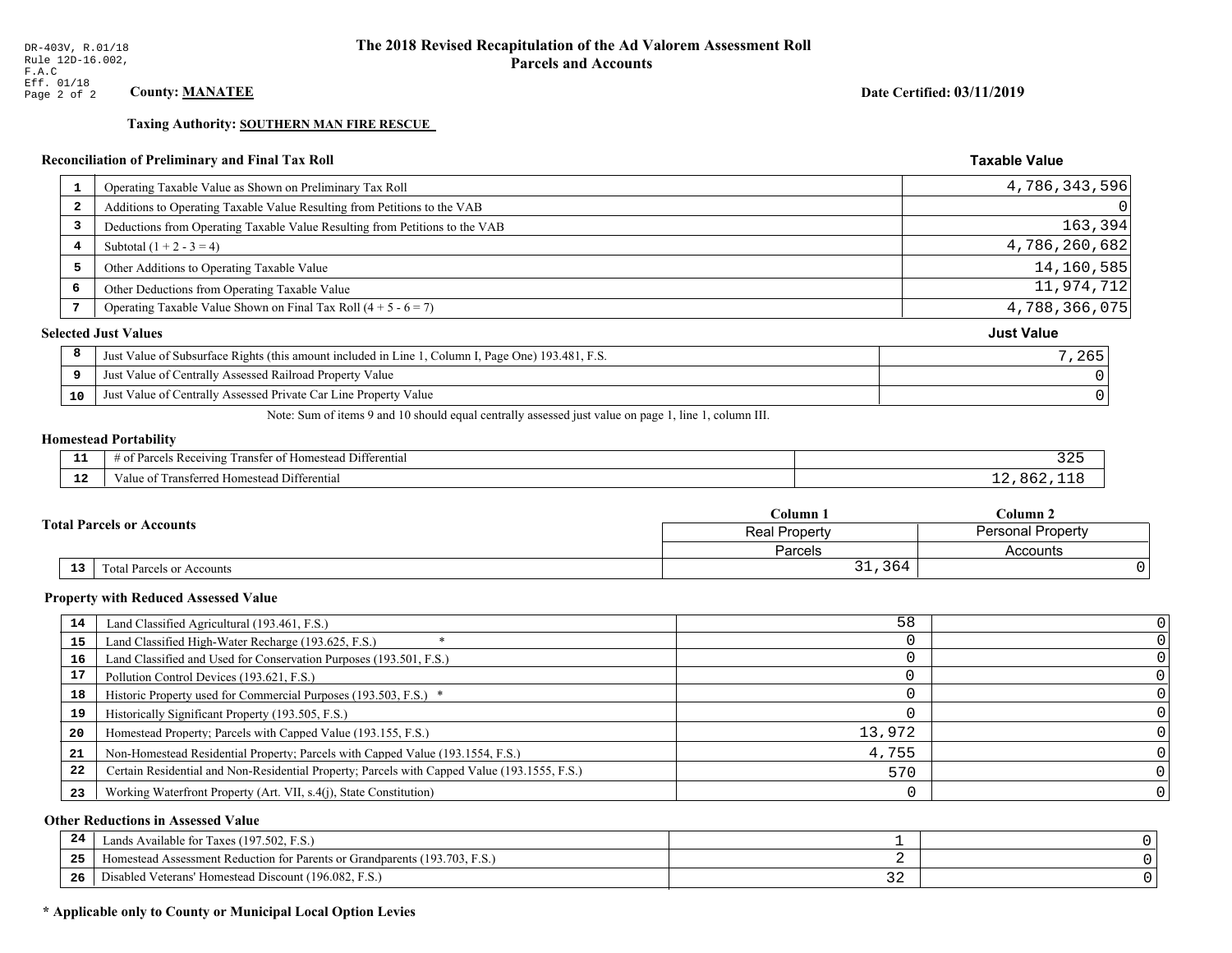**Taxing Authority: SOUTHERN MAN FIRE RESCUE** 

## Reconciliation of Preliminary and Final Tax Roll

| $\mathbf{1}$            | Operating Taxable Value as Shown on Preliminary Tax Roll                                           | 4,786,343,596     |
|-------------------------|----------------------------------------------------------------------------------------------------|-------------------|
| $\overline{\mathbf{2}}$ | Additions to Operating Taxable Value Resulting from Petitions to the VAB                           |                   |
| 3                       | Deductions from Operating Taxable Value Resulting from Petitions to the VAB                        | 163,394           |
| 4                       | Subtotal $(1 + 2 - 3 = 4)$                                                                         | 4,786,260,682     |
| 5                       | Other Additions to Operating Taxable Value                                                         | 14,160,585        |
| 6                       | Other Deductions from Operating Taxable Value                                                      | 11,974,712        |
| 7                       | Operating Taxable Value Shown on Final Tax Roll $(4 + 5 - 6 = 7)$                                  | 4,788,366,075     |
|                         | <b>Selected Just Values</b>                                                                        | <b>Just Value</b> |
| 8                       | Just Value of Subsurface Rights (this amount included in Line 1, Column I, Page One) 193.481, F.S. | 7,265             |
| 9                       | Just Value of Centrally Assessed Railroad Property Value                                           |                   |
| 10                      | Just Value of Centrally Assessed Private Car Line Property Value                                   |                   |
|                         |                                                                                                    |                   |

Note: Sum of items 9 and 10 should equal centrally assessed just value on page 1, line 1, column III.

## **Homestead Portability**

| - -         | $\sim$ $\sim$<br>ranster<br>Differential<br>$R$ eceputing<br>$\sim$ +<br>estea<br><b>CHANGE</b><br>. arcel -<br>' 01<br>n |  |
|-------------|---------------------------------------------------------------------------------------------------------------------------|--|
| $\sim$<br>. | ransı.<br>Differential<br>alue<br>erred Homestead<br>101131C                                                              |  |

|  |                                  | Column .                                  | $C$ olumn 2 |  |
|--|----------------------------------|-------------------------------------------|-------------|--|
|  | <b>Total Parcels or Accounts</b> | <b>Personal Property</b><br>Real Property |             |  |
|  |                                  | Parcels                                   | Accounts    |  |
|  | 13<br>Total Parcels or Accounts  | 31,364                                    |             |  |

#### **Property with Reduced Assessed Value**

| 14 | Land Classified Agricultural (193.461, F.S.)                                                 | 58     |  |
|----|----------------------------------------------------------------------------------------------|--------|--|
| 15 | Land Classified High-Water Recharge (193.625, F.S.)                                          |        |  |
| 16 | Land Classified and Used for Conservation Purposes (193.501, F.S.)                           |        |  |
| 17 | Pollution Control Devices (193.621, F.S.)                                                    |        |  |
| 18 | Historic Property used for Commercial Purposes (193.503, F.S.) *                             |        |  |
| 19 | Historically Significant Property (193.505, F.S.)                                            |        |  |
| 20 | Homestead Property; Parcels with Capped Value (193.155, F.S.)                                | 13,972 |  |
| 21 | Non-Homestead Residential Property; Parcels with Capped Value (193.1554, F.S.)               | 4,755  |  |
| 22 | Certain Residential and Non-Residential Property; Parcels with Capped Value (193.1555, F.S.) | 570    |  |
| 23 | Working Waterfront Property (Art. VII, s.4(j), State Constitution)                           |        |  |

## **Other Reductions in Assessed Value**

| 24    | Lands Available for Taxes (197.502, F.S.)                                  |            |  |
|-------|----------------------------------------------------------------------------|------------|--|
| - - - | Iomestead Assessment Reduction for Parents or Grandparents (193.703, F.S.) |            |  |
| -26   | l Veterans' Homestead Discount (196.082, F.S.)<br>Disabled                 | <u>، ب</u> |  |

## \* Applicable only to County or Municipal Local Option Levies

Date Certified: 03/11/2019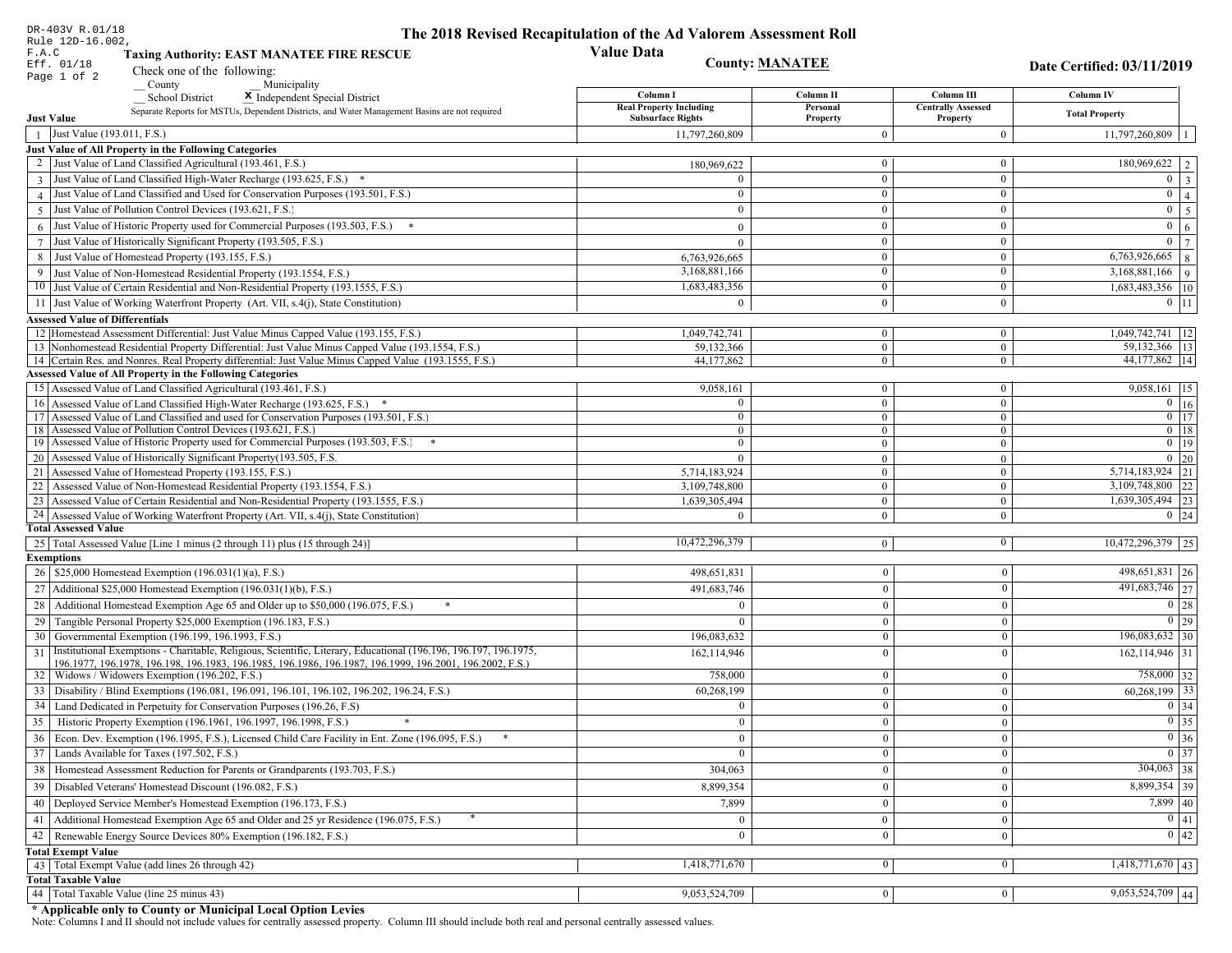| DR-403V R.01/18                                                                                                                                       | The 2018 Revised Recapitulation of the Ad Valorem Assessment Roll |                              |                                       |                                                     |
|-------------------------------------------------------------------------------------------------------------------------------------------------------|-------------------------------------------------------------------|------------------------------|---------------------------------------|-----------------------------------------------------|
| Rule 12D-16.002,<br>F.A.C<br><b>Taxing Authority: EAST MANATEE FIRE RESCUE</b>                                                                        | <b>Value Data</b>                                                 |                              |                                       |                                                     |
| Eff. 01/18<br>Check one of the following:                                                                                                             |                                                                   | <b>County: MANATEE</b>       |                                       | Date Certified: 03/11/2019                          |
| Page 1 of 2<br>Municipality<br>County                                                                                                                 |                                                                   |                              |                                       |                                                     |
| <b>School District</b><br>X Independent Special District                                                                                              | Column I                                                          | Column II                    | Column III                            | Column IV                                           |
| Separate Reports for MSTUs, Dependent Districts, and Water Management Basins are not required<br><b>Just Value</b>                                    | <b>Real Property Including</b><br><b>Subsurface Rights</b>        | Personal<br>Property         | <b>Centrally Assessed</b><br>Property | <b>Total Property</b>                               |
| Just Value (193.011, F.S.)<br>$\overline{1}$                                                                                                          | 11,797,260,809                                                    | $\Omega$                     | $\theta$                              | 11,797,260,809                                      |
| Just Value of All Property in the Following Categories                                                                                                |                                                                   |                              |                                       |                                                     |
| 2 Just Value of Land Classified Agricultural (193.461, F.S.)                                                                                          | 180,969,622                                                       | $\bf{0}$                     | $\bf{0}$                              | 180,969,622   2                                     |
| 3 Just Value of Land Classified High-Water Recharge (193.625, F.S.) *                                                                                 |                                                                   | $\overline{0}$               | $\boldsymbol{0}$                      | $0 \mid 3$                                          |
| 4 Just Value of Land Classified and Used for Conservation Purposes (193.501, F.S.)                                                                    | $\theta$                                                          | $\bf{0}$                     | $\boldsymbol{0}$                      | $\overline{0}$<br>$\vert$ 4                         |
| 5 Just Value of Pollution Control Devices (193.621, F.S.)                                                                                             |                                                                   | $\theta$                     | $\bf{0}$                              | $0 \mid 5$                                          |
| $6$ Just Value of Historic Property used for Commercial Purposes (193.503, F.S.)                                                                      | $\Omega$                                                          | $\mathbf{0}$                 | $\boldsymbol{0}$                      | $\mathbf{0}$<br>6                                   |
| 7 Just Value of Historically Significant Property (193.505, F.S.)                                                                                     | $\Omega$                                                          | $\boldsymbol{0}$             | $\boldsymbol{0}$                      | $0 \mid 7$                                          |
| 8 Just Value of Homestead Property (193.155, F.S.)                                                                                                    | 6,763,926,665                                                     | $\bf{0}$                     | $\bf{0}$                              | $6,763,926,665$ 8                                   |
| 9 Just Value of Non-Homestead Residential Property (193.1554, F.S.)                                                                                   | 3,168,881,166                                                     | $\overline{0}$               | $\boldsymbol{0}$                      | $3,168,881,166$ 9                                   |
| 10 Just Value of Certain Residential and Non-Residential Property (193.1555, F.S.)                                                                    | 1,683,483,356                                                     | $\bf{0}$                     | $\bf{0}$                              | 1,683,483,356   10                                  |
| 11 Just Value of Working Waterfront Property (Art. VII, s.4(j), State Constitution)                                                                   | $\Omega$                                                          | $\overline{0}$               | $\mathbf{0}$                          | $0$ 11                                              |
| <b>Assessed Value of Differentials</b>                                                                                                                |                                                                   |                              |                                       |                                                     |
| 12 Homestead Assessment Differential: Just Value Minus Capped Value (193.155, F.S.)                                                                   | 1,049,742,741                                                     | $\mathbf{0}$                 | $\bf{0}$                              | 1,049,742,741   12                                  |
| 13 Nonhomestead Residential Property Differential: Just Value Minus Capped Value (193.1554, F.S.)                                                     | 59,132,366                                                        | $\overline{0}$               | $\overline{0}$                        | 59, 132, 366   13                                   |
| 14 Certain Res. and Nonres. Real Property differential: Just Value Minus Capped Value (193.1555, F.S.)                                                | 44,177,862                                                        | $\overline{0}$               | $\overline{0}$                        | 44,177,862   14                                     |
| <b>Assessed Value of All Property in the Following Categories</b>                                                                                     |                                                                   |                              |                                       |                                                     |
| 15 Assessed Value of Land Classified Agricultural (193.461, F.S.)                                                                                     | 9,058,161                                                         | $\mathbf{0}$                 | $\bf{0}$                              | $\overline{9,058,161}$   15                         |
| 16 Assessed Value of Land Classified High-Water Recharge (193.625, F.S.) *                                                                            | $\Omega$                                                          | $\overline{0}$               | $\boldsymbol{0}$                      | $\overline{0}$ 16                                   |
| 17 Assessed Value of Land Classified and used for Conservation Purposes (193.501, F.S.)                                                               | $\mathbf{0}$                                                      | $\overline{0}$               | $\bf{0}$                              | $0$ 17                                              |
| 18 Assessed Value of Pollution Control Devices (193.621, F.S.)<br>19 Assessed Value of Historic Property used for Commercial Purposes (193.503, F.S.) | $\overline{0}$<br>$\overline{0}$                                  | $\mathbf{0}$<br>$\mathbf{0}$ | $\mathbf{0}$<br>$\bf{0}$              | $0 \mid 18$<br>$0$ 19                               |
| 20 Assessed Value of Historically Significant Property (193.505, F.S.                                                                                 | $\theta$                                                          | $\overline{0}$               | $\mathbf{0}$                          | $0\quad20$                                          |
| 21 Assessed Value of Homestead Property (193.155, F.S.)                                                                                               | 5,714,183,924                                                     | $\overline{0}$               | $\mathbf{0}$                          | $\overline{5,714,183,924}$ 21                       |
| 22<br>Assessed Value of Non-Homestead Residential Property (193.1554, F.S.)                                                                           | 3,109,748,800                                                     | $\overline{0}$               | $\mathbf{0}$                          | $3,109,748,800$ 22                                  |
| 23 Assessed Value of Certain Residential and Non-Residential Property (193.1555, F.S.)                                                                | 1,639,305,494                                                     | $\mathbf{0}$                 | $\boldsymbol{0}$                      | $1,639,305,494$ 23                                  |
| 24 Assessed Value of Working Waterfront Property (Art. VII, s.4(j), State Constitution)                                                               | $\Omega$                                                          | $\overline{0}$               | $\mathbf{0}$                          | $0 \mid 24$                                         |
| <b>Total Assessed Value</b>                                                                                                                           |                                                                   |                              |                                       |                                                     |
| 25   Total Assessed Value [Line 1 minus (2 through 11) plus (15 through 24)]                                                                          | 10,472,296,379                                                    | $\overline{0}$               | $\bf{0}$                              | 10,472,296,379 25                                   |
| <b>Exemptions</b>                                                                                                                                     |                                                                   |                              |                                       |                                                     |
| 26   \$25,000 Homestead Exemption (196.031(1)(a), F.S.)                                                                                               | 498,651,831                                                       | $\boldsymbol{0}$             | $\mathbf{0}$                          | 498,651,831 26                                      |
| 27   Additional \$25,000 Homestead Exemption (196.031(1)(b), F.S.)                                                                                    | 491,683,746                                                       | $\mathbf{0}$                 | $\theta$                              | 491,683,746 27                                      |
| 28 Additional Homestead Exemption Age 65 and Older up to \$50,000 (196.075, F.S.)<br>$\ast$                                                           |                                                                   | $\mathbf{0}$                 | $\Omega$                              | 0 28                                                |
| Tangible Personal Property \$25,000 Exemption (196.183, F.S.)<br>29                                                                                   |                                                                   | $\boldsymbol{0}$             | $\Omega$                              | 0 29                                                |
| 30 Governmental Exemption (196.199, 196.1993, F.S.)                                                                                                   | 196,083,632                                                       | $\mathbf{0}$                 | $\Omega$                              | $196,083,632$ 30                                    |
| Institutional Exemptions - Charitable, Religious, Scientific, Literary, Educational (196.196, 196.197, 196.1975,<br>31                                | 162,114,946                                                       | $\mathbf{0}$                 | $\Omega$                              | $162, 114, 946$ 31                                  |
| 196.1977, 196.1978, 196.198, 196.1983, 196.1985, 196.1986, 196.1987, 196.1999, 196.2001, 196.2002, F.S.)                                              |                                                                   |                              |                                       |                                                     |
| 32   Widows / Widowers Exemption (196.202, F.S.)                                                                                                      | 758,000                                                           | $\mathbf{0}$                 | $\mathbf{0}$                          | 758,000 32                                          |
| 33<br>Disability / Blind Exemptions (196.081, 196.091, 196.101, 196.102, 196.202, 196.24, F.S.)                                                       | 60,268,199                                                        | $\mathbf{0}$                 | $\Omega$                              | $60,268,199$ 33                                     |
| 34<br>Land Dedicated in Perpetuity for Conservation Purposes (196.26, F.S)                                                                            | $\theta$                                                          | $\boldsymbol{0}$             | $\Omega$                              | $0 \mid 34$                                         |
| 35 Historic Property Exemption (196.1961, 196.1997, 196.1998, F.S.)                                                                                   | $\mathbf{0}$                                                      | $\overline{0}$               | $\boldsymbol{0}$                      | $\boxed{0}$ 35                                      |
| Econ. Dev. Exemption (196.1995, F.S.), Licensed Child Care Facility in Ent. Zone (196.095, F.S.)<br>36                                                | $\overline{0}$                                                    | $\mathbf{0}$                 | $\theta$                              | $0\vert 36$                                         |
| Lands Available for Taxes (197.502, F.S.)<br>37                                                                                                       | $\overline{0}$                                                    | $\bf{0}$                     | $\mathbf{0}$                          | $\boxed{0}$ 37                                      |
| 38   Homestead Assessment Reduction for Parents or Grandparents (193.703, F.S.)                                                                       | 304,063                                                           | $\bf{0}$                     | $\mathbf{0}$                          | $304,063$ 38                                        |
| Disabled Veterans' Homestead Discount (196.082, F.S.)<br>39                                                                                           | 8,899,354                                                         | $\mathbf{0}$                 | $\mathbf{0}$                          | 8,899,354 39                                        |
| Deployed Service Member's Homestead Exemption (196.173, F.S.)<br>40                                                                                   | 7,899                                                             | $\mathbf{0}$                 | $\theta$                              | $7,899$ 40                                          |
| Additional Homestead Exemption Age 65 and Older and 25 yr Residence (196.075, F.S.)<br>41                                                             | $\mathbf{0}$                                                      | $\overline{0}$               | $\overline{0}$                        | 0 41                                                |
| Renewable Energy Source Devices 80% Exemption (196.182, F.S.)<br>42                                                                                   | $\mathbf{0}$                                                      | $\boldsymbol{0}$             | $\Omega$                              | $\begin{array}{ c c }\n\hline\n0 & 42\n\end{array}$ |
| <b>Total Exempt Value</b>                                                                                                                             |                                                                   |                              |                                       |                                                     |
| 43 Total Exempt Value (add lines 26 through 42)                                                                                                       | 1,418,771,670                                                     | $\overline{0}$               | $\mathbf{0}$                          | $1,418,771,670$ 43                                  |
| <b>Total Taxable Value</b>                                                                                                                            |                                                                   |                              |                                       |                                                     |
| 44 Total Taxable Value (line 25 minus 43)                                                                                                             | 9,053,524,709                                                     | 0                            | $\mathbf{0}$                          | 9,053,524,709 44                                    |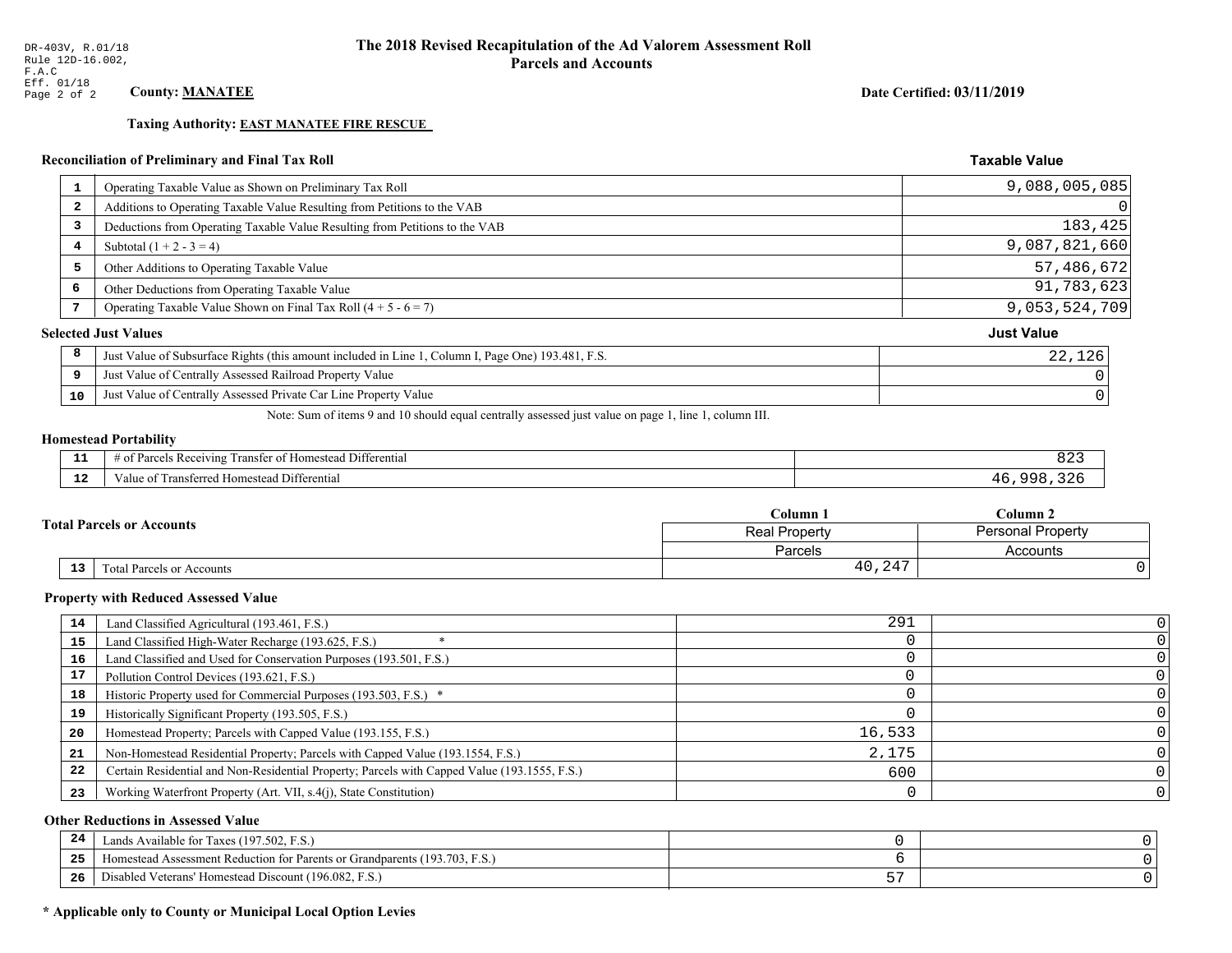## **Taxing Authority: EAST MANATEE FIRE RESCUE**

## Reconciliation of Preliminary and Final Tax Roll

| $\mathbf{1}$ | Operating Taxable Value as Shown on Preliminary Tax Roll                                           | 9,088,005,085     |
|--------------|----------------------------------------------------------------------------------------------------|-------------------|
| 2            | Additions to Operating Taxable Value Resulting from Petitions to the VAB                           |                   |
| 3            | Deductions from Operating Taxable Value Resulting from Petitions to the VAB                        | 183,425           |
| 4            | Subtotal $(1 + 2 - 3 = 4)$                                                                         | 9,087,821,660     |
| 5            | Other Additions to Operating Taxable Value                                                         | 57,486,672        |
| 6            | Other Deductions from Operating Taxable Value                                                      | 91,783,623        |
|              | Operating Taxable Value Shown on Final Tax Roll $(4 + 5 - 6 = 7)$                                  | 9,053,524,709     |
|              | <b>Selected Just Values</b>                                                                        | <b>Just Value</b> |
| 8            | Just Value of Subsurface Rights (this amount included in Line 1, Column I, Page One) 193.481, F.S. | 22,126            |
| 9            | Just Value of Centrally Assessed Railroad Property Value                                           |                   |
| 10           | Just Value of Centrally Assessed Private Car Line Property Value                                   |                   |

Note: Sum of items 9 and 10 should equal centrally assessed just value on page 1, line 1, column III.

## **Homestead Portability**

| --          | $\cdots$<br>Differential<br>: Rec<br>enving<br>$\sim$<br>rancter<br>$\cdots$ | $\cdots$<br>OZ |
|-------------|------------------------------------------------------------------------------|----------------|
| $\sim$<br>. | Transferred Homestead Differential<br>anue oi                                | n n            |

|    | $\mathbb C$ olumn $\;$ .         |                                           | $\mathbb C$ olumn 2 |
|----|----------------------------------|-------------------------------------------|---------------------|
|    | <b>Total Parcels or Accounts</b> | Personal Property<br><b>Real Property</b> |                     |
|    |                                  | Parcels                                   | Accounts            |
| 13 | Fotal Parcels or Accounts        | 40,247                                    |                     |

#### **Property with Reduced Assessed Value**

| 14 | Land Classified Agricultural (193.461, F.S.)                                                 | 291    |  |
|----|----------------------------------------------------------------------------------------------|--------|--|
| 15 | Land Classified High-Water Recharge (193.625, F.S.)                                          |        |  |
| 16 | Land Classified and Used for Conservation Purposes (193.501, F.S.)                           |        |  |
| 17 | Pollution Control Devices (193.621, F.S.)                                                    |        |  |
| 18 | Historic Property used for Commercial Purposes (193.503, F.S.) *                             |        |  |
| 19 | Historically Significant Property (193.505, F.S.)                                            |        |  |
| 20 | Homestead Property; Parcels with Capped Value (193.155, F.S.)                                | 16,533 |  |
| 21 | Non-Homestead Residential Property; Parcels with Capped Value (193.1554, F.S.)               | 2,175  |  |
| 22 | Certain Residential and Non-Residential Property; Parcels with Capped Value (193.1555, F.S.) | 600    |  |
| 23 | Working Waterfront Property (Art. VII, s.4(j), State Constitution)                           |        |  |

## **Other Reductions in Assessed Value**

| -44 | Available for Taxes (197.502, F.S.)                                    |   |  |
|-----|------------------------------------------------------------------------|---|--|
| 25  | stead Assessment Reduction for Parents or Grandparents (193.703, F.S., |   |  |
| 26  | isabled Veterans' Homestead Discount (196.082, F.S.)                   | ັ |  |

## \* Applicable only to County or Municipal Local Option Levies

Date Certified: 03/11/2019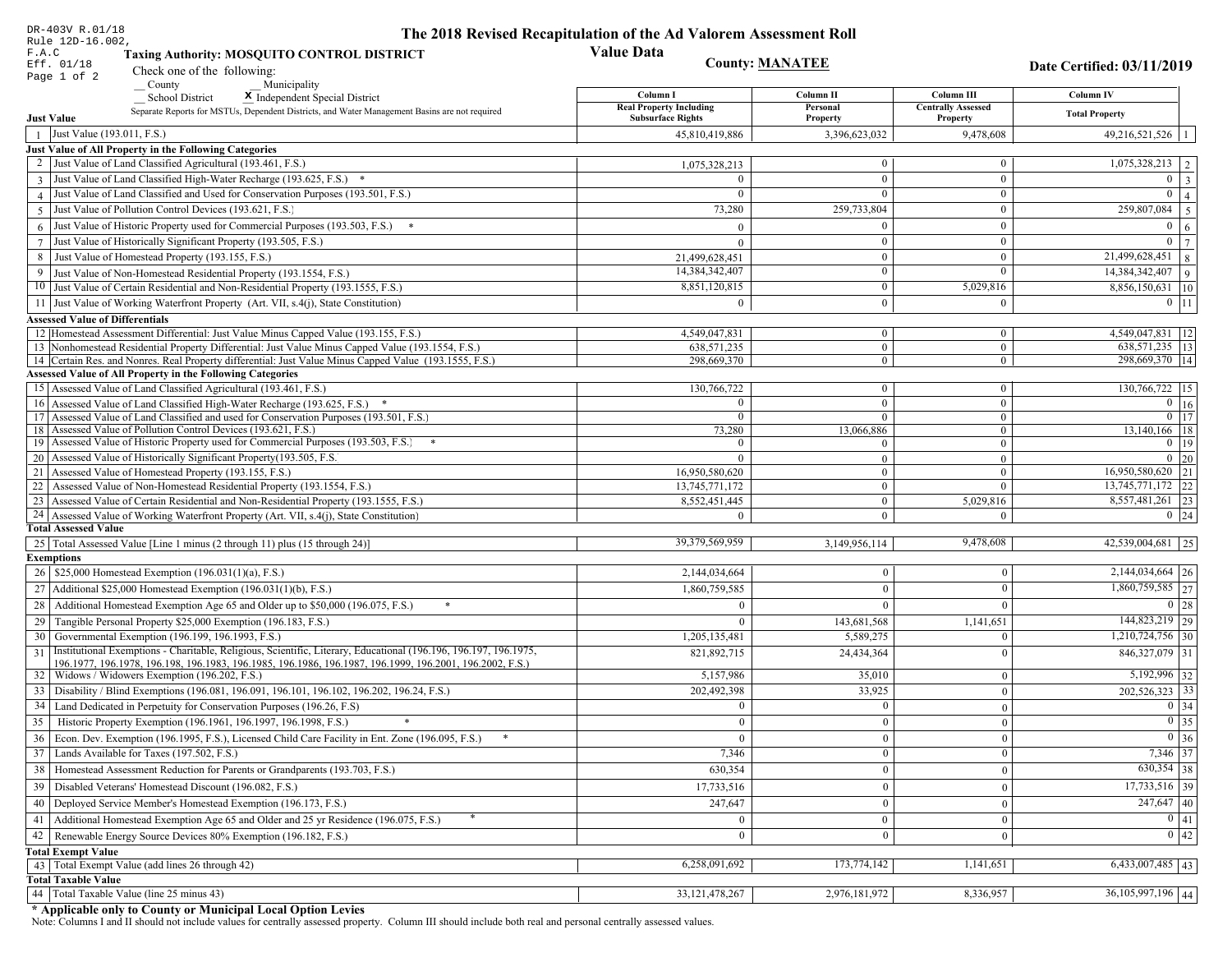| DR-403V R.01/18                                                                                                                                                                          | The 2018 Revised Recapitulation of the Ad Valorem Assessment Roll |                                |                                       |                                      |
|------------------------------------------------------------------------------------------------------------------------------------------------------------------------------------------|-------------------------------------------------------------------|--------------------------------|---------------------------------------|--------------------------------------|
| Rule 12D-16.002,<br>F.A.C<br><b>Taxing Authority: MOSQUITO CONTROL DISTRICT</b>                                                                                                          | <b>Value Data</b>                                                 |                                |                                       |                                      |
| Eff. 01/18<br>Check one of the following:                                                                                                                                                |                                                                   | <b>County: MANATEE</b>         |                                       | Date Certified: 03/11/2019           |
| Page 1 of 2<br>County<br>Municipality                                                                                                                                                    |                                                                   |                                |                                       |                                      |
| School District<br>X Independent Special District                                                                                                                                        | Column I                                                          | Column II                      | Column III                            | Column IV                            |
| Separate Reports for MSTUs, Dependent Districts, and Water Management Basins are not required<br><b>Just Value</b>                                                                       | <b>Real Property Including</b><br><b>Subsurface Rights</b>        | Personal<br>Property           | <b>Centrally Assessed</b><br>Property | <b>Total Property</b>                |
| 1 Just Value (193.011, F.S.)                                                                                                                                                             | 45,810,419,886                                                    | 3,396,623,032                  | 9,478,608                             | 49,216,521,526                       |
| <b>Just Value of All Property in the Following Categories</b>                                                                                                                            |                                                                   |                                |                                       |                                      |
| 2 Just Value of Land Classified Agricultural (193.461, F.S.)                                                                                                                             | 1,075,328,213                                                     | $\overline{0}$                 | $\mathbf{0}$                          | $1,075,328,213$   2                  |
| 3 Just Value of Land Classified High-Water Recharge (193.625, F.S.) *                                                                                                                    |                                                                   | $\Omega$                       | $\Omega$                              | $\mathbf{0}$<br>$\overline{3}$       |
| 4 Just Value of Land Classified and Used for Conservation Purposes (193.501, F.S.)                                                                                                       | $\Omega$                                                          | $\theta$                       | $\mathbf{0}$                          | $\mathbf{0}$                         |
| 5 Just Value of Pollution Control Devices (193.621, F.S.)                                                                                                                                | 73,280                                                            | 259,733,804                    | $\mathbf{0}$                          | 259,807,084<br>$\overline{5}$        |
| $6$ Just Value of Historic Property used for Commercial Purposes (193.503, F.S.)                                                                                                         |                                                                   | $\Omega$                       | $\mathbf{0}$                          | $\theta$<br>6                        |
| 7 Just Value of Historically Significant Property (193.505, F.S.)                                                                                                                        | $\Omega$                                                          | $\theta$                       | $\mathbf{0}$                          | $\bf{0}$                             |
| 8 Just Value of Homestead Property (193.155, F.S.)                                                                                                                                       | 21,499,628,451                                                    | $\theta$                       | $\mathbf{0}$                          | 21,499,628,451<br>$\overline{8}$     |
| 9 Just Value of Non-Homestead Residential Property (193.1554, F.S.)                                                                                                                      | 14,384,342,407                                                    | $\overline{0}$                 | $\theta$                              | 14,384,342,407<br>$\overline{9}$     |
| 10 Just Value of Certain Residential and Non-Residential Property (193.1555, F.S.)                                                                                                       | 8,851,120,815                                                     | $\mathbf{0}$                   | 5,029,816                             | 8,856,150,631   10                   |
| 11 Just Value of Working Waterfront Property (Art. VII, s.4(j), State Constitution)                                                                                                      | $\Omega$                                                          | $\theta$                       | $\mathbf{0}$                          | $0 \vert 11$                         |
|                                                                                                                                                                                          |                                                                   |                                |                                       |                                      |
| <b>Assessed Value of Differentials</b>                                                                                                                                                   |                                                                   |                                |                                       |                                      |
| 12 Homestead Assessment Differential: Just Value Minus Capped Value (193.155, F.S.)<br>13 Nonhomestead Residential Property Differential: Just Value Minus Capped Value (193.1554, F.S.) | 4,549,047,831<br>638, 571, 235                                    | $\overline{0}$<br>$\mathbf{0}$ | $\mathbf{0}$<br>$\overline{0}$        | 4,549,047,831   12<br>638,571,235 13 |
| 14 Certain Res. and Nonres. Real Property differential: Just Value Minus Capped Value (193.1555, F.S.)                                                                                   | 298,669,370                                                       | $\overline{0}$                 | $\overline{0}$                        | 298,669,370 14                       |
| Assessed Value of All Property in the Following Categories                                                                                                                               |                                                                   |                                |                                       |                                      |
| 15 Assessed Value of Land Classified Agricultural (193.461, F.S.)                                                                                                                        | 130,766,722                                                       | $\overline{0}$                 | $\boldsymbol{0}$                      | 130,766,722   15                     |
| 16 Assessed Value of Land Classified High-Water Recharge (193.625, F.S.)                                                                                                                 | $\Omega$                                                          | $\overline{0}$                 | $\mathbf{0}$                          | $\overline{0}$ 16                    |
| 17 Assessed Value of Land Classified and used for Conservation Purposes (193.501, F.S.)                                                                                                  | $\bf{0}$                                                          | $\overline{0}$                 | $\overline{0}$                        | $0$ 17                               |
| 18 Assessed Value of Pollution Control Devices (193.621, F.S.)                                                                                                                           | 73,280                                                            | 13,066,886                     | $\theta$                              | 13,140,166 18                        |
| 19 Assessed Value of Historic Property used for Commercial Purposes (193.503, F.S.)                                                                                                      |                                                                   | 0                              | $\overline{0}$                        | $0$   19                             |
| 20 Assessed Value of Historically Significant Property (193.505, F.S.                                                                                                                    | $\Omega$                                                          | $\theta$                       | $\overline{0}$                        | $0\quad20$                           |
| 21   Assessed Value of Homestead Property (193.155, F.S.)                                                                                                                                | 16,950,580,620                                                    | $\overline{0}$                 | $\theta$                              | 16,950,580,620 21                    |
| 22 Assessed Value of Non-Homestead Residential Property (193.1554, F.S.)                                                                                                                 | 13,745,771,172                                                    | $\overline{0}$                 | $\Omega$                              | 13,745,771,172 22                    |
| 23 Assessed Value of Certain Residential and Non-Residential Property (193.1555, F.S.)                                                                                                   | 8,552,451,445                                                     | $\mathbf{0}$                   | 5,029,816                             | 8,557,481,261 23                     |
| 24 Assessed Value of Working Waterfront Property (Art. VII, s.4(j), State Constitution)                                                                                                  |                                                                   | $\overline{0}$                 | $\Omega$                              | $0 \mid 24$                          |
| <b>Total Assessed Value</b>                                                                                                                                                              |                                                                   |                                |                                       |                                      |
| 25   Total Assessed Value [Line 1 minus (2 through 11) plus (15 through 24)]                                                                                                             | 39,379,569,959                                                    | 3,149,956,114                  | 9,478,608                             | $\overline{42,539,004,681}$ 25       |
| <b>Exemptions</b>                                                                                                                                                                        |                                                                   |                                |                                       |                                      |
| 26   \$25,000 Homestead Exemption (196.031(1)(a), F.S.)                                                                                                                                  | 2,144,034,664                                                     | $\overline{0}$                 | $\mathbf{0}$                          | 2,144,034,664 26                     |
| 27   Additional \$25,000 Homestead Exemption (196.031(1)(b), F.S.)                                                                                                                       | 1,860,759,585                                                     | $\overline{0}$                 | $\theta$                              | $1,860,759,585$ 27                   |
| 28 Additional Homestead Exemption Age 65 and Older up to \$50,000 (196.075, F.S.)<br>$\ast$                                                                                              |                                                                   | $\overline{0}$                 | $\Omega$                              | $0 \mid 28$                          |
| 29 Tangible Personal Property \$25,000 Exemption (196.183, F.S.)                                                                                                                         |                                                                   | 143,681,568                    | 1,141,651                             | 144,823,219 29                       |
| 30 Governmental Exemption (196.199, 196.1993, F.S.)                                                                                                                                      | 1,205,135,481                                                     | 5,589,275                      | $\Omega$                              | $\overline{1,210,724,756}$ 30        |
| Institutional Exemptions - Charitable, Religious, Scientific, Literary, Educational (196.196, 196.197, 196.1975,<br>31                                                                   | 821,892,715                                                       | 24,434,364                     | $\Omega$                              | 846, 327, 079 31                     |
| 196.1977, 196.1978, 196.198, 196.1983, 196.1985, 196.1986, 196.1987, 196.1999, 196.2001, 196.2002, F.S.)                                                                                 |                                                                   |                                |                                       |                                      |
| 32   Widows / Widowers Exemption (196.202, F.S.)                                                                                                                                         | 5,157,986                                                         | 35,010                         | $\bf{0}$                              | $5,192,996$ 32                       |
| 33   Disability / Blind Exemptions (196.081, 196.091, 196.101, 196.102, 196.202, 196.24, F.S.)                                                                                           | 202,492,398                                                       | 33,925                         | $\mathbf{0}$                          | $202,526,323$ 33                     |
| 34 Land Dedicated in Perpetuity for Conservation Purposes (196.26, F.S)                                                                                                                  | $\mathbf{0}$                                                      | $\overline{0}$                 | $\mathbf{0}$                          | $0 \mid 34$                          |
| 35 Historic Property Exemption (196.1961, 196.1997, 196.1998, F.S.)                                                                                                                      | $\mathbf{0}$                                                      | $\boldsymbol{0}$               | 0                                     | $\boxed{0}$ 35                       |
| 36 Econ. Dev. Exemption (196.1995, F.S.), Licensed Child Care Facility in Ent. Zone (196.095, F.S.)                                                                                      | $\overline{0}$                                                    | $\mathbf{0}$                   | $\boldsymbol{0}$                      | $0\vert 36$                          |
| 37 Lands Available for Taxes (197.502, F.S.)                                                                                                                                             | 7,346                                                             | $\overline{0}$                 | $\overline{0}$                        | 7,346 37                             |
| 38   Homestead Assessment Reduction for Parents or Grandparents (193.703, F.S.)                                                                                                          | 630,354                                                           | $\overline{0}$                 | $\bf{0}$                              | 630,354 38                           |
| 39   Disabled Veterans' Homestead Discount (196.082, F.S.)                                                                                                                               | 17,733,516                                                        | $\overline{0}$                 | $\overline{0}$                        | 17,733,516 39                        |
| 40   Deployed Service Member's Homestead Exemption (196.173, F.S.)                                                                                                                       | 247,647                                                           | $\overline{0}$                 | $\bf{0}$                              | $\overline{247,647}$ 40              |
| 41 Additional Homestead Exemption Age 65 and Older and 25 yr Residence (196.075, F.S.)                                                                                                   | $\mathbf{0}$                                                      | $\mathbf{0}$                   | $\bf{0}$                              | $\boxed{0}$ 41                       |
| 42   Renewable Energy Source Devices 80% Exemption (196.182, F.S.)                                                                                                                       | $\mathbf{0}$                                                      | $\overline{0}$                 | $\bf{0}$                              | $\boxed{0}$ 42                       |
| <b>Total Exempt Value</b>                                                                                                                                                                |                                                                   |                                |                                       |                                      |
| 43 Total Exempt Value (add lines 26 through 42)                                                                                                                                          | 6,258,091,692                                                     | 173,774,142                    | 1,141,651                             | $6,433,007,485$ 43                   |
| <b>Total Taxable Value</b>                                                                                                                                                               |                                                                   |                                |                                       |                                      |
| 44 Total Taxable Value (line 25 minus 43)                                                                                                                                                | 33, 121, 478, 267                                                 | 2,976,181,972                  | 8,336,957                             | 36, 105, 997, 196 44                 |
|                                                                                                                                                                                          |                                                                   |                                |                                       |                                      |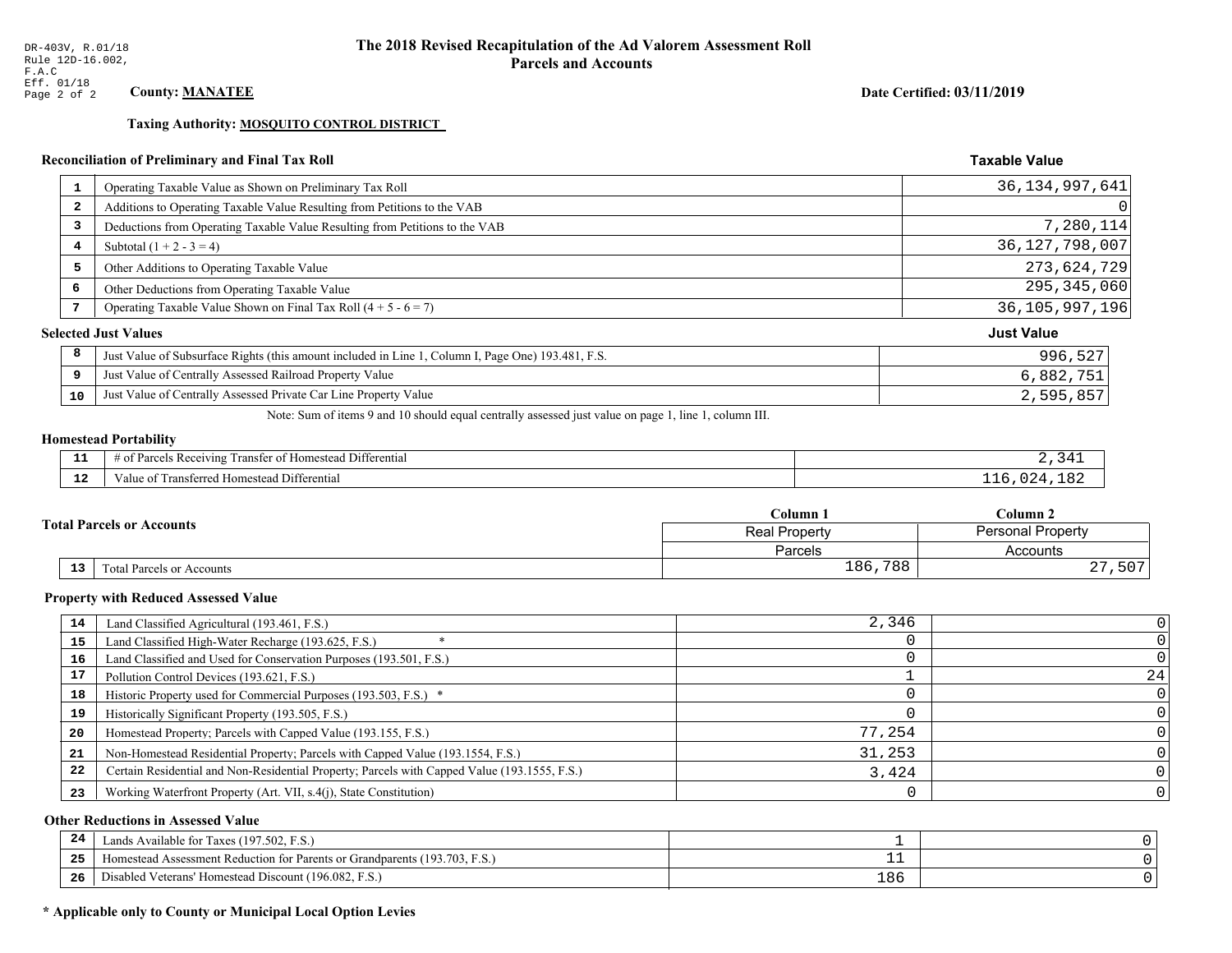Taxing Authority: MOSQUITO CONTROL DISTRICT

## Reconciliation of Preliminary and Final Tax Roll

| 1  | Operating Taxable Value as Shown on Preliminary Tax Roll                                           | 36, 134, 997, 641 |
|----|----------------------------------------------------------------------------------------------------|-------------------|
| 2  | Additions to Operating Taxable Value Resulting from Petitions to the VAB                           | 0                 |
| 3  | Deductions from Operating Taxable Value Resulting from Petitions to the VAB                        | 7,280,114         |
| 4  | Subtotal $(1 + 2 - 3 = 4)$                                                                         | 36, 127, 798, 007 |
| 5  | Other Additions to Operating Taxable Value                                                         | 273,624,729       |
| 6  | Other Deductions from Operating Taxable Value                                                      | 295, 345, 060     |
| 7  | Operating Taxable Value Shown on Final Tax Roll $(4 + 5 - 6 = 7)$                                  | 36, 105, 997, 196 |
|    | <b>Selected Just Values</b>                                                                        | <b>Just Value</b> |
| 8  | Just Value of Subsurface Rights (this amount included in Line 1, Column I, Page One) 193.481, F.S. | 996,527           |
| 9  | Just Value of Centrally Assessed Railroad Property Value                                           | 6,882,751         |
| 10 | Just Value of Centrally Assessed Private Car Line Property Value                                   | 2,595,857         |

Note: Sum of items 9 and 10 should equal centrally assessed just value on page 1, line 1, column III.

## **Homestead Portability**

| - -          | <b>THE PART</b><br>.<br>l Differential<br>ranster of<br>us Receiving.<br>* Homestead<br>'arcels<br>. . | $^{\prime}$ / I |
|--------------|--------------------------------------------------------------------------------------------------------|-----------------|
| $\sim$<br>-- | Transferred<br>Differential<br>Value of<br>Homestead i                                                 | $\prime$        |

|    |                                  | Column 1                                         | Column 2              |  |
|----|----------------------------------|--------------------------------------------------|-----------------------|--|
|    | <b>Total Parcels or Accounts</b> | <b>Personal Property</b><br><b>Real Property</b> |                       |  |
|    |                                  | Parcels                                          | Accounts              |  |
| 13 | <b>Fotal Parcels or Accounts</b> | 186,788                                          | , 507<br>$\cap$<br>47 |  |

#### **Property with Reduced Assessed Value**

| 14 | Land Classified Agricultural (193.461, F.S.)                                                 | 2,346  |    |
|----|----------------------------------------------------------------------------------------------|--------|----|
| 15 | Land Classified High-Water Recharge (193.625, F.S.)                                          |        |    |
| 16 | Land Classified and Used for Conservation Purposes (193.501, F.S.)                           |        |    |
| 17 | Pollution Control Devices (193.621, F.S.)                                                    |        | 24 |
| 18 | Historic Property used for Commercial Purposes (193.503, F.S.) *                             |        |    |
| 19 | Historically Significant Property (193.505, F.S.)                                            |        |    |
| 20 | Homestead Property; Parcels with Capped Value (193.155, F.S.)                                | 77,254 |    |
| 21 | Non-Homestead Residential Property; Parcels with Capped Value (193.1554, F.S.)               | 31,253 |    |
| 22 | Certain Residential and Non-Residential Property; Parcels with Capped Value (193.1555, F.S.) | 3,424  |    |
| 23 | Working Waterfront Property (Art. VII, s.4(j), State Constitution)                           |        |    |

## **Other Reductions in Assessed Value**

| 24    | (197.502, F.S.)<br>Lands Available for Taxes (                                                                |     |  |
|-------|---------------------------------------------------------------------------------------------------------------|-----|--|
| - - - | (193.703)<br>ad Assessment Reduction for Parents or Grandparents ( <sup>16</sup> )<br>. <sub>i</sub> omestead |     |  |
| -26   | <sup>1</sup> Veterans' Homestead Discount (196.082, F.S.)<br>Disabled                                         | 186 |  |

## \* Applicable only to County or Municipal Local Option Levies

Date Certified: 03/11/2019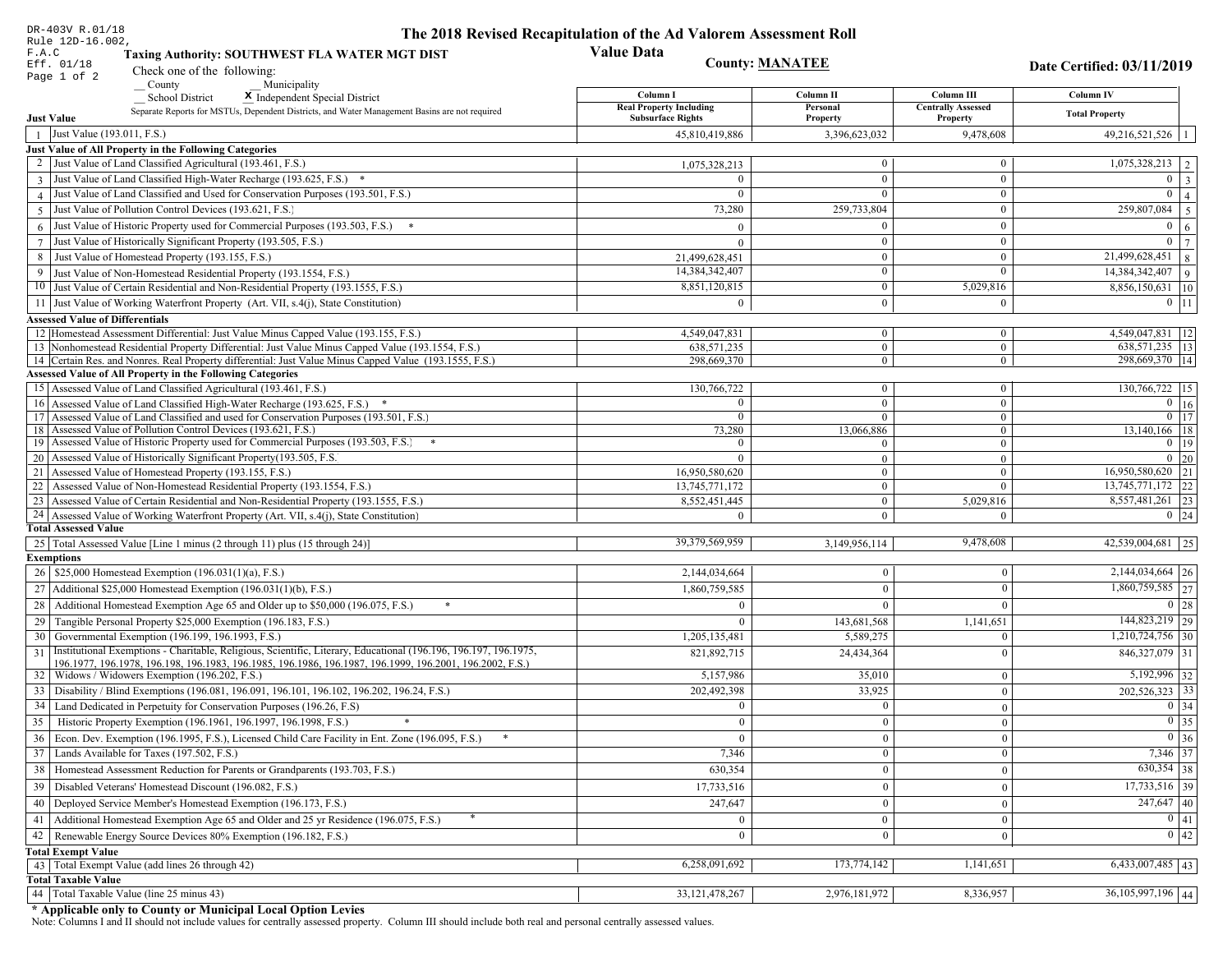| <b>Value Data</b><br>F.A.C<br><b>Taxing Authority: SOUTHWEST FLA WATER MGT DIST</b><br><b>County: MANATEE</b><br>Eff. 01/18<br>Date Certified: 03/11/2019<br>Check one of the following:<br>Page 1 of 2<br>County<br>Municipality<br>Column III<br>Column I<br>Column II<br>Column IV<br>School District<br>X Independent Special District<br><b>Real Property Including</b><br>Personal<br><b>Centrally Assessed</b><br>Separate Reports for MSTUs, Dependent Districts, and Water Management Basins are not required<br><b>Total Property</b><br><b>Just Value</b><br><b>Subsurface Rights</b><br>Property<br>Property<br>Just Value (193.011, F.S.)<br>$49,216,521,526$   1<br>3,396,623,032<br>9,478,608<br>45,810,419,886<br>$\overline{1}$<br>Just Value of All Property in the Following Categories<br>2 Just Value of Land Classified Agricultural (193.461, F.S.)<br>$\boldsymbol{0}$<br>$1,075,328,213$   2<br>1,075,328,213<br>$\overline{0}$<br>$0 \mid 3$<br>3 Just Value of Land Classified High-Water Recharge (193.625, F.S.) *<br>$\mathbf{0}$<br>$\mathbf{0}$<br>$\Omega$<br>4 Just Value of Land Classified and Used for Conservation Purposes (193.501, F.S.)<br>$\Omega$<br>$\boldsymbol{0}$<br>$\Omega$<br>Just Value of Pollution Control Devices (193.621, F.S.)<br>$\mathbf{0}$<br>$\overline{259,807,084}$ 5<br>73,280<br>259,733,804<br>$\overline{5}$<br>$6$ Just Value of Historic Property used for Commercial Purposes (193.503, F.S.) $*$<br>$\boldsymbol{0}$<br>$\theta$<br>$\Omega$<br>$\overline{0}$   7<br>7 Just Value of Historically Significant Property (193.505, F.S.)<br>$\boldsymbol{0}$<br>$\mathbf{0}$<br>$\Omega$<br>8 Just Value of Homestead Property (193.155, F.S.)<br>$\boxed{21,499,628,451}$ 8<br>$\boldsymbol{0}$<br>21,499,628,451<br>$\bf{0}$<br>14,384,342,407<br>$\Omega$<br>$\overline{0}$<br>9 Just Value of Non-Homestead Residential Property (193.1554, F.S.)<br>8,851,120,815<br>5,029,816<br>10 Just Value of Certain Residential and Non-Residential Property (193.1555, F.S.)<br>$\mathbf{0}$<br>11 Just Value of Working Waterfront Property (Art. VII, s.4(j), State Constitution)<br>$\Omega$<br>$\mathbf{0}$<br>$0$ 11<br>$\theta$<br><b>Assessed Value of Differentials</b><br>12 Homestead Assessment Differential: Just Value Minus Capped Value (193.155, F.S.)<br>4,549,047,831<br>$\boldsymbol{0}$<br>$\mathbf{0}$<br>13 Nonhomestead Residential Property Differential: Just Value Minus Capped Value (193.1554, F.S.)<br>$\mathbf{0}$<br>638, 571, 235<br>$\mathbf{0}$<br>14 Certain Res. and Nonres. Real Property differential: Just Value Minus Capped Value (193.1555, F.S.)<br>298,669,370<br>$\mathbf{0}$<br>$\mathbf{0}$<br><b>Assessed Value of All Property in the Following Categories</b><br>15 Assessed Value of Land Classified Agricultural (193.461, F.S.)<br>130,766,722<br>$\mathbf{0}$<br>$\mathbf{0}$<br>$\overline{0}$<br>$\mathbf{0}$<br>$\Omega$<br>16 Assessed Value of Land Classified High-Water Recharge (193.625, F.S.)<br>17 Assessed Value of Land Classified and used for Conservation Purposes (193.501, F.S.)<br>$\mathbf{0}$<br>$\mathbf{0}$<br>$\mathbf{0}$<br>18 Assessed Value of Pollution Control Devices (193.621, F.S.)<br>73,280<br>13,066,886<br>$\overline{0}$<br>19 Assessed Value of Historic Property used for Commercial Purposes (193.503, F.S.)<br>$\mathbf{0}$<br>$\theta$<br>$\theta$<br>20 Assessed Value of Historically Significant Property (193.505, F.S.<br>$\overline{0}$<br>$\overline{0}$<br>$\theta$<br>16,950,580,620<br>$\mathbf{0}$<br>21 Assessed Value of Homestead Property (193.155, F.S.)<br>$\mathbf{0}$<br>22 Assessed Value of Non-Homestead Residential Property (193.1554, F.S.)<br>13,745,771,172<br>$\overline{0}$<br>$\mathbf{0}$<br>23 Assessed Value of Certain Residential and Non-Residential Property (193.1555, F.S.)<br>8,552,451,445<br>5,029,816<br>$\mathbf{0}$<br>24 Assessed Value of Working Waterfront Property (Art. VII, s.4(j), State Constitution<br>$\overline{0}$<br>$\Omega$<br>$\Omega$<br><b>Total Assessed Value</b><br>39,379,569,959<br>9,478,608<br>25   Total Assessed Value [Line 1 minus (2 through 11) plus (15 through 24)]<br>3,149,956,114<br><b>Exemptions</b><br>26   \$25,000 Homestead Exemption (196.031(1)(a), F.S.)<br>2,144,034,664<br>$\Omega$<br>$\Omega$<br>27   Additional \$25,000 Homestead Exemption (196.031(1)(b), F.S.)<br>1,860,759,585<br>$\theta$<br>$\Omega$<br>28 Additional Homestead Exemption Age 65 and Older up to \$50,000 (196.075, F.S.)<br>$\Omega$<br>$\Omega$<br>29 Tangible Personal Property \$25,000 Exemption (196.183, F.S.)<br>143,681,568<br>1,141,651<br>$\mathbf{0}$<br>30 Governmental Exemption (196.199, 196.1993, F.S.)<br>5,589,275<br>1,205,135,481<br>$\Omega$<br>Institutional Exemptions - Charitable, Religious, Scientific, Literary, Educational (196.196, 196.197, 196.1975,<br>31<br>24,434,364<br>821,892,715<br>$\Omega$<br>196.1977, 196.1978, 196.198, 196.1983, 196.1985, 196.1986, 196.1987, 196.1999, 196.2001, 196.2002, F.S.)<br>32   Widows / Widowers Exemption (196.202, F.S.)<br>5,192,996 32<br>5,157,986<br>35,010<br>$\mathbf{0}$<br>33   Disability / Blind Exemptions (196.081, 196.091, 196.101, 196.102, 196.202, 196.24, F.S.)<br>202,492,398<br>33,925<br>$\Omega$<br>$\mathbf{0}$<br>$0 \mid 34$<br>34   Land Dedicated in Perpetuity for Conservation Purposes (196.26, F.S)<br>$\bf{0}$<br>$\Omega$<br>35 Historic Property Exemption (196.1961, 196.1997, 196.1998, F.S.)<br>$\boldsymbol{0}$<br>$\bf{0}$<br>$\vert 0 \vert$<br>$\mathbf{0}$<br>36 Econ. Dev. Exemption (196.1995, F.S.), Licensed Child Care Facility in Ent. Zone (196.095, F.S.)<br>$\overline{0}$<br>$\theta$<br>37 Lands Available for Taxes (197.502, F.S.)<br>7,346<br>$\overline{0}$<br>$\bf{0}$<br>38   Homestead Assessment Reduction for Parents or Grandparents (193.703, F.S.)<br>630,354<br>$\mathbf{0}$<br>$\Omega$<br>39   Disabled Veterans' Homestead Discount (196.082, F.S.)<br>17,733,516<br>$\Omega$<br>$\mathbf{0}$<br>40   Deployed Service Member's Homestead Exemption (196.173, F.S.)<br>247,647<br>$\mathbf{0}$<br>$\theta$<br>41   Additional Homestead Exemption Age 65 and Older and 25 yr Residence (196.075, F.S.)<br>$\Omega$<br>$\Omega$<br>42 Renewable Energy Source Devices 80% Exemption (196.182, F.S.)<br>$\mathbf{0}$<br>$\theta$<br>$\mathbf{0}$<br><b>Total Exempt Value</b><br>6,258,091,692<br>173,774,142<br>1,141,651<br>$6,433,007,485$ 43<br>43 Total Exempt Value (add lines 26 through 42)<br><b>Total Taxable Value</b><br>$36,105,997,196$ 44<br>44 Total Taxable Value (line 25 minus 43)<br>33, 121, 478, 267<br>2,976,181,972<br>8,336,957 | DR-403V R.01/18  | The 2018 Revised Recapitulation of the Ad Valorem Assessment Roll |  |  |
|-------------------------------------------------------------------------------------------------------------------------------------------------------------------------------------------------------------------------------------------------------------------------------------------------------------------------------------------------------------------------------------------------------------------------------------------------------------------------------------------------------------------------------------------------------------------------------------------------------------------------------------------------------------------------------------------------------------------------------------------------------------------------------------------------------------------------------------------------------------------------------------------------------------------------------------------------------------------------------------------------------------------------------------------------------------------------------------------------------------------------------------------------------------------------------------------------------------------------------------------------------------------------------------------------------------------------------------------------------------------------------------------------------------------------------------------------------------------------------------------------------------------------------------------------------------------------------------------------------------------------------------------------------------------------------------------------------------------------------------------------------------------------------------------------------------------------------------------------------------------------------------------------------------------------------------------------------------------------------------------------------------------------------------------------------------------------------------------------------------------------------------------------------------------------------------------------------------------------------------------------------------------------------------------------------------------------------------------------------------------------------------------------------------------------------------------------------------------------------------------------------------------------------------------------------------------------------------------------------------------------------------------------------------------------------------------------------------------------------------------------------------------------------------------------------------------------------------------------------------------------------------------------------------------------------------------------------------------------------------------------------------------------------------------------------------------------------------------------------------------------------------------------------------------------------------------------------------------------------------------------------------------------------------------------------------------------------------------------------------------------------------------------------------------------------------------------------------------------------------------------------------------------------------------------------------------------------------------------------------------------------------------------------------------------------------------------------------------------------------------------------------------------------------------------------------------------------------------------------------------------------------------------------------------------------------------------------------------------------------------------------------------------------------------------------------------------------------------------------------------------------------------------------------------------------------------------------------------------------------------------------------------------------------------------------------------------------------------------------------------------------------------------------------------------------------------------------------------------------------------------------------------------------------------------------------------------------------------------------------------------------------------------------------------------------------------------------------------------------------------------------------------------------------------------------------------------------------------------------------------------------------------------------------------------------------------------------------------------------------------------------------------------------------------------------------------------------------------------------------------------------------------------------------------------------------------------------------------------------------------------------------------------------------------------------------------------------------------------------------------------------------------------------------------------------------------------------------------------------------------------------------------------------------------------------------------------------------------------------------------------------------------------------------------------------------------------------------------------------------------------------------------------------------------------------------------------------------------------------------------------------------------------------------------------------------------------------------------------------------------------------------------------------------------------------------------------------------------------------------------------------------------------------------------------------------------------------------------------------------------------------------------------------------------------------------------------------------------------------------------------------------------------------------------------------------------------------------------------------------------------------------------------------------------------------------------------------------------------------------------------------------------------------------------------------------------------------------------------------------------------------|------------------|-------------------------------------------------------------------|--|--|
| $14,384,342,407$ 9<br>8,856,150,631 10<br>4,549,047,831   12<br>638,571,235   13<br>298,669,370   14<br>130,766,722 15<br>$\overline{0}$ 16<br>$0$ 17<br>13,140,166 18<br>$0 \mid 20$<br>16,950,580,620 21<br>13,745,771,172 22<br>8,557,481,261 23<br>$0 \mid 24$<br>42,539,004,681 25<br>$2,144,034,664$ 26<br>1,860,759,585 27<br>$0 \mid 28$<br>144,823,219 29<br>$1,210,724,756$ 30<br>$846,327,079$ 31<br>$202,526,323$ 33<br>$\boxed{0}$ 35<br>$0\vert 36$<br>7,346 37<br>$630,354$ 38<br>0 42                                                                                                                                                                                                                                                                                                                                                                                                                                                                                                                                                                                                                                                                                                                                                                                                                                                                                                                                                                                                                                                                                                                                                                                                                                                                                                                                                                                                                                                                                                                                                                                                                                                                                                                                                                                                                                                                                                                                                                                                                                                                                                                                                                                                                                                                                                                                                                                                                                                                                                                                                                                                                                                                                                                                                                                                                                                                                                                                                                                                                                                                                                                                                                                                                                                                                                                                                                                                                                                                                                                                                                                                                                                                                                                                                                                                                                                                                                                                                                                                                                                                                                                                                                                                                                                                                                                                                                                                                                                                                                                                                                                                                                                                                                                                                                                                                                                                                                                                                                                                                                                                                                                                                                                                                                                                                                                                                                                                                                                                                                                                                                                                                                                                                                                                                                                                                                                                                                                                                                                                                                                                                                                                                                                                                                                 | Rule 12D-16.002, |                                                                   |  |  |
| $\overline{0}$   4<br>$0 \quad 6$<br>$0$   19<br>$17,733,516$ 39<br>$\overline{247,647}$ 40<br>$\boxed{0}$ $\boxed{41}$                                                                                                                                                                                                                                                                                                                                                                                                                                                                                                                                                                                                                                                                                                                                                                                                                                                                                                                                                                                                                                                                                                                                                                                                                                                                                                                                                                                                                                                                                                                                                                                                                                                                                                                                                                                                                                                                                                                                                                                                                                                                                                                                                                                                                                                                                                                                                                                                                                                                                                                                                                                                                                                                                                                                                                                                                                                                                                                                                                                                                                                                                                                                                                                                                                                                                                                                                                                                                                                                                                                                                                                                                                                                                                                                                                                                                                                                                                                                                                                                                                                                                                                                                                                                                                                                                                                                                                                                                                                                                                                                                                                                                                                                                                                                                                                                                                                                                                                                                                                                                                                                                                                                                                                                                                                                                                                                                                                                                                                                                                                                                                                                                                                                                                                                                                                                                                                                                                                                                                                                                                                                                                                                                                                                                                                                                                                                                                                                                                                                                                                                                                                                                               |                  |                                                                   |  |  |
|                                                                                                                                                                                                                                                                                                                                                                                                                                                                                                                                                                                                                                                                                                                                                                                                                                                                                                                                                                                                                                                                                                                                                                                                                                                                                                                                                                                                                                                                                                                                                                                                                                                                                                                                                                                                                                                                                                                                                                                                                                                                                                                                                                                                                                                                                                                                                                                                                                                                                                                                                                                                                                                                                                                                                                                                                                                                                                                                                                                                                                                                                                                                                                                                                                                                                                                                                                                                                                                                                                                                                                                                                                                                                                                                                                                                                                                                                                                                                                                                                                                                                                                                                                                                                                                                                                                                                                                                                                                                                                                                                                                                                                                                                                                                                                                                                                                                                                                                                                                                                                                                                                                                                                                                                                                                                                                                                                                                                                                                                                                                                                                                                                                                                                                                                                                                                                                                                                                                                                                                                                                                                                                                                                                                                                                                                                                                                                                                                                                                                                                                                                                                                                                                                                                                                       |                  |                                                                   |  |  |
|                                                                                                                                                                                                                                                                                                                                                                                                                                                                                                                                                                                                                                                                                                                                                                                                                                                                                                                                                                                                                                                                                                                                                                                                                                                                                                                                                                                                                                                                                                                                                                                                                                                                                                                                                                                                                                                                                                                                                                                                                                                                                                                                                                                                                                                                                                                                                                                                                                                                                                                                                                                                                                                                                                                                                                                                                                                                                                                                                                                                                                                                                                                                                                                                                                                                                                                                                                                                                                                                                                                                                                                                                                                                                                                                                                                                                                                                                                                                                                                                                                                                                                                                                                                                                                                                                                                                                                                                                                                                                                                                                                                                                                                                                                                                                                                                                                                                                                                                                                                                                                                                                                                                                                                                                                                                                                                                                                                                                                                                                                                                                                                                                                                                                                                                                                                                                                                                                                                                                                                                                                                                                                                                                                                                                                                                                                                                                                                                                                                                                                                                                                                                                                                                                                                                                       |                  |                                                                   |  |  |
|                                                                                                                                                                                                                                                                                                                                                                                                                                                                                                                                                                                                                                                                                                                                                                                                                                                                                                                                                                                                                                                                                                                                                                                                                                                                                                                                                                                                                                                                                                                                                                                                                                                                                                                                                                                                                                                                                                                                                                                                                                                                                                                                                                                                                                                                                                                                                                                                                                                                                                                                                                                                                                                                                                                                                                                                                                                                                                                                                                                                                                                                                                                                                                                                                                                                                                                                                                                                                                                                                                                                                                                                                                                                                                                                                                                                                                                                                                                                                                                                                                                                                                                                                                                                                                                                                                                                                                                                                                                                                                                                                                                                                                                                                                                                                                                                                                                                                                                                                                                                                                                                                                                                                                                                                                                                                                                                                                                                                                                                                                                                                                                                                                                                                                                                                                                                                                                                                                                                                                                                                                                                                                                                                                                                                                                                                                                                                                                                                                                                                                                                                                                                                                                                                                                                                       |                  |                                                                   |  |  |
|                                                                                                                                                                                                                                                                                                                                                                                                                                                                                                                                                                                                                                                                                                                                                                                                                                                                                                                                                                                                                                                                                                                                                                                                                                                                                                                                                                                                                                                                                                                                                                                                                                                                                                                                                                                                                                                                                                                                                                                                                                                                                                                                                                                                                                                                                                                                                                                                                                                                                                                                                                                                                                                                                                                                                                                                                                                                                                                                                                                                                                                                                                                                                                                                                                                                                                                                                                                                                                                                                                                                                                                                                                                                                                                                                                                                                                                                                                                                                                                                                                                                                                                                                                                                                                                                                                                                                                                                                                                                                                                                                                                                                                                                                                                                                                                                                                                                                                                                                                                                                                                                                                                                                                                                                                                                                                                                                                                                                                                                                                                                                                                                                                                                                                                                                                                                                                                                                                                                                                                                                                                                                                                                                                                                                                                                                                                                                                                                                                                                                                                                                                                                                                                                                                                                                       |                  |                                                                   |  |  |
|                                                                                                                                                                                                                                                                                                                                                                                                                                                                                                                                                                                                                                                                                                                                                                                                                                                                                                                                                                                                                                                                                                                                                                                                                                                                                                                                                                                                                                                                                                                                                                                                                                                                                                                                                                                                                                                                                                                                                                                                                                                                                                                                                                                                                                                                                                                                                                                                                                                                                                                                                                                                                                                                                                                                                                                                                                                                                                                                                                                                                                                                                                                                                                                                                                                                                                                                                                                                                                                                                                                                                                                                                                                                                                                                                                                                                                                                                                                                                                                                                                                                                                                                                                                                                                                                                                                                                                                                                                                                                                                                                                                                                                                                                                                                                                                                                                                                                                                                                                                                                                                                                                                                                                                                                                                                                                                                                                                                                                                                                                                                                                                                                                                                                                                                                                                                                                                                                                                                                                                                                                                                                                                                                                                                                                                                                                                                                                                                                                                                                                                                                                                                                                                                                                                                                       |                  |                                                                   |  |  |
|                                                                                                                                                                                                                                                                                                                                                                                                                                                                                                                                                                                                                                                                                                                                                                                                                                                                                                                                                                                                                                                                                                                                                                                                                                                                                                                                                                                                                                                                                                                                                                                                                                                                                                                                                                                                                                                                                                                                                                                                                                                                                                                                                                                                                                                                                                                                                                                                                                                                                                                                                                                                                                                                                                                                                                                                                                                                                                                                                                                                                                                                                                                                                                                                                                                                                                                                                                                                                                                                                                                                                                                                                                                                                                                                                                                                                                                                                                                                                                                                                                                                                                                                                                                                                                                                                                                                                                                                                                                                                                                                                                                                                                                                                                                                                                                                                                                                                                                                                                                                                                                                                                                                                                                                                                                                                                                                                                                                                                                                                                                                                                                                                                                                                                                                                                                                                                                                                                                                                                                                                                                                                                                                                                                                                                                                                                                                                                                                                                                                                                                                                                                                                                                                                                                                                       |                  |                                                                   |  |  |
|                                                                                                                                                                                                                                                                                                                                                                                                                                                                                                                                                                                                                                                                                                                                                                                                                                                                                                                                                                                                                                                                                                                                                                                                                                                                                                                                                                                                                                                                                                                                                                                                                                                                                                                                                                                                                                                                                                                                                                                                                                                                                                                                                                                                                                                                                                                                                                                                                                                                                                                                                                                                                                                                                                                                                                                                                                                                                                                                                                                                                                                                                                                                                                                                                                                                                                                                                                                                                                                                                                                                                                                                                                                                                                                                                                                                                                                                                                                                                                                                                                                                                                                                                                                                                                                                                                                                                                                                                                                                                                                                                                                                                                                                                                                                                                                                                                                                                                                                                                                                                                                                                                                                                                                                                                                                                                                                                                                                                                                                                                                                                                                                                                                                                                                                                                                                                                                                                                                                                                                                                                                                                                                                                                                                                                                                                                                                                                                                                                                                                                                                                                                                                                                                                                                                                       |                  |                                                                   |  |  |
|                                                                                                                                                                                                                                                                                                                                                                                                                                                                                                                                                                                                                                                                                                                                                                                                                                                                                                                                                                                                                                                                                                                                                                                                                                                                                                                                                                                                                                                                                                                                                                                                                                                                                                                                                                                                                                                                                                                                                                                                                                                                                                                                                                                                                                                                                                                                                                                                                                                                                                                                                                                                                                                                                                                                                                                                                                                                                                                                                                                                                                                                                                                                                                                                                                                                                                                                                                                                                                                                                                                                                                                                                                                                                                                                                                                                                                                                                                                                                                                                                                                                                                                                                                                                                                                                                                                                                                                                                                                                                                                                                                                                                                                                                                                                                                                                                                                                                                                                                                                                                                                                                                                                                                                                                                                                                                                                                                                                                                                                                                                                                                                                                                                                                                                                                                                                                                                                                                                                                                                                                                                                                                                                                                                                                                                                                                                                                                                                                                                                                                                                                                                                                                                                                                                                                       |                  |                                                                   |  |  |
|                                                                                                                                                                                                                                                                                                                                                                                                                                                                                                                                                                                                                                                                                                                                                                                                                                                                                                                                                                                                                                                                                                                                                                                                                                                                                                                                                                                                                                                                                                                                                                                                                                                                                                                                                                                                                                                                                                                                                                                                                                                                                                                                                                                                                                                                                                                                                                                                                                                                                                                                                                                                                                                                                                                                                                                                                                                                                                                                                                                                                                                                                                                                                                                                                                                                                                                                                                                                                                                                                                                                                                                                                                                                                                                                                                                                                                                                                                                                                                                                                                                                                                                                                                                                                                                                                                                                                                                                                                                                                                                                                                                                                                                                                                                                                                                                                                                                                                                                                                                                                                                                                                                                                                                                                                                                                                                                                                                                                                                                                                                                                                                                                                                                                                                                                                                                                                                                                                                                                                                                                                                                                                                                                                                                                                                                                                                                                                                                                                                                                                                                                                                                                                                                                                                                                       |                  |                                                                   |  |  |
|                                                                                                                                                                                                                                                                                                                                                                                                                                                                                                                                                                                                                                                                                                                                                                                                                                                                                                                                                                                                                                                                                                                                                                                                                                                                                                                                                                                                                                                                                                                                                                                                                                                                                                                                                                                                                                                                                                                                                                                                                                                                                                                                                                                                                                                                                                                                                                                                                                                                                                                                                                                                                                                                                                                                                                                                                                                                                                                                                                                                                                                                                                                                                                                                                                                                                                                                                                                                                                                                                                                                                                                                                                                                                                                                                                                                                                                                                                                                                                                                                                                                                                                                                                                                                                                                                                                                                                                                                                                                                                                                                                                                                                                                                                                                                                                                                                                                                                                                                                                                                                                                                                                                                                                                                                                                                                                                                                                                                                                                                                                                                                                                                                                                                                                                                                                                                                                                                                                                                                                                                                                                                                                                                                                                                                                                                                                                                                                                                                                                                                                                                                                                                                                                                                                                                       |                  |                                                                   |  |  |
|                                                                                                                                                                                                                                                                                                                                                                                                                                                                                                                                                                                                                                                                                                                                                                                                                                                                                                                                                                                                                                                                                                                                                                                                                                                                                                                                                                                                                                                                                                                                                                                                                                                                                                                                                                                                                                                                                                                                                                                                                                                                                                                                                                                                                                                                                                                                                                                                                                                                                                                                                                                                                                                                                                                                                                                                                                                                                                                                                                                                                                                                                                                                                                                                                                                                                                                                                                                                                                                                                                                                                                                                                                                                                                                                                                                                                                                                                                                                                                                                                                                                                                                                                                                                                                                                                                                                                                                                                                                                                                                                                                                                                                                                                                                                                                                                                                                                                                                                                                                                                                                                                                                                                                                                                                                                                                                                                                                                                                                                                                                                                                                                                                                                                                                                                                                                                                                                                                                                                                                                                                                                                                                                                                                                                                                                                                                                                                                                                                                                                                                                                                                                                                                                                                                                                       |                  |                                                                   |  |  |
|                                                                                                                                                                                                                                                                                                                                                                                                                                                                                                                                                                                                                                                                                                                                                                                                                                                                                                                                                                                                                                                                                                                                                                                                                                                                                                                                                                                                                                                                                                                                                                                                                                                                                                                                                                                                                                                                                                                                                                                                                                                                                                                                                                                                                                                                                                                                                                                                                                                                                                                                                                                                                                                                                                                                                                                                                                                                                                                                                                                                                                                                                                                                                                                                                                                                                                                                                                                                                                                                                                                                                                                                                                                                                                                                                                                                                                                                                                                                                                                                                                                                                                                                                                                                                                                                                                                                                                                                                                                                                                                                                                                                                                                                                                                                                                                                                                                                                                                                                                                                                                                                                                                                                                                                                                                                                                                                                                                                                                                                                                                                                                                                                                                                                                                                                                                                                                                                                                                                                                                                                                                                                                                                                                                                                                                                                                                                                                                                                                                                                                                                                                                                                                                                                                                                                       |                  |                                                                   |  |  |
|                                                                                                                                                                                                                                                                                                                                                                                                                                                                                                                                                                                                                                                                                                                                                                                                                                                                                                                                                                                                                                                                                                                                                                                                                                                                                                                                                                                                                                                                                                                                                                                                                                                                                                                                                                                                                                                                                                                                                                                                                                                                                                                                                                                                                                                                                                                                                                                                                                                                                                                                                                                                                                                                                                                                                                                                                                                                                                                                                                                                                                                                                                                                                                                                                                                                                                                                                                                                                                                                                                                                                                                                                                                                                                                                                                                                                                                                                                                                                                                                                                                                                                                                                                                                                                                                                                                                                                                                                                                                                                                                                                                                                                                                                                                                                                                                                                                                                                                                                                                                                                                                                                                                                                                                                                                                                                                                                                                                                                                                                                                                                                                                                                                                                                                                                                                                                                                                                                                                                                                                                                                                                                                                                                                                                                                                                                                                                                                                                                                                                                                                                                                                                                                                                                                                                       |                  |                                                                   |  |  |
|                                                                                                                                                                                                                                                                                                                                                                                                                                                                                                                                                                                                                                                                                                                                                                                                                                                                                                                                                                                                                                                                                                                                                                                                                                                                                                                                                                                                                                                                                                                                                                                                                                                                                                                                                                                                                                                                                                                                                                                                                                                                                                                                                                                                                                                                                                                                                                                                                                                                                                                                                                                                                                                                                                                                                                                                                                                                                                                                                                                                                                                                                                                                                                                                                                                                                                                                                                                                                                                                                                                                                                                                                                                                                                                                                                                                                                                                                                                                                                                                                                                                                                                                                                                                                                                                                                                                                                                                                                                                                                                                                                                                                                                                                                                                                                                                                                                                                                                                                                                                                                                                                                                                                                                                                                                                                                                                                                                                                                                                                                                                                                                                                                                                                                                                                                                                                                                                                                                                                                                                                                                                                                                                                                                                                                                                                                                                                                                                                                                                                                                                                                                                                                                                                                                                                       |                  |                                                                   |  |  |
|                                                                                                                                                                                                                                                                                                                                                                                                                                                                                                                                                                                                                                                                                                                                                                                                                                                                                                                                                                                                                                                                                                                                                                                                                                                                                                                                                                                                                                                                                                                                                                                                                                                                                                                                                                                                                                                                                                                                                                                                                                                                                                                                                                                                                                                                                                                                                                                                                                                                                                                                                                                                                                                                                                                                                                                                                                                                                                                                                                                                                                                                                                                                                                                                                                                                                                                                                                                                                                                                                                                                                                                                                                                                                                                                                                                                                                                                                                                                                                                                                                                                                                                                                                                                                                                                                                                                                                                                                                                                                                                                                                                                                                                                                                                                                                                                                                                                                                                                                                                                                                                                                                                                                                                                                                                                                                                                                                                                                                                                                                                                                                                                                                                                                                                                                                                                                                                                                                                                                                                                                                                                                                                                                                                                                                                                                                                                                                                                                                                                                                                                                                                                                                                                                                                                                       |                  |                                                                   |  |  |
|                                                                                                                                                                                                                                                                                                                                                                                                                                                                                                                                                                                                                                                                                                                                                                                                                                                                                                                                                                                                                                                                                                                                                                                                                                                                                                                                                                                                                                                                                                                                                                                                                                                                                                                                                                                                                                                                                                                                                                                                                                                                                                                                                                                                                                                                                                                                                                                                                                                                                                                                                                                                                                                                                                                                                                                                                                                                                                                                                                                                                                                                                                                                                                                                                                                                                                                                                                                                                                                                                                                                                                                                                                                                                                                                                                                                                                                                                                                                                                                                                                                                                                                                                                                                                                                                                                                                                                                                                                                                                                                                                                                                                                                                                                                                                                                                                                                                                                                                                                                                                                                                                                                                                                                                                                                                                                                                                                                                                                                                                                                                                                                                                                                                                                                                                                                                                                                                                                                                                                                                                                                                                                                                                                                                                                                                                                                                                                                                                                                                                                                                                                                                                                                                                                                                                       |                  |                                                                   |  |  |
|                                                                                                                                                                                                                                                                                                                                                                                                                                                                                                                                                                                                                                                                                                                                                                                                                                                                                                                                                                                                                                                                                                                                                                                                                                                                                                                                                                                                                                                                                                                                                                                                                                                                                                                                                                                                                                                                                                                                                                                                                                                                                                                                                                                                                                                                                                                                                                                                                                                                                                                                                                                                                                                                                                                                                                                                                                                                                                                                                                                                                                                                                                                                                                                                                                                                                                                                                                                                                                                                                                                                                                                                                                                                                                                                                                                                                                                                                                                                                                                                                                                                                                                                                                                                                                                                                                                                                                                                                                                                                                                                                                                                                                                                                                                                                                                                                                                                                                                                                                                                                                                                                                                                                                                                                                                                                                                                                                                                                                                                                                                                                                                                                                                                                                                                                                                                                                                                                                                                                                                                                                                                                                                                                                                                                                                                                                                                                                                                                                                                                                                                                                                                                                                                                                                                                       |                  |                                                                   |  |  |
|                                                                                                                                                                                                                                                                                                                                                                                                                                                                                                                                                                                                                                                                                                                                                                                                                                                                                                                                                                                                                                                                                                                                                                                                                                                                                                                                                                                                                                                                                                                                                                                                                                                                                                                                                                                                                                                                                                                                                                                                                                                                                                                                                                                                                                                                                                                                                                                                                                                                                                                                                                                                                                                                                                                                                                                                                                                                                                                                                                                                                                                                                                                                                                                                                                                                                                                                                                                                                                                                                                                                                                                                                                                                                                                                                                                                                                                                                                                                                                                                                                                                                                                                                                                                                                                                                                                                                                                                                                                                                                                                                                                                                                                                                                                                                                                                                                                                                                                                                                                                                                                                                                                                                                                                                                                                                                                                                                                                                                                                                                                                                                                                                                                                                                                                                                                                                                                                                                                                                                                                                                                                                                                                                                                                                                                                                                                                                                                                                                                                                                                                                                                                                                                                                                                                                       |                  |                                                                   |  |  |
|                                                                                                                                                                                                                                                                                                                                                                                                                                                                                                                                                                                                                                                                                                                                                                                                                                                                                                                                                                                                                                                                                                                                                                                                                                                                                                                                                                                                                                                                                                                                                                                                                                                                                                                                                                                                                                                                                                                                                                                                                                                                                                                                                                                                                                                                                                                                                                                                                                                                                                                                                                                                                                                                                                                                                                                                                                                                                                                                                                                                                                                                                                                                                                                                                                                                                                                                                                                                                                                                                                                                                                                                                                                                                                                                                                                                                                                                                                                                                                                                                                                                                                                                                                                                                                                                                                                                                                                                                                                                                                                                                                                                                                                                                                                                                                                                                                                                                                                                                                                                                                                                                                                                                                                                                                                                                                                                                                                                                                                                                                                                                                                                                                                                                                                                                                                                                                                                                                                                                                                                                                                                                                                                                                                                                                                                                                                                                                                                                                                                                                                                                                                                                                                                                                                                                       |                  |                                                                   |  |  |
|                                                                                                                                                                                                                                                                                                                                                                                                                                                                                                                                                                                                                                                                                                                                                                                                                                                                                                                                                                                                                                                                                                                                                                                                                                                                                                                                                                                                                                                                                                                                                                                                                                                                                                                                                                                                                                                                                                                                                                                                                                                                                                                                                                                                                                                                                                                                                                                                                                                                                                                                                                                                                                                                                                                                                                                                                                                                                                                                                                                                                                                                                                                                                                                                                                                                                                                                                                                                                                                                                                                                                                                                                                                                                                                                                                                                                                                                                                                                                                                                                                                                                                                                                                                                                                                                                                                                                                                                                                                                                                                                                                                                                                                                                                                                                                                                                                                                                                                                                                                                                                                                                                                                                                                                                                                                                                                                                                                                                                                                                                                                                                                                                                                                                                                                                                                                                                                                                                                                                                                                                                                                                                                                                                                                                                                                                                                                                                                                                                                                                                                                                                                                                                                                                                                                                       |                  |                                                                   |  |  |
|                                                                                                                                                                                                                                                                                                                                                                                                                                                                                                                                                                                                                                                                                                                                                                                                                                                                                                                                                                                                                                                                                                                                                                                                                                                                                                                                                                                                                                                                                                                                                                                                                                                                                                                                                                                                                                                                                                                                                                                                                                                                                                                                                                                                                                                                                                                                                                                                                                                                                                                                                                                                                                                                                                                                                                                                                                                                                                                                                                                                                                                                                                                                                                                                                                                                                                                                                                                                                                                                                                                                                                                                                                                                                                                                                                                                                                                                                                                                                                                                                                                                                                                                                                                                                                                                                                                                                                                                                                                                                                                                                                                                                                                                                                                                                                                                                                                                                                                                                                                                                                                                                                                                                                                                                                                                                                                                                                                                                                                                                                                                                                                                                                                                                                                                                                                                                                                                                                                                                                                                                                                                                                                                                                                                                                                                                                                                                                                                                                                                                                                                                                                                                                                                                                                                                       |                  |                                                                   |  |  |
|                                                                                                                                                                                                                                                                                                                                                                                                                                                                                                                                                                                                                                                                                                                                                                                                                                                                                                                                                                                                                                                                                                                                                                                                                                                                                                                                                                                                                                                                                                                                                                                                                                                                                                                                                                                                                                                                                                                                                                                                                                                                                                                                                                                                                                                                                                                                                                                                                                                                                                                                                                                                                                                                                                                                                                                                                                                                                                                                                                                                                                                                                                                                                                                                                                                                                                                                                                                                                                                                                                                                                                                                                                                                                                                                                                                                                                                                                                                                                                                                                                                                                                                                                                                                                                                                                                                                                                                                                                                                                                                                                                                                                                                                                                                                                                                                                                                                                                                                                                                                                                                                                                                                                                                                                                                                                                                                                                                                                                                                                                                                                                                                                                                                                                                                                                                                                                                                                                                                                                                                                                                                                                                                                                                                                                                                                                                                                                                                                                                                                                                                                                                                                                                                                                                                                       |                  |                                                                   |  |  |
|                                                                                                                                                                                                                                                                                                                                                                                                                                                                                                                                                                                                                                                                                                                                                                                                                                                                                                                                                                                                                                                                                                                                                                                                                                                                                                                                                                                                                                                                                                                                                                                                                                                                                                                                                                                                                                                                                                                                                                                                                                                                                                                                                                                                                                                                                                                                                                                                                                                                                                                                                                                                                                                                                                                                                                                                                                                                                                                                                                                                                                                                                                                                                                                                                                                                                                                                                                                                                                                                                                                                                                                                                                                                                                                                                                                                                                                                                                                                                                                                                                                                                                                                                                                                                                                                                                                                                                                                                                                                                                                                                                                                                                                                                                                                                                                                                                                                                                                                                                                                                                                                                                                                                                                                                                                                                                                                                                                                                                                                                                                                                                                                                                                                                                                                                                                                                                                                                                                                                                                                                                                                                                                                                                                                                                                                                                                                                                                                                                                                                                                                                                                                                                                                                                                                                       |                  |                                                                   |  |  |
|                                                                                                                                                                                                                                                                                                                                                                                                                                                                                                                                                                                                                                                                                                                                                                                                                                                                                                                                                                                                                                                                                                                                                                                                                                                                                                                                                                                                                                                                                                                                                                                                                                                                                                                                                                                                                                                                                                                                                                                                                                                                                                                                                                                                                                                                                                                                                                                                                                                                                                                                                                                                                                                                                                                                                                                                                                                                                                                                                                                                                                                                                                                                                                                                                                                                                                                                                                                                                                                                                                                                                                                                                                                                                                                                                                                                                                                                                                                                                                                                                                                                                                                                                                                                                                                                                                                                                                                                                                                                                                                                                                                                                                                                                                                                                                                                                                                                                                                                                                                                                                                                                                                                                                                                                                                                                                                                                                                                                                                                                                                                                                                                                                                                                                                                                                                                                                                                                                                                                                                                                                                                                                                                                                                                                                                                                                                                                                                                                                                                                                                                                                                                                                                                                                                                                       |                  |                                                                   |  |  |
|                                                                                                                                                                                                                                                                                                                                                                                                                                                                                                                                                                                                                                                                                                                                                                                                                                                                                                                                                                                                                                                                                                                                                                                                                                                                                                                                                                                                                                                                                                                                                                                                                                                                                                                                                                                                                                                                                                                                                                                                                                                                                                                                                                                                                                                                                                                                                                                                                                                                                                                                                                                                                                                                                                                                                                                                                                                                                                                                                                                                                                                                                                                                                                                                                                                                                                                                                                                                                                                                                                                                                                                                                                                                                                                                                                                                                                                                                                                                                                                                                                                                                                                                                                                                                                                                                                                                                                                                                                                                                                                                                                                                                                                                                                                                                                                                                                                                                                                                                                                                                                                                                                                                                                                                                                                                                                                                                                                                                                                                                                                                                                                                                                                                                                                                                                                                                                                                                                                                                                                                                                                                                                                                                                                                                                                                                                                                                                                                                                                                                                                                                                                                                                                                                                                                                       |                  |                                                                   |  |  |
|                                                                                                                                                                                                                                                                                                                                                                                                                                                                                                                                                                                                                                                                                                                                                                                                                                                                                                                                                                                                                                                                                                                                                                                                                                                                                                                                                                                                                                                                                                                                                                                                                                                                                                                                                                                                                                                                                                                                                                                                                                                                                                                                                                                                                                                                                                                                                                                                                                                                                                                                                                                                                                                                                                                                                                                                                                                                                                                                                                                                                                                                                                                                                                                                                                                                                                                                                                                                                                                                                                                                                                                                                                                                                                                                                                                                                                                                                                                                                                                                                                                                                                                                                                                                                                                                                                                                                                                                                                                                                                                                                                                                                                                                                                                                                                                                                                                                                                                                                                                                                                                                                                                                                                                                                                                                                                                                                                                                                                                                                                                                                                                                                                                                                                                                                                                                                                                                                                                                                                                                                                                                                                                                                                                                                                                                                                                                                                                                                                                                                                                                                                                                                                                                                                                                                       |                  |                                                                   |  |  |
|                                                                                                                                                                                                                                                                                                                                                                                                                                                                                                                                                                                                                                                                                                                                                                                                                                                                                                                                                                                                                                                                                                                                                                                                                                                                                                                                                                                                                                                                                                                                                                                                                                                                                                                                                                                                                                                                                                                                                                                                                                                                                                                                                                                                                                                                                                                                                                                                                                                                                                                                                                                                                                                                                                                                                                                                                                                                                                                                                                                                                                                                                                                                                                                                                                                                                                                                                                                                                                                                                                                                                                                                                                                                                                                                                                                                                                                                                                                                                                                                                                                                                                                                                                                                                                                                                                                                                                                                                                                                                                                                                                                                                                                                                                                                                                                                                                                                                                                                                                                                                                                                                                                                                                                                                                                                                                                                                                                                                                                                                                                                                                                                                                                                                                                                                                                                                                                                                                                                                                                                                                                                                                                                                                                                                                                                                                                                                                                                                                                                                                                                                                                                                                                                                                                                                       |                  |                                                                   |  |  |
|                                                                                                                                                                                                                                                                                                                                                                                                                                                                                                                                                                                                                                                                                                                                                                                                                                                                                                                                                                                                                                                                                                                                                                                                                                                                                                                                                                                                                                                                                                                                                                                                                                                                                                                                                                                                                                                                                                                                                                                                                                                                                                                                                                                                                                                                                                                                                                                                                                                                                                                                                                                                                                                                                                                                                                                                                                                                                                                                                                                                                                                                                                                                                                                                                                                                                                                                                                                                                                                                                                                                                                                                                                                                                                                                                                                                                                                                                                                                                                                                                                                                                                                                                                                                                                                                                                                                                                                                                                                                                                                                                                                                                                                                                                                                                                                                                                                                                                                                                                                                                                                                                                                                                                                                                                                                                                                                                                                                                                                                                                                                                                                                                                                                                                                                                                                                                                                                                                                                                                                                                                                                                                                                                                                                                                                                                                                                                                                                                                                                                                                                                                                                                                                                                                                                                       |                  |                                                                   |  |  |
|                                                                                                                                                                                                                                                                                                                                                                                                                                                                                                                                                                                                                                                                                                                                                                                                                                                                                                                                                                                                                                                                                                                                                                                                                                                                                                                                                                                                                                                                                                                                                                                                                                                                                                                                                                                                                                                                                                                                                                                                                                                                                                                                                                                                                                                                                                                                                                                                                                                                                                                                                                                                                                                                                                                                                                                                                                                                                                                                                                                                                                                                                                                                                                                                                                                                                                                                                                                                                                                                                                                                                                                                                                                                                                                                                                                                                                                                                                                                                                                                                                                                                                                                                                                                                                                                                                                                                                                                                                                                                                                                                                                                                                                                                                                                                                                                                                                                                                                                                                                                                                                                                                                                                                                                                                                                                                                                                                                                                                                                                                                                                                                                                                                                                                                                                                                                                                                                                                                                                                                                                                                                                                                                                                                                                                                                                                                                                                                                                                                                                                                                                                                                                                                                                                                                                       |                  |                                                                   |  |  |
|                                                                                                                                                                                                                                                                                                                                                                                                                                                                                                                                                                                                                                                                                                                                                                                                                                                                                                                                                                                                                                                                                                                                                                                                                                                                                                                                                                                                                                                                                                                                                                                                                                                                                                                                                                                                                                                                                                                                                                                                                                                                                                                                                                                                                                                                                                                                                                                                                                                                                                                                                                                                                                                                                                                                                                                                                                                                                                                                                                                                                                                                                                                                                                                                                                                                                                                                                                                                                                                                                                                                                                                                                                                                                                                                                                                                                                                                                                                                                                                                                                                                                                                                                                                                                                                                                                                                                                                                                                                                                                                                                                                                                                                                                                                                                                                                                                                                                                                                                                                                                                                                                                                                                                                                                                                                                                                                                                                                                                                                                                                                                                                                                                                                                                                                                                                                                                                                                                                                                                                                                                                                                                                                                                                                                                                                                                                                                                                                                                                                                                                                                                                                                                                                                                                                                       |                  |                                                                   |  |  |
|                                                                                                                                                                                                                                                                                                                                                                                                                                                                                                                                                                                                                                                                                                                                                                                                                                                                                                                                                                                                                                                                                                                                                                                                                                                                                                                                                                                                                                                                                                                                                                                                                                                                                                                                                                                                                                                                                                                                                                                                                                                                                                                                                                                                                                                                                                                                                                                                                                                                                                                                                                                                                                                                                                                                                                                                                                                                                                                                                                                                                                                                                                                                                                                                                                                                                                                                                                                                                                                                                                                                                                                                                                                                                                                                                                                                                                                                                                                                                                                                                                                                                                                                                                                                                                                                                                                                                                                                                                                                                                                                                                                                                                                                                                                                                                                                                                                                                                                                                                                                                                                                                                                                                                                                                                                                                                                                                                                                                                                                                                                                                                                                                                                                                                                                                                                                                                                                                                                                                                                                                                                                                                                                                                                                                                                                                                                                                                                                                                                                                                                                                                                                                                                                                                                                                       |                  |                                                                   |  |  |
|                                                                                                                                                                                                                                                                                                                                                                                                                                                                                                                                                                                                                                                                                                                                                                                                                                                                                                                                                                                                                                                                                                                                                                                                                                                                                                                                                                                                                                                                                                                                                                                                                                                                                                                                                                                                                                                                                                                                                                                                                                                                                                                                                                                                                                                                                                                                                                                                                                                                                                                                                                                                                                                                                                                                                                                                                                                                                                                                                                                                                                                                                                                                                                                                                                                                                                                                                                                                                                                                                                                                                                                                                                                                                                                                                                                                                                                                                                                                                                                                                                                                                                                                                                                                                                                                                                                                                                                                                                                                                                                                                                                                                                                                                                                                                                                                                                                                                                                                                                                                                                                                                                                                                                                                                                                                                                                                                                                                                                                                                                                                                                                                                                                                                                                                                                                                                                                                                                                                                                                                                                                                                                                                                                                                                                                                                                                                                                                                                                                                                                                                                                                                                                                                                                                                                       |                  |                                                                   |  |  |
|                                                                                                                                                                                                                                                                                                                                                                                                                                                                                                                                                                                                                                                                                                                                                                                                                                                                                                                                                                                                                                                                                                                                                                                                                                                                                                                                                                                                                                                                                                                                                                                                                                                                                                                                                                                                                                                                                                                                                                                                                                                                                                                                                                                                                                                                                                                                                                                                                                                                                                                                                                                                                                                                                                                                                                                                                                                                                                                                                                                                                                                                                                                                                                                                                                                                                                                                                                                                                                                                                                                                                                                                                                                                                                                                                                                                                                                                                                                                                                                                                                                                                                                                                                                                                                                                                                                                                                                                                                                                                                                                                                                                                                                                                                                                                                                                                                                                                                                                                                                                                                                                                                                                                                                                                                                                                                                                                                                                                                                                                                                                                                                                                                                                                                                                                                                                                                                                                                                                                                                                                                                                                                                                                                                                                                                                                                                                                                                                                                                                                                                                                                                                                                                                                                                                                       |                  |                                                                   |  |  |
|                                                                                                                                                                                                                                                                                                                                                                                                                                                                                                                                                                                                                                                                                                                                                                                                                                                                                                                                                                                                                                                                                                                                                                                                                                                                                                                                                                                                                                                                                                                                                                                                                                                                                                                                                                                                                                                                                                                                                                                                                                                                                                                                                                                                                                                                                                                                                                                                                                                                                                                                                                                                                                                                                                                                                                                                                                                                                                                                                                                                                                                                                                                                                                                                                                                                                                                                                                                                                                                                                                                                                                                                                                                                                                                                                                                                                                                                                                                                                                                                                                                                                                                                                                                                                                                                                                                                                                                                                                                                                                                                                                                                                                                                                                                                                                                                                                                                                                                                                                                                                                                                                                                                                                                                                                                                                                                                                                                                                                                                                                                                                                                                                                                                                                                                                                                                                                                                                                                                                                                                                                                                                                                                                                                                                                                                                                                                                                                                                                                                                                                                                                                                                                                                                                                                                       |                  |                                                                   |  |  |
|                                                                                                                                                                                                                                                                                                                                                                                                                                                                                                                                                                                                                                                                                                                                                                                                                                                                                                                                                                                                                                                                                                                                                                                                                                                                                                                                                                                                                                                                                                                                                                                                                                                                                                                                                                                                                                                                                                                                                                                                                                                                                                                                                                                                                                                                                                                                                                                                                                                                                                                                                                                                                                                                                                                                                                                                                                                                                                                                                                                                                                                                                                                                                                                                                                                                                                                                                                                                                                                                                                                                                                                                                                                                                                                                                                                                                                                                                                                                                                                                                                                                                                                                                                                                                                                                                                                                                                                                                                                                                                                                                                                                                                                                                                                                                                                                                                                                                                                                                                                                                                                                                                                                                                                                                                                                                                                                                                                                                                                                                                                                                                                                                                                                                                                                                                                                                                                                                                                                                                                                                                                                                                                                                                                                                                                                                                                                                                                                                                                                                                                                                                                                                                                                                                                                                       |                  |                                                                   |  |  |
|                                                                                                                                                                                                                                                                                                                                                                                                                                                                                                                                                                                                                                                                                                                                                                                                                                                                                                                                                                                                                                                                                                                                                                                                                                                                                                                                                                                                                                                                                                                                                                                                                                                                                                                                                                                                                                                                                                                                                                                                                                                                                                                                                                                                                                                                                                                                                                                                                                                                                                                                                                                                                                                                                                                                                                                                                                                                                                                                                                                                                                                                                                                                                                                                                                                                                                                                                                                                                                                                                                                                                                                                                                                                                                                                                                                                                                                                                                                                                                                                                                                                                                                                                                                                                                                                                                                                                                                                                                                                                                                                                                                                                                                                                                                                                                                                                                                                                                                                                                                                                                                                                                                                                                                                                                                                                                                                                                                                                                                                                                                                                                                                                                                                                                                                                                                                                                                                                                                                                                                                                                                                                                                                                                                                                                                                                                                                                                                                                                                                                                                                                                                                                                                                                                                                                       |                  |                                                                   |  |  |
|                                                                                                                                                                                                                                                                                                                                                                                                                                                                                                                                                                                                                                                                                                                                                                                                                                                                                                                                                                                                                                                                                                                                                                                                                                                                                                                                                                                                                                                                                                                                                                                                                                                                                                                                                                                                                                                                                                                                                                                                                                                                                                                                                                                                                                                                                                                                                                                                                                                                                                                                                                                                                                                                                                                                                                                                                                                                                                                                                                                                                                                                                                                                                                                                                                                                                                                                                                                                                                                                                                                                                                                                                                                                                                                                                                                                                                                                                                                                                                                                                                                                                                                                                                                                                                                                                                                                                                                                                                                                                                                                                                                                                                                                                                                                                                                                                                                                                                                                                                                                                                                                                                                                                                                                                                                                                                                                                                                                                                                                                                                                                                                                                                                                                                                                                                                                                                                                                                                                                                                                                                                                                                                                                                                                                                                                                                                                                                                                                                                                                                                                                                                                                                                                                                                                                       |                  |                                                                   |  |  |
|                                                                                                                                                                                                                                                                                                                                                                                                                                                                                                                                                                                                                                                                                                                                                                                                                                                                                                                                                                                                                                                                                                                                                                                                                                                                                                                                                                                                                                                                                                                                                                                                                                                                                                                                                                                                                                                                                                                                                                                                                                                                                                                                                                                                                                                                                                                                                                                                                                                                                                                                                                                                                                                                                                                                                                                                                                                                                                                                                                                                                                                                                                                                                                                                                                                                                                                                                                                                                                                                                                                                                                                                                                                                                                                                                                                                                                                                                                                                                                                                                                                                                                                                                                                                                                                                                                                                                                                                                                                                                                                                                                                                                                                                                                                                                                                                                                                                                                                                                                                                                                                                                                                                                                                                                                                                                                                                                                                                                                                                                                                                                                                                                                                                                                                                                                                                                                                                                                                                                                                                                                                                                                                                                                                                                                                                                                                                                                                                                                                                                                                                                                                                                                                                                                                                                       |                  |                                                                   |  |  |
|                                                                                                                                                                                                                                                                                                                                                                                                                                                                                                                                                                                                                                                                                                                                                                                                                                                                                                                                                                                                                                                                                                                                                                                                                                                                                                                                                                                                                                                                                                                                                                                                                                                                                                                                                                                                                                                                                                                                                                                                                                                                                                                                                                                                                                                                                                                                                                                                                                                                                                                                                                                                                                                                                                                                                                                                                                                                                                                                                                                                                                                                                                                                                                                                                                                                                                                                                                                                                                                                                                                                                                                                                                                                                                                                                                                                                                                                                                                                                                                                                                                                                                                                                                                                                                                                                                                                                                                                                                                                                                                                                                                                                                                                                                                                                                                                                                                                                                                                                                                                                                                                                                                                                                                                                                                                                                                                                                                                                                                                                                                                                                                                                                                                                                                                                                                                                                                                                                                                                                                                                                                                                                                                                                                                                                                                                                                                                                                                                                                                                                                                                                                                                                                                                                                                                       |                  |                                                                   |  |  |
|                                                                                                                                                                                                                                                                                                                                                                                                                                                                                                                                                                                                                                                                                                                                                                                                                                                                                                                                                                                                                                                                                                                                                                                                                                                                                                                                                                                                                                                                                                                                                                                                                                                                                                                                                                                                                                                                                                                                                                                                                                                                                                                                                                                                                                                                                                                                                                                                                                                                                                                                                                                                                                                                                                                                                                                                                                                                                                                                                                                                                                                                                                                                                                                                                                                                                                                                                                                                                                                                                                                                                                                                                                                                                                                                                                                                                                                                                                                                                                                                                                                                                                                                                                                                                                                                                                                                                                                                                                                                                                                                                                                                                                                                                                                                                                                                                                                                                                                                                                                                                                                                                                                                                                                                                                                                                                                                                                                                                                                                                                                                                                                                                                                                                                                                                                                                                                                                                                                                                                                                                                                                                                                                                                                                                                                                                                                                                                                                                                                                                                                                                                                                                                                                                                                                                       |                  |                                                                   |  |  |
|                                                                                                                                                                                                                                                                                                                                                                                                                                                                                                                                                                                                                                                                                                                                                                                                                                                                                                                                                                                                                                                                                                                                                                                                                                                                                                                                                                                                                                                                                                                                                                                                                                                                                                                                                                                                                                                                                                                                                                                                                                                                                                                                                                                                                                                                                                                                                                                                                                                                                                                                                                                                                                                                                                                                                                                                                                                                                                                                                                                                                                                                                                                                                                                                                                                                                                                                                                                                                                                                                                                                                                                                                                                                                                                                                                                                                                                                                                                                                                                                                                                                                                                                                                                                                                                                                                                                                                                                                                                                                                                                                                                                                                                                                                                                                                                                                                                                                                                                                                                                                                                                                                                                                                                                                                                                                                                                                                                                                                                                                                                                                                                                                                                                                                                                                                                                                                                                                                                                                                                                                                                                                                                                                                                                                                                                                                                                                                                                                                                                                                                                                                                                                                                                                                                                                       |                  |                                                                   |  |  |
|                                                                                                                                                                                                                                                                                                                                                                                                                                                                                                                                                                                                                                                                                                                                                                                                                                                                                                                                                                                                                                                                                                                                                                                                                                                                                                                                                                                                                                                                                                                                                                                                                                                                                                                                                                                                                                                                                                                                                                                                                                                                                                                                                                                                                                                                                                                                                                                                                                                                                                                                                                                                                                                                                                                                                                                                                                                                                                                                                                                                                                                                                                                                                                                                                                                                                                                                                                                                                                                                                                                                                                                                                                                                                                                                                                                                                                                                                                                                                                                                                                                                                                                                                                                                                                                                                                                                                                                                                                                                                                                                                                                                                                                                                                                                                                                                                                                                                                                                                                                                                                                                                                                                                                                                                                                                                                                                                                                                                                                                                                                                                                                                                                                                                                                                                                                                                                                                                                                                                                                                                                                                                                                                                                                                                                                                                                                                                                                                                                                                                                                                                                                                                                                                                                                                                       |                  |                                                                   |  |  |
|                                                                                                                                                                                                                                                                                                                                                                                                                                                                                                                                                                                                                                                                                                                                                                                                                                                                                                                                                                                                                                                                                                                                                                                                                                                                                                                                                                                                                                                                                                                                                                                                                                                                                                                                                                                                                                                                                                                                                                                                                                                                                                                                                                                                                                                                                                                                                                                                                                                                                                                                                                                                                                                                                                                                                                                                                                                                                                                                                                                                                                                                                                                                                                                                                                                                                                                                                                                                                                                                                                                                                                                                                                                                                                                                                                                                                                                                                                                                                                                                                                                                                                                                                                                                                                                                                                                                                                                                                                                                                                                                                                                                                                                                                                                                                                                                                                                                                                                                                                                                                                                                                                                                                                                                                                                                                                                                                                                                                                                                                                                                                                                                                                                                                                                                                                                                                                                                                                                                                                                                                                                                                                                                                                                                                                                                                                                                                                                                                                                                                                                                                                                                                                                                                                                                                       |                  |                                                                   |  |  |
|                                                                                                                                                                                                                                                                                                                                                                                                                                                                                                                                                                                                                                                                                                                                                                                                                                                                                                                                                                                                                                                                                                                                                                                                                                                                                                                                                                                                                                                                                                                                                                                                                                                                                                                                                                                                                                                                                                                                                                                                                                                                                                                                                                                                                                                                                                                                                                                                                                                                                                                                                                                                                                                                                                                                                                                                                                                                                                                                                                                                                                                                                                                                                                                                                                                                                                                                                                                                                                                                                                                                                                                                                                                                                                                                                                                                                                                                                                                                                                                                                                                                                                                                                                                                                                                                                                                                                                                                                                                                                                                                                                                                                                                                                                                                                                                                                                                                                                                                                                                                                                                                                                                                                                                                                                                                                                                                                                                                                                                                                                                                                                                                                                                                                                                                                                                                                                                                                                                                                                                                                                                                                                                                                                                                                                                                                                                                                                                                                                                                                                                                                                                                                                                                                                                                                       |                  |                                                                   |  |  |
|                                                                                                                                                                                                                                                                                                                                                                                                                                                                                                                                                                                                                                                                                                                                                                                                                                                                                                                                                                                                                                                                                                                                                                                                                                                                                                                                                                                                                                                                                                                                                                                                                                                                                                                                                                                                                                                                                                                                                                                                                                                                                                                                                                                                                                                                                                                                                                                                                                                                                                                                                                                                                                                                                                                                                                                                                                                                                                                                                                                                                                                                                                                                                                                                                                                                                                                                                                                                                                                                                                                                                                                                                                                                                                                                                                                                                                                                                                                                                                                                                                                                                                                                                                                                                                                                                                                                                                                                                                                                                                                                                                                                                                                                                                                                                                                                                                                                                                                                                                                                                                                                                                                                                                                                                                                                                                                                                                                                                                                                                                                                                                                                                                                                                                                                                                                                                                                                                                                                                                                                                                                                                                                                                                                                                                                                                                                                                                                                                                                                                                                                                                                                                                                                                                                                                       |                  |                                                                   |  |  |
|                                                                                                                                                                                                                                                                                                                                                                                                                                                                                                                                                                                                                                                                                                                                                                                                                                                                                                                                                                                                                                                                                                                                                                                                                                                                                                                                                                                                                                                                                                                                                                                                                                                                                                                                                                                                                                                                                                                                                                                                                                                                                                                                                                                                                                                                                                                                                                                                                                                                                                                                                                                                                                                                                                                                                                                                                                                                                                                                                                                                                                                                                                                                                                                                                                                                                                                                                                                                                                                                                                                                                                                                                                                                                                                                                                                                                                                                                                                                                                                                                                                                                                                                                                                                                                                                                                                                                                                                                                                                                                                                                                                                                                                                                                                                                                                                                                                                                                                                                                                                                                                                                                                                                                                                                                                                                                                                                                                                                                                                                                                                                                                                                                                                                                                                                                                                                                                                                                                                                                                                                                                                                                                                                                                                                                                                                                                                                                                                                                                                                                                                                                                                                                                                                                                                                       |                  |                                                                   |  |  |
|                                                                                                                                                                                                                                                                                                                                                                                                                                                                                                                                                                                                                                                                                                                                                                                                                                                                                                                                                                                                                                                                                                                                                                                                                                                                                                                                                                                                                                                                                                                                                                                                                                                                                                                                                                                                                                                                                                                                                                                                                                                                                                                                                                                                                                                                                                                                                                                                                                                                                                                                                                                                                                                                                                                                                                                                                                                                                                                                                                                                                                                                                                                                                                                                                                                                                                                                                                                                                                                                                                                                                                                                                                                                                                                                                                                                                                                                                                                                                                                                                                                                                                                                                                                                                                                                                                                                                                                                                                                                                                                                                                                                                                                                                                                                                                                                                                                                                                                                                                                                                                                                                                                                                                                                                                                                                                                                                                                                                                                                                                                                                                                                                                                                                                                                                                                                                                                                                                                                                                                                                                                                                                                                                                                                                                                                                                                                                                                                                                                                                                                                                                                                                                                                                                                                                       |                  |                                                                   |  |  |
|                                                                                                                                                                                                                                                                                                                                                                                                                                                                                                                                                                                                                                                                                                                                                                                                                                                                                                                                                                                                                                                                                                                                                                                                                                                                                                                                                                                                                                                                                                                                                                                                                                                                                                                                                                                                                                                                                                                                                                                                                                                                                                                                                                                                                                                                                                                                                                                                                                                                                                                                                                                                                                                                                                                                                                                                                                                                                                                                                                                                                                                                                                                                                                                                                                                                                                                                                                                                                                                                                                                                                                                                                                                                                                                                                                                                                                                                                                                                                                                                                                                                                                                                                                                                                                                                                                                                                                                                                                                                                                                                                                                                                                                                                                                                                                                                                                                                                                                                                                                                                                                                                                                                                                                                                                                                                                                                                                                                                                                                                                                                                                                                                                                                                                                                                                                                                                                                                                                                                                                                                                                                                                                                                                                                                                                                                                                                                                                                                                                                                                                                                                                                                                                                                                                                                       |                  |                                                                   |  |  |
|                                                                                                                                                                                                                                                                                                                                                                                                                                                                                                                                                                                                                                                                                                                                                                                                                                                                                                                                                                                                                                                                                                                                                                                                                                                                                                                                                                                                                                                                                                                                                                                                                                                                                                                                                                                                                                                                                                                                                                                                                                                                                                                                                                                                                                                                                                                                                                                                                                                                                                                                                                                                                                                                                                                                                                                                                                                                                                                                                                                                                                                                                                                                                                                                                                                                                                                                                                                                                                                                                                                                                                                                                                                                                                                                                                                                                                                                                                                                                                                                                                                                                                                                                                                                                                                                                                                                                                                                                                                                                                                                                                                                                                                                                                                                                                                                                                                                                                                                                                                                                                                                                                                                                                                                                                                                                                                                                                                                                                                                                                                                                                                                                                                                                                                                                                                                                                                                                                                                                                                                                                                                                                                                                                                                                                                                                                                                                                                                                                                                                                                                                                                                                                                                                                                                                       |                  |                                                                   |  |  |
|                                                                                                                                                                                                                                                                                                                                                                                                                                                                                                                                                                                                                                                                                                                                                                                                                                                                                                                                                                                                                                                                                                                                                                                                                                                                                                                                                                                                                                                                                                                                                                                                                                                                                                                                                                                                                                                                                                                                                                                                                                                                                                                                                                                                                                                                                                                                                                                                                                                                                                                                                                                                                                                                                                                                                                                                                                                                                                                                                                                                                                                                                                                                                                                                                                                                                                                                                                                                                                                                                                                                                                                                                                                                                                                                                                                                                                                                                                                                                                                                                                                                                                                                                                                                                                                                                                                                                                                                                                                                                                                                                                                                                                                                                                                                                                                                                                                                                                                                                                                                                                                                                                                                                                                                                                                                                                                                                                                                                                                                                                                                                                                                                                                                                                                                                                                                                                                                                                                                                                                                                                                                                                                                                                                                                                                                                                                                                                                                                                                                                                                                                                                                                                                                                                                                                       |                  |                                                                   |  |  |
|                                                                                                                                                                                                                                                                                                                                                                                                                                                                                                                                                                                                                                                                                                                                                                                                                                                                                                                                                                                                                                                                                                                                                                                                                                                                                                                                                                                                                                                                                                                                                                                                                                                                                                                                                                                                                                                                                                                                                                                                                                                                                                                                                                                                                                                                                                                                                                                                                                                                                                                                                                                                                                                                                                                                                                                                                                                                                                                                                                                                                                                                                                                                                                                                                                                                                                                                                                                                                                                                                                                                                                                                                                                                                                                                                                                                                                                                                                                                                                                                                                                                                                                                                                                                                                                                                                                                                                                                                                                                                                                                                                                                                                                                                                                                                                                                                                                                                                                                                                                                                                                                                                                                                                                                                                                                                                                                                                                                                                                                                                                                                                                                                                                                                                                                                                                                                                                                                                                                                                                                                                                                                                                                                                                                                                                                                                                                                                                                                                                                                                                                                                                                                                                                                                                                                       |                  |                                                                   |  |  |
|                                                                                                                                                                                                                                                                                                                                                                                                                                                                                                                                                                                                                                                                                                                                                                                                                                                                                                                                                                                                                                                                                                                                                                                                                                                                                                                                                                                                                                                                                                                                                                                                                                                                                                                                                                                                                                                                                                                                                                                                                                                                                                                                                                                                                                                                                                                                                                                                                                                                                                                                                                                                                                                                                                                                                                                                                                                                                                                                                                                                                                                                                                                                                                                                                                                                                                                                                                                                                                                                                                                                                                                                                                                                                                                                                                                                                                                                                                                                                                                                                                                                                                                                                                                                                                                                                                                                                                                                                                                                                                                                                                                                                                                                                                                                                                                                                                                                                                                                                                                                                                                                                                                                                                                                                                                                                                                                                                                                                                                                                                                                                                                                                                                                                                                                                                                                                                                                                                                                                                                                                                                                                                                                                                                                                                                                                                                                                                                                                                                                                                                                                                                                                                                                                                                                                       |                  |                                                                   |  |  |
|                                                                                                                                                                                                                                                                                                                                                                                                                                                                                                                                                                                                                                                                                                                                                                                                                                                                                                                                                                                                                                                                                                                                                                                                                                                                                                                                                                                                                                                                                                                                                                                                                                                                                                                                                                                                                                                                                                                                                                                                                                                                                                                                                                                                                                                                                                                                                                                                                                                                                                                                                                                                                                                                                                                                                                                                                                                                                                                                                                                                                                                                                                                                                                                                                                                                                                                                                                                                                                                                                                                                                                                                                                                                                                                                                                                                                                                                                                                                                                                                                                                                                                                                                                                                                                                                                                                                                                                                                                                                                                                                                                                                                                                                                                                                                                                                                                                                                                                                                                                                                                                                                                                                                                                                                                                                                                                                                                                                                                                                                                                                                                                                                                                                                                                                                                                                                                                                                                                                                                                                                                                                                                                                                                                                                                                                                                                                                                                                                                                                                                                                                                                                                                                                                                                                                       |                  |                                                                   |  |  |
|                                                                                                                                                                                                                                                                                                                                                                                                                                                                                                                                                                                                                                                                                                                                                                                                                                                                                                                                                                                                                                                                                                                                                                                                                                                                                                                                                                                                                                                                                                                                                                                                                                                                                                                                                                                                                                                                                                                                                                                                                                                                                                                                                                                                                                                                                                                                                                                                                                                                                                                                                                                                                                                                                                                                                                                                                                                                                                                                                                                                                                                                                                                                                                                                                                                                                                                                                                                                                                                                                                                                                                                                                                                                                                                                                                                                                                                                                                                                                                                                                                                                                                                                                                                                                                                                                                                                                                                                                                                                                                                                                                                                                                                                                                                                                                                                                                                                                                                                                                                                                                                                                                                                                                                                                                                                                                                                                                                                                                                                                                                                                                                                                                                                                                                                                                                                                                                                                                                                                                                                                                                                                                                                                                                                                                                                                                                                                                                                                                                                                                                                                                                                                                                                                                                                                       |                  |                                                                   |  |  |
|                                                                                                                                                                                                                                                                                                                                                                                                                                                                                                                                                                                                                                                                                                                                                                                                                                                                                                                                                                                                                                                                                                                                                                                                                                                                                                                                                                                                                                                                                                                                                                                                                                                                                                                                                                                                                                                                                                                                                                                                                                                                                                                                                                                                                                                                                                                                                                                                                                                                                                                                                                                                                                                                                                                                                                                                                                                                                                                                                                                                                                                                                                                                                                                                                                                                                                                                                                                                                                                                                                                                                                                                                                                                                                                                                                                                                                                                                                                                                                                                                                                                                                                                                                                                                                                                                                                                                                                                                                                                                                                                                                                                                                                                                                                                                                                                                                                                                                                                                                                                                                                                                                                                                                                                                                                                                                                                                                                                                                                                                                                                                                                                                                                                                                                                                                                                                                                                                                                                                                                                                                                                                                                                                                                                                                                                                                                                                                                                                                                                                                                                                                                                                                                                                                                                                       |                  |                                                                   |  |  |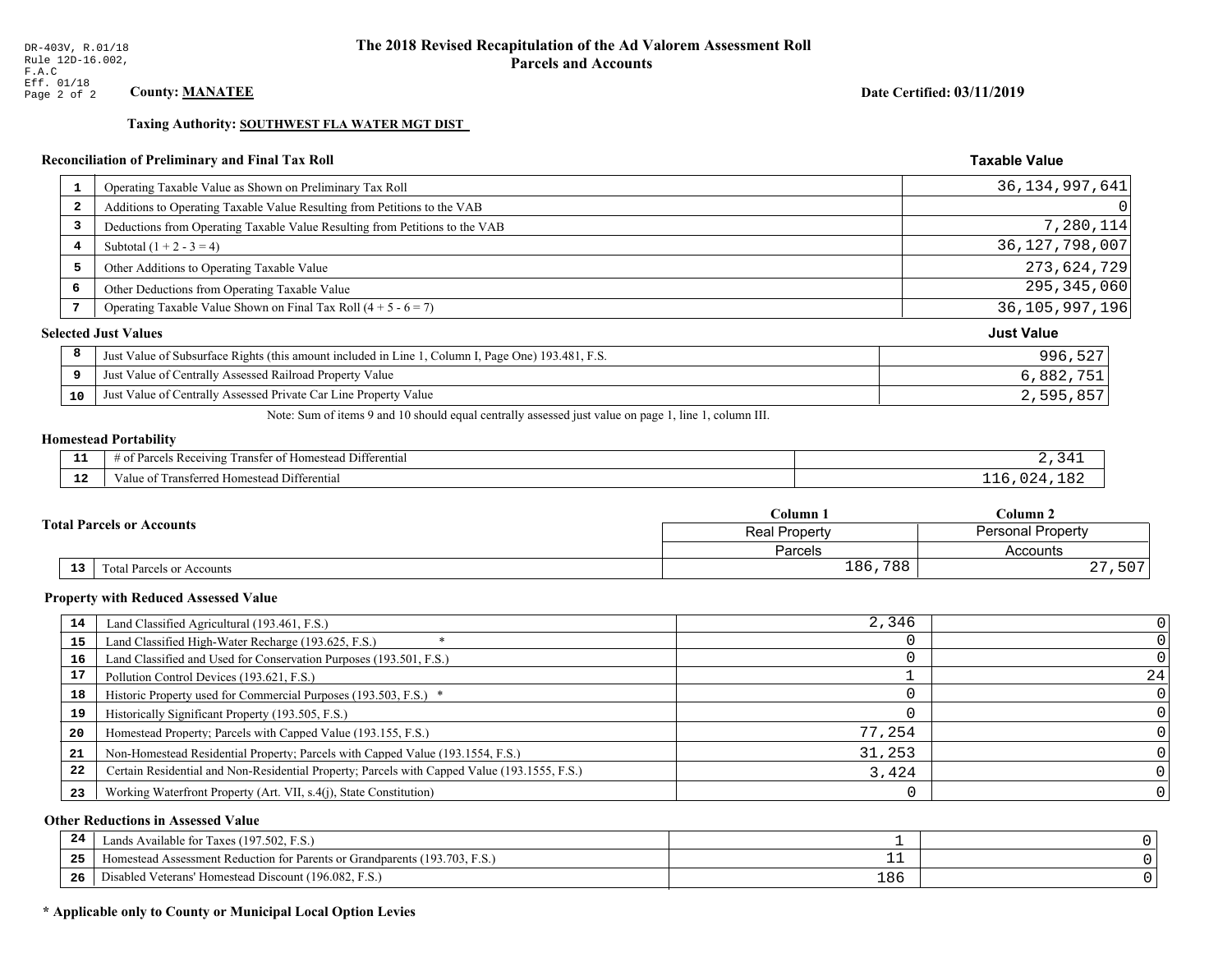## Date Certified: 03/11/2019

**Taxable Value** 

## Taxing Authority: SOUTHWEST FLA WATER MGT DIST

## Reconciliation of Preliminary and Final Tax Roll

| $\mathbf{1}$            | Operating Taxable Value as Shown on Preliminary Tax Roll                                           | 36, 134, 997, 641 |
|-------------------------|----------------------------------------------------------------------------------------------------|-------------------|
| $\overline{\mathbf{2}}$ | Additions to Operating Taxable Value Resulting from Petitions to the VAB                           | 0                 |
| 3                       | Deductions from Operating Taxable Value Resulting from Petitions to the VAB                        | 7,280,114         |
| 4                       | Subtotal $(1 + 2 - 3 = 4)$                                                                         | 36, 127, 798, 007 |
| 5                       | Other Additions to Operating Taxable Value                                                         | 273,624,729       |
| 6                       | Other Deductions from Operating Taxable Value                                                      | 295, 345, 060     |
|                         | Operating Taxable Value Shown on Final Tax Roll $(4 + 5 - 6 = 7)$                                  | 36,105,997,196    |
|                         | <b>Selected Just Values</b>                                                                        | <b>Just Value</b> |
| 8                       | Just Value of Subsurface Rights (this amount included in Line 1, Column I, Page One) 193.481, F.S. | 996,527           |
| 9                       | Just Value of Centrally Assessed Railroad Property Value                                           | 6,882,751         |
| 10                      | Just Value of Centrally Assessed Private Car Line Property Value                                   | 2,595,857         |
|                         |                                                                                                    |                   |

Note: Sum of items 9 and 10 should equal centrally assessed just value on page 1, line 1, column III.

## **Homestead Portability**

| - -<br>---  | <b>The Contract Contract Contract</b><br>.<br>Differential<br>ranster<br>. <b>D</b> o<br><b>011711</b><br>$-1$<br>'omesteau<br>'NU |  |
|-------------|------------------------------------------------------------------------------------------------------------------------------------|--|
| $\sim$<br>. | i Differential<br>Transferred Homestead<br>'aiue ot                                                                                |  |

|                                              | $C$ olumn $1$                                    | Column 2             |  |
|----------------------------------------------|--------------------------------------------------|----------------------|--|
| <b>Total Parcels or Accounts</b>             | <b>Personal Property</b><br><b>Real Property</b> |                      |  |
|                                              | <b>Parcels</b>                                   | Accounts             |  |
| $\overline{13}$<br>Total Parcels or Accounts | 186,788                                          | $\cap$<br>,507<br>47 |  |

#### **Property with Reduced Assessed Value**

| 14 | Land Classified Agricultural (193.461, F.S.)                                                 | 2,346  |    |
|----|----------------------------------------------------------------------------------------------|--------|----|
| 15 | Land Classified High-Water Recharge (193.625, F.S.)                                          |        |    |
| 16 | Land Classified and Used for Conservation Purposes (193.501, F.S.)                           |        |    |
| 17 | Pollution Control Devices (193.621, F.S.)                                                    |        | 24 |
| 18 | Historic Property used for Commercial Purposes (193.503, F.S.) *                             |        |    |
| 19 | Historically Significant Property (193.505, F.S.)                                            |        |    |
| 20 | Homestead Property; Parcels with Capped Value (193.155, F.S.)                                | 77,254 |    |
| 21 | Non-Homestead Residential Property; Parcels with Capped Value (193.1554, F.S.)               | 31,253 |    |
| 22 | Certain Residential and Non-Residential Property; Parcels with Capped Value (193.1555, F.S.) | 3.424  |    |
| 23 | Working Waterfront Property (Art. VII, s.4(j), State Constitution)                           |        |    |

## **Other Reductions in Assessed Value**

| 24    | Lands Available for Taxes (197.502, F.S.)                                  |      |  |
|-------|----------------------------------------------------------------------------|------|--|
| - - - | Homestead Assessment Reduction for Parents or Grandparents (193.703, F.S.) | -- - |  |
| -26   | Disabled Veterans' Homestead Discount (196.082, F.S.)                      | 186  |  |

## \* Applicable only to County or Municipal Local Option Levies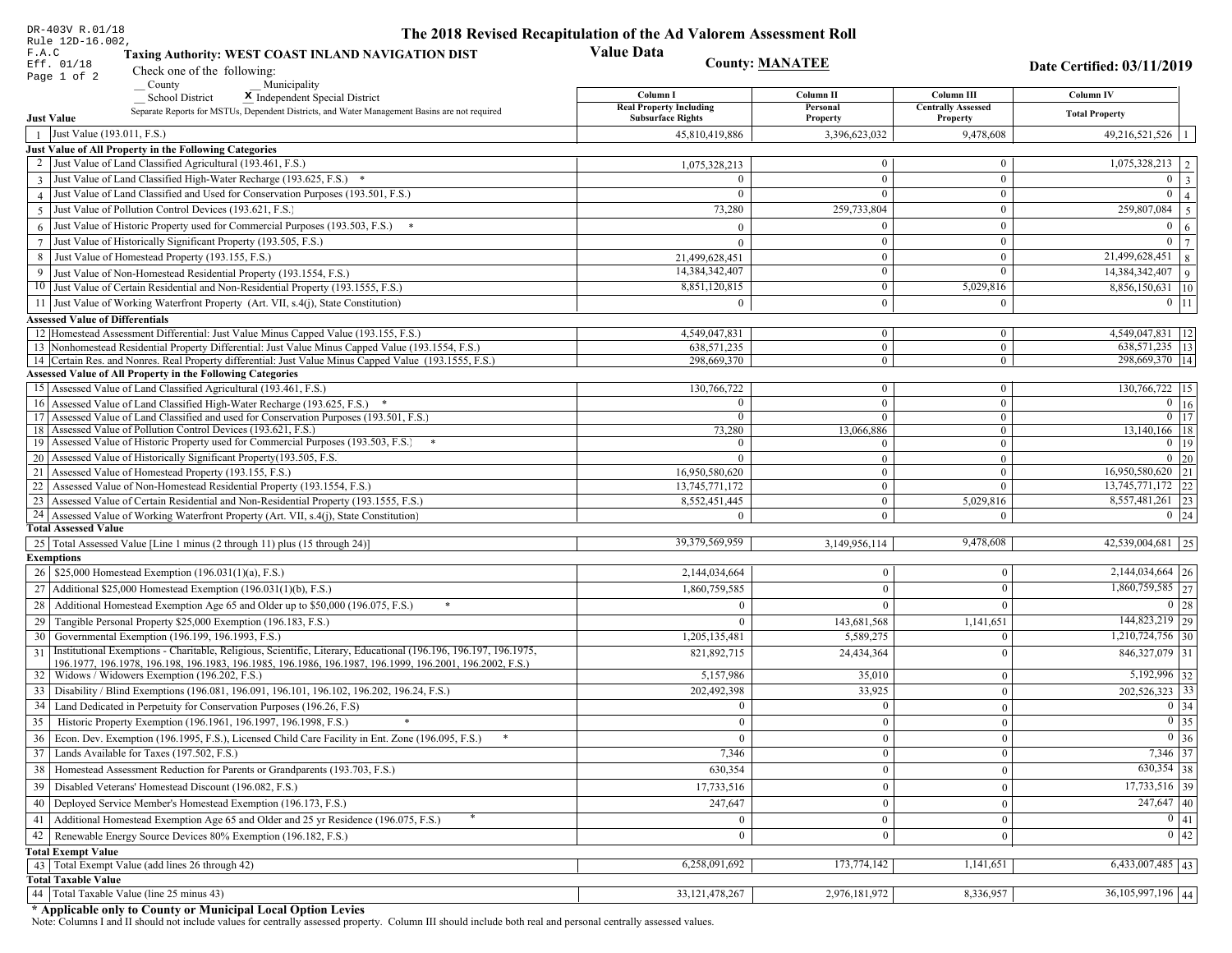| DR-403V R.01/18                                                                                                        | The 2018 Revised Recapitulation of the Ad Valorem Assessment Roll |                                |                                       |                                       |
|------------------------------------------------------------------------------------------------------------------------|-------------------------------------------------------------------|--------------------------------|---------------------------------------|---------------------------------------|
| Rule 12D-16.002,<br>F.A.C<br>Taxing Authority: WEST COAST INLAND NAVIGATION DIST                                       | <b>Value Data</b>                                                 |                                |                                       |                                       |
| Eff. 01/18<br>Check one of the following:                                                                              |                                                                   | <b>County: MANATEE</b>         |                                       | Date Certified: 03/11/2019            |
| Page 1 of 2<br>County<br>Municipality                                                                                  |                                                                   |                                |                                       |                                       |
| School District<br>X Independent Special District                                                                      | Column I                                                          | Column II                      | Column III                            | Column IV                             |
| Separate Reports for MSTUs, Dependent Districts, and Water Management Basins are not required<br><b>Just Value</b>     | <b>Real Property Including</b><br><b>Subsurface Rights</b>        | Personal<br>Property           | <b>Centrally Assessed</b><br>Property | <b>Total Property</b>                 |
| Just Value (193.011, F.S.)<br>$\overline{1}$                                                                           | 45,810,419,886                                                    | 3,396,623,032                  | 9,478,608                             | $49,216,521,526$   1                  |
| Just Value of All Property in the Following Categories                                                                 |                                                                   |                                |                                       |                                       |
| 2 Just Value of Land Classified Agricultural (193.461, F.S.)                                                           | 1,075,328,213                                                     | $\overline{0}$                 | $\boldsymbol{0}$                      | $1,075,328,213$   2                   |
| 3 Just Value of Land Classified High-Water Recharge (193.625, F.S.) *                                                  | $\Omega$                                                          | $\mathbf{0}$                   | $\overline{0}$                        | $0 \mid 3$                            |
| 4 Just Value of Land Classified and Used for Conservation Purposes (193.501, F.S.)                                     | $\Omega$                                                          | $\Omega$                       | $\boldsymbol{0}$                      | $\overline{0}$   4                    |
| Just Value of Pollution Control Devices (193.621, F.S.)<br>$\overline{5}$                                              | 73,280                                                            | 259,733,804                    | $\boldsymbol{0}$                      | $\overline{259,807,084}$ 5            |
| $6$ Just Value of Historic Property used for Commercial Purposes (193.503, F.S.) $*$                                   | $\Omega$                                                          | $\theta$                       | $\boldsymbol{0}$                      | $0 \quad 6$                           |
| 7 Just Value of Historically Significant Property (193.505, F.S.)                                                      | $\Omega$                                                          | $\mathbf{0}$                   | $\boldsymbol{0}$                      | $\overline{0}$   7                    |
| 8 Just Value of Homestead Property (193.155, F.S.)                                                                     | 21,499,628,451                                                    | $\bf{0}$                       | $\boldsymbol{0}$                      | $\boxed{21,499,628,451}$ 8            |
| 9 Just Value of Non-Homestead Residential Property (193.1554, F.S.)                                                    | 14,384,342,407                                                    | $\overline{0}$                 | $\Omega$                              | $14,384,342,407$ 9                    |
| 10 Just Value of Certain Residential and Non-Residential Property (193.1555, F.S.)                                     | 8,851,120,815                                                     | $\mathbf{0}$                   | 5,029,816                             | 8,856,150,631 10                      |
| 11 Just Value of Working Waterfront Property (Art. VII, s.4(j), State Constitution)                                    | $\Omega$                                                          | $\theta$                       | $\mathbf{0}$                          | $0$ 11                                |
| <b>Assessed Value of Differentials</b>                                                                                 |                                                                   |                                |                                       |                                       |
| 12 Homestead Assessment Differential: Just Value Minus Capped Value (193.155, F.S.)                                    | 4,549,047,831                                                     | $\mathbf{0}$                   | $\boldsymbol{0}$                      | 4,549,047,831   12                    |
| 13 Nonhomestead Residential Property Differential: Just Value Minus Capped Value (193.1554, F.S.)                      | 638, 571, 235                                                     | $\mathbf{0}$                   | $\mathbf{0}$                          | 638,571,235   13                      |
| 14 Certain Res. and Nonres. Real Property differential: Just Value Minus Capped Value (193.1555, F.S.)                 | 298,669,370                                                       | $\mathbf{0}$                   | $\mathbf{0}$                          | 298,669,370   14                      |
| <b>Assessed Value of All Property in the Following Categories</b>                                                      |                                                                   |                                |                                       |                                       |
| 15 Assessed Value of Land Classified Agricultural (193.461, F.S.)                                                      | 130,766,722                                                       | $\mathbf{0}$                   | $\mathbf{0}$                          | 130,766,722 15                        |
| 16 Assessed Value of Land Classified High-Water Recharge (193.625, F.S.)                                               | $\Omega$                                                          | $\overline{0}$                 | $\boldsymbol{0}$                      | $\overline{0}$ 16                     |
| 17 Assessed Value of Land Classified and used for Conservation Purposes (193.501, F.S.)                                | $\mathbf{0}$                                                      | $\mathbf{0}$                   | $\mathbf{0}$                          | $0$ 17                                |
| 18 Assessed Value of Pollution Control Devices (193.621, F.S.)                                                         | 73,280                                                            | 13,066,886                     | $\overline{0}$                        | 13,140,166 18                         |
| 19 Assessed Value of Historic Property used for Commercial Purposes (193.503, F.S.)                                    | $\theta$                                                          | $\theta$                       | $\mathbf{0}$                          | $0$   19                              |
| 20 Assessed Value of Historically Significant Property (193.505, F.S.                                                  | $\theta$                                                          | $\overline{0}$                 | $\overline{0}$                        | $0 \mid 20$                           |
| 21 Assessed Value of Homestead Property (193.155, F.S.)                                                                | 16,950,580,620                                                    | $\mathbf{0}$                   | $\mathbf{0}$                          | 16,950,580,620 21                     |
| 22 Assessed Value of Non-Homestead Residential Property (193.1554, F.S.)                                               | 13,745,771,172                                                    | $\overline{0}$                 | $\mathbf{0}$                          | 13,745,771,172 22<br>8,557,481,261 23 |
| 23 Assessed Value of Certain Residential and Non-Residential Property (193.1555, F.S.)                                 | 8,552,451,445                                                     | $\mathbf{0}$<br>$\overline{0}$ | 5,029,816<br>$\Omega$                 | $0 \mid 24$                           |
| 24 Assessed Value of Working Waterfront Property (Art. VII, s.4(j), State Constitution<br><b>Total Assessed Value</b>  | $\Omega$                                                          |                                |                                       |                                       |
| 25   Total Assessed Value [Line 1 minus (2 through 11) plus (15 through 24)]                                           | 39,379,569,959                                                    | 3,149,956,114                  | 9,478,608                             | 42,539,004,681 25                     |
| <b>Exemptions</b>                                                                                                      |                                                                   |                                |                                       |                                       |
| 26   \$25,000 Homestead Exemption (196.031(1)(a), F.S.)                                                                | 2,144,034,664                                                     | $\Omega$                       | $\Omega$                              | $2,144,034,664$ 26                    |
| 27   Additional \$25,000 Homestead Exemption (196.031(1)(b), F.S.)                                                     | 1,860,759,585                                                     | $\theta$                       | $\Omega$                              | 1,860,759,585 27                      |
| 28 Additional Homestead Exemption Age 65 and Older up to \$50,000 (196.075, F.S.)                                      |                                                                   | $\Omega$                       | $\Omega$                              | $0 \mid 28$                           |
| 29 Tangible Personal Property \$25,000 Exemption (196.183, F.S.)                                                       | $\mathbf{0}$                                                      | 143,681,568                    | 1,141,651                             | 144,823,219 29                        |
| 30 Governmental Exemption (196.199, 196.1993, F.S.)                                                                    | 1,205,135,481                                                     | 5,589,275                      | $\Omega$                              | $1,210,724,756$ 30                    |
| Institutional Exemptions - Charitable, Religious, Scientific, Literary, Educational (196.196, 196.197, 196.1975,<br>31 | 821,892,715                                                       | 24,434,364                     | $\Omega$                              | $846,327,079$ 31                      |
| 196.1977, 196.1978, 196.198, 196.1983, 196.1985, 196.1986, 196.1987, 196.1999, 196.2001, 196.2002, F.S.)               |                                                                   |                                |                                       |                                       |
| 32   Widows / Widowers Exemption (196.202, F.S.)                                                                       | 5,157,986                                                         | 35,010                         | $\mathbf{0}$                          | 5,192,996 32                          |
| 33   Disability / Blind Exemptions (196.081, 196.091, 196.101, 196.102, 196.202, 196.24, F.S.)                         | 202,492,398                                                       | 33,925                         | $\Omega$                              | $202,526,323$ 33                      |
| 34   Land Dedicated in Perpetuity for Conservation Purposes (196.26, F.S)                                              | $\bf{0}$                                                          | $\mathbf{0}$                   | $\Omega$                              | $0 \mid 34$                           |
| 35 Historic Property Exemption (196.1961, 196.1997, 196.1998, F.S.)                                                    | $\overline{0}$                                                    | $\boldsymbol{0}$               | $\vert 0 \vert$                       | $\boxed{0}$ 35                        |
| 36 Econ. Dev. Exemption (196.1995, F.S.), Licensed Child Care Facility in Ent. Zone (196.095, F.S.)                    | $\overline{0}$                                                    | $\mathbf{0}$                   | $\theta$                              | $0\vert 36$                           |
| 37 Lands Available for Taxes (197.502, F.S.)                                                                           | 7,346                                                             | $\overline{0}$                 | $\bf{0}$                              | 7,346 37                              |
| 38   Homestead Assessment Reduction for Parents or Grandparents (193.703, F.S.)                                        | 630,354                                                           | $\mathbf{0}$                   | $\Omega$                              | $630,354$ 38                          |
| 39   Disabled Veterans' Homestead Discount (196.082, F.S.)                                                             | 17,733,516                                                        | $\Omega$                       | $\mathbf{0}$                          | $17,733,516$ 39                       |
| 40   Deployed Service Member's Homestead Exemption (196.173, F.S.)                                                     | 247,647                                                           | $\mathbf{0}$                   | $\theta$                              | $\overline{247,647}$ 40               |
| 41   Additional Homestead Exemption Age 65 and Older and 25 yr Residence (196.075, F.S.)                               |                                                                   | $\Omega$                       | $\Omega$                              | $\boxed{0}$ $\boxed{41}$              |
| 42 Renewable Energy Source Devices 80% Exemption (196.182, F.S.)                                                       | $\mathbf{0}$                                                      | $\mathbf{0}$                   | $\theta$                              | 0 42                                  |
|                                                                                                                        |                                                                   |                                |                                       |                                       |
| <b>Total Exempt Value</b><br>43 Total Exempt Value (add lines 26 through 42)                                           | 6,258,091,692                                                     | 173,774,142                    | 1,141,651                             | $6,433,007,485$ 43                    |
| <b>Total Taxable Value</b>                                                                                             |                                                                   |                                |                                       |                                       |
| 44 Total Taxable Value (line 25 minus 43)                                                                              | 33, 121, 478, 267                                                 | 2,976,181,972                  | 8,336,957                             | $36,105,997,196$ 44                   |
|                                                                                                                        |                                                                   |                                |                                       |                                       |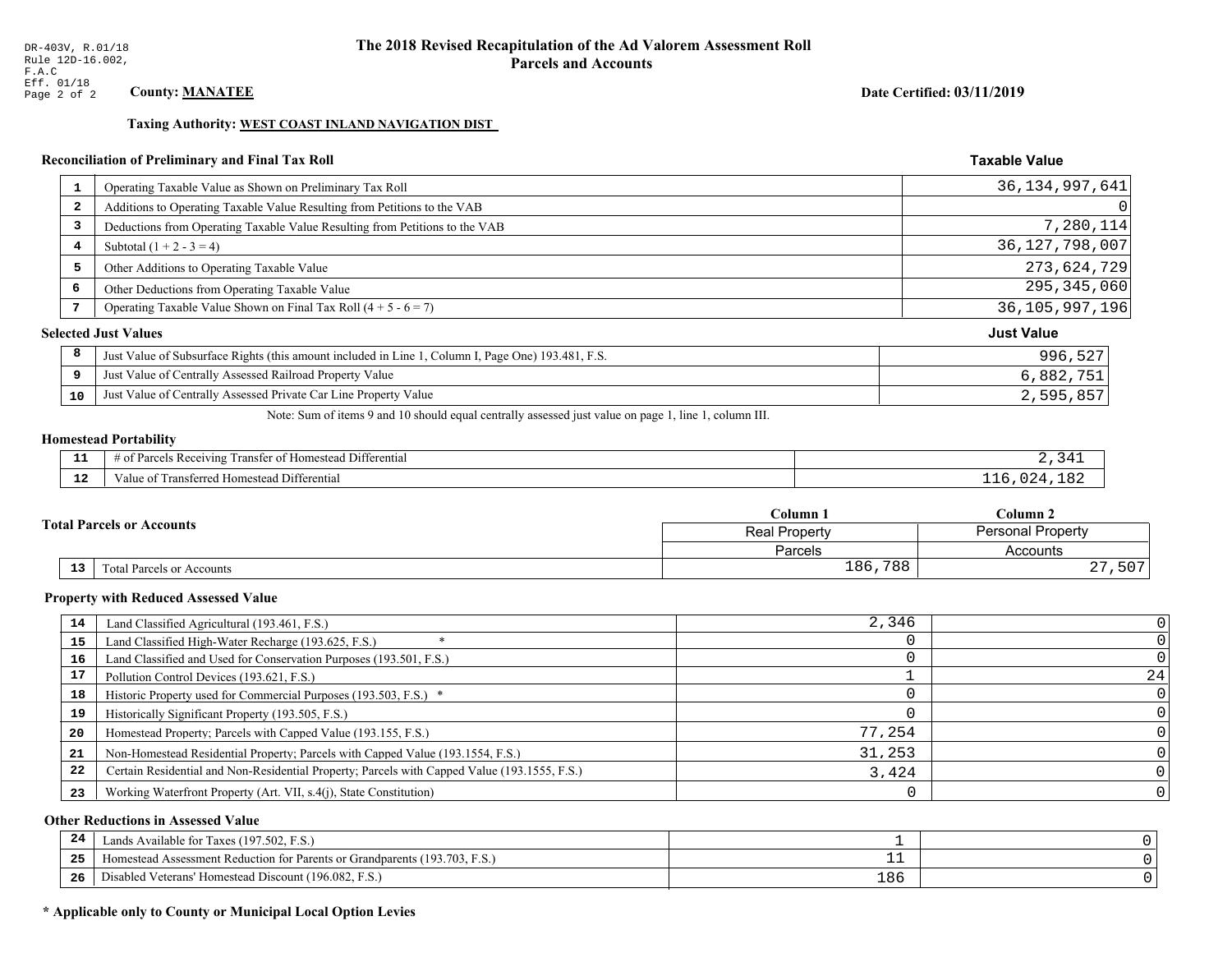## Date Certified: 03/11/2019

**Taxable Value** 

## Taxing Authority: WEST COAST INLAND NAVIGATION DIST

#### **Reconciliation of Preliminary and Final Tax Roll**

|    | Operating Taxable Value as Shown on Preliminary Tax Roll                                           | 36, 134, 997, 641 |
|----|----------------------------------------------------------------------------------------------------|-------------------|
| 2  | Additions to Operating Taxable Value Resulting from Petitions to the VAB                           | 0                 |
| 3  | Deductions from Operating Taxable Value Resulting from Petitions to the VAB                        | 7,280,114         |
| 4  | Subtotal $(1 + 2 - 3 = 4)$                                                                         | 36, 127, 798, 007 |
| 5  | Other Additions to Operating Taxable Value                                                         | 273,624,729       |
| 6  | Other Deductions from Operating Taxable Value                                                      | 295,345,060       |
| 7  | Operating Taxable Value Shown on Final Tax Roll $(4 + 5 - 6 = 7)$                                  | 36, 105, 997, 196 |
|    | <b>Selected Just Values</b>                                                                        | <b>Just Value</b> |
| 8  | Just Value of Subsurface Rights (this amount included in Line 1, Column I, Page One) 193.481, F.S. | 996,527           |
| 9  | Just Value of Centrally Assessed Railroad Property Value                                           | 6,882,751         |
| 10 | Just Value of Centrally Assessed Private Car Line Property Value                                   | 2,595,857         |
|    |                                                                                                    |                   |

Note: Sum of items 9 and 10 should equal centrally assessed just value on page 1, line 1, column III.

## **Homestead Portability**

| - -<br>---  | <b>The Contract Contract Contract</b><br>.<br>Differential<br>ranster<br>. <b>D</b> o<br><b>011711</b><br>$-1$<br>'omesteau<br>'NU |  |
|-------------|------------------------------------------------------------------------------------------------------------------------------------|--|
| $\sim$<br>. | i Differential<br>Transferred Homestead<br>'aiue ot                                                                                |  |

|  |    | Column 1                         | Column 2                                         |                       |
|--|----|----------------------------------|--------------------------------------------------|-----------------------|
|  |    | <b>Total Parcels or Accounts</b> | <b>Personal Property</b><br><b>Real Property</b> |                       |
|  |    |                                  | Parcels                                          | Accounts              |
|  | 13 | <b>Fotal Parcels or Accounts</b> | 186,788                                          | , 507<br>$\cap$<br>47 |

#### **Property with Reduced Assessed Value**

| 14 | Land Classified Agricultural (193.461, F.S.)                                                 | 2,346  |    |
|----|----------------------------------------------------------------------------------------------|--------|----|
| 15 | Land Classified High-Water Recharge (193.625, F.S.)                                          |        |    |
| 16 | Land Classified and Used for Conservation Purposes (193.501, F.S.)                           |        |    |
| 17 | Pollution Control Devices (193.621, F.S.)                                                    |        | 24 |
| 18 | Historic Property used for Commercial Purposes (193.503, F.S.) *                             |        |    |
| 19 | Historically Significant Property (193.505, F.S.)                                            |        |    |
| 20 | Homestead Property; Parcels with Capped Value (193.155, F.S.)                                | 77,254 |    |
| 21 | Non-Homestead Residential Property; Parcels with Capped Value (193.1554, F.S.)               | 31,253 |    |
| 22 | Certain Residential and Non-Residential Property; Parcels with Capped Value (193.1555, F.S.) | 3,424  |    |
| 23 | Working Waterfront Property (Art. VII, s.4(j), State Constitution)                           |        |    |

## **Other Reductions in Assessed Value**

| 24    | (197.502, F.S.)<br>Lands Available for Taxes (                               |     |  |
|-------|------------------------------------------------------------------------------|-----|--|
| - - - | (193.703, 1)<br>Assessment Reduction for Parents or Grandparents<br>omestead |     |  |
| -26   | (196.082, F.S.)<br>Veterans' Homestead Discount ("<br>Disabled               | 186 |  |

## \* Applicable only to County or Municipal Local Option Levies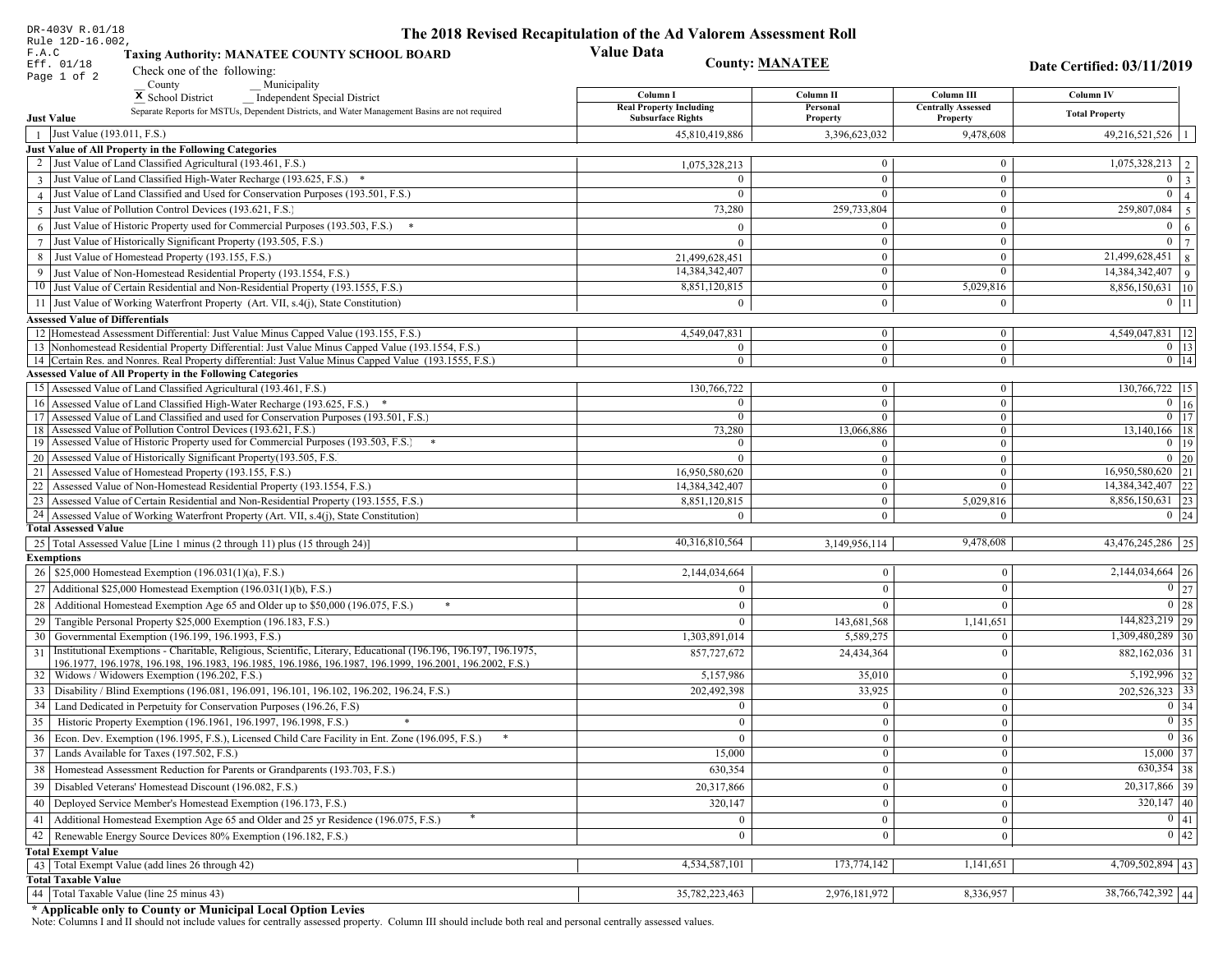| DR-403V R.01/18                                                                                                                                                                          | The 2018 Revised Recapitulation of the Ad Valorem Assessment Roll |                              |                                       |                                                     |
|------------------------------------------------------------------------------------------------------------------------------------------------------------------------------------------|-------------------------------------------------------------------|------------------------------|---------------------------------------|-----------------------------------------------------|
| Rule 12D-16.002,<br>F.A.C<br><b>Taxing Authority: MANATEE COUNTY SCHOOL BOARD</b>                                                                                                        | <b>Value Data</b>                                                 |                              |                                       |                                                     |
| Eff. 01/18<br>Check one of the following:                                                                                                                                                |                                                                   | <b>County: MANATEE</b>       |                                       | Date Certified: 03/11/2019                          |
| Page 1 of 2<br>County<br>Municipality                                                                                                                                                    |                                                                   |                              |                                       |                                                     |
| <sup>x</sup> School District<br>Independent Special District                                                                                                                             | Column I                                                          | Column II                    | Column III                            | Column IV                                           |
| Separate Reports for MSTUs, Dependent Districts, and Water Management Basins are not required<br><b>Just Value</b>                                                                       | <b>Real Property Including</b><br><b>Subsurface Rights</b>        | Personal<br>Property         | <b>Centrally Assessed</b><br>Property | <b>Total Property</b>                               |
| Just Value (193.011, F.S.)<br>$\overline{1}$                                                                                                                                             | 45,810,419,886                                                    | 3,396,623,032                | 9,478,608                             | $49,216,521,526$   1                                |
| Just Value of All Property in the Following Categories                                                                                                                                   |                                                                   |                              |                                       |                                                     |
| 2 Just Value of Land Classified Agricultural (193.461, F.S.)                                                                                                                             | 1,075,328,213                                                     | $\overline{0}$               | $\boldsymbol{0}$                      | $1,075,328,213$   2                                 |
| 3 Just Value of Land Classified High-Water Recharge (193.625, F.S.) *                                                                                                                    | $\Omega$                                                          | $\overline{0}$               | $\overline{0}$                        | $0 \mid 3$                                          |
| 4 Just Value of Land Classified and Used for Conservation Purposes (193.501, F.S.)                                                                                                       | $\Omega$                                                          | $\Omega$                     | $\boldsymbol{0}$                      | $\mathbf{0}$<br>$\vert$ 4                           |
| Just Value of Pollution Control Devices (193.621, F.S.)<br>$\overline{5}$                                                                                                                | 73,280                                                            | 259,733,804                  | $\boldsymbol{0}$                      | $\overline{259,807,084}$ 5                          |
| 6 Just Value of Historic Property used for Commercial Purposes (193.503, F.S.) *                                                                                                         | $\Omega$                                                          | $\theta$                     | $\boldsymbol{0}$                      | $0 \quad 6$                                         |
| 7 Just Value of Historically Significant Property (193.505, F.S.)                                                                                                                        | $\Omega$                                                          | $\mathbf{0}$                 | $\boldsymbol{0}$                      | $\overline{0}$   7                                  |
| 8 Just Value of Homestead Property (193.155, F.S.)                                                                                                                                       | 21,499,628,451                                                    | $\bf{0}$                     | $\boldsymbol{0}$                      | $\boxed{21,499,628,451}$ 8                          |
| 9 Just Value of Non-Homestead Residential Property (193.1554, F.S.)                                                                                                                      | 14,384,342,407                                                    | $\overline{0}$               | $\Omega$                              | $14,384,342,407$ 9                                  |
| 10 Just Value of Certain Residential and Non-Residential Property (193.1555, F.S.)                                                                                                       | 8,851,120,815                                                     | $\mathbf{0}$                 | 5,029,816                             | 8,856,150,631 10                                    |
| 11 Just Value of Working Waterfront Property (Art. VII, s.4(j), State Constitution)                                                                                                      | $\Omega$                                                          | $\theta$                     | $\mathbf{0}$                          | $0 \vert 11$                                        |
|                                                                                                                                                                                          |                                                                   |                              |                                       |                                                     |
| <b>Assessed Value of Differentials</b>                                                                                                                                                   |                                                                   |                              |                                       |                                                     |
| 12 Homestead Assessment Differential: Just Value Minus Capped Value (193.155, F.S.)<br>13 Nonhomestead Residential Property Differential: Just Value Minus Capped Value (193.1554, F.S.) | 4,549,047,831<br>$\theta$                                         | $\mathbf{0}$<br>$\mathbf{0}$ | $\boldsymbol{0}$<br>$\mathbf{0}$      | 4,549,047,831   12<br>$0$   13                      |
| 14 Certain Res. and Nonres. Real Property differential: Just Value Minus Capped Value (193.1555, F.S.)                                                                                   | $\mathbf{0}$                                                      | $\mathbf{0}$                 | $\mathbf{0}$                          | $0 \mid 14$                                         |
| <b>Assessed Value of All Property in the Following Categories</b>                                                                                                                        |                                                                   |                              |                                       |                                                     |
| 15 Assessed Value of Land Classified Agricultural (193.461, F.S.)                                                                                                                        | 130,766,722                                                       | $\mathbf{0}$                 | $\mathbf{0}$                          | 130,766,722 15                                      |
| 16 Assessed Value of Land Classified High-Water Recharge (193.625, F.S.)                                                                                                                 | $\Omega$                                                          | $\overline{0}$               | $\boldsymbol{0}$                      | $\boxed{0}$ 16                                      |
| 17 Assessed Value of Land Classified and used for Conservation Purposes (193.501, F.S.)                                                                                                  | $\overline{0}$                                                    | $\mathbf{0}$                 | $\mathbf{0}$                          | $0$ 17                                              |
| 18 Assessed Value of Pollution Control Devices (193.621, F.S.)                                                                                                                           | 73,280                                                            | 13,066,886                   | $\overline{0}$                        | 13,140,166 18                                       |
| 19 Assessed Value of Historic Property used for Commercial Purposes (193.503, F.S.)                                                                                                      | $\theta$                                                          | $\theta$                     | $\mathbf{0}$                          | $0$   19                                            |
| 20 Assessed Value of Historically Significant Property (193.505, F.S.                                                                                                                    | $\theta$                                                          | $\overline{0}$               | $\overline{0}$                        | $0 \mid 20$                                         |
| 21 Assessed Value of Homestead Property (193.155, F.S.)                                                                                                                                  | 16,950,580,620                                                    | $\mathbf{0}$                 | $\mathbf{0}$                          | 16,950,580,620 21                                   |
| 22 Assessed Value of Non-Homestead Residential Property (193.1554, F.S.)                                                                                                                 | 14,384,342,407                                                    | $\overline{0}$               | $\mathbf{0}$                          | 14,384,342,407 22                                   |
| 23 Assessed Value of Certain Residential and Non-Residential Property (193.1555, F.S.)                                                                                                   | 8,851,120,815                                                     | $\mathbf{0}$                 | 5,029,816                             | $8,856,150,631$ 23                                  |
| 24 Assessed Value of Working Waterfront Property (Art. VII, s.4(j), State Constitution                                                                                                   | $\Omega$                                                          | $\overline{0}$               | $\Omega$                              | $0 \mid 24$                                         |
| <b>Total Assessed Value</b>                                                                                                                                                              |                                                                   |                              |                                       |                                                     |
| 25   Total Assessed Value [Line 1 minus (2 through 11) plus (15 through 24)]                                                                                                             | 40,316,810,564                                                    | 3,149,956,114                | 9,478,608                             | 43,476,245,286 25                                   |
| <b>Exemptions</b>                                                                                                                                                                        |                                                                   |                              |                                       |                                                     |
| 26   \$25,000 Homestead Exemption (196.031(1)(a), F.S.)                                                                                                                                  | 2,144,034,664                                                     | $\Omega$                     | $\Omega$                              | 2,144,034,664 26                                    |
| 27   Additional \$25,000 Homestead Exemption (196.031(1)(b), F.S.)                                                                                                                       | $\Omega$                                                          | $\theta$                     | $\Omega$                              | $\boxed{0}$ 27                                      |
| 28 Additional Homestead Exemption Age 65 and Older up to \$50,000 (196.075, F.S.)                                                                                                        |                                                                   | $\Omega$                     | $\Omega$                              | $\boxed{0}$ 28                                      |
| 29 Tangible Personal Property \$25,000 Exemption (196.183, F.S.)                                                                                                                         | $\mathbf{0}$                                                      | 143,681,568                  | 1,141,651                             | 144,823,219 29                                      |
| 30 Governmental Exemption (196.199, 196.1993, F.S.)                                                                                                                                      | 1,303,891,014                                                     | 5,589,275                    | $\Omega$                              | $1,309,480,289$ 30                                  |
| Institutional Exemptions - Charitable, Religious, Scientific, Literary, Educational (196.196, 196.197, 196.1975,<br>31                                                                   | 857,727,672                                                       | 24,434,364                   | $\Omega$                              | $882,162,036$ 31                                    |
| 196.1977, 196.1978, 196.198, 196.1983, 196.1985, 196.1986, 196.1987, 196.1999, 196.2001, 196.2002, F.S.)                                                                                 |                                                                   |                              |                                       |                                                     |
| 32   Widows / Widowers Exemption (196.202, F.S.)                                                                                                                                         | 5,157,986                                                         | 35,010                       | $\mathbf{0}$                          | 5,192,996 32                                        |
| 33   Disability / Blind Exemptions (196.081, 196.091, 196.101, 196.102, 196.202, 196.24, F.S.)                                                                                           | 202,492,398                                                       | 33,925                       | $\Omega$                              | $202,526,323$ 33                                    |
| 34   Land Dedicated in Perpetuity for Conservation Purposes (196.26, F.S)                                                                                                                | $\mathbf{0}$                                                      | $\mathbf{0}$                 | $\Omega$                              | $0 \mid 34$                                         |
| 35 Historic Property Exemption (196.1961, 196.1997, 196.1998, F.S.)                                                                                                                      | $\overline{0}$                                                    | $\boldsymbol{0}$             | $\vert 0 \vert$                       | $\boxed{0}$ 35                                      |
| 36 Econ. Dev. Exemption (196.1995, F.S.), Licensed Child Care Facility in Ent. Zone (196.095, F.S.)                                                                                      | $\overline{0}$                                                    | $\mathbf{0}$                 | $\theta$                              | $0\vert 36$                                         |
| 37 Lands Available for Taxes (197.502, F.S.)                                                                                                                                             | 15,000                                                            | $\overline{0}$               | $\bf{0}$                              | $15,000$ 37                                         |
| 38   Homestead Assessment Reduction for Parents or Grandparents (193.703, F.S.)                                                                                                          | 630,354                                                           | $\mathbf{0}$                 | $\overline{0}$                        | $630,354$ 38                                        |
| 39   Disabled Veterans' Homestead Discount (196.082, F.S.)                                                                                                                               | 20,317,866                                                        | $\Omega$                     | $\mathbf{0}$                          | 20,317,866 39                                       |
| 40   Deployed Service Member's Homestead Exemption (196.173, F.S.)                                                                                                                       | 320,147                                                           | $\mathbf{0}$                 | $\theta$                              | $320,147$ 40                                        |
| 41   Additional Homestead Exemption Age 65 and Older and 25 yr Residence (196.075, F.S.)                                                                                                 | $\mathbf{0}$                                                      | $\Omega$                     | $\Omega$                              | $\boxed{0}$ $\boxed{41}$                            |
| 42 Renewable Energy Source Devices 80% Exemption (196.182, F.S.)                                                                                                                         | $\mathbf{0}$                                                      | $\mathbf{0}$                 | $\theta$                              | $\begin{array}{ c c }\n\hline\n0 & 42\n\end{array}$ |
| <b>Total Exempt Value</b>                                                                                                                                                                |                                                                   |                              |                                       |                                                     |
| 43 Total Exempt Value (add lines 26 through 42)                                                                                                                                          | 4,534,587,101                                                     | 173,774,142                  | 1,141,651                             | $\overline{4,709,502,894}$ 43                       |
| <b>Total Taxable Value</b>                                                                                                                                                               |                                                                   |                              |                                       |                                                     |
| 44 Total Taxable Value (line 25 minus 43)                                                                                                                                                | 35,782,223,463                                                    | 2,976,181,972                | 8,336,957                             | 38,766,742,392 44                                   |